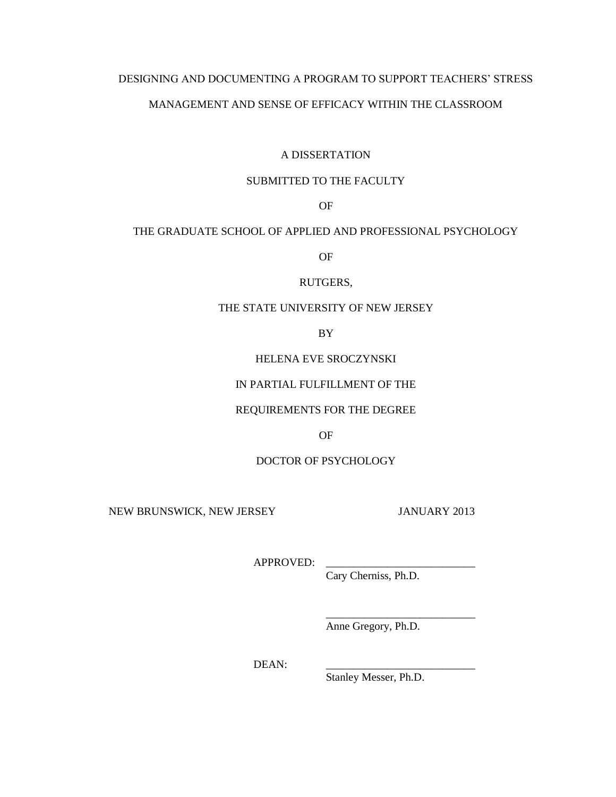# DESIGNING AND DOCUMENTING A PROGRAM TO SUPPORT TEACHERS' STRESS

## MANAGEMENT AND SENSE OF EFFICACY WITHIN THE CLASSROOM

## A DISSERTATION

## SUBMITTED TO THE FACULTY

OF

## THE GRADUATE SCHOOL OF APPLIED AND PROFESSIONAL PSYCHOLOGY

OF

## RUTGERS,

## THE STATE UNIVERSITY OF NEW JERSEY

BY

## HELENA EVE SROCZYNSKI

# IN PARTIAL FULFILLMENT OF THE

## REQUIREMENTS FOR THE DEGREE

OF

# DOCTOR OF PSYCHOLOGY

NEW BRUNSWICK, NEW JERSEY JANUARY 2013

APPROVED:

Cary Cherniss, Ph.D.

Anne Gregory, Ph.D.

\_\_\_\_\_\_\_\_\_\_\_\_\_\_\_\_\_\_\_\_\_\_\_\_\_\_\_

DEAN:

Stanley Messer, Ph.D.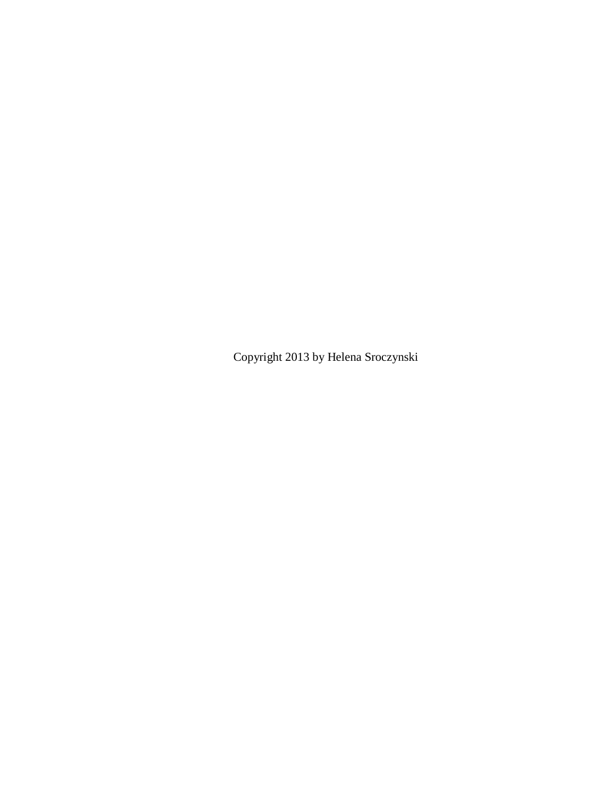Copyright 2013 by Helena Sroczynski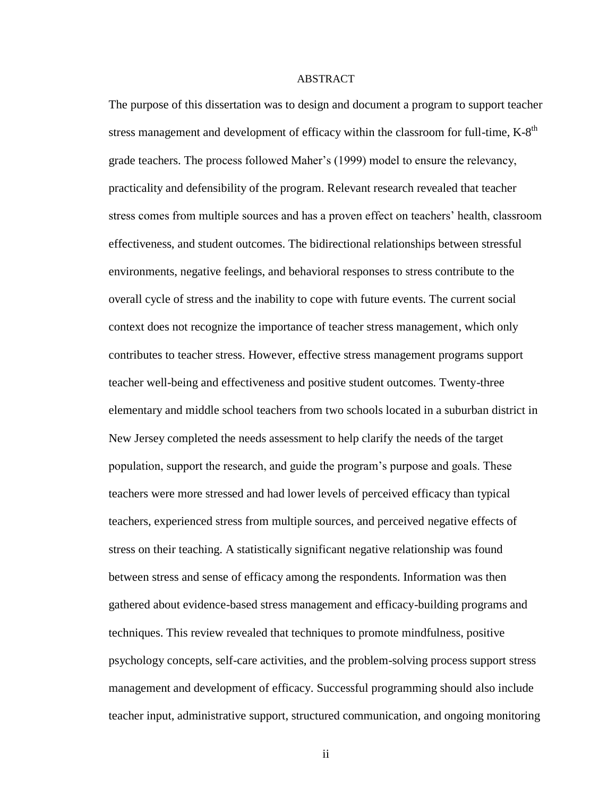### ABSTRACT

The purpose of this dissertation was to design and document a program to support teacher stress management and development of efficacy within the classroom for full-time,  $K-8<sup>th</sup>$ grade teachers. The process followed Maher's (1999) model to ensure the relevancy, practicality and defensibility of the program. Relevant research revealed that teacher stress comes from multiple sources and has a proven effect on teachers' health, classroom effectiveness, and student outcomes. The bidirectional relationships between stressful environments, negative feelings, and behavioral responses to stress contribute to the overall cycle of stress and the inability to cope with future events. The current social context does not recognize the importance of teacher stress management, which only contributes to teacher stress. However, effective stress management programs support teacher well-being and effectiveness and positive student outcomes. Twenty-three elementary and middle school teachers from two schools located in a suburban district in New Jersey completed the needs assessment to help clarify the needs of the target population, support the research, and guide the program's purpose and goals. These teachers were more stressed and had lower levels of perceived efficacy than typical teachers, experienced stress from multiple sources, and perceived negative effects of stress on their teaching. A statistically significant negative relationship was found between stress and sense of efficacy among the respondents. Information was then gathered about evidence-based stress management and efficacy-building programs and techniques. This review revealed that techniques to promote mindfulness, positive psychology concepts, self-care activities, and the problem-solving process support stress management and development of efficacy. Successful programming should also include teacher input, administrative support, structured communication, and ongoing monitoring

ii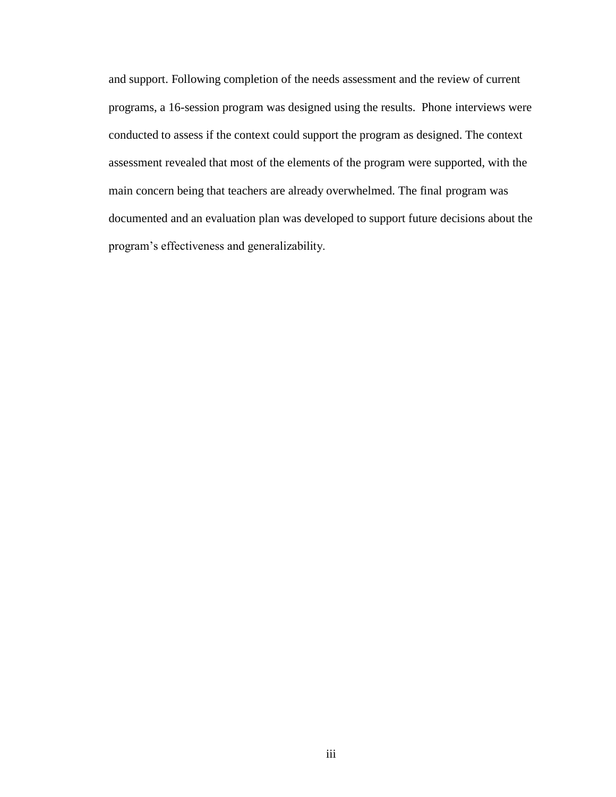and support. Following completion of the needs assessment and the review of current programs, a 16-session program was designed using the results. Phone interviews were conducted to assess if the context could support the program as designed. The context assessment revealed that most of the elements of the program were supported, with the main concern being that teachers are already overwhelmed. The final program was documented and an evaluation plan was developed to support future decisions about the program's effectiveness and generalizability.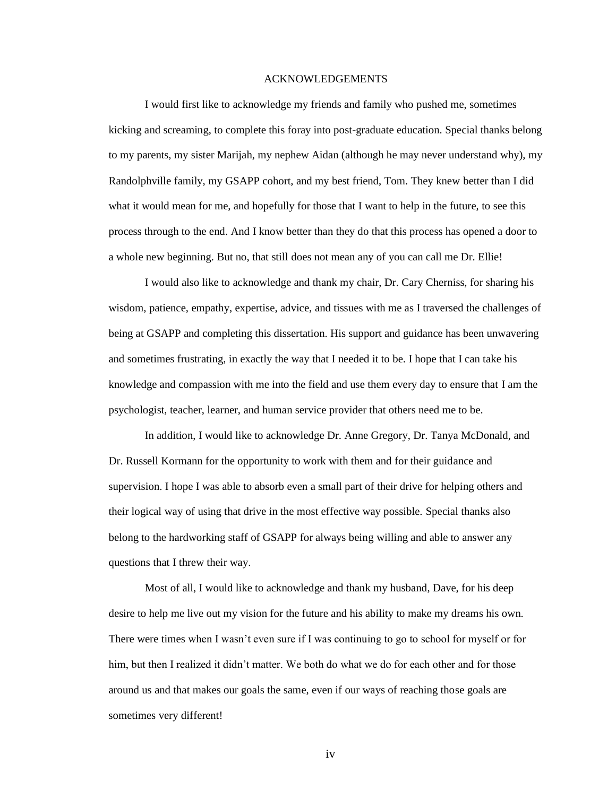### ACKNOWLEDGEMENTS

I would first like to acknowledge my friends and family who pushed me, sometimes kicking and screaming, to complete this foray into post-graduate education. Special thanks belong to my parents, my sister Marijah, my nephew Aidan (although he may never understand why), my Randolphville family, my GSAPP cohort, and my best friend, Tom. They knew better than I did what it would mean for me, and hopefully for those that I want to help in the future, to see this process through to the end. And I know better than they do that this process has opened a door to a whole new beginning. But no, that still does not mean any of you can call me Dr. Ellie!

I would also like to acknowledge and thank my chair, Dr. Cary Cherniss, for sharing his wisdom, patience, empathy, expertise, advice, and tissues with me as I traversed the challenges of being at GSAPP and completing this dissertation. His support and guidance has been unwavering and sometimes frustrating, in exactly the way that I needed it to be. I hope that I can take his knowledge and compassion with me into the field and use them every day to ensure that I am the psychologist, teacher, learner, and human service provider that others need me to be.

In addition, I would like to acknowledge Dr. Anne Gregory, Dr. Tanya McDonald, and Dr. Russell Kormann for the opportunity to work with them and for their guidance and supervision. I hope I was able to absorb even a small part of their drive for helping others and their logical way of using that drive in the most effective way possible. Special thanks also belong to the hardworking staff of GSAPP for always being willing and able to answer any questions that I threw their way.

Most of all, I would like to acknowledge and thank my husband, Dave, for his deep desire to help me live out my vision for the future and his ability to make my dreams his own. There were times when I wasn't even sure if I was continuing to go to school for myself or for him, but then I realized it didn't matter. We both do what we do for each other and for those around us and that makes our goals the same, even if our ways of reaching those goals are sometimes very different!

iv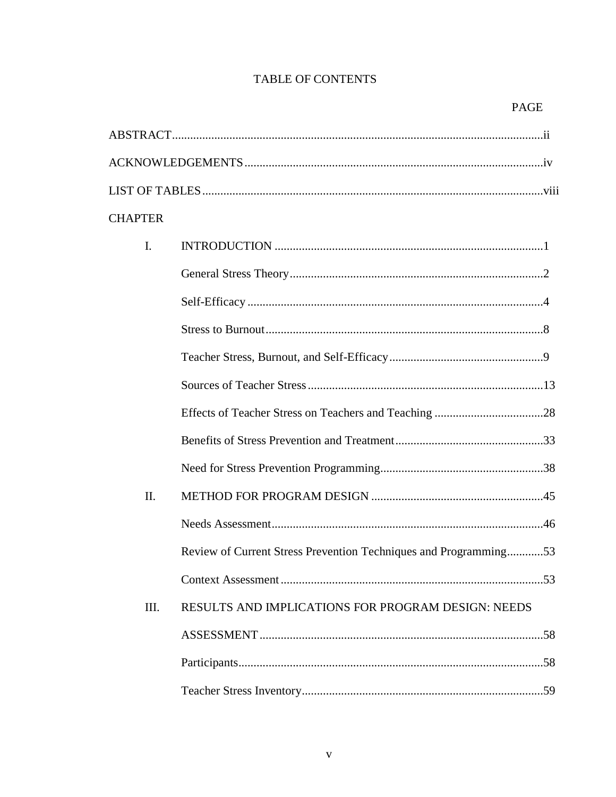# **TABLE OF CONTENTS**

| <b>CHAPTER</b> |                                                                  |
|----------------|------------------------------------------------------------------|
| $\mathbf{I}$ . |                                                                  |
|                |                                                                  |
|                |                                                                  |
|                |                                                                  |
|                |                                                                  |
|                |                                                                  |
|                |                                                                  |
|                |                                                                  |
|                |                                                                  |
| II.            |                                                                  |
|                |                                                                  |
|                | Review of Current Stress Prevention Techniques and Programming53 |
|                |                                                                  |
| III.           | RESULTS AND IMPLICATIONS FOR PROGRAM DESIGN: NEEDS               |
|                |                                                                  |
|                |                                                                  |
|                |                                                                  |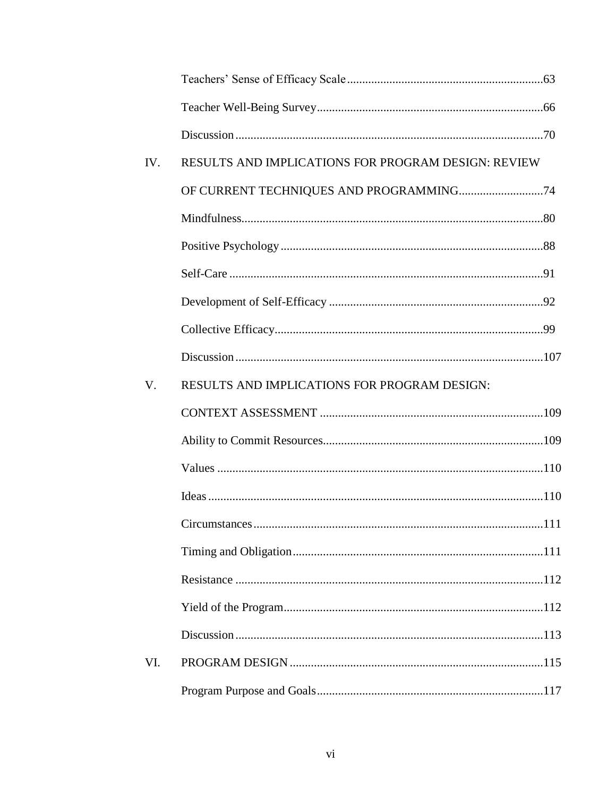| IV. | <b>RESULTS AND IMPLICATIONS FOR PROGRAM DESIGN: REVIEW</b> |  |
|-----|------------------------------------------------------------|--|
|     |                                                            |  |
|     |                                                            |  |
|     |                                                            |  |
|     |                                                            |  |
|     |                                                            |  |
|     |                                                            |  |
|     |                                                            |  |
| V.  | RESULTS AND IMPLICATIONS FOR PROGRAM DESIGN:               |  |
|     |                                                            |  |
|     |                                                            |  |
|     |                                                            |  |
|     |                                                            |  |
|     |                                                            |  |
|     |                                                            |  |
|     |                                                            |  |
|     |                                                            |  |
|     |                                                            |  |
|     |                                                            |  |
| VI. |                                                            |  |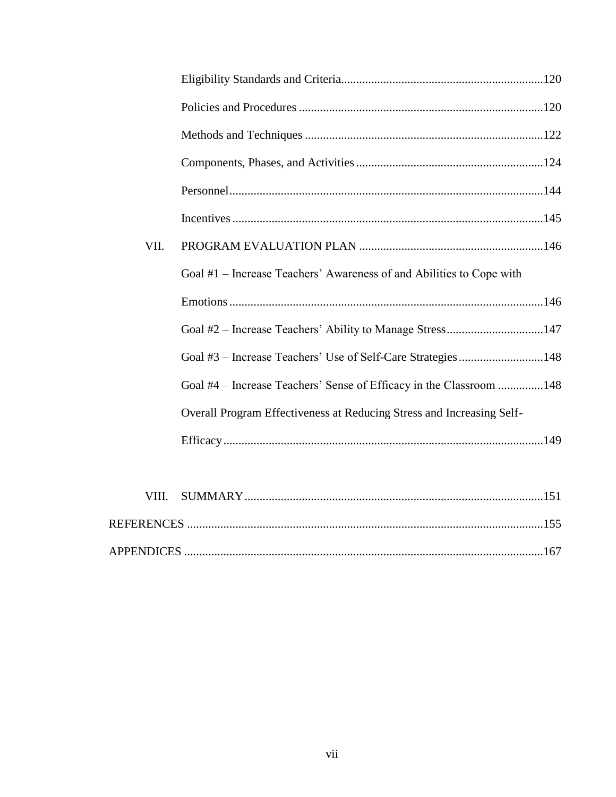| VII. |                                                                       |  |
|------|-----------------------------------------------------------------------|--|
|      | Goal #1 – Increase Teachers' Awareness of and Abilities to Cope with  |  |
|      |                                                                       |  |
|      | Goal #2 – Increase Teachers' Ability to Manage Stress147              |  |
|      |                                                                       |  |
|      | Goal #4 – Increase Teachers' Sense of Efficacy in the Classroom 148   |  |
|      | Overall Program Effectiveness at Reducing Stress and Increasing Self- |  |
|      |                                                                       |  |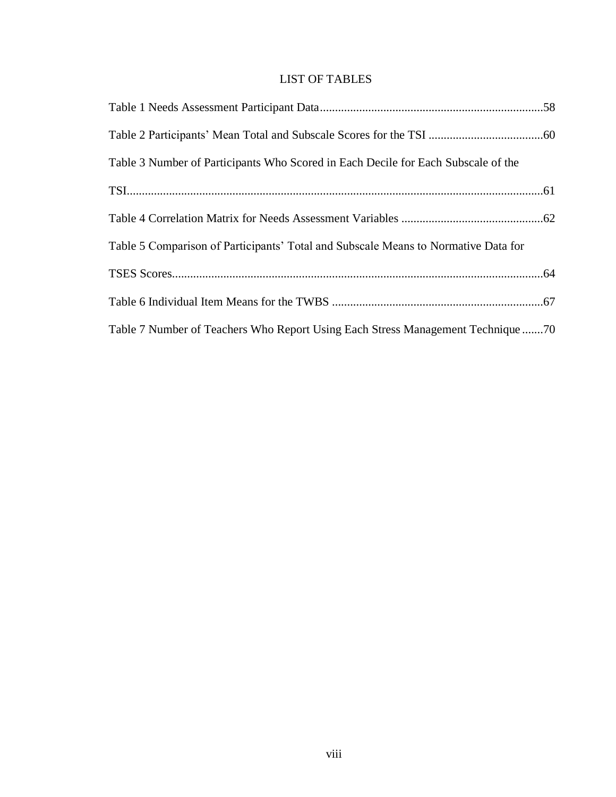# LIST OF TABLES

| Table 3 Number of Participants Who Scored in Each Decile for Each Subscale of the  |
|------------------------------------------------------------------------------------|
|                                                                                    |
|                                                                                    |
| Table 5 Comparison of Participants' Total and Subscale Means to Normative Data for |
|                                                                                    |
|                                                                                    |
| Table 7 Number of Teachers Who Report Using Each Stress Management Technique 70    |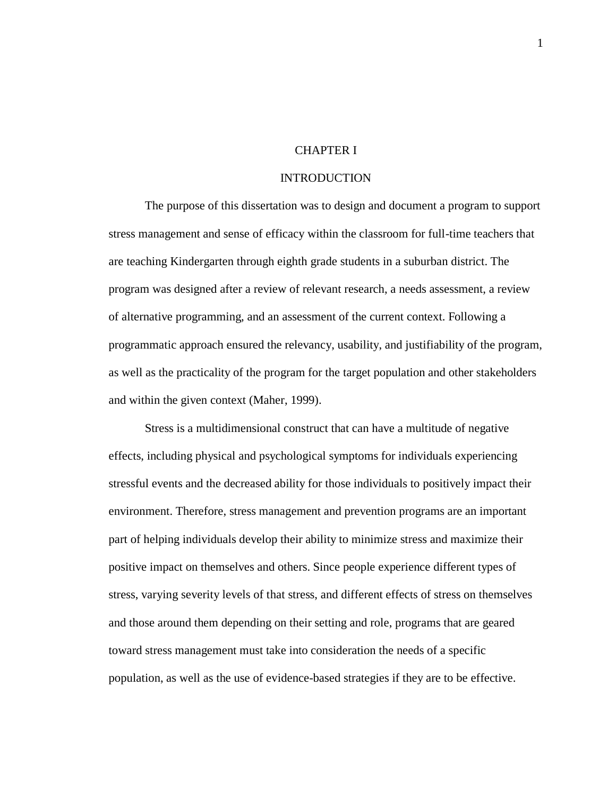## CHAPTER I

## INTRODUCTION

The purpose of this dissertation was to design and document a program to support stress management and sense of efficacy within the classroom for full-time teachers that are teaching Kindergarten through eighth grade students in a suburban district. The program was designed after a review of relevant research, a needs assessment, a review of alternative programming, and an assessment of the current context. Following a programmatic approach ensured the relevancy, usability, and justifiability of the program, as well as the practicality of the program for the target population and other stakeholders and within the given context (Maher, 1999).

Stress is a multidimensional construct that can have a multitude of negative effects, including physical and psychological symptoms for individuals experiencing stressful events and the decreased ability for those individuals to positively impact their environment. Therefore, stress management and prevention programs are an important part of helping individuals develop their ability to minimize stress and maximize their positive impact on themselves and others. Since people experience different types of stress, varying severity levels of that stress, and different effects of stress on themselves and those around them depending on their setting and role, programs that are geared toward stress management must take into consideration the needs of a specific population, as well as the use of evidence-based strategies if they are to be effective.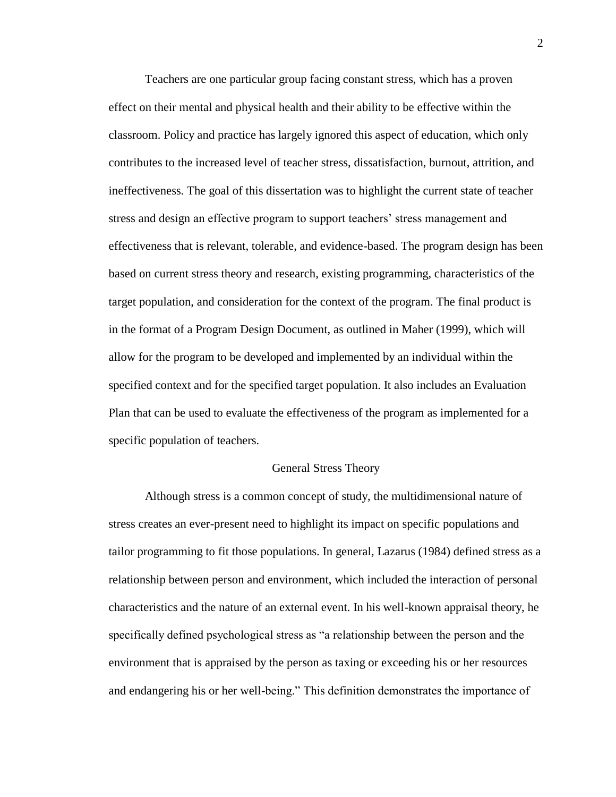Teachers are one particular group facing constant stress, which has a proven effect on their mental and physical health and their ability to be effective within the classroom. Policy and practice has largely ignored this aspect of education, which only contributes to the increased level of teacher stress, dissatisfaction, burnout, attrition, and ineffectiveness. The goal of this dissertation was to highlight the current state of teacher stress and design an effective program to support teachers' stress management and effectiveness that is relevant, tolerable, and evidence-based. The program design has been based on current stress theory and research, existing programming, characteristics of the target population, and consideration for the context of the program. The final product is in the format of a Program Design Document, as outlined in Maher (1999), which will allow for the program to be developed and implemented by an individual within the specified context and for the specified target population. It also includes an Evaluation Plan that can be used to evaluate the effectiveness of the program as implemented for a specific population of teachers.

### General Stress Theory

Although stress is a common concept of study, the multidimensional nature of stress creates an ever-present need to highlight its impact on specific populations and tailor programming to fit those populations. In general, Lazarus (1984) defined stress as a relationship between person and environment, which included the interaction of personal characteristics and the nature of an external event. In his well-known appraisal theory, he specifically defined psychological stress as "a relationship between the person and the environment that is appraised by the person as taxing or exceeding his or her resources and endangering his or her well-being." This definition demonstrates the importance of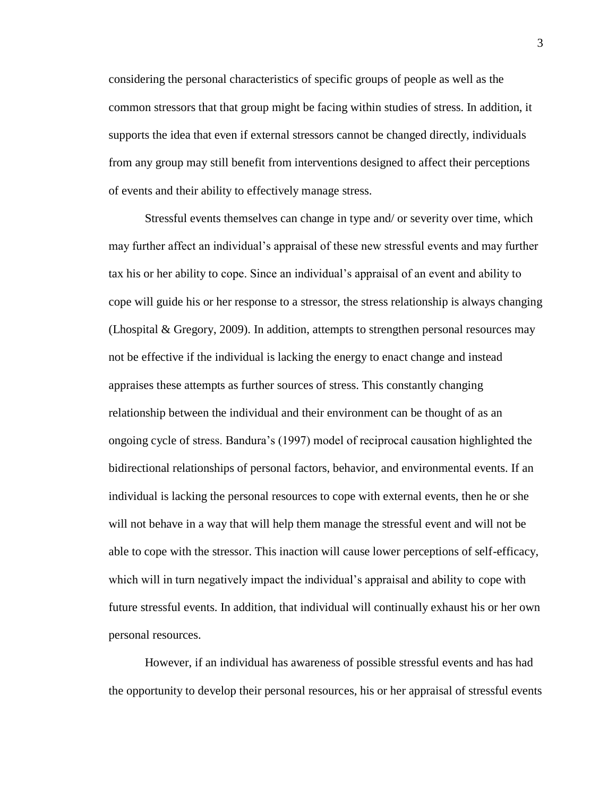considering the personal characteristics of specific groups of people as well as the common stressors that that group might be facing within studies of stress. In addition, it supports the idea that even if external stressors cannot be changed directly, individuals from any group may still benefit from interventions designed to affect their perceptions of events and their ability to effectively manage stress.

Stressful events themselves can change in type and/ or severity over time, which may further affect an individual's appraisal of these new stressful events and may further tax his or her ability to cope. Since an individual's appraisal of an event and ability to cope will guide his or her response to a stressor, the stress relationship is always changing (Lhospital & Gregory, 2009). In addition, attempts to strengthen personal resources may not be effective if the individual is lacking the energy to enact change and instead appraises these attempts as further sources of stress. This constantly changing relationship between the individual and their environment can be thought of as an ongoing cycle of stress. Bandura's (1997) model of reciprocal causation highlighted the bidirectional relationships of personal factors, behavior, and environmental events. If an individual is lacking the personal resources to cope with external events, then he or she will not behave in a way that will help them manage the stressful event and will not be able to cope with the stressor. This inaction will cause lower perceptions of self-efficacy, which will in turn negatively impact the individual's appraisal and ability to cope with future stressful events. In addition, that individual will continually exhaust his or her own personal resources.

However, if an individual has awareness of possible stressful events and has had the opportunity to develop their personal resources, his or her appraisal of stressful events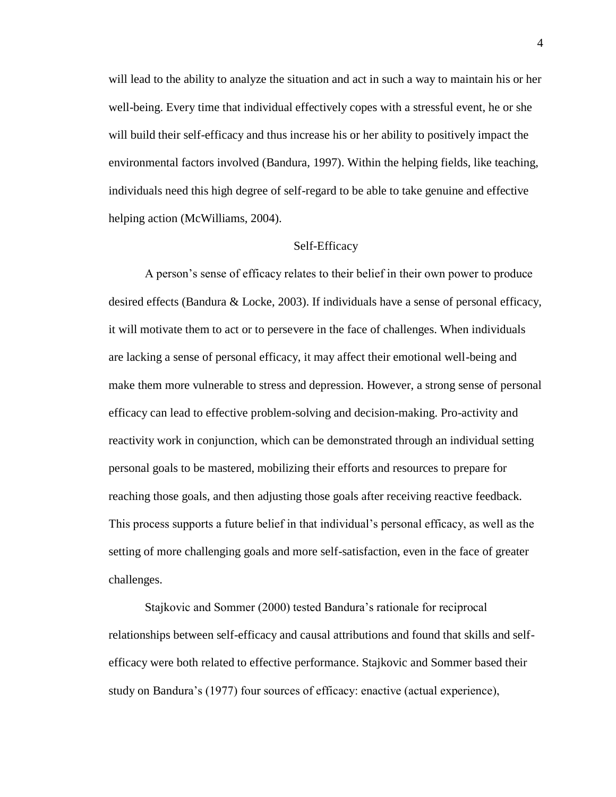will lead to the ability to analyze the situation and act in such a way to maintain his or her well-being. Every time that individual effectively copes with a stressful event, he or she will build their self-efficacy and thus increase his or her ability to positively impact the environmental factors involved (Bandura, 1997). Within the helping fields, like teaching, individuals need this high degree of self-regard to be able to take genuine and effective helping action (McWilliams, 2004).

### Self-Efficacy

A person's sense of efficacy relates to their belief in their own power to produce desired effects (Bandura & Locke, 2003). If individuals have a sense of personal efficacy, it will motivate them to act or to persevere in the face of challenges. When individuals are lacking a sense of personal efficacy, it may affect their emotional well-being and make them more vulnerable to stress and depression. However, a strong sense of personal efficacy can lead to effective problem-solving and decision-making. Pro-activity and reactivity work in conjunction, which can be demonstrated through an individual setting personal goals to be mastered, mobilizing their efforts and resources to prepare for reaching those goals, and then adjusting those goals after receiving reactive feedback. This process supports a future belief in that individual's personal efficacy, as well as the setting of more challenging goals and more self-satisfaction, even in the face of greater challenges.

Stajkovic and Sommer (2000) tested Bandura's rationale for reciprocal relationships between self-efficacy and causal attributions and found that skills and selfefficacy were both related to effective performance. Stajkovic and Sommer based their study on Bandura's (1977) four sources of efficacy: enactive (actual experience),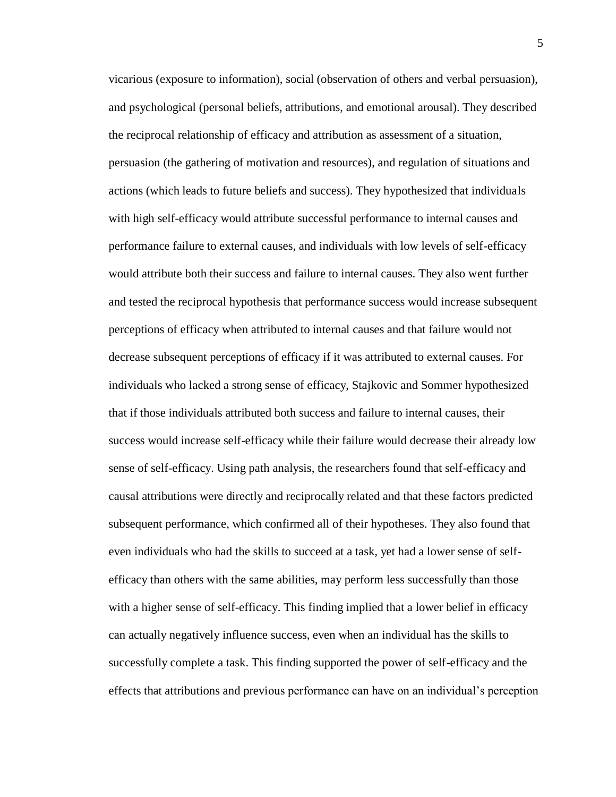vicarious (exposure to information), social (observation of others and verbal persuasion), and psychological (personal beliefs, attributions, and emotional arousal). They described the reciprocal relationship of efficacy and attribution as assessment of a situation, persuasion (the gathering of motivation and resources), and regulation of situations and actions (which leads to future beliefs and success). They hypothesized that individuals with high self-efficacy would attribute successful performance to internal causes and performance failure to external causes, and individuals with low levels of self-efficacy would attribute both their success and failure to internal causes. They also went further and tested the reciprocal hypothesis that performance success would increase subsequent perceptions of efficacy when attributed to internal causes and that failure would not decrease subsequent perceptions of efficacy if it was attributed to external causes. For individuals who lacked a strong sense of efficacy, Stajkovic and Sommer hypothesized that if those individuals attributed both success and failure to internal causes, their success would increase self-efficacy while their failure would decrease their already low sense of self-efficacy. Using path analysis, the researchers found that self-efficacy and causal attributions were directly and reciprocally related and that these factors predicted subsequent performance, which confirmed all of their hypotheses. They also found that even individuals who had the skills to succeed at a task, yet had a lower sense of selfefficacy than others with the same abilities, may perform less successfully than those with a higher sense of self-efficacy. This finding implied that a lower belief in efficacy can actually negatively influence success, even when an individual has the skills to successfully complete a task. This finding supported the power of self-efficacy and the effects that attributions and previous performance can have on an individual's perception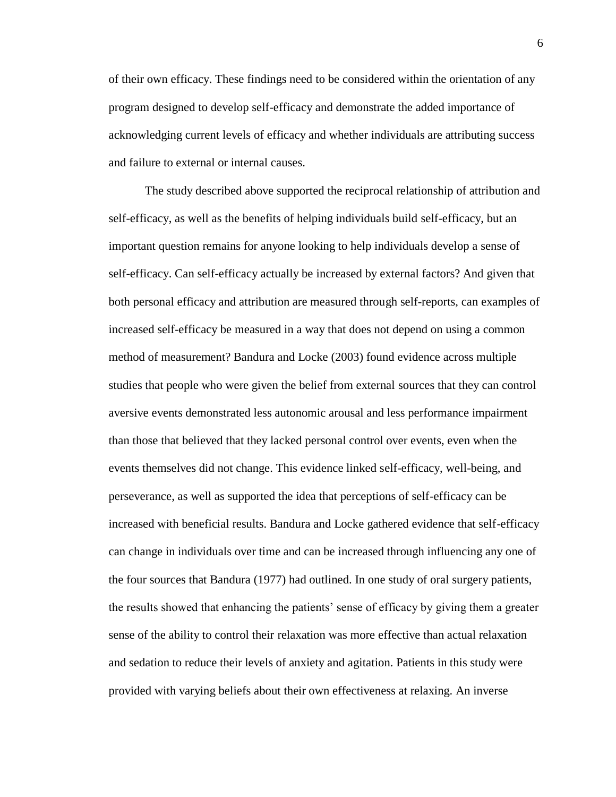of their own efficacy. These findings need to be considered within the orientation of any program designed to develop self-efficacy and demonstrate the added importance of acknowledging current levels of efficacy and whether individuals are attributing success and failure to external or internal causes.

The study described above supported the reciprocal relationship of attribution and self-efficacy, as well as the benefits of helping individuals build self-efficacy, but an important question remains for anyone looking to help individuals develop a sense of self-efficacy. Can self-efficacy actually be increased by external factors? And given that both personal efficacy and attribution are measured through self-reports, can examples of increased self-efficacy be measured in a way that does not depend on using a common method of measurement? Bandura and Locke (2003) found evidence across multiple studies that people who were given the belief from external sources that they can control aversive events demonstrated less autonomic arousal and less performance impairment than those that believed that they lacked personal control over events, even when the events themselves did not change. This evidence linked self-efficacy, well-being, and perseverance, as well as supported the idea that perceptions of self-efficacy can be increased with beneficial results. Bandura and Locke gathered evidence that self-efficacy can change in individuals over time and can be increased through influencing any one of the four sources that Bandura (1977) had outlined. In one study of oral surgery patients, the results showed that enhancing the patients' sense of efficacy by giving them a greater sense of the ability to control their relaxation was more effective than actual relaxation and sedation to reduce their levels of anxiety and agitation. Patients in this study were provided with varying beliefs about their own effectiveness at relaxing. An inverse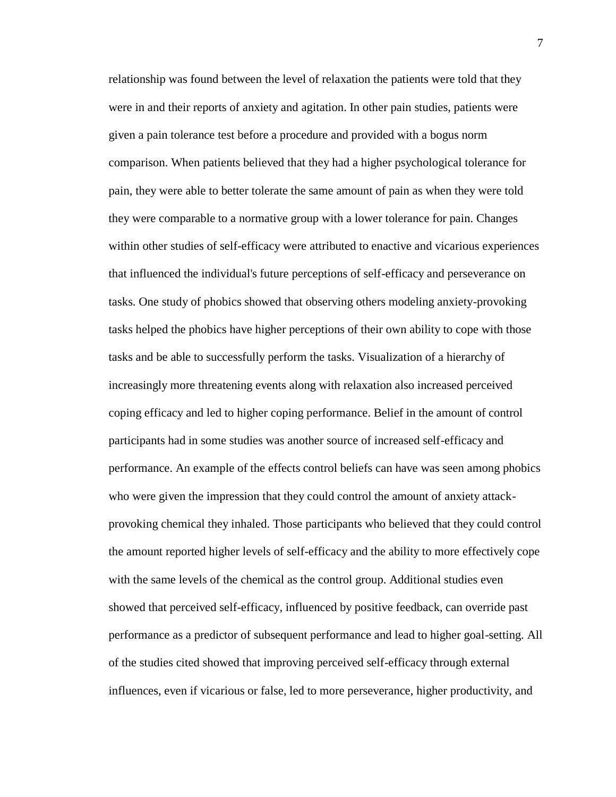relationship was found between the level of relaxation the patients were told that they were in and their reports of anxiety and agitation. In other pain studies, patients were given a pain tolerance test before a procedure and provided with a bogus norm comparison. When patients believed that they had a higher psychological tolerance for pain, they were able to better tolerate the same amount of pain as when they were told they were comparable to a normative group with a lower tolerance for pain. Changes within other studies of self-efficacy were attributed to enactive and vicarious experiences that influenced the individual's future perceptions of self-efficacy and perseverance on tasks. One study of phobics showed that observing others modeling anxiety-provoking tasks helped the phobics have higher perceptions of their own ability to cope with those tasks and be able to successfully perform the tasks. Visualization of a hierarchy of increasingly more threatening events along with relaxation also increased perceived coping efficacy and led to higher coping performance. Belief in the amount of control participants had in some studies was another source of increased self-efficacy and performance. An example of the effects control beliefs can have was seen among phobics who were given the impression that they could control the amount of anxiety attackprovoking chemical they inhaled. Those participants who believed that they could control the amount reported higher levels of self-efficacy and the ability to more effectively cope with the same levels of the chemical as the control group. Additional studies even showed that perceived self-efficacy, influenced by positive feedback, can override past performance as a predictor of subsequent performance and lead to higher goal-setting. All of the studies cited showed that improving perceived self-efficacy through external influences, even if vicarious or false, led to more perseverance, higher productivity, and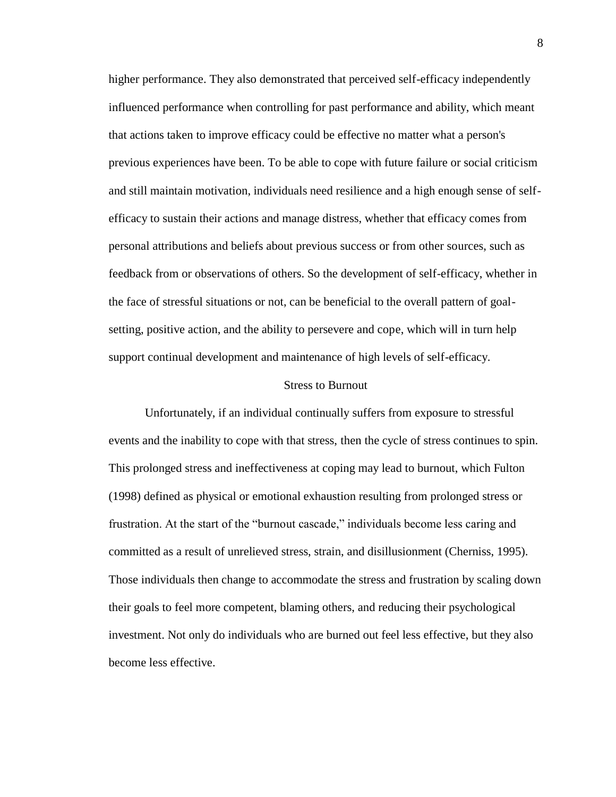higher performance. They also demonstrated that perceived self-efficacy independently influenced performance when controlling for past performance and ability, which meant that actions taken to improve efficacy could be effective no matter what a person's previous experiences have been. To be able to cope with future failure or social criticism and still maintain motivation, individuals need resilience and a high enough sense of selfefficacy to sustain their actions and manage distress, whether that efficacy comes from personal attributions and beliefs about previous success or from other sources, such as feedback from or observations of others. So the development of self-efficacy, whether in the face of stressful situations or not, can be beneficial to the overall pattern of goalsetting, positive action, and the ability to persevere and cope, which will in turn help support continual development and maintenance of high levels of self-efficacy.

#### Stress to Burnout

Unfortunately, if an individual continually suffers from exposure to stressful events and the inability to cope with that stress, then the cycle of stress continues to spin. This prolonged stress and ineffectiveness at coping may lead to burnout, which Fulton (1998) defined as physical or emotional exhaustion resulting from prolonged stress or frustration. At the start of the "burnout cascade," individuals become less caring and committed as a result of unrelieved stress, strain, and disillusionment (Cherniss, 1995). Those individuals then change to accommodate the stress and frustration by scaling down their goals to feel more competent, blaming others, and reducing their psychological investment. Not only do individuals who are burned out feel less effective, but they also become less effective.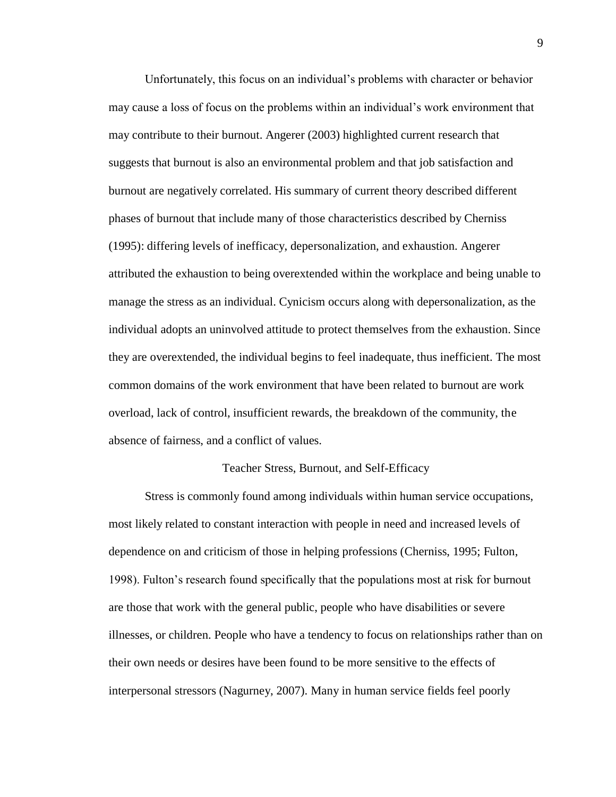Unfortunately, this focus on an individual's problems with character or behavior may cause a loss of focus on the problems within an individual's work environment that may contribute to their burnout. Angerer (2003) highlighted current research that suggests that burnout is also an environmental problem and that job satisfaction and burnout are negatively correlated. His summary of current theory described different phases of burnout that include many of those characteristics described by Cherniss (1995): differing levels of inefficacy, depersonalization, and exhaustion. Angerer attributed the exhaustion to being overextended within the workplace and being unable to manage the stress as an individual. Cynicism occurs along with depersonalization, as the individual adopts an uninvolved attitude to protect themselves from the exhaustion. Since they are overextended, the individual begins to feel inadequate, thus inefficient. The most common domains of the work environment that have been related to burnout are work overload, lack of control, insufficient rewards, the breakdown of the community, the absence of fairness, and a conflict of values.

#### Teacher Stress, Burnout, and Self-Efficacy

Stress is commonly found among individuals within human service occupations, most likely related to constant interaction with people in need and increased levels of dependence on and criticism of those in helping professions (Cherniss, 1995; Fulton, 1998). Fulton's research found specifically that the populations most at risk for burnout are those that work with the general public, people who have disabilities or severe illnesses, or children. People who have a tendency to focus on relationships rather than on their own needs or desires have been found to be more sensitive to the effects of interpersonal stressors (Nagurney, 2007). Many in human service fields feel poorly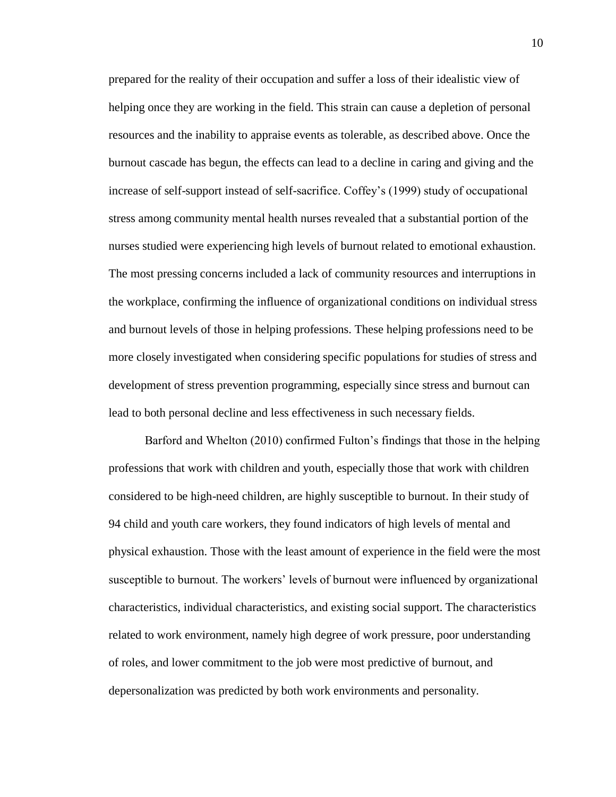prepared for the reality of their occupation and suffer a loss of their idealistic view of helping once they are working in the field. This strain can cause a depletion of personal resources and the inability to appraise events as tolerable, as described above. Once the burnout cascade has begun, the effects can lead to a decline in caring and giving and the increase of self-support instead of self-sacrifice. Coffey's (1999) study of occupational stress among community mental health nurses revealed that a substantial portion of the nurses studied were experiencing high levels of burnout related to emotional exhaustion. The most pressing concerns included a lack of community resources and interruptions in the workplace, confirming the influence of organizational conditions on individual stress and burnout levels of those in helping professions. These helping professions need to be more closely investigated when considering specific populations for studies of stress and development of stress prevention programming, especially since stress and burnout can lead to both personal decline and less effectiveness in such necessary fields.

Barford and Whelton (2010) confirmed Fulton's findings that those in the helping professions that work with children and youth, especially those that work with children considered to be high-need children, are highly susceptible to burnout. In their study of 94 child and youth care workers, they found indicators of high levels of mental and physical exhaustion. Those with the least amount of experience in the field were the most susceptible to burnout. The workers' levels of burnout were influenced by organizational characteristics, individual characteristics, and existing social support. The characteristics related to work environment, namely high degree of work pressure, poor understanding of roles, and lower commitment to the job were most predictive of burnout, and depersonalization was predicted by both work environments and personality.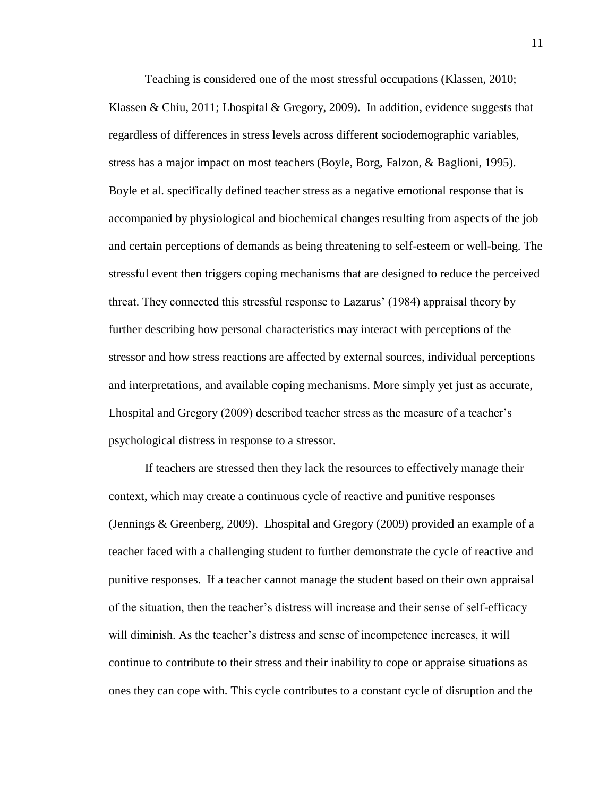Teaching is considered one of the most stressful occupations (Klassen, 2010; Klassen & Chiu, 2011; Lhospital & Gregory, 2009). In addition, evidence suggests that regardless of differences in stress levels across different sociodemographic variables, stress has a major impact on most teachers (Boyle, Borg, Falzon, & Baglioni, 1995). Boyle et al. specifically defined teacher stress as a negative emotional response that is accompanied by physiological and biochemical changes resulting from aspects of the job and certain perceptions of demands as being threatening to self-esteem or well-being. The stressful event then triggers coping mechanisms that are designed to reduce the perceived threat. They connected this stressful response to Lazarus' (1984) appraisal theory by further describing how personal characteristics may interact with perceptions of the stressor and how stress reactions are affected by external sources, individual perceptions and interpretations, and available coping mechanisms. More simply yet just as accurate, Lhospital and Gregory (2009) described teacher stress as the measure of a teacher's psychological distress in response to a stressor.

If teachers are stressed then they lack the resources to effectively manage their context, which may create a continuous cycle of reactive and punitive responses (Jennings & Greenberg, 2009). Lhospital and Gregory (2009) provided an example of a teacher faced with a challenging student to further demonstrate the cycle of reactive and punitive responses. If a teacher cannot manage the student based on their own appraisal of the situation, then the teacher's distress will increase and their sense of self-efficacy will diminish. As the teacher's distress and sense of incompetence increases, it will continue to contribute to their stress and their inability to cope or appraise situations as ones they can cope with. This cycle contributes to a constant cycle of disruption and the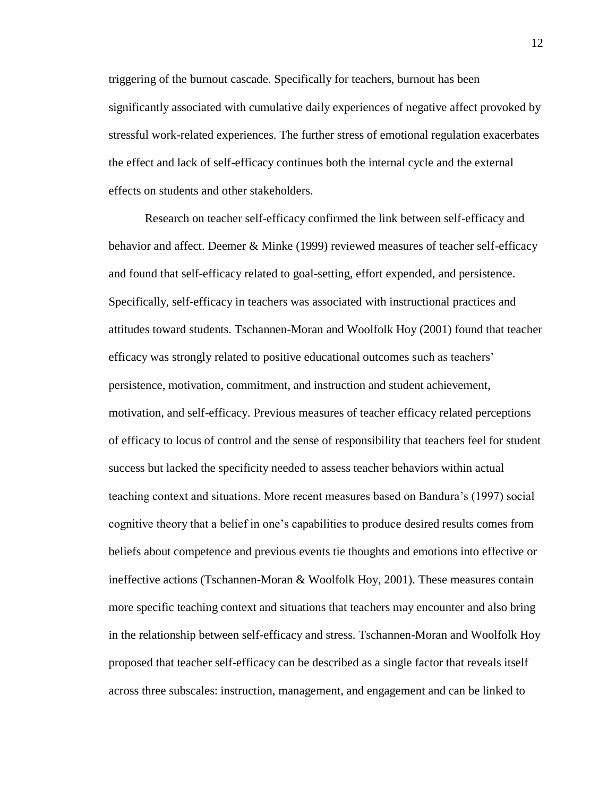triggering of the burnout cascade. Specifically for teachers, burnout has been significantly associated with cumulative daily experiences of negative affect provoked by stressful work-related experiences. The further stress of emotional regulation exacerbates the effect and lack of self-efficacy continues both the internal cycle and the external effects on students and other stakeholders.

Research on teacher self-efficacy confirmed the link between self-efficacy and behavior and affect. Deemer & Minke (1999) reviewed measures of teacher self-efficacy and found that self-efficacy related to goal-setting, effort expended, and persistence. Specifically, self-efficacy in teachers was associated with instructional practices and attitudes toward students. Tschannen-Moran and Woolfolk Hoy (2001) found that teacher efficacy was strongly related to positive educational outcomes such as teachers' persistence, motivation, commitment, and instruction and student achievement, motivation, and self-efficacy. Previous measures of teacher efficacy related perceptions of efficacy to locus of control and the sense of responsibility that teachers feel for student success but lacked the specificity needed to assess teacher behaviors within actual teaching context and situations. More recent measures based on Bandura's (1997) social cognitive theory that a belief in one's capabilities to produce desired results comes from beliefs about competence and previous events tie thoughts and emotions into effective or ineffective actions (Tschannen-Moran & Woolfolk Hoy, 2001). These measures contain more specific teaching context and situations that teachers may encounter and also bring in the relationship between self-efficacy and stress. Tschannen-Moran and Woolfolk Hoy proposed that teacher self-efficacy can be described as a single factor that reveals itself across three subscales: instruction, management, and engagement and can be linked to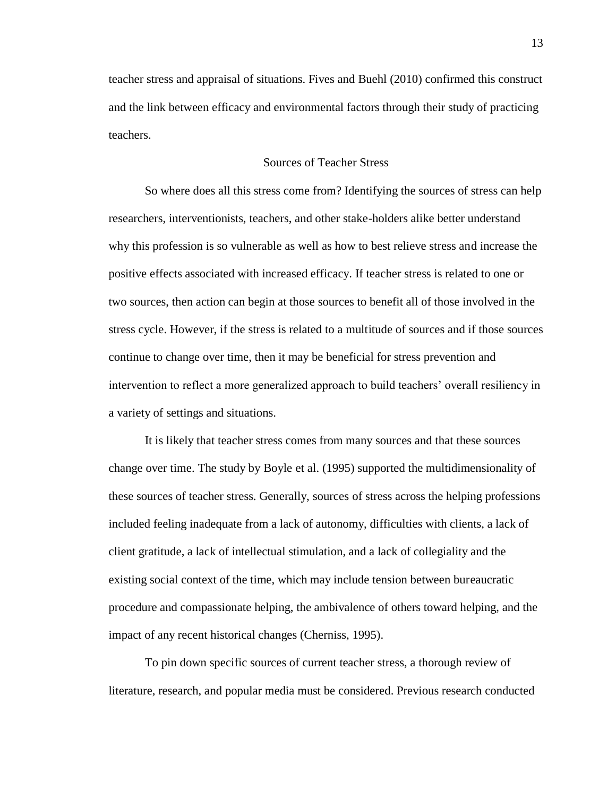teacher stress and appraisal of situations. Fives and Buehl (2010) confirmed this construct and the link between efficacy and environmental factors through their study of practicing teachers.

## Sources of Teacher Stress

So where does all this stress come from? Identifying the sources of stress can help researchers, interventionists, teachers, and other stake-holders alike better understand why this profession is so vulnerable as well as how to best relieve stress and increase the positive effects associated with increased efficacy. If teacher stress is related to one or two sources, then action can begin at those sources to benefit all of those involved in the stress cycle. However, if the stress is related to a multitude of sources and if those sources continue to change over time, then it may be beneficial for stress prevention and intervention to reflect a more generalized approach to build teachers' overall resiliency in a variety of settings and situations.

It is likely that teacher stress comes from many sources and that these sources change over time. The study by Boyle et al. (1995) supported the multidimensionality of these sources of teacher stress. Generally, sources of stress across the helping professions included feeling inadequate from a lack of autonomy, difficulties with clients, a lack of client gratitude, a lack of intellectual stimulation, and a lack of collegiality and the existing social context of the time, which may include tension between bureaucratic procedure and compassionate helping, the ambivalence of others toward helping, and the impact of any recent historical changes (Cherniss, 1995).

To pin down specific sources of current teacher stress, a thorough review of literature, research, and popular media must be considered. Previous research conducted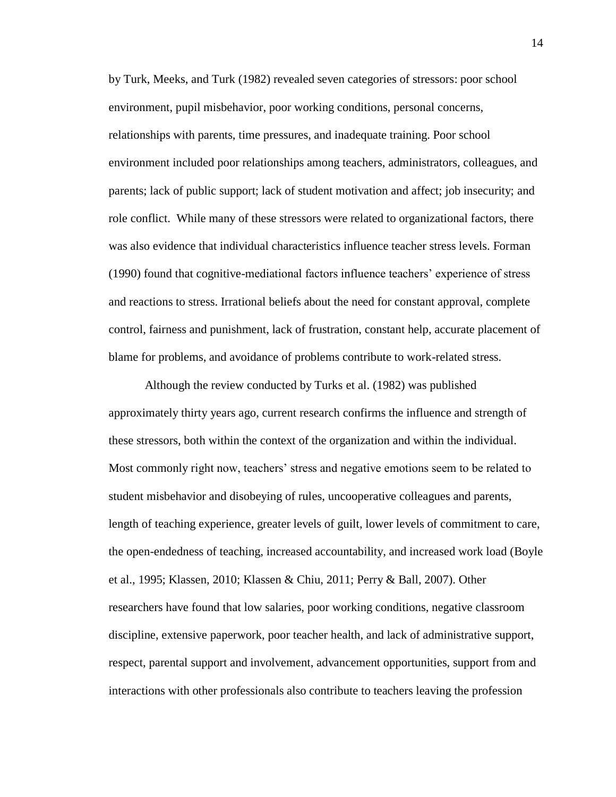by Turk, Meeks, and Turk (1982) revealed seven categories of stressors: poor school environment, pupil misbehavior, poor working conditions, personal concerns, relationships with parents, time pressures, and inadequate training. Poor school environment included poor relationships among teachers, administrators, colleagues, and parents; lack of public support; lack of student motivation and affect; job insecurity; and role conflict. While many of these stressors were related to organizational factors, there was also evidence that individual characteristics influence teacher stress levels. Forman (1990) found that cognitive-mediational factors influence teachers' experience of stress and reactions to stress. Irrational beliefs about the need for constant approval, complete control, fairness and punishment, lack of frustration, constant help, accurate placement of blame for problems, and avoidance of problems contribute to work-related stress.

Although the review conducted by Turks et al. (1982) was published approximately thirty years ago, current research confirms the influence and strength of these stressors, both within the context of the organization and within the individual. Most commonly right now, teachers' stress and negative emotions seem to be related to student misbehavior and disobeying of rules, uncooperative colleagues and parents, length of teaching experience, greater levels of guilt, lower levels of commitment to care, the open-endedness of teaching, increased accountability, and increased work load (Boyle et al., 1995; Klassen, 2010; Klassen & Chiu, 2011; Perry & Ball, 2007). Other researchers have found that low salaries, poor working conditions, negative classroom discipline, extensive paperwork, poor teacher health, and lack of administrative support, respect, parental support and involvement, advancement opportunities, support from and interactions with other professionals also contribute to teachers leaving the profession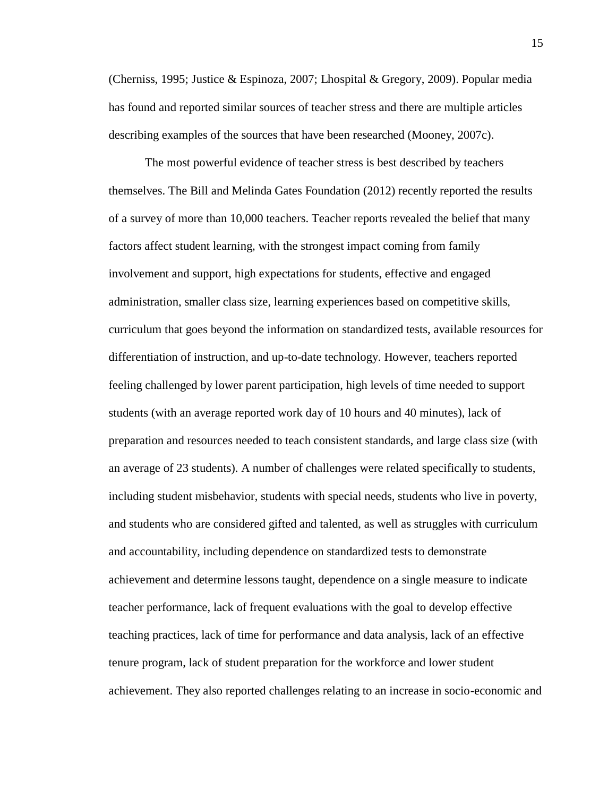(Cherniss, 1995; Justice & Espinoza, 2007; Lhospital & Gregory, 2009). Popular media has found and reported similar sources of teacher stress and there are multiple articles describing examples of the sources that have been researched (Mooney, 2007c).

The most powerful evidence of teacher stress is best described by teachers themselves. The Bill and Melinda Gates Foundation (2012) recently reported the results of a survey of more than 10,000 teachers. Teacher reports revealed the belief that many factors affect student learning, with the strongest impact coming from family involvement and support, high expectations for students, effective and engaged administration, smaller class size, learning experiences based on competitive skills, curriculum that goes beyond the information on standardized tests, available resources for differentiation of instruction, and up-to-date technology. However, teachers reported feeling challenged by lower parent participation, high levels of time needed to support students (with an average reported work day of 10 hours and 40 minutes), lack of preparation and resources needed to teach consistent standards, and large class size (with an average of 23 students). A number of challenges were related specifically to students, including student misbehavior, students with special needs, students who live in poverty, and students who are considered gifted and talented, as well as struggles with curriculum and accountability, including dependence on standardized tests to demonstrate achievement and determine lessons taught, dependence on a single measure to indicate teacher performance, lack of frequent evaluations with the goal to develop effective teaching practices, lack of time for performance and data analysis, lack of an effective tenure program, lack of student preparation for the workforce and lower student achievement. They also reported challenges relating to an increase in socio-economic and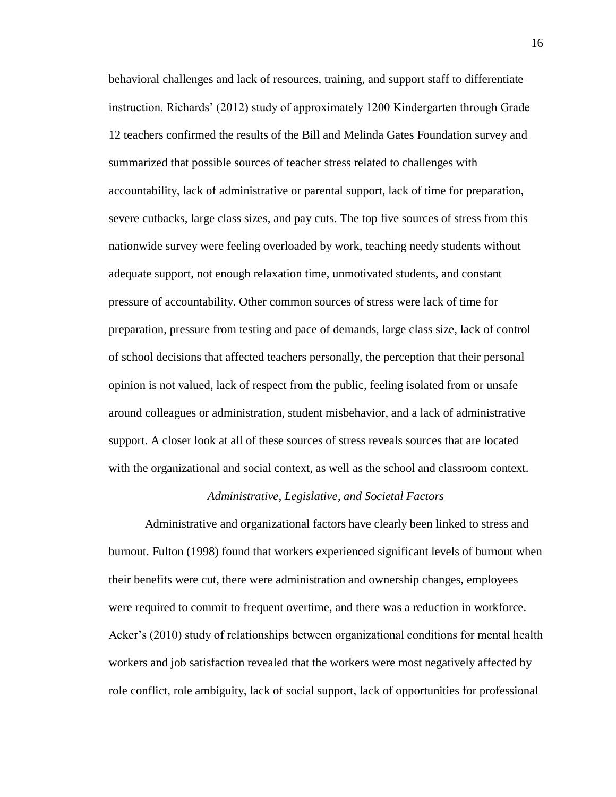behavioral challenges and lack of resources, training, and support staff to differentiate instruction. Richards' (2012) study of approximately 1200 Kindergarten through Grade 12 teachers confirmed the results of the Bill and Melinda Gates Foundation survey and summarized that possible sources of teacher stress related to challenges with accountability, lack of administrative or parental support, lack of time for preparation, severe cutbacks, large class sizes, and pay cuts. The top five sources of stress from this nationwide survey were feeling overloaded by work, teaching needy students without adequate support, not enough relaxation time, unmotivated students, and constant pressure of accountability. Other common sources of stress were lack of time for preparation, pressure from testing and pace of demands, large class size, lack of control of school decisions that affected teachers personally, the perception that their personal opinion is not valued, lack of respect from the public, feeling isolated from or unsafe around colleagues or administration, student misbehavior, and a lack of administrative support. A closer look at all of these sources of stress reveals sources that are located with the organizational and social context, as well as the school and classroom context.

### *Administrative, Legislative, and Societal Factors*

Administrative and organizational factors have clearly been linked to stress and burnout. Fulton (1998) found that workers experienced significant levels of burnout when their benefits were cut, there were administration and ownership changes, employees were required to commit to frequent overtime, and there was a reduction in workforce. Acker's (2010) study of relationships between organizational conditions for mental health workers and job satisfaction revealed that the workers were most negatively affected by role conflict, role ambiguity, lack of social support, lack of opportunities for professional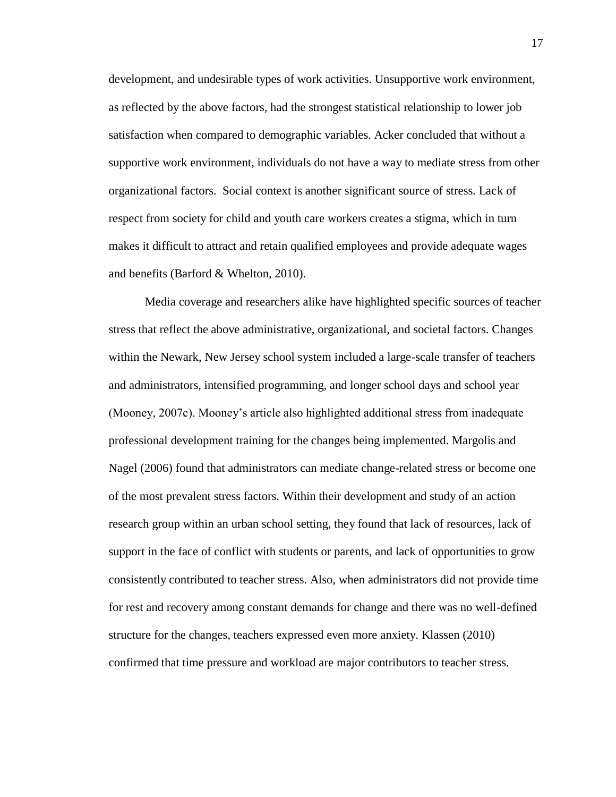development, and undesirable types of work activities. Unsupportive work environment, as reflected by the above factors, had the strongest statistical relationship to lower job satisfaction when compared to demographic variables. Acker concluded that without a supportive work environment, individuals do not have a way to mediate stress from other organizational factors. Social context is another significant source of stress. Lack of respect from society for child and youth care workers creates a stigma, which in turn makes it difficult to attract and retain qualified employees and provide adequate wages and benefits (Barford & Whelton, 2010).

Media coverage and researchers alike have highlighted specific sources of teacher stress that reflect the above administrative, organizational, and societal factors. Changes within the Newark, New Jersey school system included a large-scale transfer of teachers and administrators, intensified programming, and longer school days and school year (Mooney, 2007c). Mooney's article also highlighted additional stress from inadequate professional development training for the changes being implemented. Margolis and Nagel (2006) found that administrators can mediate change-related stress or become one of the most prevalent stress factors. Within their development and study of an action research group within an urban school setting, they found that lack of resources, lack of support in the face of conflict with students or parents, and lack of opportunities to grow consistently contributed to teacher stress. Also, when administrators did not provide time for rest and recovery among constant demands for change and there was no well-defined structure for the changes, teachers expressed even more anxiety. Klassen (2010) confirmed that time pressure and workload are major contributors to teacher stress.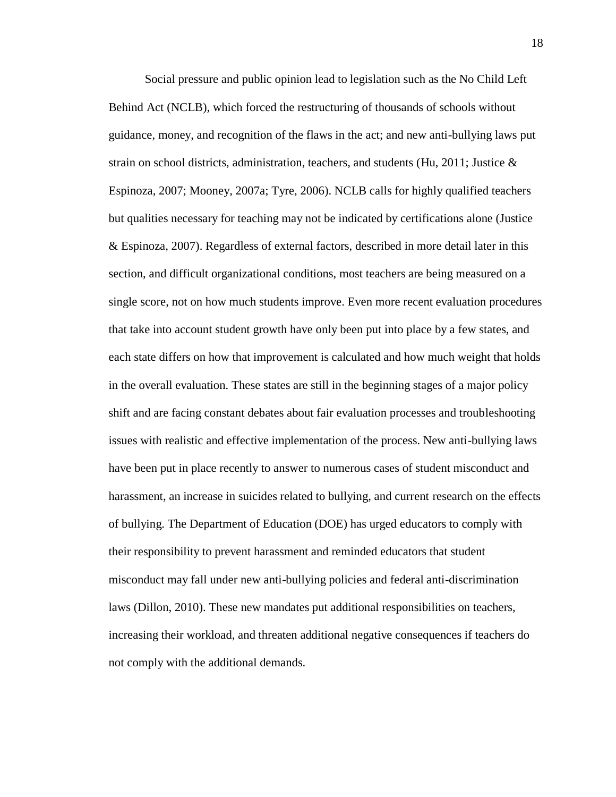Social pressure and public opinion lead to legislation such as the No Child Left Behind Act (NCLB), which forced the restructuring of thousands of schools without guidance, money, and recognition of the flaws in the act; and new anti-bullying laws put strain on school districts, administration, teachers, and students (Hu, 2011; Justice  $\&$ Espinoza, 2007; Mooney, 2007a; Tyre, 2006). NCLB calls for highly qualified teachers but qualities necessary for teaching may not be indicated by certifications alone (Justice & Espinoza, 2007). Regardless of external factors, described in more detail later in this section, and difficult organizational conditions, most teachers are being measured on a single score, not on how much students improve. Even more recent evaluation procedures that take into account student growth have only been put into place by a few states, and each state differs on how that improvement is calculated and how much weight that holds in the overall evaluation. These states are still in the beginning stages of a major policy shift and are facing constant debates about fair evaluation processes and troubleshooting issues with realistic and effective implementation of the process. New anti-bullying laws have been put in place recently to answer to numerous cases of student misconduct and harassment, an increase in suicides related to bullying, and current research on the effects of bullying. The Department of Education (DOE) has urged educators to comply with their responsibility to prevent harassment and reminded educators that student misconduct may fall under new anti-bullying policies and federal anti-discrimination laws (Dillon, 2010). These new mandates put additional responsibilities on teachers, increasing their workload, and threaten additional negative consequences if teachers do not comply with the additional demands.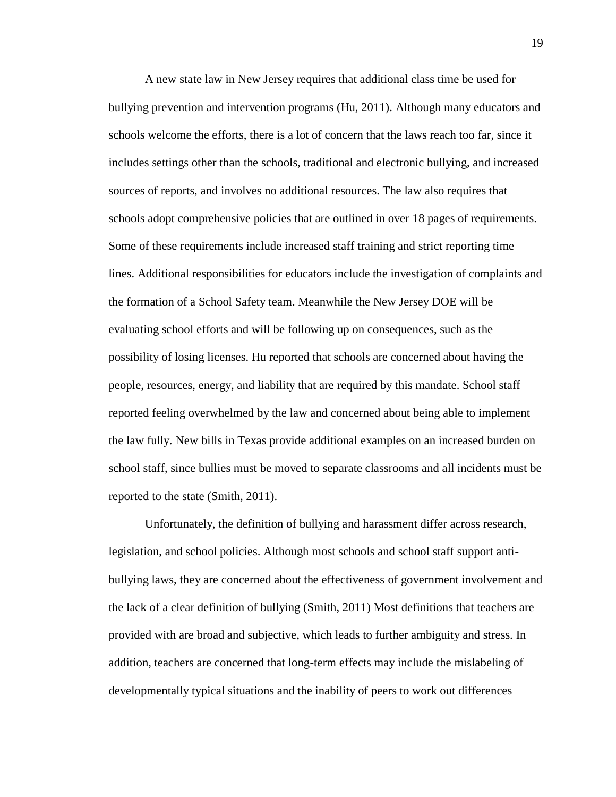A new state law in New Jersey requires that additional class time be used for bullying prevention and intervention programs (Hu, 2011). Although many educators and schools welcome the efforts, there is a lot of concern that the laws reach too far, since it includes settings other than the schools, traditional and electronic bullying, and increased sources of reports, and involves no additional resources. The law also requires that schools adopt comprehensive policies that are outlined in over 18 pages of requirements. Some of these requirements include increased staff training and strict reporting time lines. Additional responsibilities for educators include the investigation of complaints and the formation of a School Safety team. Meanwhile the New Jersey DOE will be evaluating school efforts and will be following up on consequences, such as the possibility of losing licenses. Hu reported that schools are concerned about having the people, resources, energy, and liability that are required by this mandate. School staff reported feeling overwhelmed by the law and concerned about being able to implement the law fully. New bills in Texas provide additional examples on an increased burden on school staff, since bullies must be moved to separate classrooms and all incidents must be reported to the state (Smith, 2011).

Unfortunately, the definition of bullying and harassment differ across research, legislation, and school policies. Although most schools and school staff support antibullying laws, they are concerned about the effectiveness of government involvement and the lack of a clear definition of bullying (Smith, 2011) Most definitions that teachers are provided with are broad and subjective, which leads to further ambiguity and stress. In addition, teachers are concerned that long-term effects may include the mislabeling of developmentally typical situations and the inability of peers to work out differences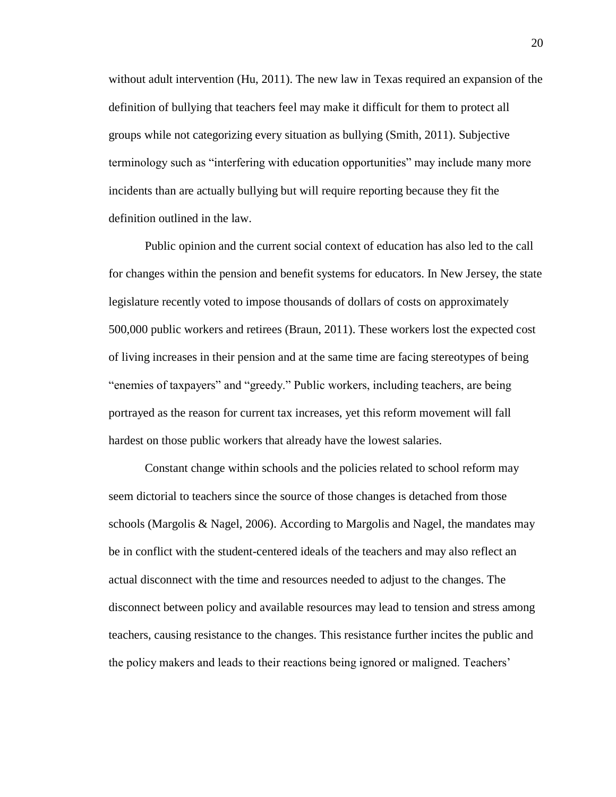without adult intervention (Hu, 2011). The new law in Texas required an expansion of the definition of bullying that teachers feel may make it difficult for them to protect all groups while not categorizing every situation as bullying (Smith, 2011). Subjective terminology such as "interfering with education opportunities" may include many more incidents than are actually bullying but will require reporting because they fit the definition outlined in the law.

Public opinion and the current social context of education has also led to the call for changes within the pension and benefit systems for educators. In New Jersey, the state legislature recently voted to impose thousands of dollars of costs on approximately 500,000 public workers and retirees (Braun, 2011). These workers lost the expected cost of living increases in their pension and at the same time are facing stereotypes of being "enemies of taxpayers" and "greedy." Public workers, including teachers, are being portrayed as the reason for current tax increases, yet this reform movement will fall hardest on those public workers that already have the lowest salaries.

Constant change within schools and the policies related to school reform may seem dictorial to teachers since the source of those changes is detached from those schools (Margolis & Nagel, 2006). According to Margolis and Nagel, the mandates may be in conflict with the student-centered ideals of the teachers and may also reflect an actual disconnect with the time and resources needed to adjust to the changes. The disconnect between policy and available resources may lead to tension and stress among teachers, causing resistance to the changes. This resistance further incites the public and the policy makers and leads to their reactions being ignored or maligned. Teachers'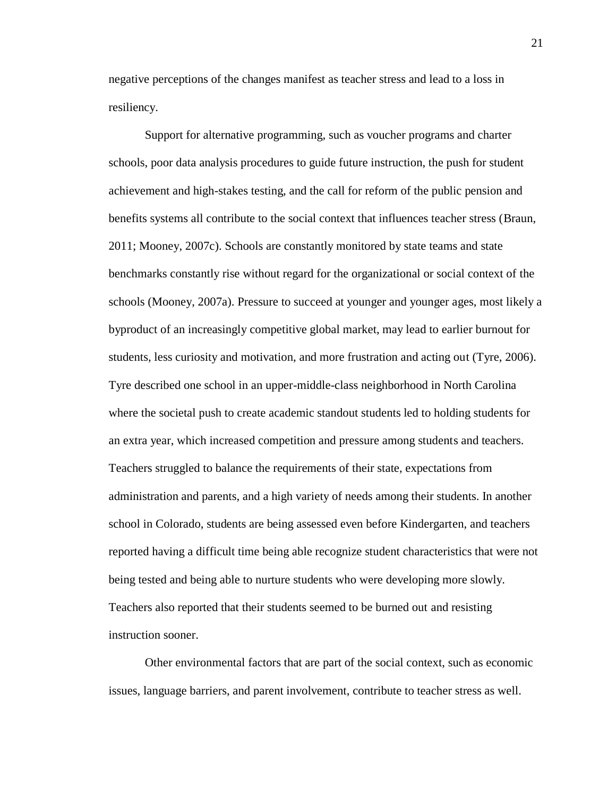negative perceptions of the changes manifest as teacher stress and lead to a loss in resiliency.

Support for alternative programming, such as voucher programs and charter schools, poor data analysis procedures to guide future instruction, the push for student achievement and high-stakes testing, and the call for reform of the public pension and benefits systems all contribute to the social context that influences teacher stress (Braun, 2011; Mooney, 2007c). Schools are constantly monitored by state teams and state benchmarks constantly rise without regard for the organizational or social context of the schools (Mooney, 2007a). Pressure to succeed at younger and younger ages, most likely a byproduct of an increasingly competitive global market, may lead to earlier burnout for students, less curiosity and motivation, and more frustration and acting out (Tyre, 2006). Tyre described one school in an upper-middle-class neighborhood in North Carolina where the societal push to create academic standout students led to holding students for an extra year, which increased competition and pressure among students and teachers. Teachers struggled to balance the requirements of their state, expectations from administration and parents, and a high variety of needs among their students. In another school in Colorado, students are being assessed even before Kindergarten, and teachers reported having a difficult time being able recognize student characteristics that were not being tested and being able to nurture students who were developing more slowly. Teachers also reported that their students seemed to be burned out and resisting instruction sooner.

Other environmental factors that are part of the social context, such as economic issues, language barriers, and parent involvement, contribute to teacher stress as well.

21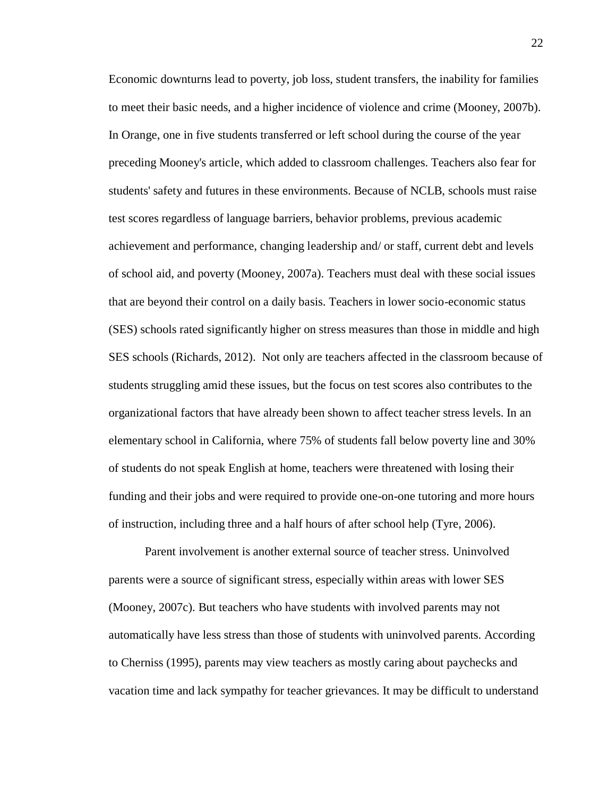Economic downturns lead to poverty, job loss, student transfers, the inability for families to meet their basic needs, and a higher incidence of violence and crime (Mooney, 2007b). In Orange, one in five students transferred or left school during the course of the year preceding Mooney's article, which added to classroom challenges. Teachers also fear for students' safety and futures in these environments. Because of NCLB, schools must raise test scores regardless of language barriers, behavior problems, previous academic achievement and performance, changing leadership and/ or staff, current debt and levels of school aid, and poverty (Mooney, 2007a). Teachers must deal with these social issues that are beyond their control on a daily basis. Teachers in lower socio-economic status (SES) schools rated significantly higher on stress measures than those in middle and high SES schools (Richards, 2012). Not only are teachers affected in the classroom because of students struggling amid these issues, but the focus on test scores also contributes to the organizational factors that have already been shown to affect teacher stress levels. In an elementary school in California, where 75% of students fall below poverty line and 30% of students do not speak English at home, teachers were threatened with losing their funding and their jobs and were required to provide one-on-one tutoring and more hours of instruction, including three and a half hours of after school help (Tyre, 2006).

Parent involvement is another external source of teacher stress. Uninvolved parents were a source of significant stress, especially within areas with lower SES (Mooney, 2007c). But teachers who have students with involved parents may not automatically have less stress than those of students with uninvolved parents. According to Cherniss (1995), parents may view teachers as mostly caring about paychecks and vacation time and lack sympathy for teacher grievances. It may be difficult to understand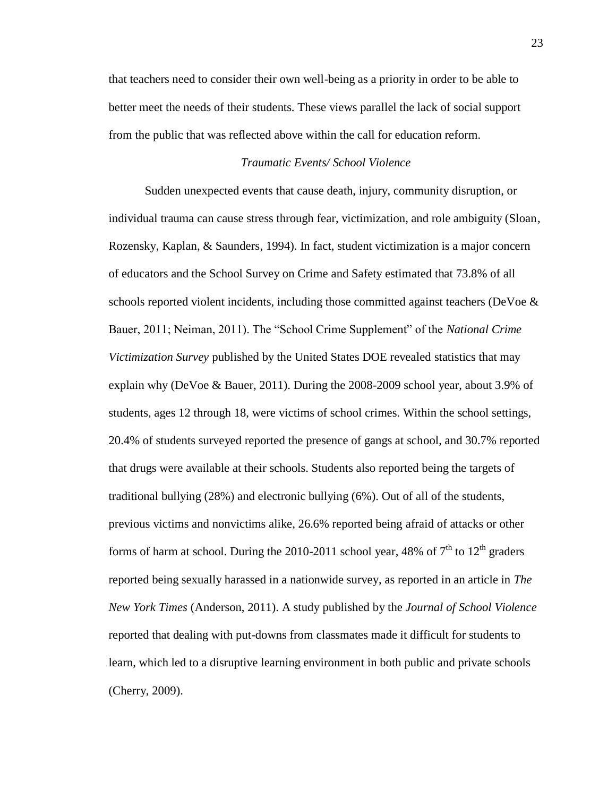that teachers need to consider their own well-being as a priority in order to be able to better meet the needs of their students. These views parallel the lack of social support from the public that was reflected above within the call for education reform.

### *Traumatic Events/ School Violence*

Sudden unexpected events that cause death, injury, community disruption, or individual trauma can cause stress through fear, victimization, and role ambiguity (Sloan, Rozensky, Kaplan, & Saunders, 1994). In fact, student victimization is a major concern of educators and the School Survey on Crime and Safety estimated that 73.8% of all schools reported violent incidents, including those committed against teachers (DeVoe & Bauer, 2011; Neiman, 2011). The "School Crime Supplement" of the *National Crime Victimization Survey* published by the United States DOE revealed statistics that may explain why (DeVoe & Bauer, 2011). During the 2008-2009 school year, about 3.9% of students, ages 12 through 18, were victims of school crimes. Within the school settings, 20.4% of students surveyed reported the presence of gangs at school, and 30.7% reported that drugs were available at their schools. Students also reported being the targets of traditional bullying (28%) and electronic bullying (6%). Out of all of the students, previous victims and nonvictims alike, 26.6% reported being afraid of attacks or other forms of harm at school. During the 2010-2011 school year, 48% of  $7<sup>th</sup>$  to  $12<sup>th</sup>$  graders reported being sexually harassed in a nationwide survey, as reported in an article in *The New York Times* (Anderson, 2011). A study published by the *Journal of School Violence* reported that dealing with put-downs from classmates made it difficult for students to learn, which led to a disruptive learning environment in both public and private schools (Cherry, 2009).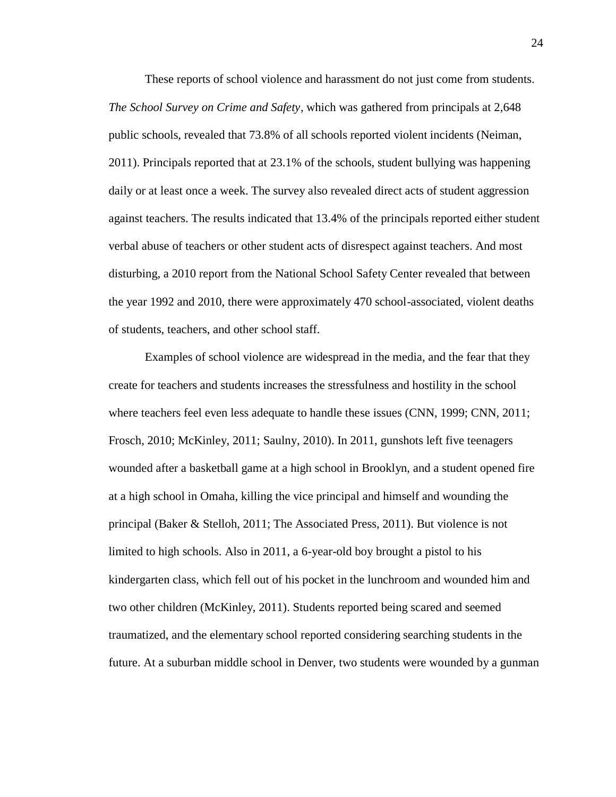These reports of school violence and harassment do not just come from students. *The School Survey on Crime and Safety*, which was gathered from principals at 2,648 public schools, revealed that 73.8% of all schools reported violent incidents (Neiman, 2011). Principals reported that at 23.1% of the schools, student bullying was happening daily or at least once a week. The survey also revealed direct acts of student aggression against teachers. The results indicated that 13.4% of the principals reported either student verbal abuse of teachers or other student acts of disrespect against teachers. And most disturbing, a 2010 report from the National School Safety Center revealed that between the year 1992 and 2010, there were approximately 470 school-associated, violent deaths of students, teachers, and other school staff.

Examples of school violence are widespread in the media, and the fear that they create for teachers and students increases the stressfulness and hostility in the school where teachers feel even less adequate to handle these issues (CNN, 1999; CNN, 2011; Frosch, 2010; McKinley, 2011; Saulny, 2010). In 2011, gunshots left five teenagers wounded after a basketball game at a high school in Brooklyn, and a student opened fire at a high school in Omaha, killing the vice principal and himself and wounding the principal (Baker & Stelloh, 2011; The Associated Press, 2011). But violence is not limited to high schools. Also in 2011, a 6-year-old boy brought a pistol to his kindergarten class, which fell out of his pocket in the lunchroom and wounded him and two other children (McKinley, 2011). Students reported being scared and seemed traumatized, and the elementary school reported considering searching students in the future. At a suburban middle school in Denver, two students were wounded by a gunman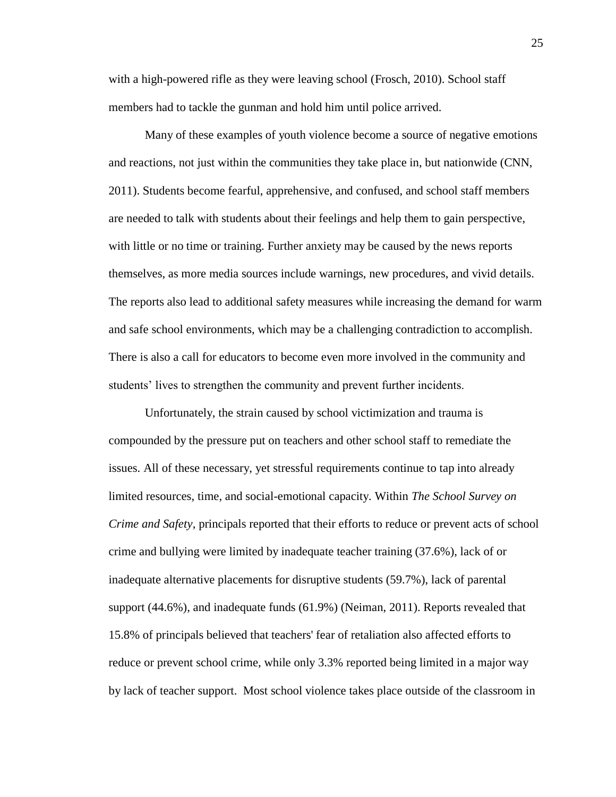with a high-powered rifle as they were leaving school (Frosch, 2010). School staff members had to tackle the gunman and hold him until police arrived.

Many of these examples of youth violence become a source of negative emotions and reactions, not just within the communities they take place in, but nationwide (CNN, 2011). Students become fearful, apprehensive, and confused, and school staff members are needed to talk with students about their feelings and help them to gain perspective, with little or no time or training. Further anxiety may be caused by the news reports themselves, as more media sources include warnings, new procedures, and vivid details. The reports also lead to additional safety measures while increasing the demand for warm and safe school environments, which may be a challenging contradiction to accomplish. There is also a call for educators to become even more involved in the community and students' lives to strengthen the community and prevent further incidents.

Unfortunately, the strain caused by school victimization and trauma is compounded by the pressure put on teachers and other school staff to remediate the issues. All of these necessary, yet stressful requirements continue to tap into already limited resources, time, and social-emotional capacity. Within *The School Survey on Crime and Safety*, principals reported that their efforts to reduce or prevent acts of school crime and bullying were limited by inadequate teacher training (37.6%), lack of or inadequate alternative placements for disruptive students (59.7%), lack of parental support (44.6%), and inadequate funds (61.9%) (Neiman, 2011). Reports revealed that 15.8% of principals believed that teachers' fear of retaliation also affected efforts to reduce or prevent school crime, while only 3.3% reported being limited in a major way by lack of teacher support. Most school violence takes place outside of the classroom in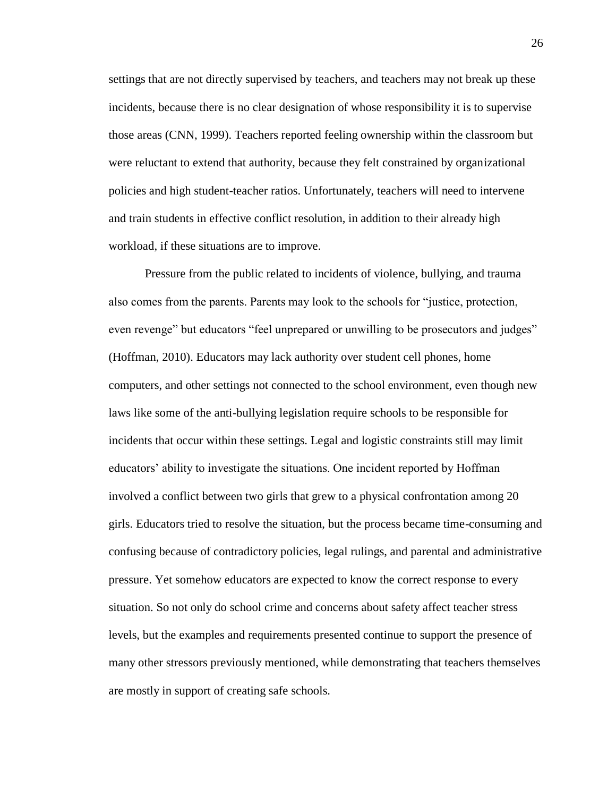settings that are not directly supervised by teachers, and teachers may not break up these incidents, because there is no clear designation of whose responsibility it is to supervise those areas (CNN, 1999). Teachers reported feeling ownership within the classroom but were reluctant to extend that authority, because they felt constrained by organizational policies and high student-teacher ratios. Unfortunately, teachers will need to intervene and train students in effective conflict resolution, in addition to their already high workload, if these situations are to improve.

Pressure from the public related to incidents of violence, bullying, and trauma also comes from the parents. Parents may look to the schools for "justice, protection, even revenge" but educators "feel unprepared or unwilling to be prosecutors and judges" (Hoffman, 2010). Educators may lack authority over student cell phones, home computers, and other settings not connected to the school environment, even though new laws like some of the anti-bullying legislation require schools to be responsible for incidents that occur within these settings. Legal and logistic constraints still may limit educators' ability to investigate the situations. One incident reported by Hoffman involved a conflict between two girls that grew to a physical confrontation among 20 girls. Educators tried to resolve the situation, but the process became time-consuming and confusing because of contradictory policies, legal rulings, and parental and administrative pressure. Yet somehow educators are expected to know the correct response to every situation. So not only do school crime and concerns about safety affect teacher stress levels, but the examples and requirements presented continue to support the presence of many other stressors previously mentioned, while demonstrating that teachers themselves are mostly in support of creating safe schools.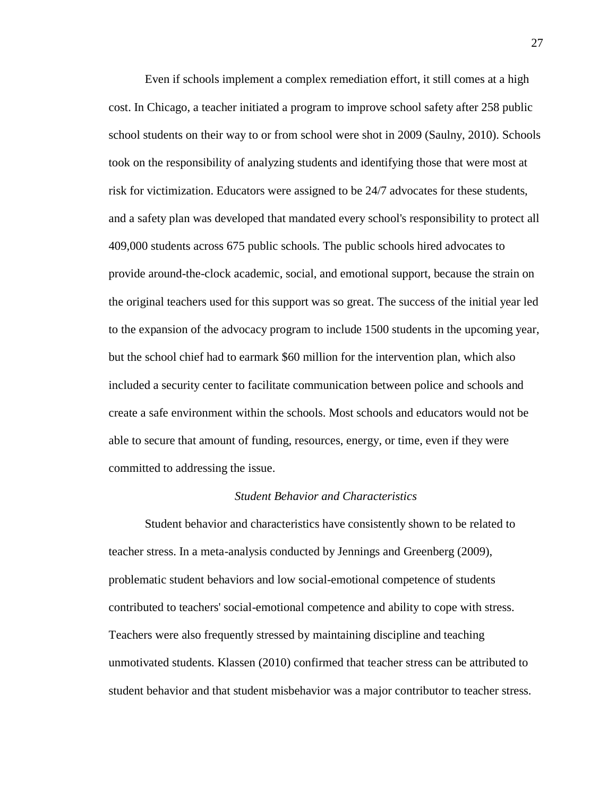Even if schools implement a complex remediation effort, it still comes at a high cost. In Chicago, a teacher initiated a program to improve school safety after 258 public school students on their way to or from school were shot in 2009 (Saulny, 2010). Schools took on the responsibility of analyzing students and identifying those that were most at risk for victimization. Educators were assigned to be 24/7 advocates for these students, and a safety plan was developed that mandated every school's responsibility to protect all 409,000 students across 675 public schools. The public schools hired advocates to provide around-the-clock academic, social, and emotional support, because the strain on the original teachers used for this support was so great. The success of the initial year led to the expansion of the advocacy program to include 1500 students in the upcoming year, but the school chief had to earmark \$60 million for the intervention plan, which also included a security center to facilitate communication between police and schools and create a safe environment within the schools. Most schools and educators would not be able to secure that amount of funding, resources, energy, or time, even if they were committed to addressing the issue.

### *Student Behavior and Characteristics*

Student behavior and characteristics have consistently shown to be related to teacher stress. In a meta-analysis conducted by Jennings and Greenberg (2009), problematic student behaviors and low social-emotional competence of students contributed to teachers' social-emotional competence and ability to cope with stress. Teachers were also frequently stressed by maintaining discipline and teaching unmotivated students. Klassen (2010) confirmed that teacher stress can be attributed to student behavior and that student misbehavior was a major contributor to teacher stress.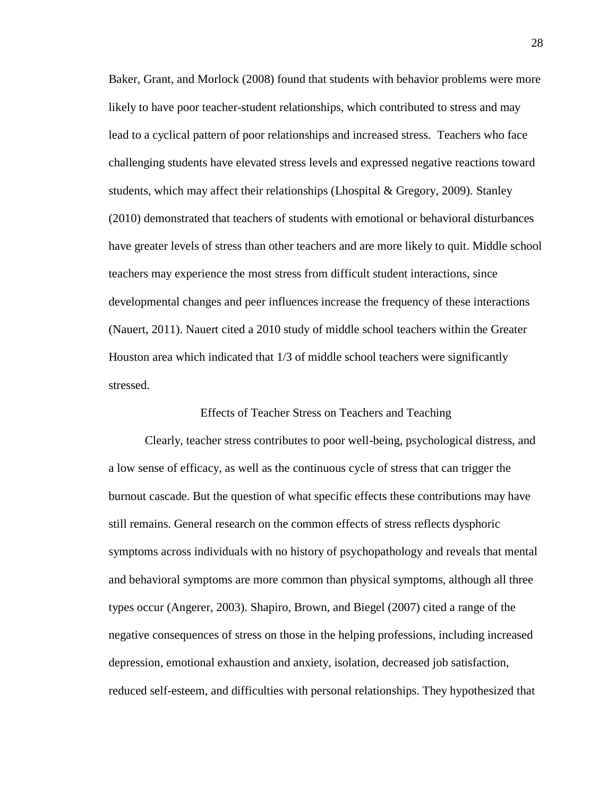Baker, Grant, and Morlock (2008) found that students with behavior problems were more likely to have poor teacher-student relationships, which contributed to stress and may lead to a cyclical pattern of poor relationships and increased stress. Teachers who face challenging students have elevated stress levels and expressed negative reactions toward students, which may affect their relationships (Lhospital & Gregory, 2009). Stanley (2010) demonstrated that teachers of students with emotional or behavioral disturbances have greater levels of stress than other teachers and are more likely to quit. Middle school teachers may experience the most stress from difficult student interactions, since developmental changes and peer influences increase the frequency of these interactions (Nauert, 2011). Nauert cited a 2010 study of middle school teachers within the Greater Houston area which indicated that 1/3 of middle school teachers were significantly stressed.

Effects of Teacher Stress on Teachers and Teaching

Clearly, teacher stress contributes to poor well-being, psychological distress, and a low sense of efficacy, as well as the continuous cycle of stress that can trigger the burnout cascade. But the question of what specific effects these contributions may have still remains. General research on the common effects of stress reflects dysphoric symptoms across individuals with no history of psychopathology and reveals that mental and behavioral symptoms are more common than physical symptoms, although all three types occur (Angerer, 2003). Shapiro, Brown, and Biegel (2007) cited a range of the negative consequences of stress on those in the helping professions, including increased depression, emotional exhaustion and anxiety, isolation, decreased job satisfaction, reduced self-esteem, and difficulties with personal relationships. They hypothesized that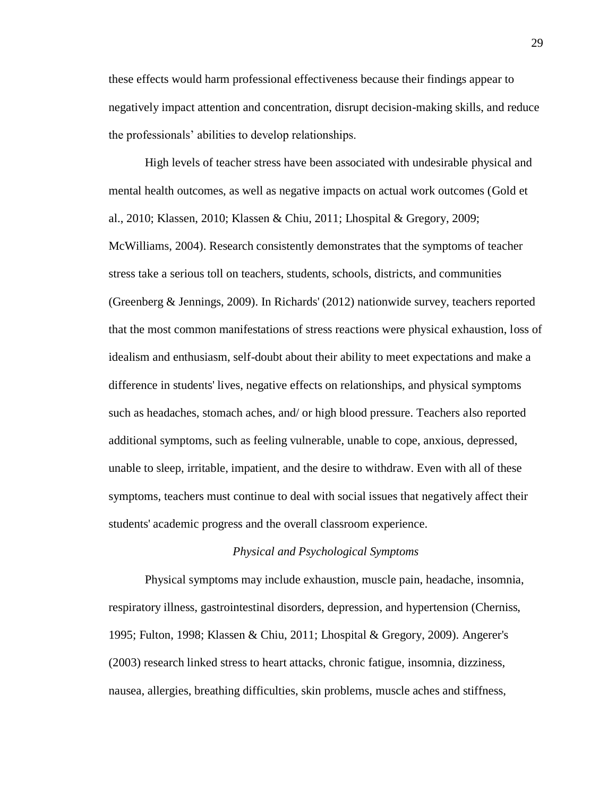these effects would harm professional effectiveness because their findings appear to negatively impact attention and concentration, disrupt decision-making skills, and reduce the professionals' abilities to develop relationships.

High levels of teacher stress have been associated with undesirable physical and mental health outcomes, as well as negative impacts on actual work outcomes (Gold et al., 2010; Klassen, 2010; Klassen & Chiu, 2011; Lhospital & Gregory, 2009; McWilliams, 2004). Research consistently demonstrates that the symptoms of teacher stress take a serious toll on teachers, students, schools, districts, and communities (Greenberg & Jennings, 2009). In Richards' (2012) nationwide survey, teachers reported that the most common manifestations of stress reactions were physical exhaustion, loss of idealism and enthusiasm, self-doubt about their ability to meet expectations and make a difference in students' lives, negative effects on relationships, and physical symptoms such as headaches, stomach aches, and/ or high blood pressure. Teachers also reported additional symptoms, such as feeling vulnerable, unable to cope, anxious, depressed, unable to sleep, irritable, impatient, and the desire to withdraw. Even with all of these symptoms, teachers must continue to deal with social issues that negatively affect their students' academic progress and the overall classroom experience.

## *Physical and Psychological Symptoms*

Physical symptoms may include exhaustion, muscle pain, headache, insomnia, respiratory illness, gastrointestinal disorders, depression, and hypertension (Cherniss, 1995; Fulton, 1998; Klassen & Chiu, 2011; Lhospital & Gregory, 2009). Angerer's (2003) research linked stress to heart attacks, chronic fatigue, insomnia, dizziness, nausea, allergies, breathing difficulties, skin problems, muscle aches and stiffness,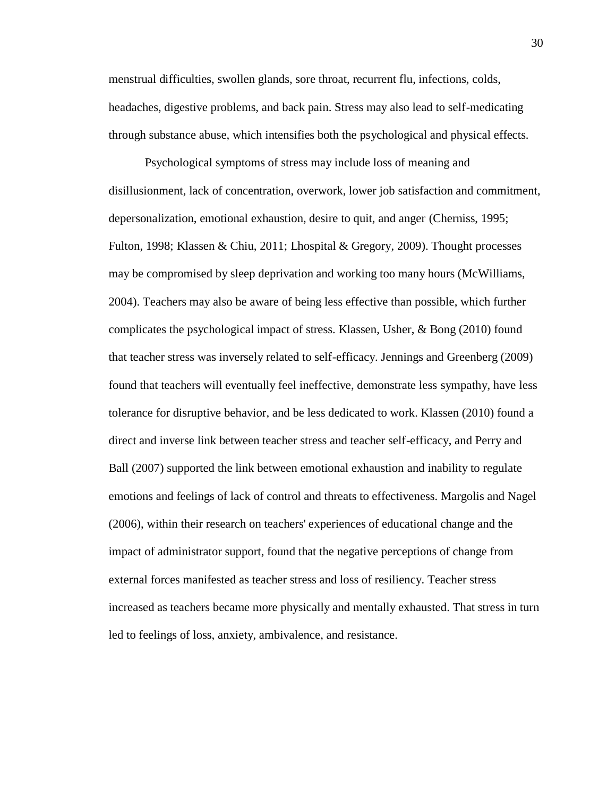menstrual difficulties, swollen glands, sore throat, recurrent flu, infections, colds, headaches, digestive problems, and back pain. Stress may also lead to self-medicating through substance abuse, which intensifies both the psychological and physical effects.

Psychological symptoms of stress may include loss of meaning and disillusionment, lack of concentration, overwork, lower job satisfaction and commitment, depersonalization, emotional exhaustion, desire to quit, and anger (Cherniss, 1995; Fulton, 1998; Klassen & Chiu, 2011; Lhospital & Gregory, 2009). Thought processes may be compromised by sleep deprivation and working too many hours (McWilliams, 2004). Teachers may also be aware of being less effective than possible, which further complicates the psychological impact of stress. Klassen, Usher, & Bong (2010) found that teacher stress was inversely related to self-efficacy. Jennings and Greenberg (2009) found that teachers will eventually feel ineffective, demonstrate less sympathy, have less tolerance for disruptive behavior, and be less dedicated to work. Klassen (2010) found a direct and inverse link between teacher stress and teacher self-efficacy, and Perry and Ball (2007) supported the link between emotional exhaustion and inability to regulate emotions and feelings of lack of control and threats to effectiveness. Margolis and Nagel (2006), within their research on teachers' experiences of educational change and the impact of administrator support, found that the negative perceptions of change from external forces manifested as teacher stress and loss of resiliency. Teacher stress increased as teachers became more physically and mentally exhausted. That stress in turn led to feelings of loss, anxiety, ambivalence, and resistance.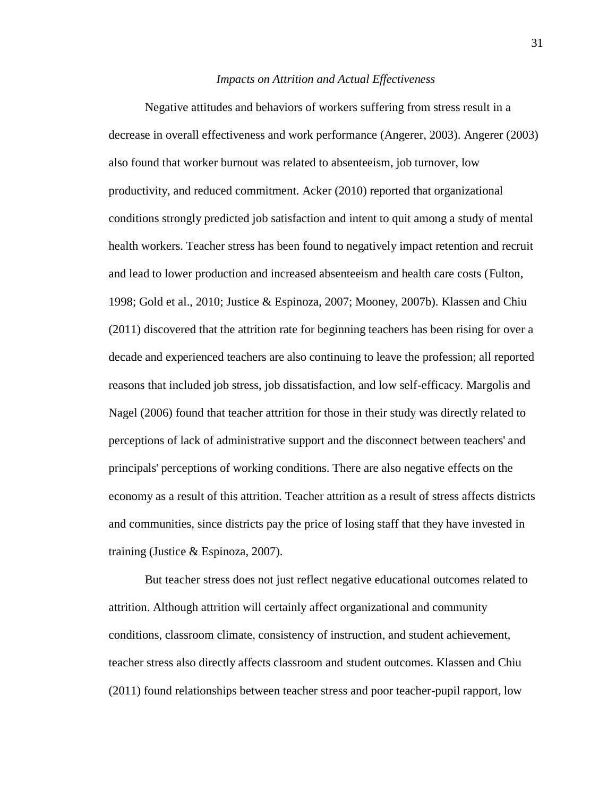#### *Impacts on Attrition and Actual Effectiveness*

Negative attitudes and behaviors of workers suffering from stress result in a decrease in overall effectiveness and work performance (Angerer, 2003). Angerer (2003) also found that worker burnout was related to absenteeism, job turnover, low productivity, and reduced commitment. Acker (2010) reported that organizational conditions strongly predicted job satisfaction and intent to quit among a study of mental health workers. Teacher stress has been found to negatively impact retention and recruit and lead to lower production and increased absenteeism and health care costs (Fulton, 1998; Gold et al., 2010; Justice & Espinoza, 2007; Mooney, 2007b). Klassen and Chiu (2011) discovered that the attrition rate for beginning teachers has been rising for over a decade and experienced teachers are also continuing to leave the profession; all reported reasons that included job stress, job dissatisfaction, and low self-efficacy. Margolis and Nagel (2006) found that teacher attrition for those in their study was directly related to perceptions of lack of administrative support and the disconnect between teachers' and principals' perceptions of working conditions. There are also negative effects on the economy as a result of this attrition. Teacher attrition as a result of stress affects districts and communities, since districts pay the price of losing staff that they have invested in training (Justice & Espinoza, 2007).

But teacher stress does not just reflect negative educational outcomes related to attrition. Although attrition will certainly affect organizational and community conditions, classroom climate, consistency of instruction, and student achievement, teacher stress also directly affects classroom and student outcomes. Klassen and Chiu (2011) found relationships between teacher stress and poor teacher-pupil rapport, low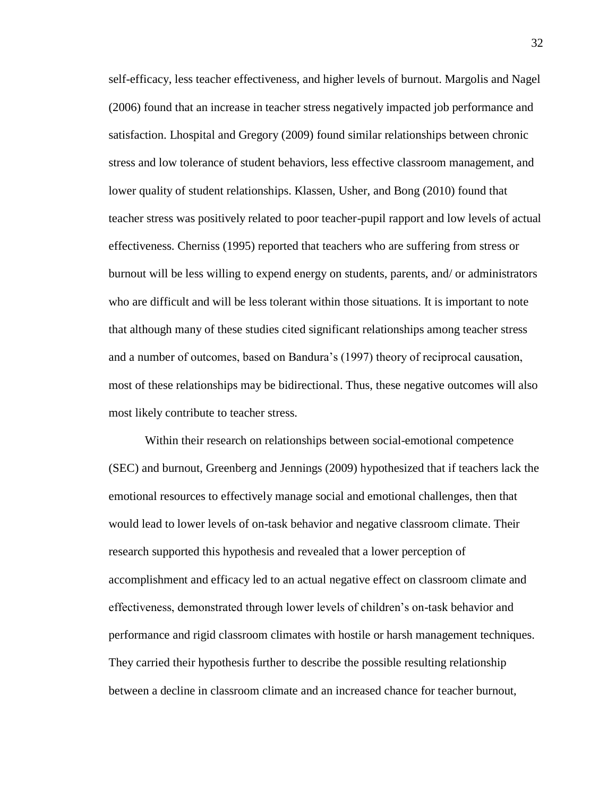self-efficacy, less teacher effectiveness, and higher levels of burnout. Margolis and Nagel (2006) found that an increase in teacher stress negatively impacted job performance and satisfaction. Lhospital and Gregory (2009) found similar relationships between chronic stress and low tolerance of student behaviors, less effective classroom management, and lower quality of student relationships. Klassen, Usher, and Bong (2010) found that teacher stress was positively related to poor teacher-pupil rapport and low levels of actual effectiveness. Cherniss (1995) reported that teachers who are suffering from stress or burnout will be less willing to expend energy on students, parents, and/ or administrators who are difficult and will be less tolerant within those situations. It is important to note that although many of these studies cited significant relationships among teacher stress and a number of outcomes, based on Bandura's (1997) theory of reciprocal causation, most of these relationships may be bidirectional. Thus, these negative outcomes will also most likely contribute to teacher stress.

Within their research on relationships between social-emotional competence (SEC) and burnout, Greenberg and Jennings (2009) hypothesized that if teachers lack the emotional resources to effectively manage social and emotional challenges, then that would lead to lower levels of on-task behavior and negative classroom climate. Their research supported this hypothesis and revealed that a lower perception of accomplishment and efficacy led to an actual negative effect on classroom climate and effectiveness, demonstrated through lower levels of children's on-task behavior and performance and rigid classroom climates with hostile or harsh management techniques. They carried their hypothesis further to describe the possible resulting relationship between a decline in classroom climate and an increased chance for teacher burnout,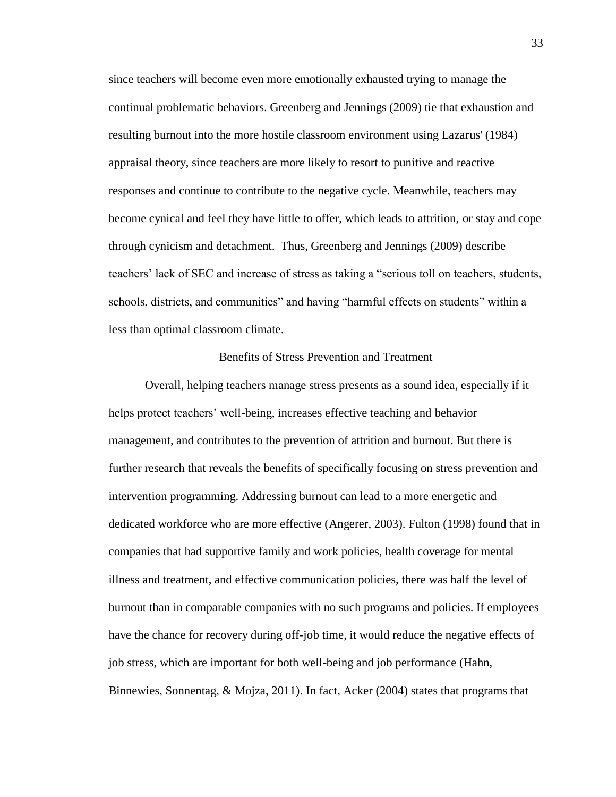since teachers will become even more emotionally exhausted trying to manage the continual problematic behaviors. Greenberg and Jennings (2009) tie that exhaustion and resulting burnout into the more hostile classroom environment using Lazarus' (1984) appraisal theory, since teachers are more likely to resort to punitive and reactive responses and continue to contribute to the negative cycle. Meanwhile, teachers may become cynical and feel they have little to offer, which leads to attrition, or stay and cope through cynicism and detachment. Thus, Greenberg and Jennings (2009) describe teachers' lack of SEC and increase of stress as taking a "serious toll on teachers, students, schools, districts, and communities" and having "harmful effects on students" within a less than optimal classroom climate.

## Benefits of Stress Prevention and Treatment

Overall, helping teachers manage stress presents as a sound idea, especially if it helps protect teachers' well-being, increases effective teaching and behavior management, and contributes to the prevention of attrition and burnout. But there is further research that reveals the benefits of specifically focusing on stress prevention and intervention programming. Addressing burnout can lead to a more energetic and dedicated workforce who are more effective (Angerer, 2003). Fulton (1998) found that in companies that had supportive family and work policies, health coverage for mental illness and treatment, and effective communication policies, there was half the level of burnout than in comparable companies with no such programs and policies. If employees have the chance for recovery during off-job time, it would reduce the negative effects of job stress, which are important for both well-being and job performance (Hahn, Binnewies, Sonnentag, & Mojza, 2011). In fact, Acker (2004) states that programs that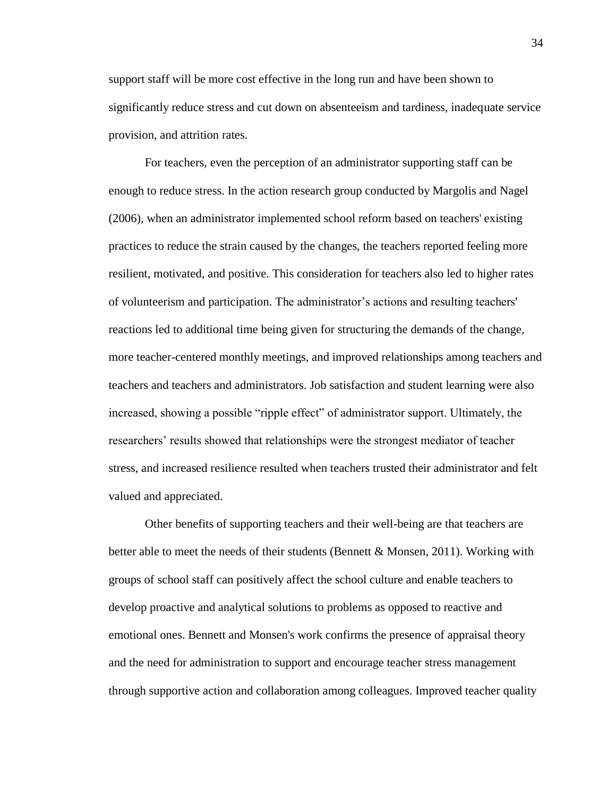support staff will be more cost effective in the long run and have been shown to significantly reduce stress and cut down on absenteeism and tardiness, inadequate service provision, and attrition rates.

For teachers, even the perception of an administrator supporting staff can be enough to reduce stress. In the action research group conducted by Margolis and Nagel (2006), when an administrator implemented school reform based on teachers' existing practices to reduce the strain caused by the changes, the teachers reported feeling more resilient, motivated, and positive. This consideration for teachers also led to higher rates of volunteerism and participation. The administrator's actions and resulting teachers' reactions led to additional time being given for structuring the demands of the change, more teacher-centered monthly meetings, and improved relationships among teachers and teachers and teachers and administrators. Job satisfaction and student learning were also increased, showing a possible "ripple effect" of administrator support. Ultimately, the researchers' results showed that relationships were the strongest mediator of teacher stress, and increased resilience resulted when teachers trusted their administrator and felt valued and appreciated.

Other benefits of supporting teachers and their well-being are that teachers are better able to meet the needs of their students (Bennett & Monsen, 2011). Working with groups of school staff can positively affect the school culture and enable teachers to develop proactive and analytical solutions to problems as opposed to reactive and emotional ones. Bennett and Monsen's work confirms the presence of appraisal theory and the need for administration to support and encourage teacher stress management through supportive action and collaboration among colleagues. Improved teacher quality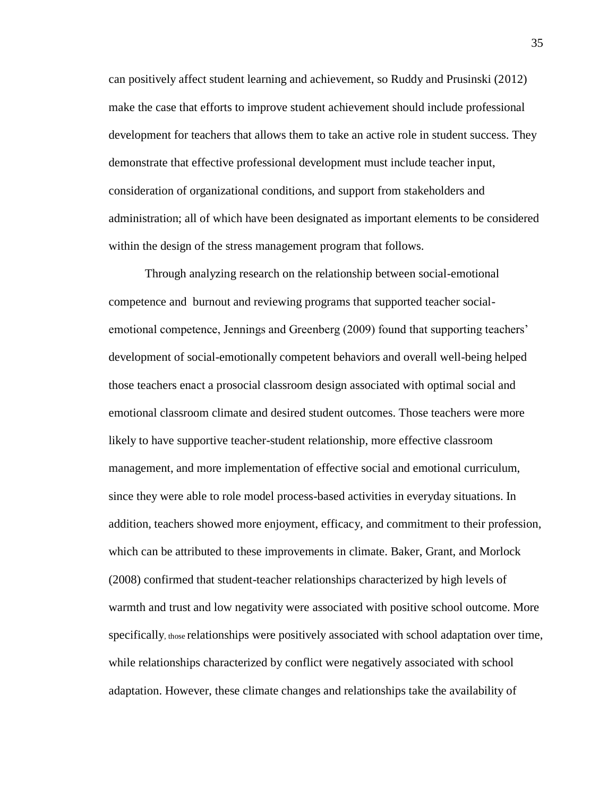can positively affect student learning and achievement, so Ruddy and Prusinski (2012) make the case that efforts to improve student achievement should include professional development for teachers that allows them to take an active role in student success. They demonstrate that effective professional development must include teacher input, consideration of organizational conditions, and support from stakeholders and administration; all of which have been designated as important elements to be considered within the design of the stress management program that follows.

Through analyzing research on the relationship between social-emotional competence and burnout and reviewing programs that supported teacher socialemotional competence, Jennings and Greenberg (2009) found that supporting teachers' development of social-emotionally competent behaviors and overall well-being helped those teachers enact a prosocial classroom design associated with optimal social and emotional classroom climate and desired student outcomes. Those teachers were more likely to have supportive teacher-student relationship, more effective classroom management, and more implementation of effective social and emotional curriculum, since they were able to role model process-based activities in everyday situations. In addition, teachers showed more enjoyment, efficacy, and commitment to their profession, which can be attributed to these improvements in climate. Baker, Grant, and Morlock (2008) confirmed that student-teacher relationships characterized by high levels of warmth and trust and low negativity were associated with positive school outcome. More specifically, those relationships were positively associated with school adaptation over time, while relationships characterized by conflict were negatively associated with school adaptation. However, these climate changes and relationships take the availability of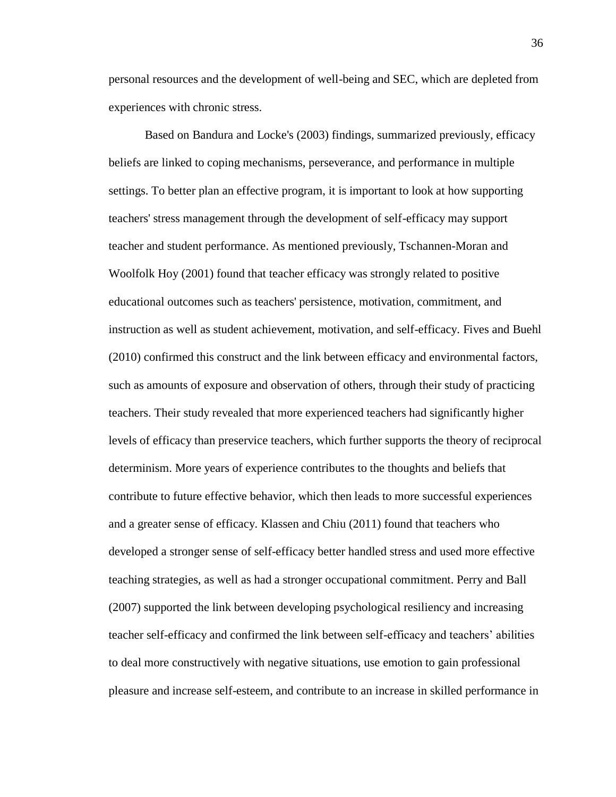personal resources and the development of well-being and SEC, which are depleted from experiences with chronic stress.

Based on Bandura and Locke's (2003) findings, summarized previously, efficacy beliefs are linked to coping mechanisms, perseverance, and performance in multiple settings. To better plan an effective program, it is important to look at how supporting teachers' stress management through the development of self-efficacy may support teacher and student performance. As mentioned previously, Tschannen-Moran and Woolfolk Hoy (2001) found that teacher efficacy was strongly related to positive educational outcomes such as teachers' persistence, motivation, commitment, and instruction as well as student achievement, motivation, and self-efficacy. Fives and Buehl (2010) confirmed this construct and the link between efficacy and environmental factors, such as amounts of exposure and observation of others, through their study of practicing teachers. Their study revealed that more experienced teachers had significantly higher levels of efficacy than preservice teachers, which further supports the theory of reciprocal determinism. More years of experience contributes to the thoughts and beliefs that contribute to future effective behavior, which then leads to more successful experiences and a greater sense of efficacy. Klassen and Chiu (2011) found that teachers who developed a stronger sense of self-efficacy better handled stress and used more effective teaching strategies, as well as had a stronger occupational commitment. Perry and Ball (2007) supported the link between developing psychological resiliency and increasing teacher self-efficacy and confirmed the link between self-efficacy and teachers' abilities to deal more constructively with negative situations, use emotion to gain professional pleasure and increase self-esteem, and contribute to an increase in skilled performance in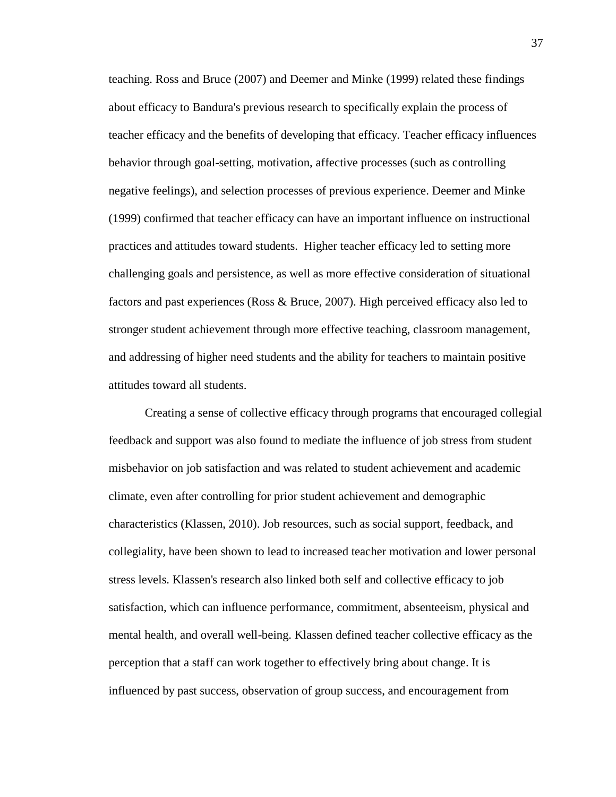teaching. Ross and Bruce (2007) and Deemer and Minke (1999) related these findings about efficacy to Bandura's previous research to specifically explain the process of teacher efficacy and the benefits of developing that efficacy. Teacher efficacy influences behavior through goal-setting, motivation, affective processes (such as controlling negative feelings), and selection processes of previous experience. Deemer and Minke (1999) confirmed that teacher efficacy can have an important influence on instructional practices and attitudes toward students. Higher teacher efficacy led to setting more challenging goals and persistence, as well as more effective consideration of situational factors and past experiences (Ross & Bruce, 2007). High perceived efficacy also led to stronger student achievement through more effective teaching, classroom management, and addressing of higher need students and the ability for teachers to maintain positive attitudes toward all students.

Creating a sense of collective efficacy through programs that encouraged collegial feedback and support was also found to mediate the influence of job stress from student misbehavior on job satisfaction and was related to student achievement and academic climate, even after controlling for prior student achievement and demographic characteristics (Klassen, 2010). Job resources, such as social support, feedback, and collegiality, have been shown to lead to increased teacher motivation and lower personal stress levels. Klassen's research also linked both self and collective efficacy to job satisfaction, which can influence performance, commitment, absenteeism, physical and mental health, and overall well-being. Klassen defined teacher collective efficacy as the perception that a staff can work together to effectively bring about change. It is influenced by past success, observation of group success, and encouragement from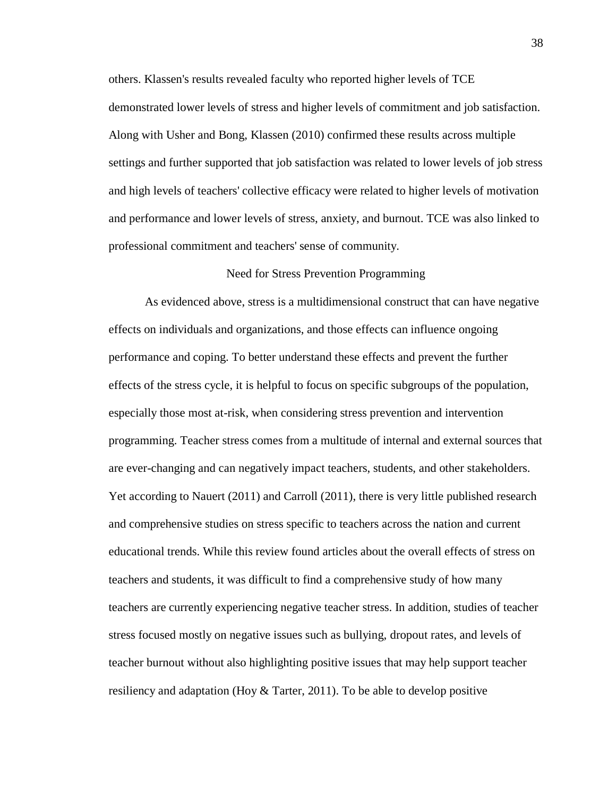others. Klassen's results revealed faculty who reported higher levels of TCE demonstrated lower levels of stress and higher levels of commitment and job satisfaction. Along with Usher and Bong, Klassen (2010) confirmed these results across multiple settings and further supported that job satisfaction was related to lower levels of job stress and high levels of teachers' collective efficacy were related to higher levels of motivation and performance and lower levels of stress, anxiety, and burnout. TCE was also linked to professional commitment and teachers' sense of community.

## Need for Stress Prevention Programming

As evidenced above, stress is a multidimensional construct that can have negative effects on individuals and organizations, and those effects can influence ongoing performance and coping. To better understand these effects and prevent the further effects of the stress cycle, it is helpful to focus on specific subgroups of the population, especially those most at-risk, when considering stress prevention and intervention programming. Teacher stress comes from a multitude of internal and external sources that are ever-changing and can negatively impact teachers, students, and other stakeholders. Yet according to Nauert (2011) and Carroll (2011), there is very little published research and comprehensive studies on stress specific to teachers across the nation and current educational trends. While this review found articles about the overall effects of stress on teachers and students, it was difficult to find a comprehensive study of how many teachers are currently experiencing negative teacher stress. In addition, studies of teacher stress focused mostly on negative issues such as bullying, dropout rates, and levels of teacher burnout without also highlighting positive issues that may help support teacher resiliency and adaptation (Hoy & Tarter, 2011). To be able to develop positive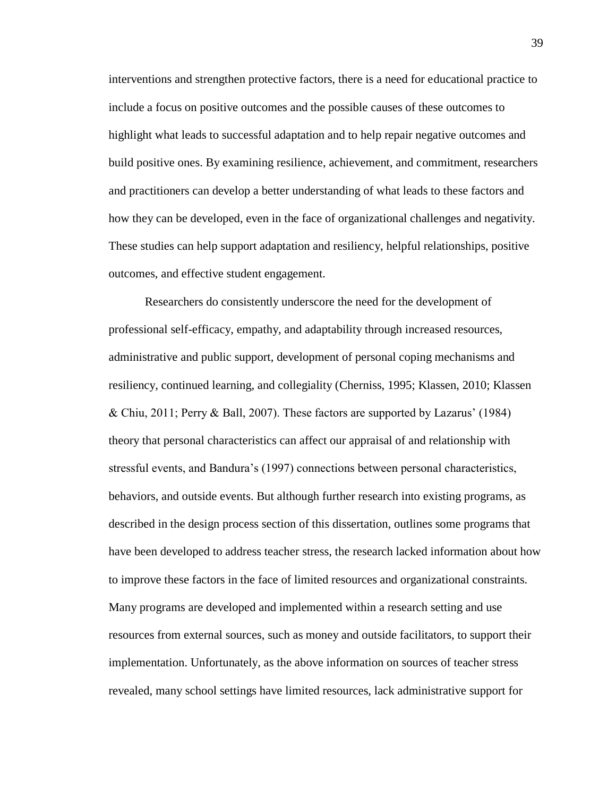interventions and strengthen protective factors, there is a need for educational practice to include a focus on positive outcomes and the possible causes of these outcomes to highlight what leads to successful adaptation and to help repair negative outcomes and build positive ones. By examining resilience, achievement, and commitment, researchers and practitioners can develop a better understanding of what leads to these factors and how they can be developed, even in the face of organizational challenges and negativity. These studies can help support adaptation and resiliency, helpful relationships, positive outcomes, and effective student engagement.

Researchers do consistently underscore the need for the development of professional self-efficacy, empathy, and adaptability through increased resources, administrative and public support, development of personal coping mechanisms and resiliency, continued learning, and collegiality (Cherniss, 1995; Klassen, 2010; Klassen & Chiu, 2011; Perry & Ball, 2007). These factors are supported by Lazarus' (1984) theory that personal characteristics can affect our appraisal of and relationship with stressful events, and Bandura's (1997) connections between personal characteristics, behaviors, and outside events. But although further research into existing programs, as described in the design process section of this dissertation, outlines some programs that have been developed to address teacher stress, the research lacked information about how to improve these factors in the face of limited resources and organizational constraints. Many programs are developed and implemented within a research setting and use resources from external sources, such as money and outside facilitators, to support their implementation. Unfortunately, as the above information on sources of teacher stress revealed, many school settings have limited resources, lack administrative support for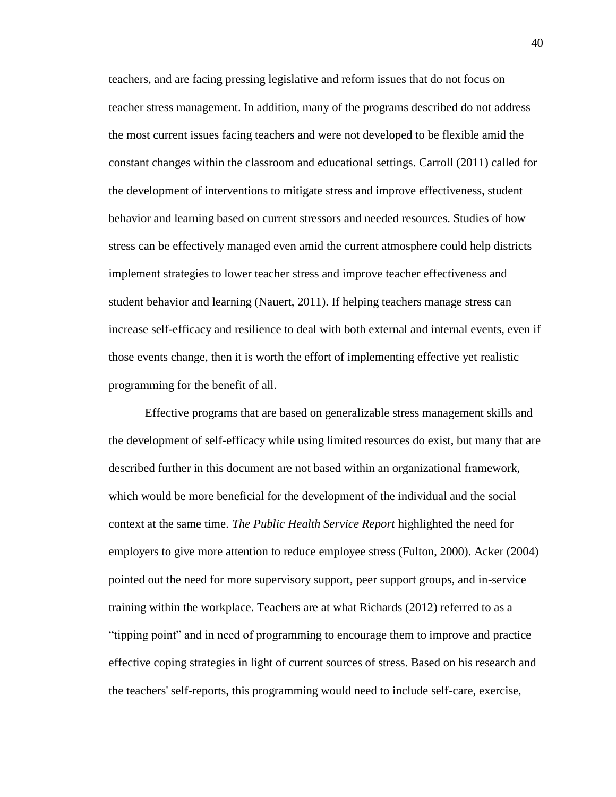teachers, and are facing pressing legislative and reform issues that do not focus on teacher stress management. In addition, many of the programs described do not address the most current issues facing teachers and were not developed to be flexible amid the constant changes within the classroom and educational settings. Carroll (2011) called for the development of interventions to mitigate stress and improve effectiveness, student behavior and learning based on current stressors and needed resources. Studies of how stress can be effectively managed even amid the current atmosphere could help districts implement strategies to lower teacher stress and improve teacher effectiveness and student behavior and learning (Nauert, 2011). If helping teachers manage stress can increase self-efficacy and resilience to deal with both external and internal events, even if those events change, then it is worth the effort of implementing effective yet realistic programming for the benefit of all.

Effective programs that are based on generalizable stress management skills and the development of self-efficacy while using limited resources do exist, but many that are described further in this document are not based within an organizational framework, which would be more beneficial for the development of the individual and the social context at the same time. *The Public Health Service Report* highlighted the need for employers to give more attention to reduce employee stress (Fulton, 2000). Acker (2004) pointed out the need for more supervisory support, peer support groups, and in-service training within the workplace. Teachers are at what Richards (2012) referred to as a "tipping point" and in need of programming to encourage them to improve and practice effective coping strategies in light of current sources of stress. Based on his research and the teachers' self-reports, this programming would need to include self-care, exercise,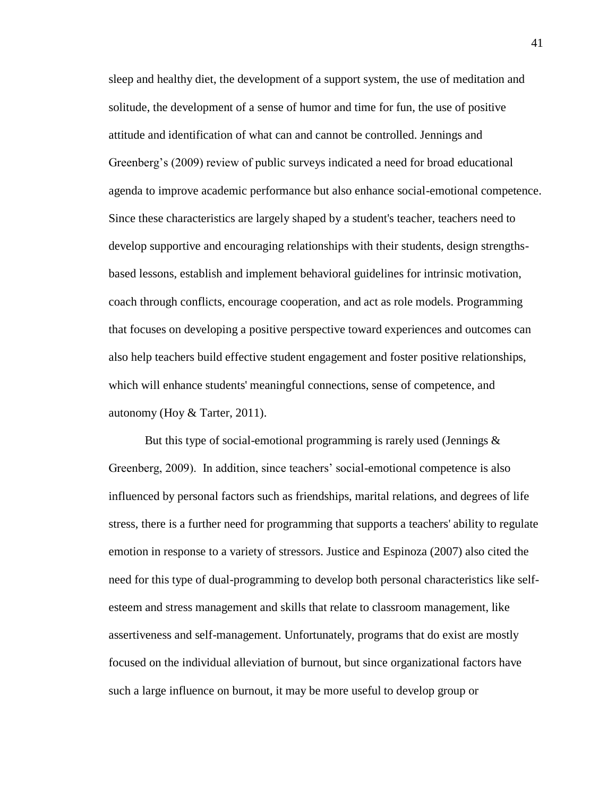sleep and healthy diet, the development of a support system, the use of meditation and solitude, the development of a sense of humor and time for fun, the use of positive attitude and identification of what can and cannot be controlled. Jennings and Greenberg's (2009) review of public surveys indicated a need for broad educational agenda to improve academic performance but also enhance social-emotional competence. Since these characteristics are largely shaped by a student's teacher, teachers need to develop supportive and encouraging relationships with their students, design strengthsbased lessons, establish and implement behavioral guidelines for intrinsic motivation, coach through conflicts, encourage cooperation, and act as role models. Programming that focuses on developing a positive perspective toward experiences and outcomes can also help teachers build effective student engagement and foster positive relationships, which will enhance students' meaningful connections, sense of competence, and autonomy (Hoy & Tarter, 2011).

But this type of social-emotional programming is rarely used (Jennings  $\&$ Greenberg, 2009). In addition, since teachers' social-emotional competence is also influenced by personal factors such as friendships, marital relations, and degrees of life stress, there is a further need for programming that supports a teachers' ability to regulate emotion in response to a variety of stressors. Justice and Espinoza (2007) also cited the need for this type of dual-programming to develop both personal characteristics like selfesteem and stress management and skills that relate to classroom management, like assertiveness and self-management. Unfortunately, programs that do exist are mostly focused on the individual alleviation of burnout, but since organizational factors have such a large influence on burnout, it may be more useful to develop group or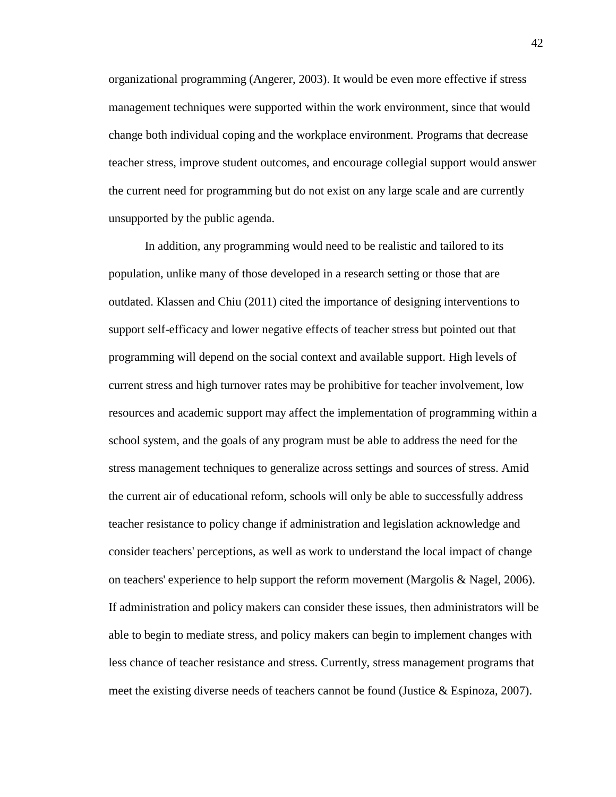organizational programming (Angerer, 2003). It would be even more effective if stress management techniques were supported within the work environment, since that would change both individual coping and the workplace environment. Programs that decrease teacher stress, improve student outcomes, and encourage collegial support would answer the current need for programming but do not exist on any large scale and are currently unsupported by the public agenda.

In addition, any programming would need to be realistic and tailored to its population, unlike many of those developed in a research setting or those that are outdated. Klassen and Chiu (2011) cited the importance of designing interventions to support self-efficacy and lower negative effects of teacher stress but pointed out that programming will depend on the social context and available support. High levels of current stress and high turnover rates may be prohibitive for teacher involvement, low resources and academic support may affect the implementation of programming within a school system, and the goals of any program must be able to address the need for the stress management techniques to generalize across settings and sources of stress. Amid the current air of educational reform, schools will only be able to successfully address teacher resistance to policy change if administration and legislation acknowledge and consider teachers' perceptions, as well as work to understand the local impact of change on teachers' experience to help support the reform movement (Margolis & Nagel, 2006). If administration and policy makers can consider these issues, then administrators will be able to begin to mediate stress, and policy makers can begin to implement changes with less chance of teacher resistance and stress. Currently, stress management programs that meet the existing diverse needs of teachers cannot be found (Justice & Espinoza, 2007).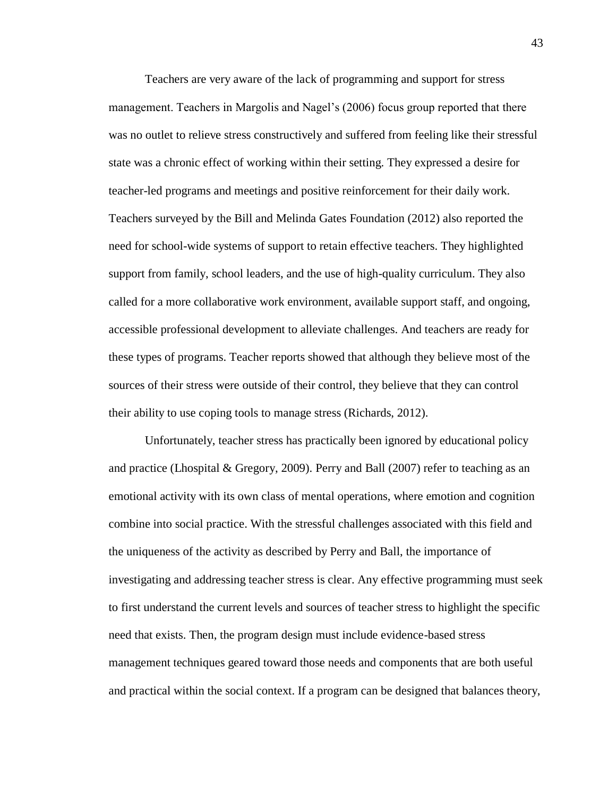Teachers are very aware of the lack of programming and support for stress management. Teachers in Margolis and Nagel's (2006) focus group reported that there was no outlet to relieve stress constructively and suffered from feeling like their stressful state was a chronic effect of working within their setting. They expressed a desire for teacher-led programs and meetings and positive reinforcement for their daily work. Teachers surveyed by the Bill and Melinda Gates Foundation (2012) also reported the need for school-wide systems of support to retain effective teachers. They highlighted support from family, school leaders, and the use of high-quality curriculum. They also called for a more collaborative work environment, available support staff, and ongoing, accessible professional development to alleviate challenges. And teachers are ready for these types of programs. Teacher reports showed that although they believe most of the sources of their stress were outside of their control, they believe that they can control their ability to use coping tools to manage stress (Richards, 2012).

Unfortunately, teacher stress has practically been ignored by educational policy and practice (Lhospital & Gregory, 2009). Perry and Ball  $(2007)$  refer to teaching as an emotional activity with its own class of mental operations, where emotion and cognition combine into social practice. With the stressful challenges associated with this field and the uniqueness of the activity as described by Perry and Ball, the importance of investigating and addressing teacher stress is clear. Any effective programming must seek to first understand the current levels and sources of teacher stress to highlight the specific need that exists. Then, the program design must include evidence-based stress management techniques geared toward those needs and components that are both useful and practical within the social context. If a program can be designed that balances theory,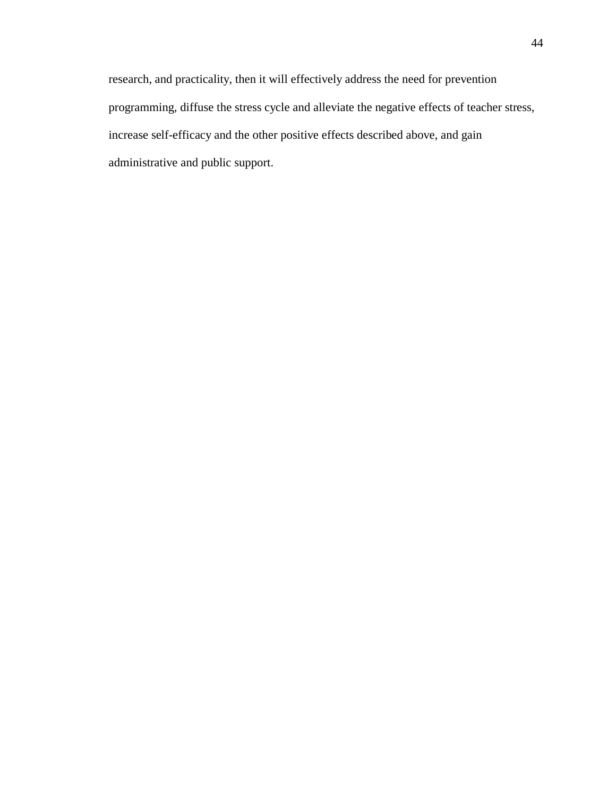research, and practicality, then it will effectively address the need for prevention programming, diffuse the stress cycle and alleviate the negative effects of teacher stress, increase self-efficacy and the other positive effects described above, and gain administrative and public support.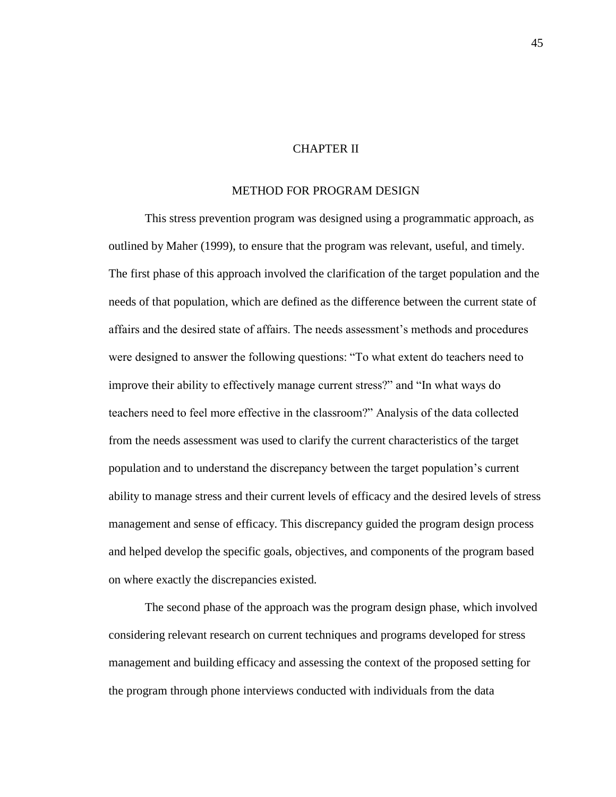## CHAPTER II

## METHOD FOR PROGRAM DESIGN

This stress prevention program was designed using a programmatic approach, as outlined by Maher (1999), to ensure that the program was relevant, useful, and timely. The first phase of this approach involved the clarification of the target population and the needs of that population, which are defined as the difference between the current state of affairs and the desired state of affairs. The needs assessment's methods and procedures were designed to answer the following questions: "To what extent do teachers need to improve their ability to effectively manage current stress?" and "In what ways do teachers need to feel more effective in the classroom?" Analysis of the data collected from the needs assessment was used to clarify the current characteristics of the target population and to understand the discrepancy between the target population's current ability to manage stress and their current levels of efficacy and the desired levels of stress management and sense of efficacy. This discrepancy guided the program design process and helped develop the specific goals, objectives, and components of the program based on where exactly the discrepancies existed.

The second phase of the approach was the program design phase, which involved considering relevant research on current techniques and programs developed for stress management and building efficacy and assessing the context of the proposed setting for the program through phone interviews conducted with individuals from the data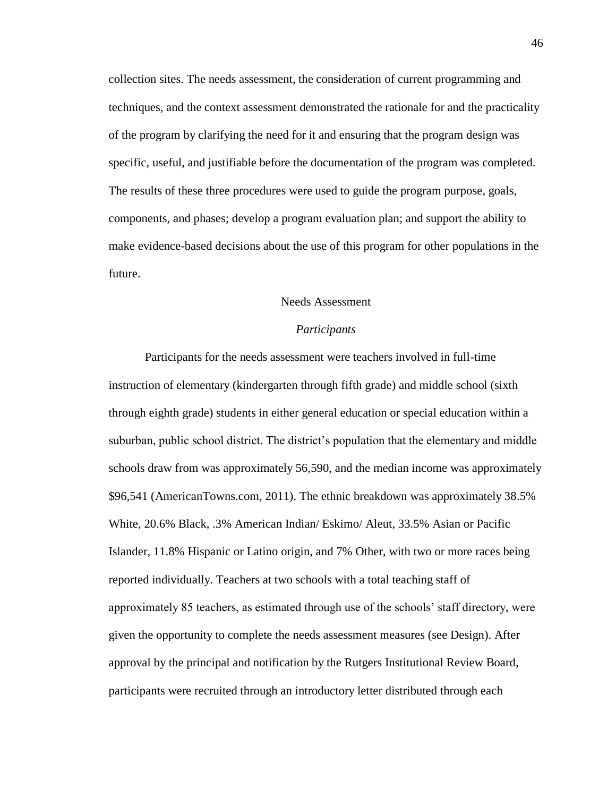collection sites. The needs assessment, the consideration of current programming and techniques, and the context assessment demonstrated the rationale for and the practicality of the program by clarifying the need for it and ensuring that the program design was specific, useful, and justifiable before the documentation of the program was completed. The results of these three procedures were used to guide the program purpose, goals, components, and phases; develop a program evaluation plan; and support the ability to make evidence-based decisions about the use of this program for other populations in the future.

## Needs Assessment

## *Participants*

Participants for the needs assessment were teachers involved in full-time instruction of elementary (kindergarten through fifth grade) and middle school (sixth through eighth grade) students in either general education or special education within a suburban, public school district. The district's population that the elementary and middle schools draw from was approximately 56,590, and the median income was approximately \$96,541 (AmericanTowns.com, 2011). The ethnic breakdown was approximately 38.5% White, 20.6% Black, .3% American Indian/ Eskimo/ Aleut, 33.5% Asian or Pacific Islander, 11.8% Hispanic or Latino origin, and 7% Other, with two or more races being reported individually. Teachers at two schools with a total teaching staff of approximately 85 teachers, as estimated through use of the schools' staff directory, were given the opportunity to complete the needs assessment measures (see Design). After approval by the principal and notification by the Rutgers Institutional Review Board, participants were recruited through an introductory letter distributed through each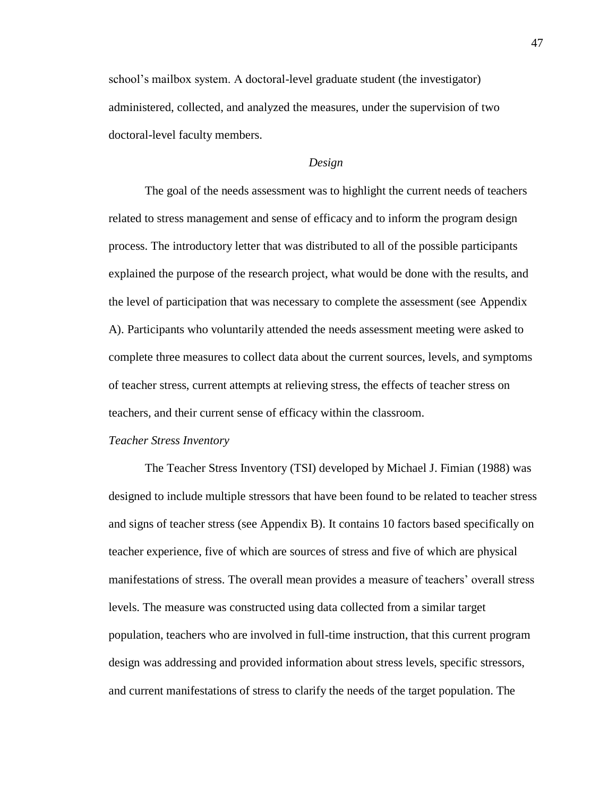school's mailbox system. A doctoral-level graduate student (the investigator) administered, collected, and analyzed the measures, under the supervision of two doctoral-level faculty members.

#### *Design*

The goal of the needs assessment was to highlight the current needs of teachers related to stress management and sense of efficacy and to inform the program design process. The introductory letter that was distributed to all of the possible participants explained the purpose of the research project, what would be done with the results, and the level of participation that was necessary to complete the assessment (see Appendix A). Participants who voluntarily attended the needs assessment meeting were asked to complete three measures to collect data about the current sources, levels, and symptoms of teacher stress, current attempts at relieving stress, the effects of teacher stress on teachers, and their current sense of efficacy within the classroom.

#### *Teacher Stress Inventory*

The Teacher Stress Inventory (TSI) developed by Michael J. Fimian (1988) was designed to include multiple stressors that have been found to be related to teacher stress and signs of teacher stress (see Appendix B). It contains 10 factors based specifically on teacher experience, five of which are sources of stress and five of which are physical manifestations of stress. The overall mean provides a measure of teachers' overall stress levels. The measure was constructed using data collected from a similar target population, teachers who are involved in full-time instruction, that this current program design was addressing and provided information about stress levels, specific stressors, and current manifestations of stress to clarify the needs of the target population. The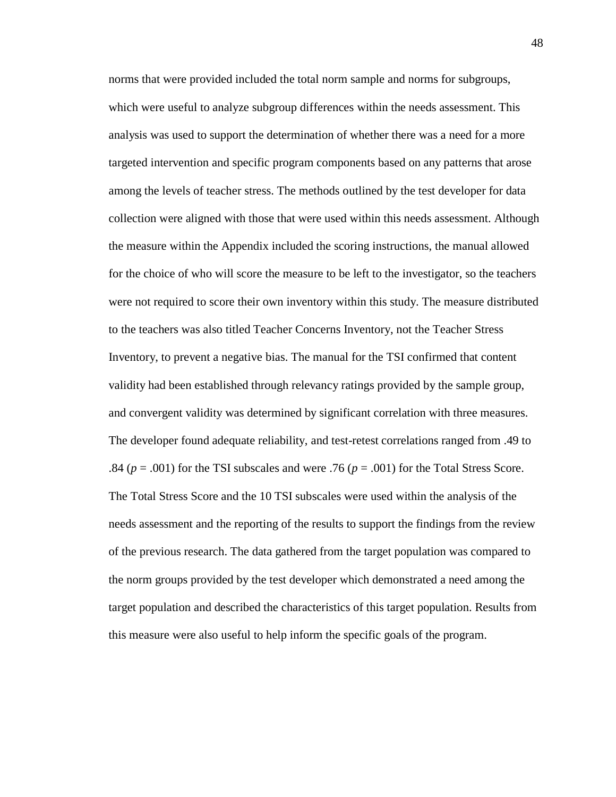norms that were provided included the total norm sample and norms for subgroups, which were useful to analyze subgroup differences within the needs assessment. This analysis was used to support the determination of whether there was a need for a more targeted intervention and specific program components based on any patterns that arose among the levels of teacher stress. The methods outlined by the test developer for data collection were aligned with those that were used within this needs assessment. Although the measure within the Appendix included the scoring instructions, the manual allowed for the choice of who will score the measure to be left to the investigator, so the teachers were not required to score their own inventory within this study. The measure distributed to the teachers was also titled Teacher Concerns Inventory, not the Teacher Stress Inventory, to prevent a negative bias. The manual for the TSI confirmed that content validity had been established through relevancy ratings provided by the sample group, and convergent validity was determined by significant correlation with three measures. The developer found adequate reliability, and test-retest correlations ranged from .49 to .84 ( $p = .001$ ) for the TSI subscales and were .76 ( $p = .001$ ) for the Total Stress Score. The Total Stress Score and the 10 TSI subscales were used within the analysis of the needs assessment and the reporting of the results to support the findings from the review of the previous research. The data gathered from the target population was compared to the norm groups provided by the test developer which demonstrated a need among the target population and described the characteristics of this target population. Results from this measure were also useful to help inform the specific goals of the program.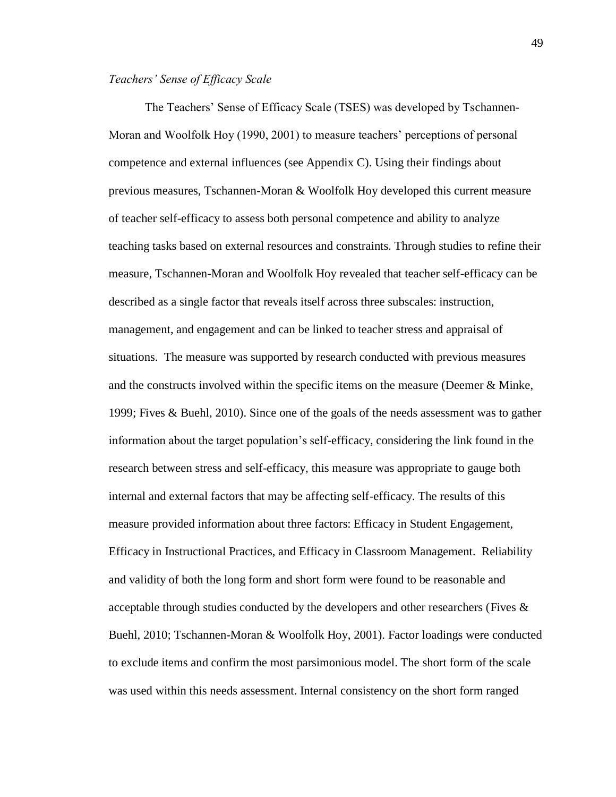#### *Teachers' Sense of Efficacy Scale*

The Teachers' Sense of Efficacy Scale (TSES) was developed by Tschannen-Moran and Woolfolk Hoy (1990, 2001) to measure teachers' perceptions of personal competence and external influences (see Appendix C). Using their findings about previous measures, Tschannen-Moran & Woolfolk Hoy developed this current measure of teacher self-efficacy to assess both personal competence and ability to analyze teaching tasks based on external resources and constraints. Through studies to refine their measure, Tschannen-Moran and Woolfolk Hoy revealed that teacher self-efficacy can be described as a single factor that reveals itself across three subscales: instruction, management, and engagement and can be linked to teacher stress and appraisal of situations. The measure was supported by research conducted with previous measures and the constructs involved within the specific items on the measure (Deemer  $\&$  Minke, 1999; Fives & Buehl, 2010). Since one of the goals of the needs assessment was to gather information about the target population's self-efficacy, considering the link found in the research between stress and self-efficacy, this measure was appropriate to gauge both internal and external factors that may be affecting self-efficacy. The results of this measure provided information about three factors: Efficacy in Student Engagement, Efficacy in Instructional Practices, and Efficacy in Classroom Management. Reliability and validity of both the long form and short form were found to be reasonable and acceptable through studies conducted by the developers and other researchers (Fives & Buehl, 2010; Tschannen-Moran & Woolfolk Hoy, 2001). Factor loadings were conducted to exclude items and confirm the most parsimonious model. The short form of the scale was used within this needs assessment. Internal consistency on the short form ranged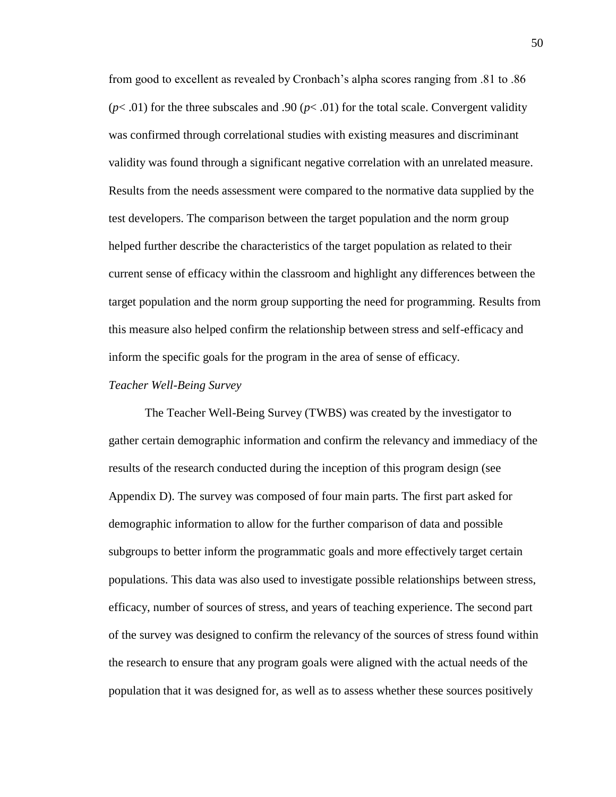from good to excellent as revealed by Cronbach's alpha scores ranging from .81 to .86  $(p<.01)$  for the three subscales and .90  $(p<.01)$  for the total scale. Convergent validity was confirmed through correlational studies with existing measures and discriminant validity was found through a significant negative correlation with an unrelated measure. Results from the needs assessment were compared to the normative data supplied by the test developers. The comparison between the target population and the norm group helped further describe the characteristics of the target population as related to their current sense of efficacy within the classroom and highlight any differences between the target population and the norm group supporting the need for programming. Results from this measure also helped confirm the relationship between stress and self-efficacy and inform the specific goals for the program in the area of sense of efficacy.

#### *Teacher Well-Being Survey*

The Teacher Well-Being Survey (TWBS) was created by the investigator to gather certain demographic information and confirm the relevancy and immediacy of the results of the research conducted during the inception of this program design (see Appendix D). The survey was composed of four main parts. The first part asked for demographic information to allow for the further comparison of data and possible subgroups to better inform the programmatic goals and more effectively target certain populations. This data was also used to investigate possible relationships between stress, efficacy, number of sources of stress, and years of teaching experience. The second part of the survey was designed to confirm the relevancy of the sources of stress found within the research to ensure that any program goals were aligned with the actual needs of the population that it was designed for, as well as to assess whether these sources positively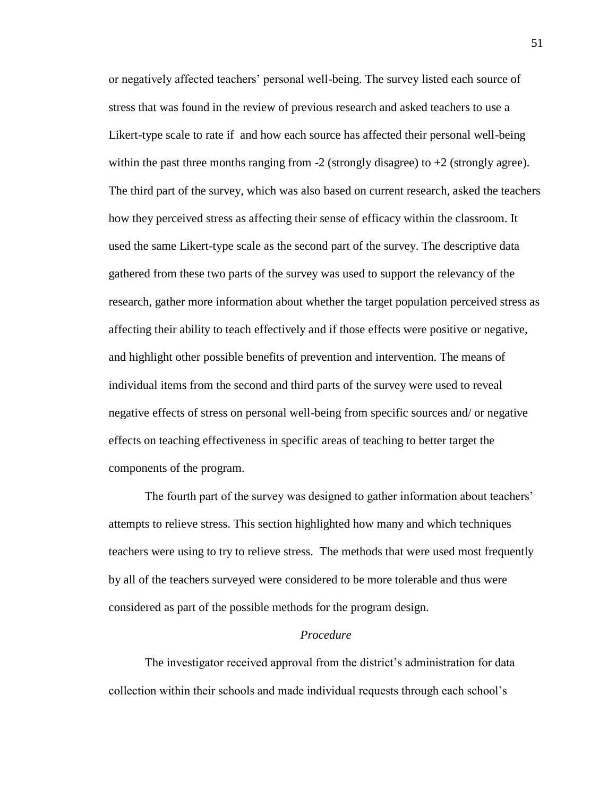or negatively affected teachers' personal well-being. The survey listed each source of stress that was found in the review of previous research and asked teachers to use a Likert-type scale to rate if and how each source has affected their personal well-being within the past three months ranging from  $-2$  (strongly disagree) to  $+2$  (strongly agree). The third part of the survey, which was also based on current research, asked the teachers how they perceived stress as affecting their sense of efficacy within the classroom. It used the same Likert-type scale as the second part of the survey. The descriptive data gathered from these two parts of the survey was used to support the relevancy of the research, gather more information about whether the target population perceived stress as affecting their ability to teach effectively and if those effects were positive or negative, and highlight other possible benefits of prevention and intervention. The means of individual items from the second and third parts of the survey were used to reveal negative effects of stress on personal well-being from specific sources and/ or negative effects on teaching effectiveness in specific areas of teaching to better target the components of the program.

The fourth part of the survey was designed to gather information about teachers' attempts to relieve stress. This section highlighted how many and which techniques teachers were using to try to relieve stress. The methods that were used most frequently by all of the teachers surveyed were considered to be more tolerable and thus were considered as part of the possible methods for the program design.

## *Procedure*

The investigator received approval from the district's administration for data collection within their schools and made individual requests through each school's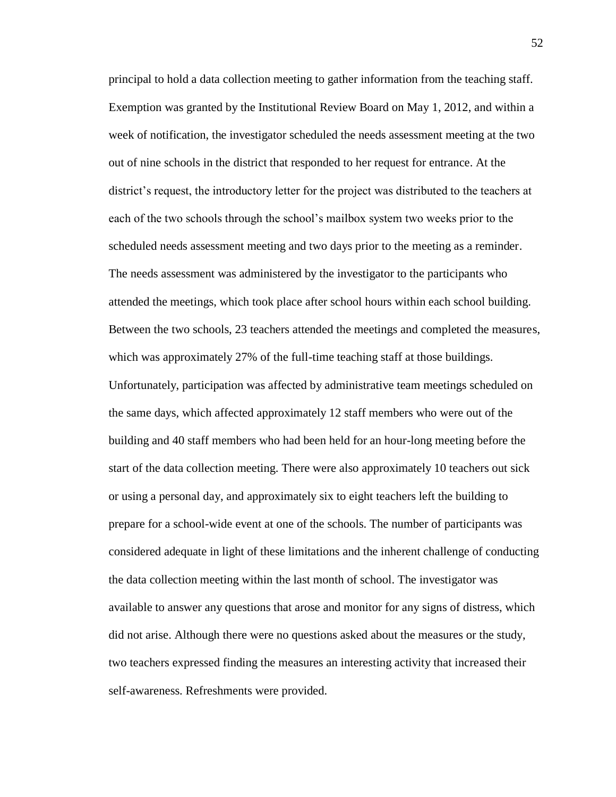principal to hold a data collection meeting to gather information from the teaching staff. Exemption was granted by the Institutional Review Board on May 1, 2012, and within a week of notification, the investigator scheduled the needs assessment meeting at the two out of nine schools in the district that responded to her request for entrance. At the district's request, the introductory letter for the project was distributed to the teachers at each of the two schools through the school's mailbox system two weeks prior to the scheduled needs assessment meeting and two days prior to the meeting as a reminder. The needs assessment was administered by the investigator to the participants who attended the meetings, which took place after school hours within each school building. Between the two schools, 23 teachers attended the meetings and completed the measures, which was approximately 27% of the full-time teaching staff at those buildings. Unfortunately, participation was affected by administrative team meetings scheduled on the same days, which affected approximately 12 staff members who were out of the building and 40 staff members who had been held for an hour-long meeting before the start of the data collection meeting. There were also approximately 10 teachers out sick or using a personal day, and approximately six to eight teachers left the building to prepare for a school-wide event at one of the schools. The number of participants was considered adequate in light of these limitations and the inherent challenge of conducting the data collection meeting within the last month of school. The investigator was available to answer any questions that arose and monitor for any signs of distress, which did not arise. Although there were no questions asked about the measures or the study, two teachers expressed finding the measures an interesting activity that increased their self-awareness. Refreshments were provided.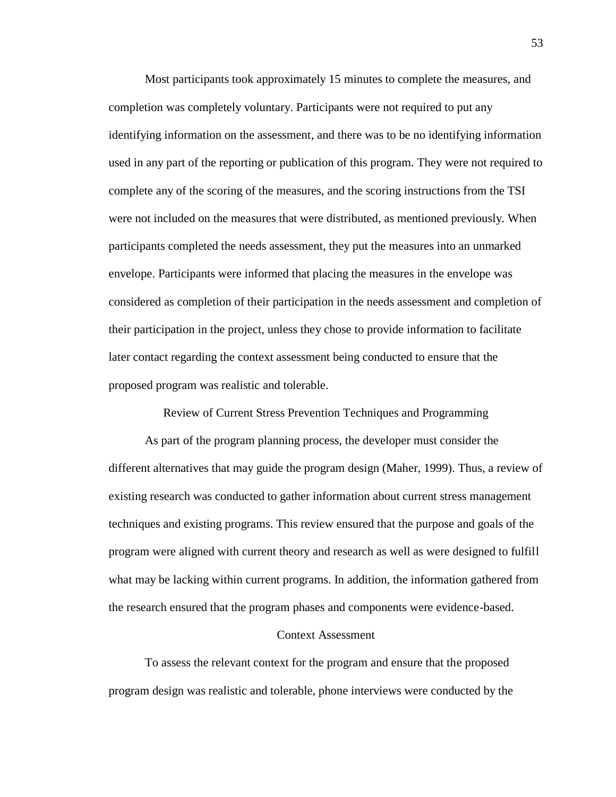Most participants took approximately 15 minutes to complete the measures, and completion was completely voluntary. Participants were not required to put any identifying information on the assessment, and there was to be no identifying information used in any part of the reporting or publication of this program. They were not required to complete any of the scoring of the measures, and the scoring instructions from the TSI were not included on the measures that were distributed, as mentioned previously. When participants completed the needs assessment, they put the measures into an unmarked envelope. Participants were informed that placing the measures in the envelope was considered as completion of their participation in the needs assessment and completion of their participation in the project, unless they chose to provide information to facilitate later contact regarding the context assessment being conducted to ensure that the proposed program was realistic and tolerable.

Review of Current Stress Prevention Techniques and Programming

As part of the program planning process, the developer must consider the different alternatives that may guide the program design (Maher, 1999). Thus, a review of existing research was conducted to gather information about current stress management techniques and existing programs. This review ensured that the purpose and goals of the program were aligned with current theory and research as well as were designed to fulfill what may be lacking within current programs. In addition, the information gathered from the research ensured that the program phases and components were evidence-based.

#### Context Assessment

To assess the relevant context for the program and ensure that the proposed program design was realistic and tolerable, phone interviews were conducted by the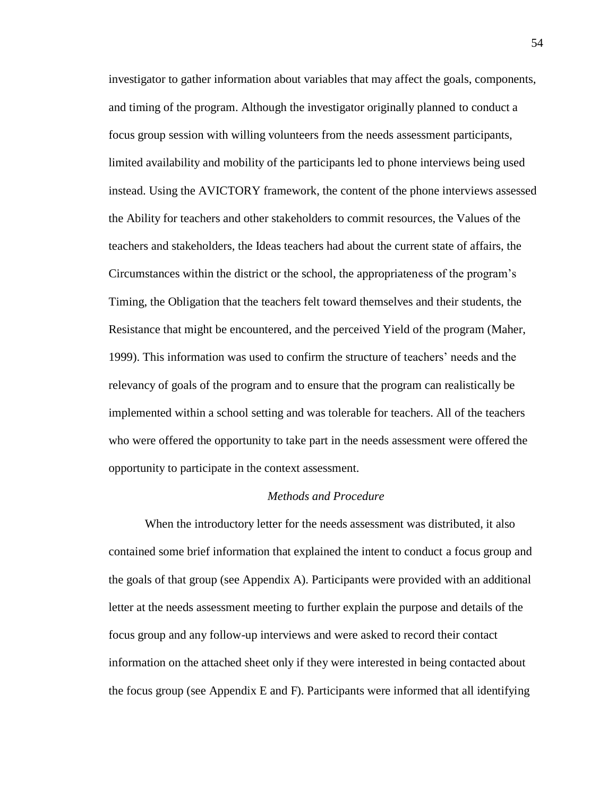investigator to gather information about variables that may affect the goals, components, and timing of the program. Although the investigator originally planned to conduct a focus group session with willing volunteers from the needs assessment participants, limited availability and mobility of the participants led to phone interviews being used instead. Using the AVICTORY framework, the content of the phone interviews assessed the Ability for teachers and other stakeholders to commit resources, the Values of the teachers and stakeholders, the Ideas teachers had about the current state of affairs, the Circumstances within the district or the school, the appropriateness of the program's Timing, the Obligation that the teachers felt toward themselves and their students, the Resistance that might be encountered, and the perceived Yield of the program (Maher, 1999). This information was used to confirm the structure of teachers' needs and the relevancy of goals of the program and to ensure that the program can realistically be implemented within a school setting and was tolerable for teachers. All of the teachers who were offered the opportunity to take part in the needs assessment were offered the opportunity to participate in the context assessment.

#### *Methods and Procedure*

When the introductory letter for the needs assessment was distributed, it also contained some brief information that explained the intent to conduct a focus group and the goals of that group (see Appendix A). Participants were provided with an additional letter at the needs assessment meeting to further explain the purpose and details of the focus group and any follow-up interviews and were asked to record their contact information on the attached sheet only if they were interested in being contacted about the focus group (see Appendix E and F). Participants were informed that all identifying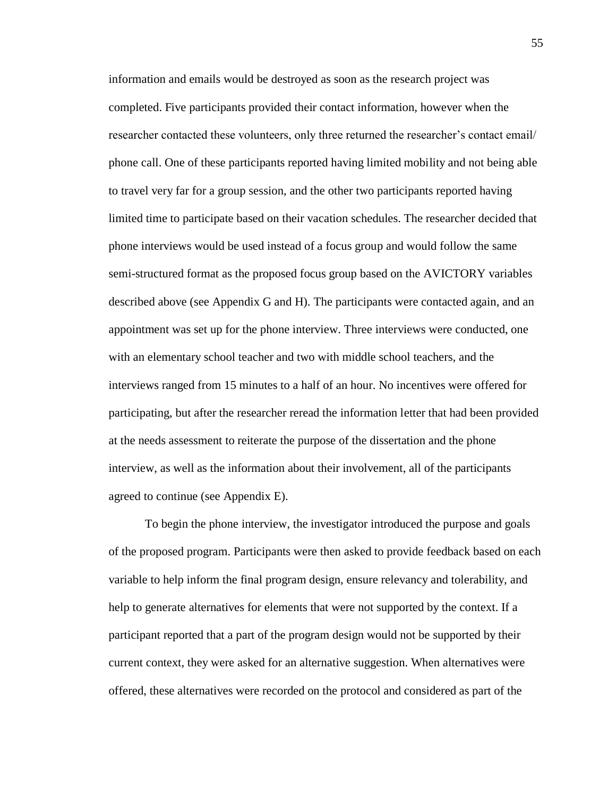information and emails would be destroyed as soon as the research project was completed. Five participants provided their contact information, however when the researcher contacted these volunteers, only three returned the researcher's contact email/ phone call. One of these participants reported having limited mobility and not being able to travel very far for a group session, and the other two participants reported having limited time to participate based on their vacation schedules. The researcher decided that phone interviews would be used instead of a focus group and would follow the same semi-structured format as the proposed focus group based on the AVICTORY variables described above (see Appendix G and H). The participants were contacted again, and an appointment was set up for the phone interview. Three interviews were conducted, one with an elementary school teacher and two with middle school teachers, and the interviews ranged from 15 minutes to a half of an hour. No incentives were offered for participating, but after the researcher reread the information letter that had been provided at the needs assessment to reiterate the purpose of the dissertation and the phone interview, as well as the information about their involvement, all of the participants agreed to continue (see Appendix E).

To begin the phone interview, the investigator introduced the purpose and goals of the proposed program. Participants were then asked to provide feedback based on each variable to help inform the final program design, ensure relevancy and tolerability, and help to generate alternatives for elements that were not supported by the context. If a participant reported that a part of the program design would not be supported by their current context, they were asked for an alternative suggestion. When alternatives were offered, these alternatives were recorded on the protocol and considered as part of the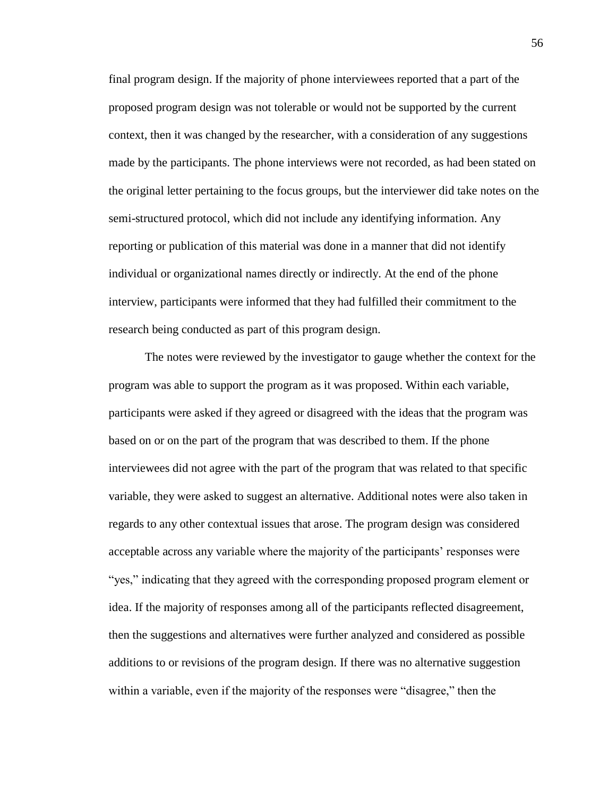final program design. If the majority of phone interviewees reported that a part of the proposed program design was not tolerable or would not be supported by the current context, then it was changed by the researcher, with a consideration of any suggestions made by the participants. The phone interviews were not recorded, as had been stated on the original letter pertaining to the focus groups, but the interviewer did take notes on the semi-structured protocol, which did not include any identifying information. Any reporting or publication of this material was done in a manner that did not identify individual or organizational names directly or indirectly. At the end of the phone interview, participants were informed that they had fulfilled their commitment to the research being conducted as part of this program design.

The notes were reviewed by the investigator to gauge whether the context for the program was able to support the program as it was proposed. Within each variable, participants were asked if they agreed or disagreed with the ideas that the program was based on or on the part of the program that was described to them. If the phone interviewees did not agree with the part of the program that was related to that specific variable, they were asked to suggest an alternative. Additional notes were also taken in regards to any other contextual issues that arose. The program design was considered acceptable across any variable where the majority of the participants' responses were "yes," indicating that they agreed with the corresponding proposed program element or idea. If the majority of responses among all of the participants reflected disagreement, then the suggestions and alternatives were further analyzed and considered as possible additions to or revisions of the program design. If there was no alternative suggestion within a variable, even if the majority of the responses were "disagree," then the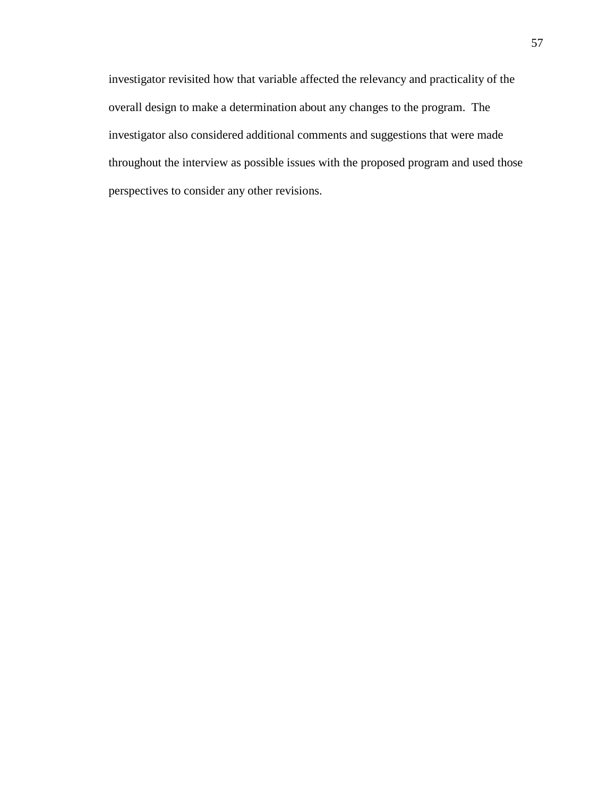investigator revisited how that variable affected the relevancy and practicality of the overall design to make a determination about any changes to the program. The investigator also considered additional comments and suggestions that were made throughout the interview as possible issues with the proposed program and used those perspectives to consider any other revisions.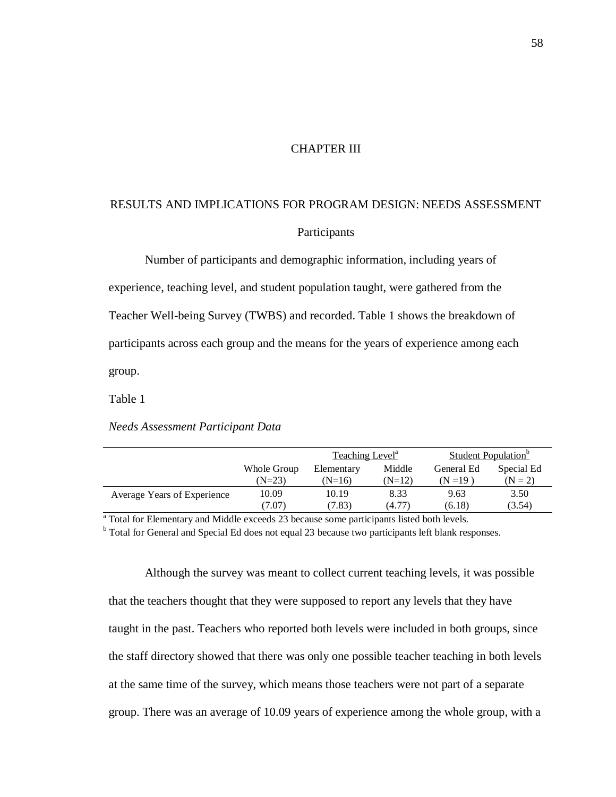## CHAPTER III

# RESULTS AND IMPLICATIONS FOR PROGRAM DESIGN: NEEDS ASSESSMENT

# Participants

Number of participants and demographic information, including years of experience, teaching level, and student population taught, were gathered from the Teacher Well-being Survey (TWBS) and recorded. Table 1 shows the breakdown of participants across each group and the means for the years of experience among each group.

Table 1

*Needs Assessment Participant Data*

|                             |             | Teaching Level <sup>a</sup> |          | Student Population <sup>o</sup> |            |  |
|-----------------------------|-------------|-----------------------------|----------|---------------------------------|------------|--|
|                             | Whole Group | Elementary                  | Middle   | General Ed                      | Special Ed |  |
|                             | $(N=23)$    | $(N=16)$                    | $(N=12)$ | (N = 19)                        | $(N = 2)$  |  |
| Average Years of Experience | 10.09       | 10.19                       | 8.33     | 9.63                            | 3.50       |  |
|                             | (7.07)      | (7.83)                      | (4.77)   | (6.18)                          | (3.54)     |  |

<sup>a</sup> Total for Elementary and Middle exceeds 23 because some participants listed both levels.

<sup>b</sup> Total for General and Special Ed does not equal 23 because two participants left blank responses.

Although the survey was meant to collect current teaching levels, it was possible that the teachers thought that they were supposed to report any levels that they have taught in the past. Teachers who reported both levels were included in both groups, since the staff directory showed that there was only one possible teacher teaching in both levels at the same time of the survey, which means those teachers were not part of a separate group. There was an average of 10.09 years of experience among the whole group, with a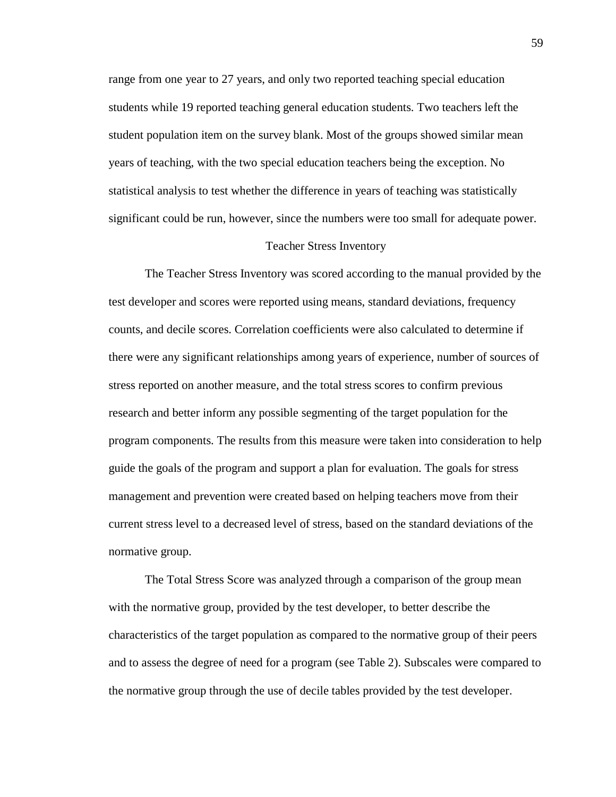range from one year to 27 years, and only two reported teaching special education students while 19 reported teaching general education students. Two teachers left the student population item on the survey blank. Most of the groups showed similar mean years of teaching, with the two special education teachers being the exception. No statistical analysis to test whether the difference in years of teaching was statistically significant could be run, however, since the numbers were too small for adequate power.

#### Teacher Stress Inventory

The Teacher Stress Inventory was scored according to the manual provided by the test developer and scores were reported using means, standard deviations, frequency counts, and decile scores. Correlation coefficients were also calculated to determine if there were any significant relationships among years of experience, number of sources of stress reported on another measure, and the total stress scores to confirm previous research and better inform any possible segmenting of the target population for the program components. The results from this measure were taken into consideration to help guide the goals of the program and support a plan for evaluation. The goals for stress management and prevention were created based on helping teachers move from their current stress level to a decreased level of stress, based on the standard deviations of the normative group.

The Total Stress Score was analyzed through a comparison of the group mean with the normative group, provided by the test developer, to better describe the characteristics of the target population as compared to the normative group of their peers and to assess the degree of need for a program (see Table 2). Subscales were compared to the normative group through the use of decile tables provided by the test developer.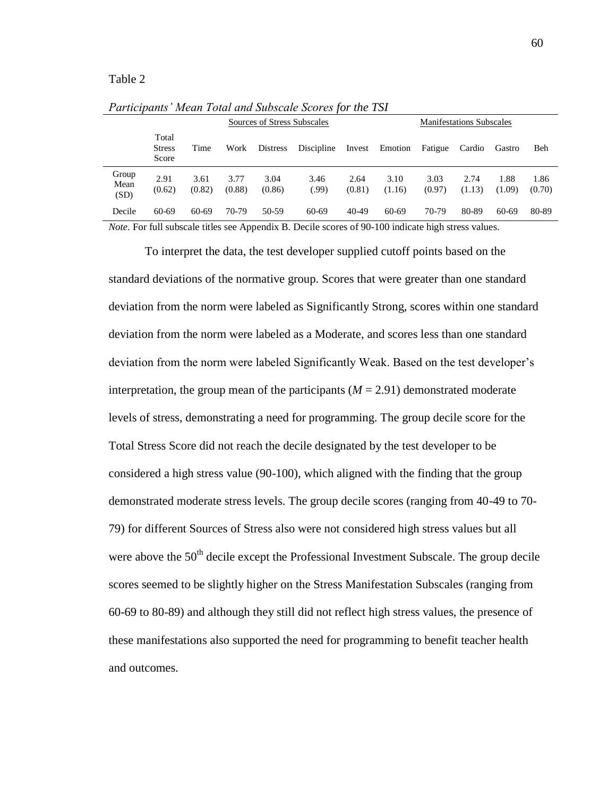#### Table 2

|                       |                                 |                |                | Sources of Stress Subscales |               |                |                |                | <b>Manifestations Subscales</b> |                |                |  |
|-----------------------|---------------------------------|----------------|----------------|-----------------------------|---------------|----------------|----------------|----------------|---------------------------------|----------------|----------------|--|
|                       | Total<br><b>Stress</b><br>Score | Time           | Work           | <b>Distress</b>             | Discipline    | Invest         | Emotion        | Fatigue        | Cardio                          | Gastro         | Beh            |  |
| Group<br>Mean<br>(SD) | 2.91<br>(0.62)                  | 3.61<br>(0.82) | 3.77<br>(0.88) | 3.04<br>(0.86)              | 3.46<br>(.99) | 2.64<br>(0.81) | 3.10<br>(1.16) | 3.03<br>(0.97) | 2.74<br>(1.13)                  | 1.88<br>(1.09) | 1.86<br>(0.70) |  |
| Decile                | 60-69                           | 60-69          | 70-79          | 50-59                       | 60-69         | 40-49          | 60-69          | 70-79          | 80-89                           | 60-69          | 80-89          |  |

*Participants' Mean Total and Subscale Scores for the TSI*

*Note*. For full subscale titles see Appendix B. Decile scores of 90-100 indicate high stress values.

To interpret the data, the test developer supplied cutoff points based on the standard deviations of the normative group. Scores that were greater than one standard deviation from the norm were labeled as Significantly Strong, scores within one standard deviation from the norm were labeled as a Moderate, and scores less than one standard deviation from the norm were labeled Significantly Weak. Based on the test developer's interpretation, the group mean of the participants  $(M = 2.91)$  demonstrated moderate levels of stress, demonstrating a need for programming. The group decile score for the Total Stress Score did not reach the decile designated by the test developer to be considered a high stress value (90-100), which aligned with the finding that the group demonstrated moderate stress levels. The group decile scores (ranging from 40-49 to 70- 79) for different Sources of Stress also were not considered high stress values but all were above the  $50<sup>th</sup>$  decile except the Professional Investment Subscale. The group decile scores seemed to be slightly higher on the Stress Manifestation Subscales (ranging from 60-69 to 80-89) and although they still did not reflect high stress values, the presence of these manifestations also supported the need for programming to benefit teacher health and outcomes.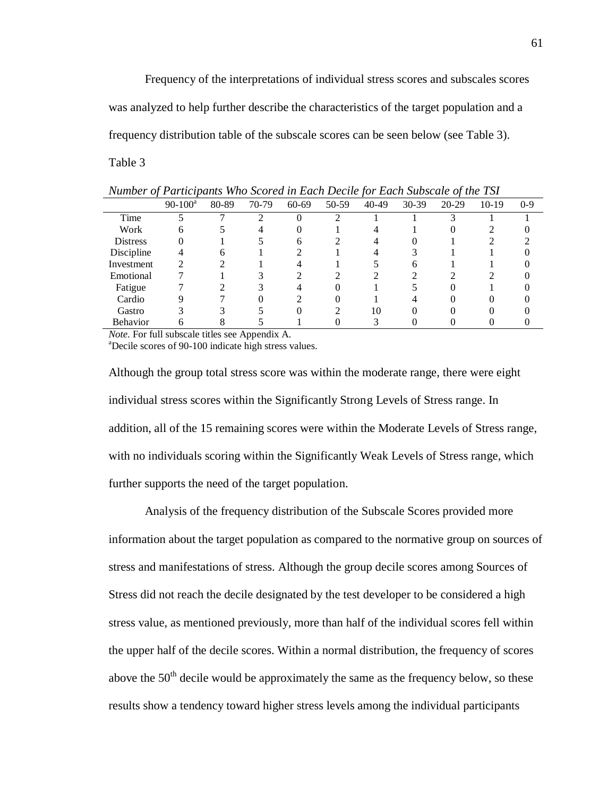Frequency of the interpretations of individual stress scores and subscales scores was analyzed to help further describe the characteristics of the target population and a frequency distribution table of the subscale scores can be seen below (see Table 3).

Table 3

| $\sim$          |            |       |       |           |       |       |       |         |         |       |
|-----------------|------------|-------|-------|-----------|-------|-------|-------|---------|---------|-------|
|                 | $90-100^a$ | 80-89 | 70-79 | $60 - 69$ | 50-59 | 40-49 | 30-39 | $20-29$ | $10-19$ | $0-9$ |
| Time            |            |       | ◠     |           |       |       |       |         |         |       |
| Work            | 6          |       |       |           |       |       |       |         |         |       |
| <b>Distress</b> |            |       |       | h         |       |       |       |         |         |       |
| Discipline      |            |       |       |           |       |       |       |         |         |       |
| Investment      | ◠          |       |       |           |       |       |       |         |         |       |
| Emotional       |            |       |       |           |       |       |       |         |         |       |
| Fatigue         |            |       |       |           |       |       |       |         |         |       |
| Cardio          |            |       |       |           |       |       |       |         |         |       |
| Gastro          |            |       |       |           |       | 10    |       |         |         |       |
| Behavior        | n          |       |       |           |       |       |       |         |         |       |

*Number of Participants Who Scored in Each Decile for Each Subscale of the TSI*

*Note*. For full subscale titles see Appendix A.

<sup>a</sup>Decile scores of 90-100 indicate high stress values.

Although the group total stress score was within the moderate range, there were eight individual stress scores within the Significantly Strong Levels of Stress range. In addition, all of the 15 remaining scores were within the Moderate Levels of Stress range, with no individuals scoring within the Significantly Weak Levels of Stress range, which further supports the need of the target population.

Analysis of the frequency distribution of the Subscale Scores provided more information about the target population as compared to the normative group on sources of stress and manifestations of stress. Although the group decile scores among Sources of Stress did not reach the decile designated by the test developer to be considered a high stress value, as mentioned previously, more than half of the individual scores fell within the upper half of the decile scores. Within a normal distribution, the frequency of scores above the  $50<sup>th</sup>$  decile would be approximately the same as the frequency below, so these results show a tendency toward higher stress levels among the individual participants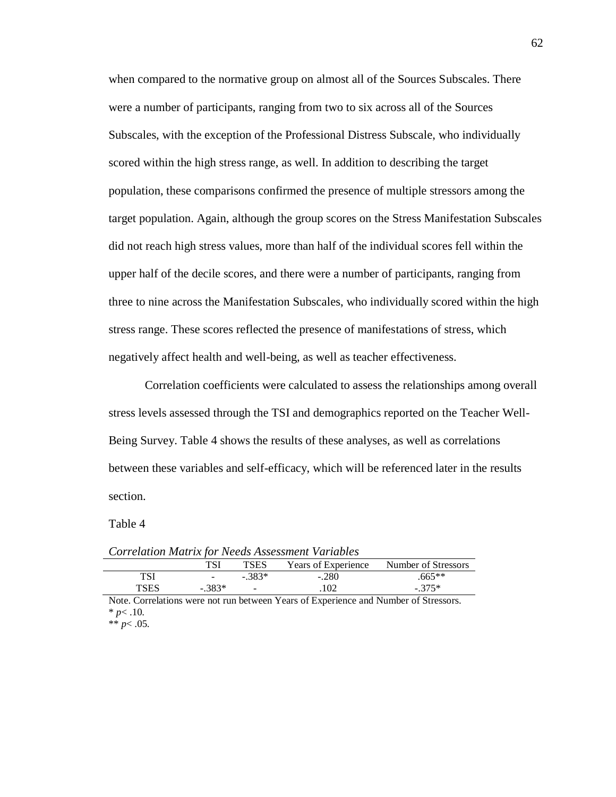when compared to the normative group on almost all of the Sources Subscales. There were a number of participants, ranging from two to six across all of the Sources Subscales, with the exception of the Professional Distress Subscale, who individually scored within the high stress range, as well. In addition to describing the target population, these comparisons confirmed the presence of multiple stressors among the target population. Again, although the group scores on the Stress Manifestation Subscales did not reach high stress values, more than half of the individual scores fell within the upper half of the decile scores, and there were a number of participants, ranging from three to nine across the Manifestation Subscales, who individually scored within the high stress range. These scores reflected the presence of manifestations of stress, which negatively affect health and well-being, as well as teacher effectiveness.

Correlation coefficients were calculated to assess the relationships among overall stress levels assessed through the TSI and demographics reported on the Teacher Well-Being Survey. Table 4 shows the results of these analyses, as well as correlations between these variables and self-efficacy, which will be referenced later in the results section.

Table 4

| Corretation main with receasinossiment variables |                  |         |                     |                     |  |  |  |  |
|--------------------------------------------------|------------------|---------|---------------------|---------------------|--|--|--|--|
|                                                  |                  | TSES    | Years of Experience | Number of Stressors |  |  |  |  |
| TSI                                              | $\sim$ 100 $\mu$ | $-383*$ | $-.280$             | $.665**$            |  |  |  |  |
| TSES                                             | $-.383*$         | $\sim$  | .102                | $-.375*$            |  |  |  |  |

*Correlation Matrix for Needs Assessment Variables*

Note. Correlations were not run between Years of Experience and Number of Stressors.  $* p < .10.$ 

\*\* *p*< .05.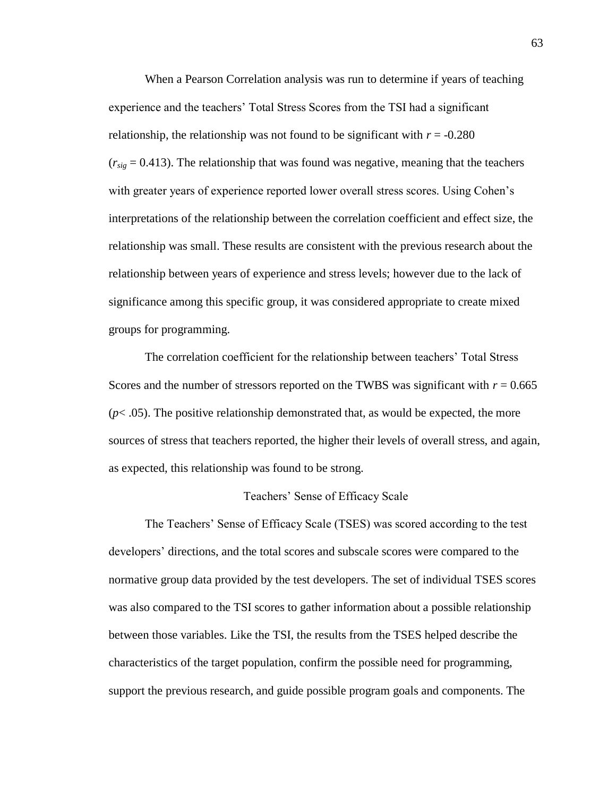When a Pearson Correlation analysis was run to determine if years of teaching experience and the teachers' Total Stress Scores from the TSI had a significant relationship, the relationship was not found to be significant with  $r = -0.280$  $(r<sub>siq</sub> = 0.413)$ . The relationship that was found was negative, meaning that the teachers with greater years of experience reported lower overall stress scores. Using Cohen's interpretations of the relationship between the correlation coefficient and effect size, the relationship was small. These results are consistent with the previous research about the relationship between years of experience and stress levels; however due to the lack of significance among this specific group, it was considered appropriate to create mixed groups for programming.

The correlation coefficient for the relationship between teachers' Total Stress Scores and the number of stressors reported on the TWBS was significant with  $r = 0.665$  $(p< .05)$ . The positive relationship demonstrated that, as would be expected, the more sources of stress that teachers reported, the higher their levels of overall stress, and again, as expected, this relationship was found to be strong.

## Teachers' Sense of Efficacy Scale

The Teachers' Sense of Efficacy Scale (TSES) was scored according to the test developers' directions, and the total scores and subscale scores were compared to the normative group data provided by the test developers. The set of individual TSES scores was also compared to the TSI scores to gather information about a possible relationship between those variables. Like the TSI, the results from the TSES helped describe the characteristics of the target population, confirm the possible need for programming, support the previous research, and guide possible program goals and components. The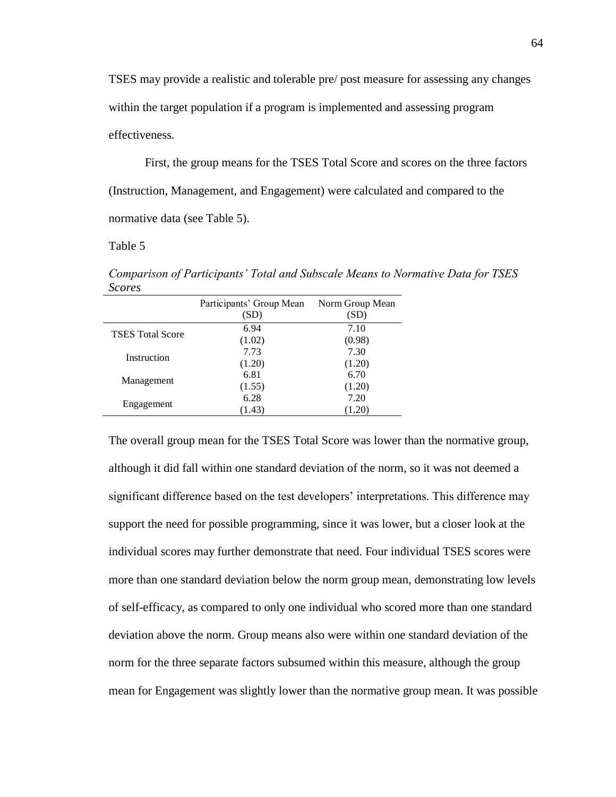TSES may provide a realistic and tolerable pre/ post measure for assessing any changes within the target population if a program is implemented and assessing program effectiveness.

First, the group means for the TSES Total Score and scores on the three factors (Instruction, Management, and Engagement) were calculated and compared to the normative data (see Table 5).

Table 5

*Comparison of Participants' Total and Subscale Means to Normative Data for TSES Scores* 

|                         | Participants' Group Mean<br>(SD) | Norm Group Mean<br>(SD) |
|-------------------------|----------------------------------|-------------------------|
| <b>TSES</b> Total Score | 6.94                             | 7.10                    |
|                         | (1.02)                           | (0.98)                  |
| Instruction             | 7.73                             | 7.30                    |
|                         | (1.20)                           | (1.20)                  |
|                         | 6.81                             | 6.70                    |
| Management              | (1.55)                           | (1.20)                  |
|                         | 6.28                             | 7.20                    |
| Engagement              | (1.43)                           | (1.20)                  |

The overall group mean for the TSES Total Score was lower than the normative group, although it did fall within one standard deviation of the norm, so it was not deemed a significant difference based on the test developers' interpretations. This difference may support the need for possible programming, since it was lower, but a closer look at the individual scores may further demonstrate that need. Four individual TSES scores were more than one standard deviation below the norm group mean, demonstrating low levels of self-efficacy, as compared to only one individual who scored more than one standard deviation above the norm. Group means also were within one standard deviation of the norm for the three separate factors subsumed within this measure, although the group mean for Engagement was slightly lower than the normative group mean. It was possible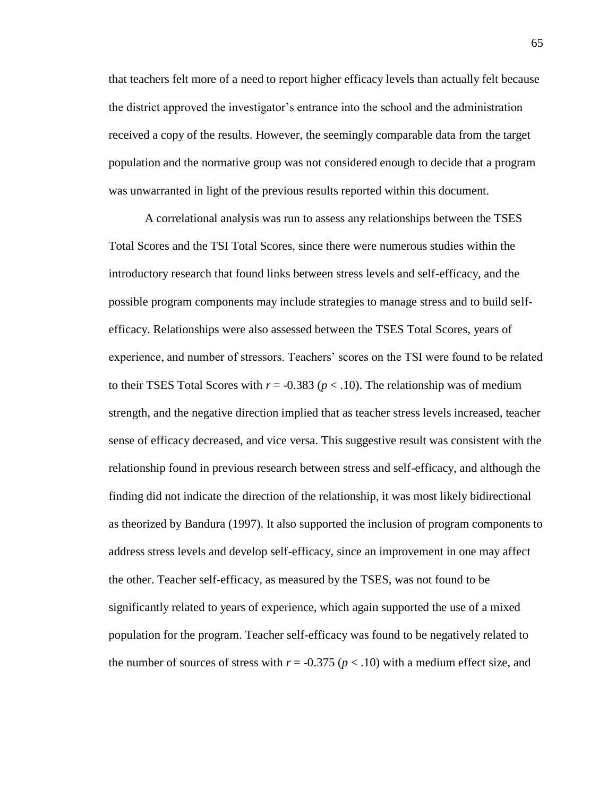that teachers felt more of a need to report higher efficacy levels than actually felt because the district approved the investigator's entrance into the school and the administration received a copy of the results. However, the seemingly comparable data from the target population and the normative group was not considered enough to decide that a program was unwarranted in light of the previous results reported within this document.

A correlational analysis was run to assess any relationships between the TSES Total Scores and the TSI Total Scores, since there were numerous studies within the introductory research that found links between stress levels and self-efficacy, and the possible program components may include strategies to manage stress and to build selfefficacy. Relationships were also assessed between the TSES Total Scores, years of experience, and number of stressors. Teachers' scores on the TSI were found to be related to their TSES Total Scores with  $r = -0.383$  ( $p < .10$ ). The relationship was of medium strength, and the negative direction implied that as teacher stress levels increased, teacher sense of efficacy decreased, and vice versa. This suggestive result was consistent with the relationship found in previous research between stress and self-efficacy, and although the finding did not indicate the direction of the relationship, it was most likely bidirectional as theorized by Bandura (1997). It also supported the inclusion of program components to address stress levels and develop self-efficacy, since an improvement in one may affect the other. Teacher self-efficacy, as measured by the TSES, was not found to be significantly related to years of experience, which again supported the use of a mixed population for the program. Teacher self-efficacy was found to be negatively related to the number of sources of stress with  $r = -0.375$  ( $p < .10$ ) with a medium effect size, and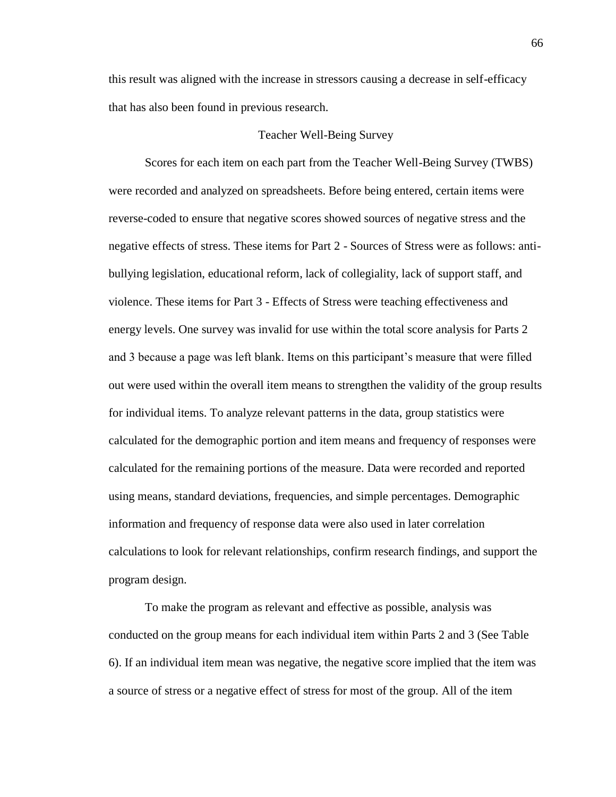this result was aligned with the increase in stressors causing a decrease in self-efficacy that has also been found in previous research.

#### Teacher Well-Being Survey

Scores for each item on each part from the Teacher Well-Being Survey (TWBS) were recorded and analyzed on spreadsheets. Before being entered, certain items were reverse-coded to ensure that negative scores showed sources of negative stress and the negative effects of stress. These items for Part 2 - Sources of Stress were as follows: antibullying legislation, educational reform, lack of collegiality, lack of support staff, and violence. These items for Part 3 - Effects of Stress were teaching effectiveness and energy levels. One survey was invalid for use within the total score analysis for Parts 2 and 3 because a page was left blank. Items on this participant's measure that were filled out were used within the overall item means to strengthen the validity of the group results for individual items. To analyze relevant patterns in the data, group statistics were calculated for the demographic portion and item means and frequency of responses were calculated for the remaining portions of the measure. Data were recorded and reported using means, standard deviations, frequencies, and simple percentages. Demographic information and frequency of response data were also used in later correlation calculations to look for relevant relationships, confirm research findings, and support the program design.

To make the program as relevant and effective as possible, analysis was conducted on the group means for each individual item within Parts 2 and 3 (See Table 6). If an individual item mean was negative, the negative score implied that the item was a source of stress or a negative effect of stress for most of the group. All of the item

66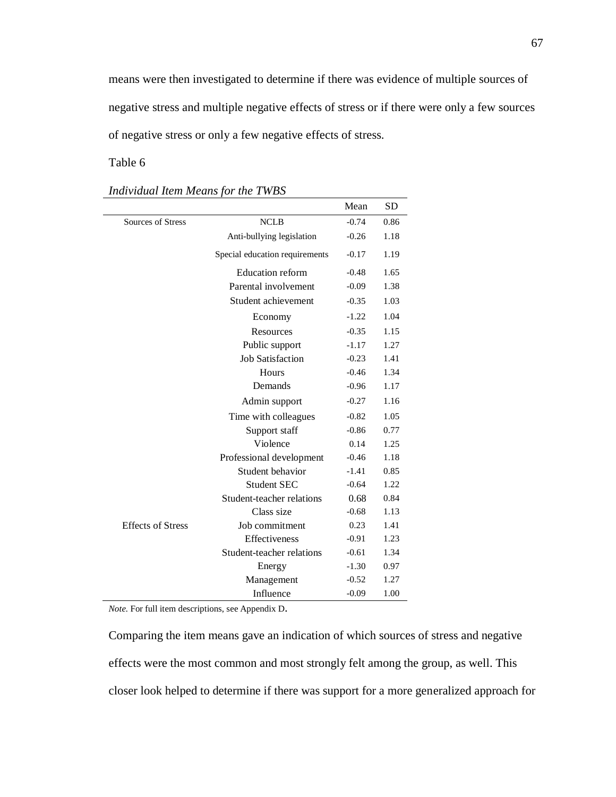means were then investigated to determine if there was evidence of multiple sources of negative stress and multiple negative effects of stress or if there were only a few sources of negative stress or only a few negative effects of stress.

Table 6

|                          |                                | Mean    | <b>SD</b> |
|--------------------------|--------------------------------|---------|-----------|
| Sources of Stress        | <b>NCLB</b>                    | $-0.74$ | 0.86      |
|                          | Anti-bullying legislation      | $-0.26$ | 1.18      |
|                          | Special education requirements | $-0.17$ | 1.19      |
|                          | <b>Education reform</b>        | $-0.48$ | 1.65      |
|                          | Parental involvement           | $-0.09$ | 1.38      |
|                          | Student achievement            | $-0.35$ | 1.03      |
|                          | Economy                        | $-1.22$ | 1.04      |
|                          | Resources                      | $-0.35$ | 1.15      |
|                          | Public support                 | $-1.17$ | 1.27      |
|                          | <b>Job Satisfaction</b>        | $-0.23$ | 1.41      |
|                          | Hours                          | $-0.46$ | 1.34      |
|                          | Demands                        | $-0.96$ | 1.17      |
|                          | Admin support                  | $-0.27$ | 1.16      |
|                          | Time with colleagues           | $-0.82$ | 1.05      |
|                          | Support staff                  | $-0.86$ | 0.77      |
|                          | Violence                       | 0.14    | 1.25      |
|                          | Professional development       | $-0.46$ | 1.18      |
|                          | Student behavior               | $-1.41$ | 0.85      |
|                          | <b>Student SEC</b>             | $-0.64$ | 1.22      |
|                          | Student-teacher relations      | 0.68    | 0.84      |
|                          | Class size                     | $-0.68$ | 1.13      |
| <b>Effects of Stress</b> | Job commitment                 | 0.23    | 1.41      |
|                          | Effectiveness                  | $-0.91$ | 1.23      |
|                          | Student-teacher relations      | $-0.61$ | 1.34      |
|                          | Energy                         | $-1.30$ | 0.97      |
|                          | Management                     | $-0.52$ | 1.27      |
|                          | Influence                      | $-0.09$ | 1.00      |

*Individual Item Means for the TWBS*

*Note.* For full item descriptions, see Appendix D.

Comparing the item means gave an indication of which sources of stress and negative effects were the most common and most strongly felt among the group, as well. This closer look helped to determine if there was support for a more generalized approach for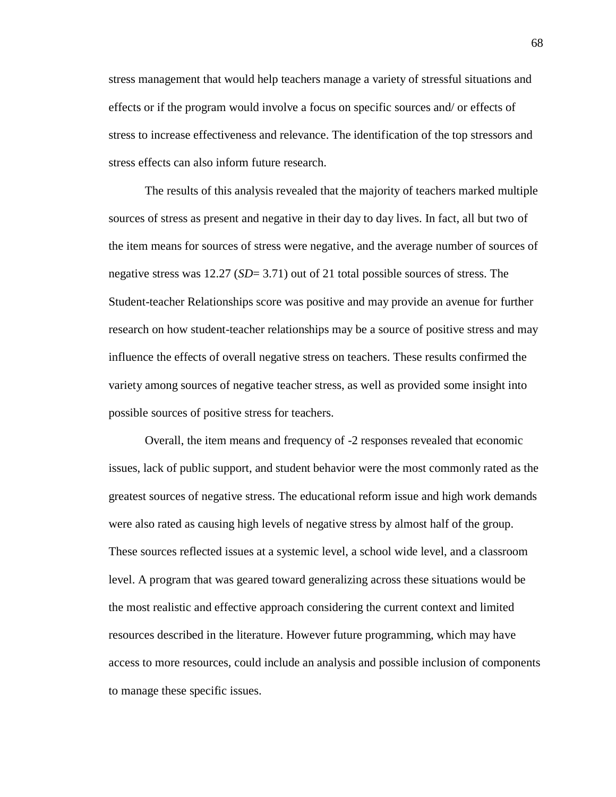stress management that would help teachers manage a variety of stressful situations and effects or if the program would involve a focus on specific sources and/ or effects of stress to increase effectiveness and relevance. The identification of the top stressors and stress effects can also inform future research.

The results of this analysis revealed that the majority of teachers marked multiple sources of stress as present and negative in their day to day lives. In fact, all but two of the item means for sources of stress were negative, and the average number of sources of negative stress was 12.27 (*SD*= 3.71) out of 21 total possible sources of stress. The Student-teacher Relationships score was positive and may provide an avenue for further research on how student-teacher relationships may be a source of positive stress and may influence the effects of overall negative stress on teachers. These results confirmed the variety among sources of negative teacher stress, as well as provided some insight into possible sources of positive stress for teachers.

Overall, the item means and frequency of -2 responses revealed that economic issues, lack of public support, and student behavior were the most commonly rated as the greatest sources of negative stress. The educational reform issue and high work demands were also rated as causing high levels of negative stress by almost half of the group. These sources reflected issues at a systemic level, a school wide level, and a classroom level. A program that was geared toward generalizing across these situations would be the most realistic and effective approach considering the current context and limited resources described in the literature. However future programming, which may have access to more resources, could include an analysis and possible inclusion of components to manage these specific issues.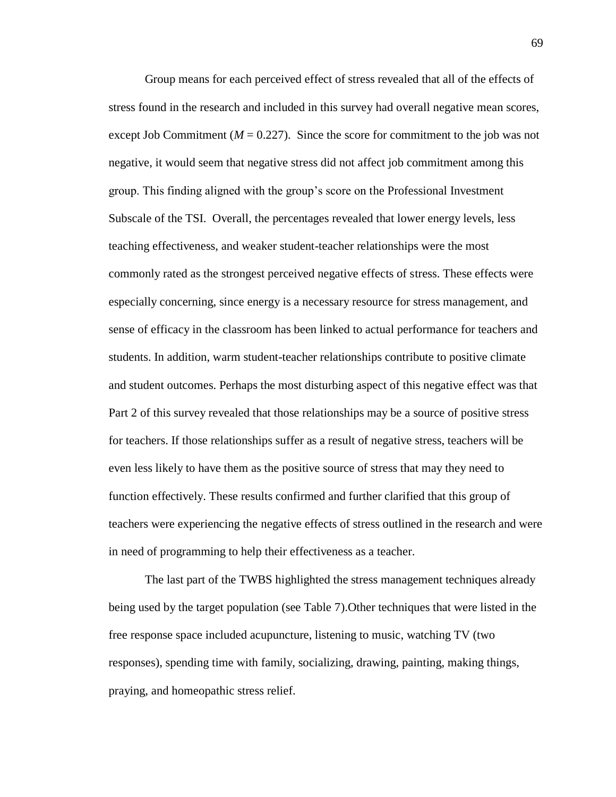Group means for each perceived effect of stress revealed that all of the effects of stress found in the research and included in this survey had overall negative mean scores, except Job Commitment  $(M = 0.227)$ . Since the score for commitment to the job was not negative, it would seem that negative stress did not affect job commitment among this group. This finding aligned with the group's score on the Professional Investment Subscale of the TSI. Overall, the percentages revealed that lower energy levels, less teaching effectiveness, and weaker student-teacher relationships were the most commonly rated as the strongest perceived negative effects of stress. These effects were especially concerning, since energy is a necessary resource for stress management, and sense of efficacy in the classroom has been linked to actual performance for teachers and students. In addition, warm student-teacher relationships contribute to positive climate and student outcomes. Perhaps the most disturbing aspect of this negative effect was that Part 2 of this survey revealed that those relationships may be a source of positive stress for teachers. If those relationships suffer as a result of negative stress, teachers will be even less likely to have them as the positive source of stress that may they need to function effectively. These results confirmed and further clarified that this group of teachers were experiencing the negative effects of stress outlined in the research and were in need of programming to help their effectiveness as a teacher.

The last part of the TWBS highlighted the stress management techniques already being used by the target population (see Table 7).Other techniques that were listed in the free response space included acupuncture, listening to music, watching TV (two responses), spending time with family, socializing, drawing, painting, making things, praying, and homeopathic stress relief.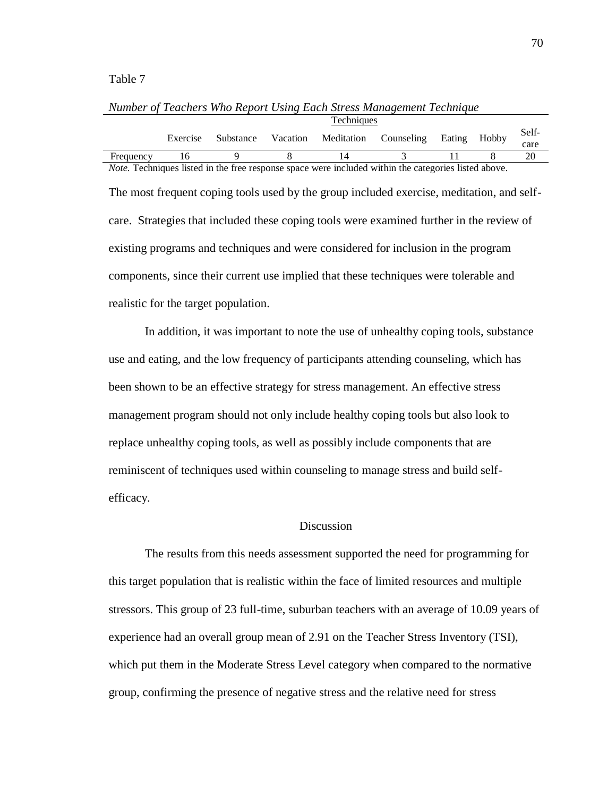#### Table 7

|                                                                                                             | <b>Techniques</b> |                       |          |                       |  |        |       |       |
|-------------------------------------------------------------------------------------------------------------|-------------------|-----------------------|----------|-----------------------|--|--------|-------|-------|
|                                                                                                             |                   | Exercise<br>Substance | Vacation | Meditation Counseling |  | Eating | Hobby | Self- |
|                                                                                                             |                   |                       |          |                       |  |        |       | care  |
| Frequency                                                                                                   |                   |                       |          | 14                    |  |        |       |       |
| <i>Note.</i> Techniques listed in the free response space were included within the categories listed above. |                   |                       |          |                       |  |        |       |       |

*Number of Teachers Who Report Using Each Stress Management Technique*

The most frequent coping tools used by the group included exercise, meditation, and selfcare. Strategies that included these coping tools were examined further in the review of existing programs and techniques and were considered for inclusion in the program components, since their current use implied that these techniques were tolerable and realistic for the target population.

In addition, it was important to note the use of unhealthy coping tools, substance use and eating, and the low frequency of participants attending counseling, which has been shown to be an effective strategy for stress management. An effective stress management program should not only include healthy coping tools but also look to replace unhealthy coping tools, as well as possibly include components that are reminiscent of techniques used within counseling to manage stress and build selfefficacy.

# Discussion

The results from this needs assessment supported the need for programming for this target population that is realistic within the face of limited resources and multiple stressors. This group of 23 full-time, suburban teachers with an average of 10.09 years of experience had an overall group mean of 2.91 on the Teacher Stress Inventory (TSI), which put them in the Moderate Stress Level category when compared to the normative group, confirming the presence of negative stress and the relative need for stress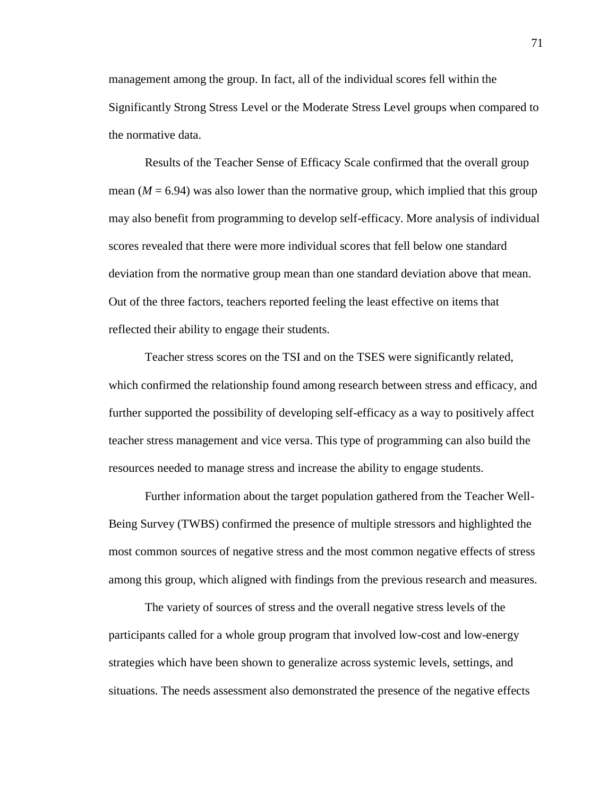management among the group. In fact, all of the individual scores fell within the Significantly Strong Stress Level or the Moderate Stress Level groups when compared to the normative data.

Results of the Teacher Sense of Efficacy Scale confirmed that the overall group mean  $(M = 6.94)$  was also lower than the normative group, which implied that this group may also benefit from programming to develop self-efficacy. More analysis of individual scores revealed that there were more individual scores that fell below one standard deviation from the normative group mean than one standard deviation above that mean. Out of the three factors, teachers reported feeling the least effective on items that reflected their ability to engage their students.

Teacher stress scores on the TSI and on the TSES were significantly related, which confirmed the relationship found among research between stress and efficacy, and further supported the possibility of developing self-efficacy as a way to positively affect teacher stress management and vice versa. This type of programming can also build the resources needed to manage stress and increase the ability to engage students.

Further information about the target population gathered from the Teacher Well-Being Survey (TWBS) confirmed the presence of multiple stressors and highlighted the most common sources of negative stress and the most common negative effects of stress among this group, which aligned with findings from the previous research and measures.

The variety of sources of stress and the overall negative stress levels of the participants called for a whole group program that involved low-cost and low-energy strategies which have been shown to generalize across systemic levels, settings, and situations. The needs assessment also demonstrated the presence of the negative effects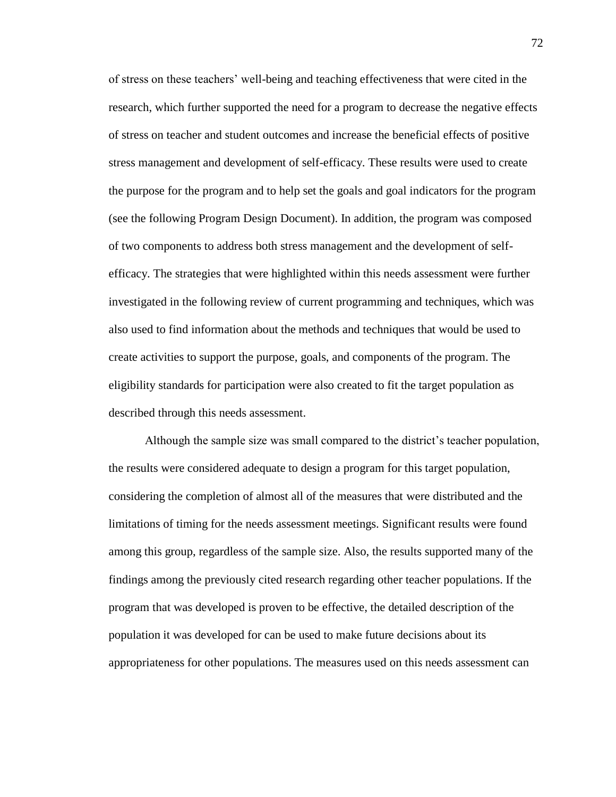of stress on these teachers' well-being and teaching effectiveness that were cited in the research, which further supported the need for a program to decrease the negative effects of stress on teacher and student outcomes and increase the beneficial effects of positive stress management and development of self-efficacy. These results were used to create the purpose for the program and to help set the goals and goal indicators for the program (see the following Program Design Document). In addition, the program was composed of two components to address both stress management and the development of selfefficacy. The strategies that were highlighted within this needs assessment were further investigated in the following review of current programming and techniques, which was also used to find information about the methods and techniques that would be used to create activities to support the purpose, goals, and components of the program. The eligibility standards for participation were also created to fit the target population as described through this needs assessment.

Although the sample size was small compared to the district's teacher population, the results were considered adequate to design a program for this target population, considering the completion of almost all of the measures that were distributed and the limitations of timing for the needs assessment meetings. Significant results were found among this group, regardless of the sample size. Also, the results supported many of the findings among the previously cited research regarding other teacher populations. If the program that was developed is proven to be effective, the detailed description of the population it was developed for can be used to make future decisions about its appropriateness for other populations. The measures used on this needs assessment can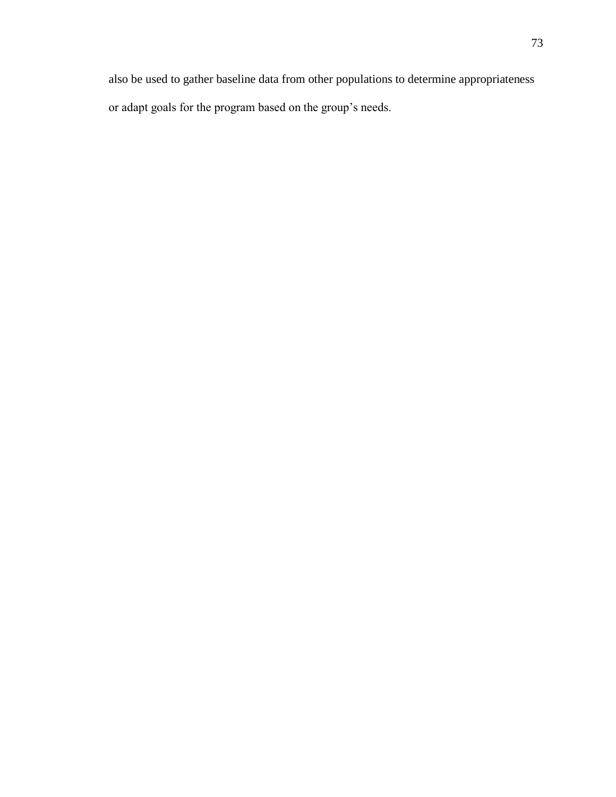also be used to gather baseline data from other populations to determine appropriateness or adapt goals for the program based on the group's needs.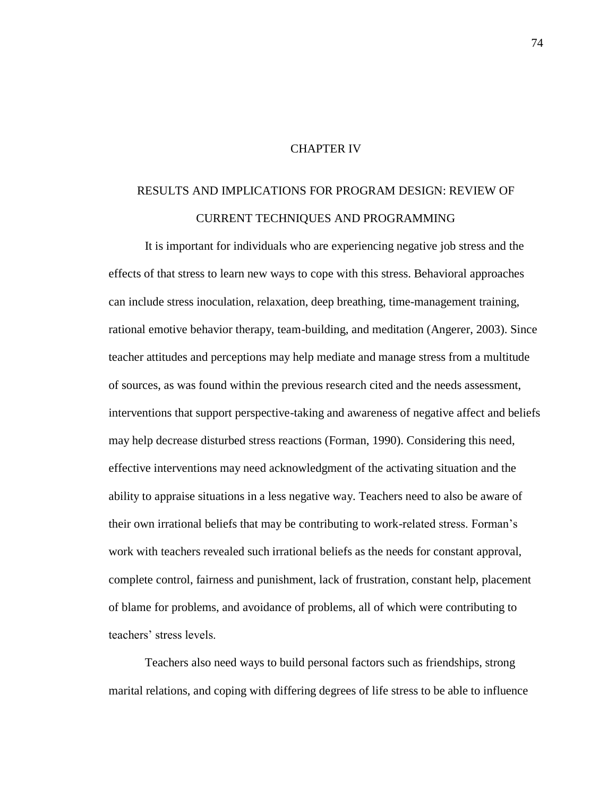### CHAPTER IV

# RESULTS AND IMPLICATIONS FOR PROGRAM DESIGN: REVIEW OF CURRENT TECHNIQUES AND PROGRAMMING

It is important for individuals who are experiencing negative job stress and the effects of that stress to learn new ways to cope with this stress. Behavioral approaches can include stress inoculation, relaxation, deep breathing, time-management training, rational emotive behavior therapy, team-building, and meditation (Angerer, 2003). Since teacher attitudes and perceptions may help mediate and manage stress from a multitude of sources, as was found within the previous research cited and the needs assessment, interventions that support perspective-taking and awareness of negative affect and beliefs may help decrease disturbed stress reactions (Forman, 1990). Considering this need, effective interventions may need acknowledgment of the activating situation and the ability to appraise situations in a less negative way. Teachers need to also be aware of their own irrational beliefs that may be contributing to work-related stress. Forman's work with teachers revealed such irrational beliefs as the needs for constant approval, complete control, fairness and punishment, lack of frustration, constant help, placement of blame for problems, and avoidance of problems, all of which were contributing to teachers' stress levels.

Teachers also need ways to build personal factors such as friendships, strong marital relations, and coping with differing degrees of life stress to be able to influence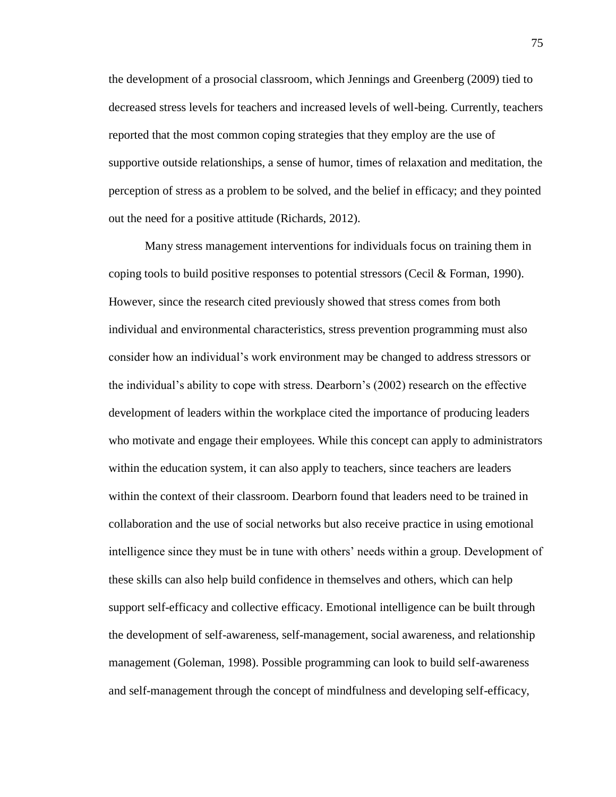the development of a prosocial classroom, which Jennings and Greenberg (2009) tied to decreased stress levels for teachers and increased levels of well-being. Currently, teachers reported that the most common coping strategies that they employ are the use of supportive outside relationships, a sense of humor, times of relaxation and meditation, the perception of stress as a problem to be solved, and the belief in efficacy; and they pointed out the need for a positive attitude (Richards, 2012).

Many stress management interventions for individuals focus on training them in coping tools to build positive responses to potential stressors (Cecil & Forman, 1990). However, since the research cited previously showed that stress comes from both individual and environmental characteristics, stress prevention programming must also consider how an individual's work environment may be changed to address stressors or the individual's ability to cope with stress. Dearborn's (2002) research on the effective development of leaders within the workplace cited the importance of producing leaders who motivate and engage their employees. While this concept can apply to administrators within the education system, it can also apply to teachers, since teachers are leaders within the context of their classroom. Dearborn found that leaders need to be trained in collaboration and the use of social networks but also receive practice in using emotional intelligence since they must be in tune with others' needs within a group. Development of these skills can also help build confidence in themselves and others, which can help support self-efficacy and collective efficacy. Emotional intelligence can be built through the development of self-awareness, self-management, social awareness, and relationship management (Goleman, 1998). Possible programming can look to build self-awareness and self-management through the concept of mindfulness and developing self-efficacy,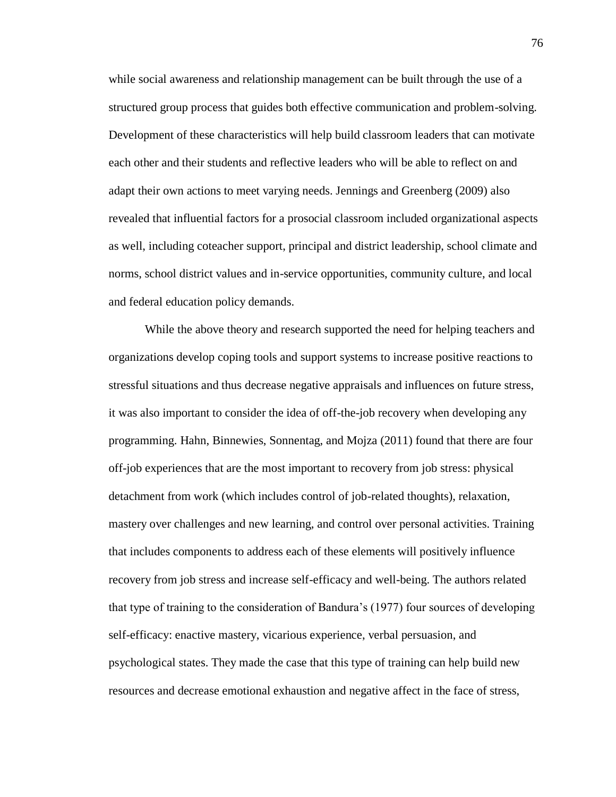while social awareness and relationship management can be built through the use of a structured group process that guides both effective communication and problem-solving. Development of these characteristics will help build classroom leaders that can motivate each other and their students and reflective leaders who will be able to reflect on and adapt their own actions to meet varying needs. Jennings and Greenberg (2009) also revealed that influential factors for a prosocial classroom included organizational aspects as well, including coteacher support, principal and district leadership, school climate and norms, school district values and in-service opportunities, community culture, and local and federal education policy demands.

While the above theory and research supported the need for helping teachers and organizations develop coping tools and support systems to increase positive reactions to stressful situations and thus decrease negative appraisals and influences on future stress, it was also important to consider the idea of off-the-job recovery when developing any programming. Hahn, Binnewies, Sonnentag, and Mojza (2011) found that there are four off-job experiences that are the most important to recovery from job stress: physical detachment from work (which includes control of job-related thoughts), relaxation, mastery over challenges and new learning, and control over personal activities. Training that includes components to address each of these elements will positively influence recovery from job stress and increase self-efficacy and well-being. The authors related that type of training to the consideration of Bandura's (1977) four sources of developing self-efficacy: enactive mastery, vicarious experience, verbal persuasion, and psychological states. They made the case that this type of training can help build new resources and decrease emotional exhaustion and negative affect in the face of stress,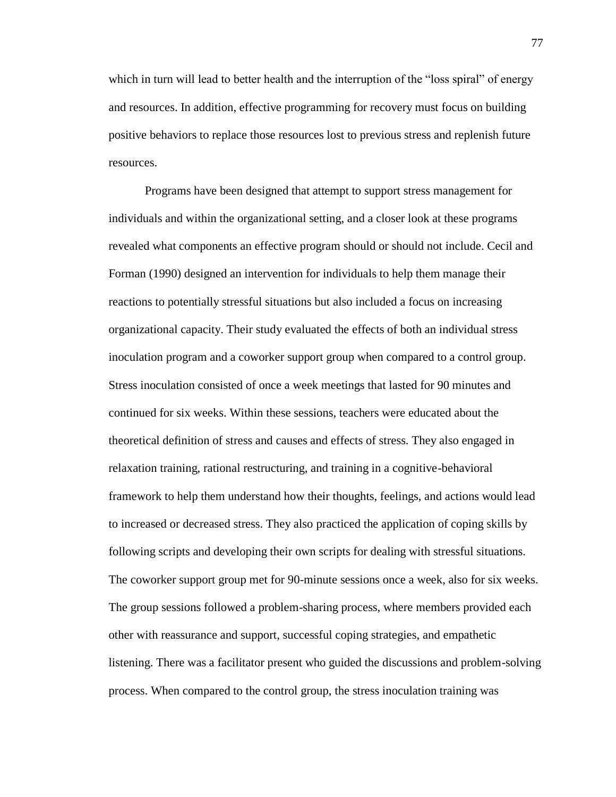which in turn will lead to better health and the interruption of the "loss spiral" of energy and resources. In addition, effective programming for recovery must focus on building positive behaviors to replace those resources lost to previous stress and replenish future resources.

Programs have been designed that attempt to support stress management for individuals and within the organizational setting, and a closer look at these programs revealed what components an effective program should or should not include. Cecil and Forman (1990) designed an intervention for individuals to help them manage their reactions to potentially stressful situations but also included a focus on increasing organizational capacity. Their study evaluated the effects of both an individual stress inoculation program and a coworker support group when compared to a control group. Stress inoculation consisted of once a week meetings that lasted for 90 minutes and continued for six weeks. Within these sessions, teachers were educated about the theoretical definition of stress and causes and effects of stress. They also engaged in relaxation training, rational restructuring, and training in a cognitive-behavioral framework to help them understand how their thoughts, feelings, and actions would lead to increased or decreased stress. They also practiced the application of coping skills by following scripts and developing their own scripts for dealing with stressful situations. The coworker support group met for 90-minute sessions once a week, also for six weeks. The group sessions followed a problem-sharing process, where members provided each other with reassurance and support, successful coping strategies, and empathetic listening. There was a facilitator present who guided the discussions and problem-solving process. When compared to the control group, the stress inoculation training was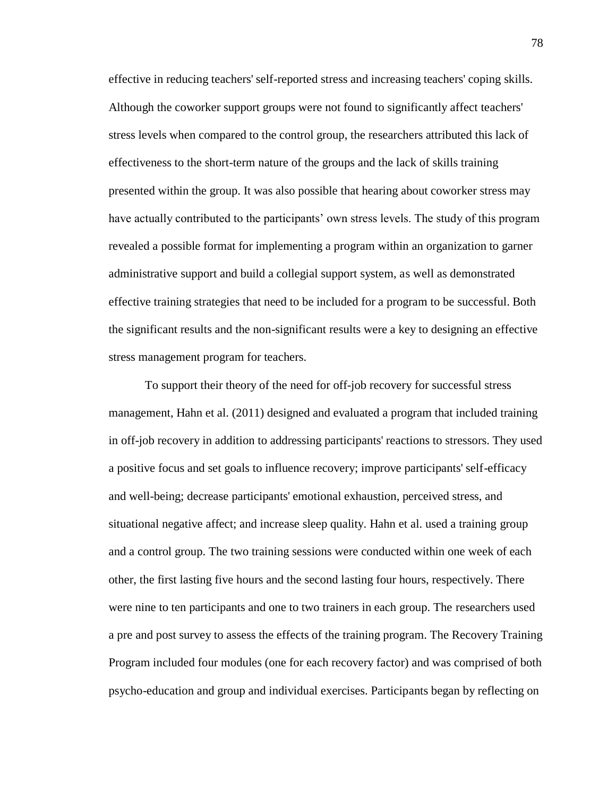effective in reducing teachers' self-reported stress and increasing teachers' coping skills. Although the coworker support groups were not found to significantly affect teachers' stress levels when compared to the control group, the researchers attributed this lack of effectiveness to the short-term nature of the groups and the lack of skills training presented within the group. It was also possible that hearing about coworker stress may have actually contributed to the participants' own stress levels. The study of this program revealed a possible format for implementing a program within an organization to garner administrative support and build a collegial support system, as well as demonstrated effective training strategies that need to be included for a program to be successful. Both the significant results and the non-significant results were a key to designing an effective stress management program for teachers.

To support their theory of the need for off-job recovery for successful stress management, Hahn et al. (2011) designed and evaluated a program that included training in off-job recovery in addition to addressing participants' reactions to stressors. They used a positive focus and set goals to influence recovery; improve participants' self-efficacy and well-being; decrease participants' emotional exhaustion, perceived stress, and situational negative affect; and increase sleep quality. Hahn et al. used a training group and a control group. The two training sessions were conducted within one week of each other, the first lasting five hours and the second lasting four hours, respectively. There were nine to ten participants and one to two trainers in each group. The researchers used a pre and post survey to assess the effects of the training program. The Recovery Training Program included four modules (one for each recovery factor) and was comprised of both psycho-education and group and individual exercises. Participants began by reflecting on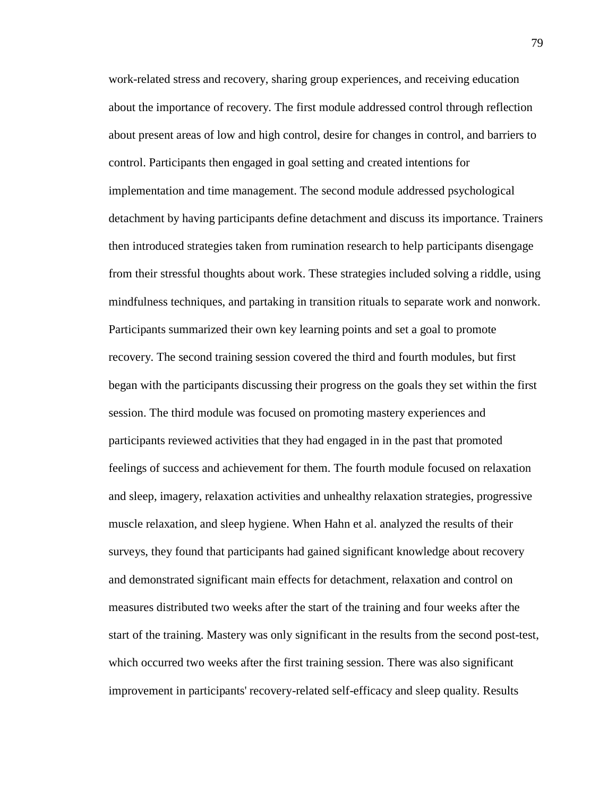work-related stress and recovery, sharing group experiences, and receiving education about the importance of recovery. The first module addressed control through reflection about present areas of low and high control, desire for changes in control, and barriers to control. Participants then engaged in goal setting and created intentions for implementation and time management. The second module addressed psychological detachment by having participants define detachment and discuss its importance. Trainers then introduced strategies taken from rumination research to help participants disengage from their stressful thoughts about work. These strategies included solving a riddle, using mindfulness techniques, and partaking in transition rituals to separate work and nonwork. Participants summarized their own key learning points and set a goal to promote recovery. The second training session covered the third and fourth modules, but first began with the participants discussing their progress on the goals they set within the first session. The third module was focused on promoting mastery experiences and participants reviewed activities that they had engaged in in the past that promoted feelings of success and achievement for them. The fourth module focused on relaxation and sleep, imagery, relaxation activities and unhealthy relaxation strategies, progressive muscle relaxation, and sleep hygiene. When Hahn et al. analyzed the results of their surveys, they found that participants had gained significant knowledge about recovery and demonstrated significant main effects for detachment, relaxation and control on measures distributed two weeks after the start of the training and four weeks after the start of the training. Mastery was only significant in the results from the second post-test, which occurred two weeks after the first training session. There was also significant improvement in participants' recovery-related self-efficacy and sleep quality. Results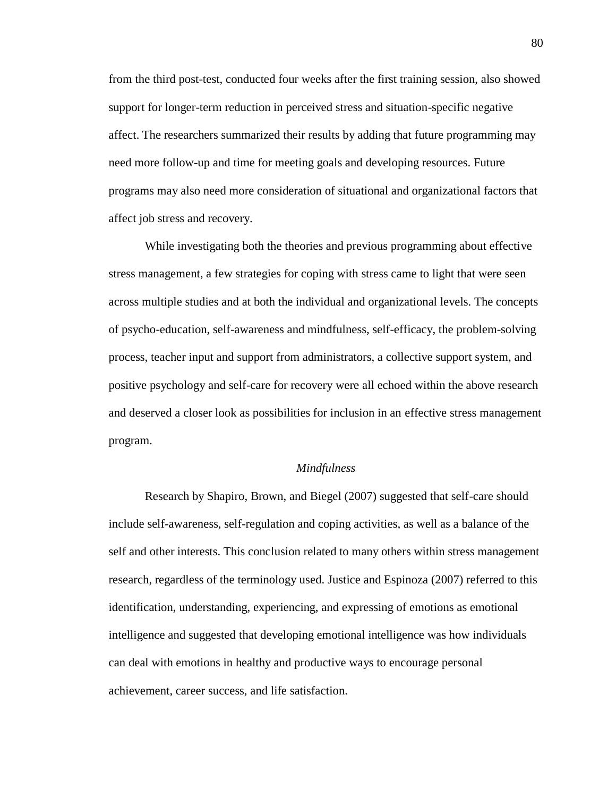from the third post-test, conducted four weeks after the first training session, also showed support for longer-term reduction in perceived stress and situation-specific negative affect. The researchers summarized their results by adding that future programming may need more follow-up and time for meeting goals and developing resources. Future programs may also need more consideration of situational and organizational factors that affect job stress and recovery.

While investigating both the theories and previous programming about effective stress management, a few strategies for coping with stress came to light that were seen across multiple studies and at both the individual and organizational levels. The concepts of psycho-education, self-awareness and mindfulness, self-efficacy, the problem-solving process, teacher input and support from administrators, a collective support system, and positive psychology and self-care for recovery were all echoed within the above research and deserved a closer look as possibilities for inclusion in an effective stress management program.

#### *Mindfulness*

Research by Shapiro, Brown, and Biegel (2007) suggested that self-care should include self-awareness, self-regulation and coping activities, as well as a balance of the self and other interests. This conclusion related to many others within stress management research, regardless of the terminology used. Justice and Espinoza (2007) referred to this identification, understanding, experiencing, and expressing of emotions as emotional intelligence and suggested that developing emotional intelligence was how individuals can deal with emotions in healthy and productive ways to encourage personal achievement, career success, and life satisfaction.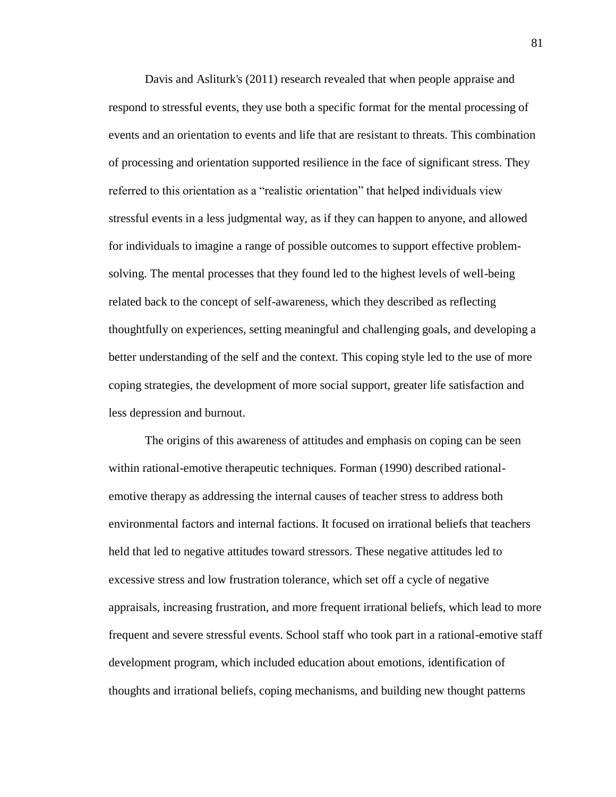Davis and Asliturk's (2011) research revealed that when people appraise and respond to stressful events, they use both a specific format for the mental processing of events and an orientation to events and life that are resistant to threats. This combination of processing and orientation supported resilience in the face of significant stress. They referred to this orientation as a "realistic orientation" that helped individuals view stressful events in a less judgmental way, as if they can happen to anyone, and allowed for individuals to imagine a range of possible outcomes to support effective problemsolving. The mental processes that they found led to the highest levels of well-being related back to the concept of self-awareness, which they described as reflecting thoughtfully on experiences, setting meaningful and challenging goals, and developing a better understanding of the self and the context. This coping style led to the use of more coping strategies, the development of more social support, greater life satisfaction and less depression and burnout.

The origins of this awareness of attitudes and emphasis on coping can be seen within rational-emotive therapeutic techniques. Forman (1990) described rationalemotive therapy as addressing the internal causes of teacher stress to address both environmental factors and internal factions. It focused on irrational beliefs that teachers held that led to negative attitudes toward stressors. These negative attitudes led to excessive stress and low frustration tolerance, which set off a cycle of negative appraisals, increasing frustration, and more frequent irrational beliefs, which lead to more frequent and severe stressful events. School staff who took part in a rational-emotive staff development program, which included education about emotions, identification of thoughts and irrational beliefs, coping mechanisms, and building new thought patterns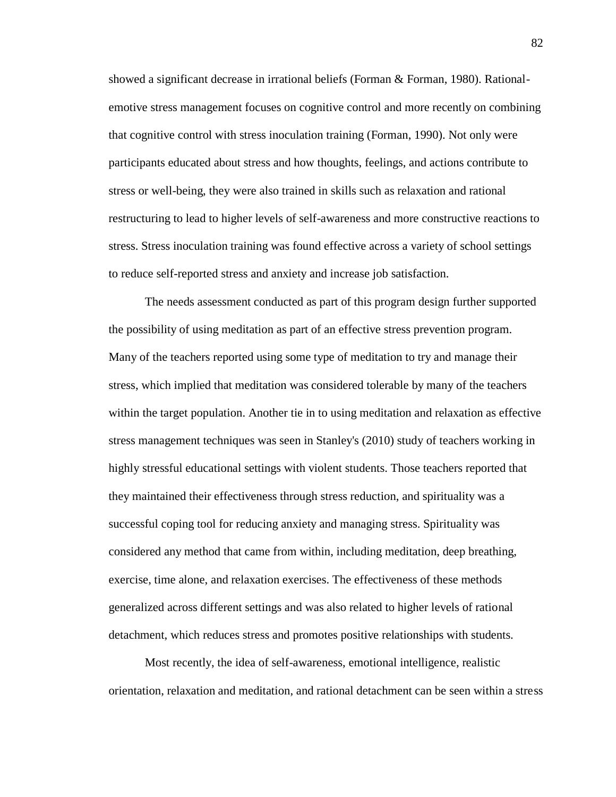showed a significant decrease in irrational beliefs (Forman & Forman, 1980). Rationalemotive stress management focuses on cognitive control and more recently on combining that cognitive control with stress inoculation training (Forman, 1990). Not only were participants educated about stress and how thoughts, feelings, and actions contribute to stress or well-being, they were also trained in skills such as relaxation and rational restructuring to lead to higher levels of self-awareness and more constructive reactions to stress. Stress inoculation training was found effective across a variety of school settings to reduce self-reported stress and anxiety and increase job satisfaction.

The needs assessment conducted as part of this program design further supported the possibility of using meditation as part of an effective stress prevention program. Many of the teachers reported using some type of meditation to try and manage their stress, which implied that meditation was considered tolerable by many of the teachers within the target population. Another tie in to using meditation and relaxation as effective stress management techniques was seen in Stanley's (2010) study of teachers working in highly stressful educational settings with violent students. Those teachers reported that they maintained their effectiveness through stress reduction, and spirituality was a successful coping tool for reducing anxiety and managing stress. Spirituality was considered any method that came from within, including meditation, deep breathing, exercise, time alone, and relaxation exercises. The effectiveness of these methods generalized across different settings and was also related to higher levels of rational detachment, which reduces stress and promotes positive relationships with students.

Most recently, the idea of self-awareness, emotional intelligence, realistic orientation, relaxation and meditation, and rational detachment can be seen within a stress

82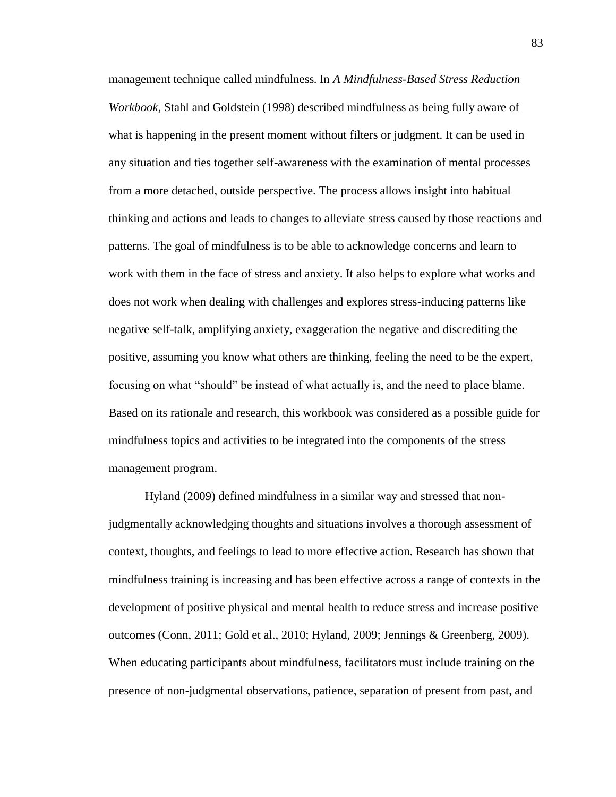management technique called mindfulness. In *A Mindfulness-Based Stress Reduction Workbook*, Stahl and Goldstein (1998) described mindfulness as being fully aware of what is happening in the present moment without filters or judgment. It can be used in any situation and ties together self-awareness with the examination of mental processes from a more detached, outside perspective. The process allows insight into habitual thinking and actions and leads to changes to alleviate stress caused by those reactions and patterns. The goal of mindfulness is to be able to acknowledge concerns and learn to work with them in the face of stress and anxiety. It also helps to explore what works and does not work when dealing with challenges and explores stress-inducing patterns like negative self-talk, amplifying anxiety, exaggeration the negative and discrediting the positive, assuming you know what others are thinking, feeling the need to be the expert, focusing on what "should" be instead of what actually is, and the need to place blame. Based on its rationale and research, this workbook was considered as a possible guide for mindfulness topics and activities to be integrated into the components of the stress management program.

Hyland (2009) defined mindfulness in a similar way and stressed that nonjudgmentally acknowledging thoughts and situations involves a thorough assessment of context, thoughts, and feelings to lead to more effective action. Research has shown that mindfulness training is increasing and has been effective across a range of contexts in the development of positive physical and mental health to reduce stress and increase positive outcomes (Conn, 2011; Gold et al., 2010; Hyland, 2009; Jennings & Greenberg, 2009). When educating participants about mindfulness, facilitators must include training on the presence of non-judgmental observations, patience, separation of present from past, and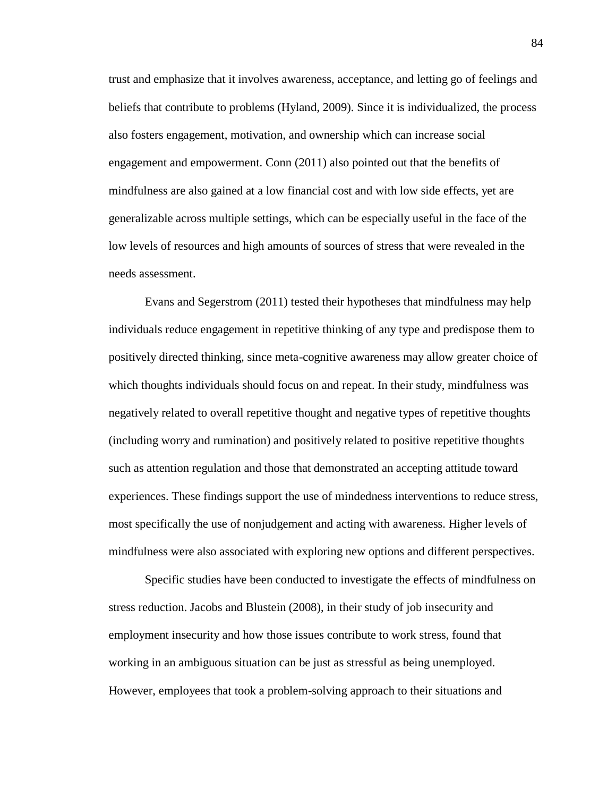trust and emphasize that it involves awareness, acceptance, and letting go of feelings and beliefs that contribute to problems (Hyland, 2009). Since it is individualized, the process also fosters engagement, motivation, and ownership which can increase social engagement and empowerment. Conn (2011) also pointed out that the benefits of mindfulness are also gained at a low financial cost and with low side effects, yet are generalizable across multiple settings, which can be especially useful in the face of the low levels of resources and high amounts of sources of stress that were revealed in the needs assessment.

Evans and Segerstrom (2011) tested their hypotheses that mindfulness may help individuals reduce engagement in repetitive thinking of any type and predispose them to positively directed thinking, since meta-cognitive awareness may allow greater choice of which thoughts individuals should focus on and repeat. In their study, mindfulness was negatively related to overall repetitive thought and negative types of repetitive thoughts (including worry and rumination) and positively related to positive repetitive thoughts such as attention regulation and those that demonstrated an accepting attitude toward experiences. These findings support the use of mindedness interventions to reduce stress, most specifically the use of nonjudgement and acting with awareness. Higher levels of mindfulness were also associated with exploring new options and different perspectives.

Specific studies have been conducted to investigate the effects of mindfulness on stress reduction. Jacobs and Blustein (2008), in their study of job insecurity and employment insecurity and how those issues contribute to work stress, found that working in an ambiguous situation can be just as stressful as being unemployed. However, employees that took a problem-solving approach to their situations and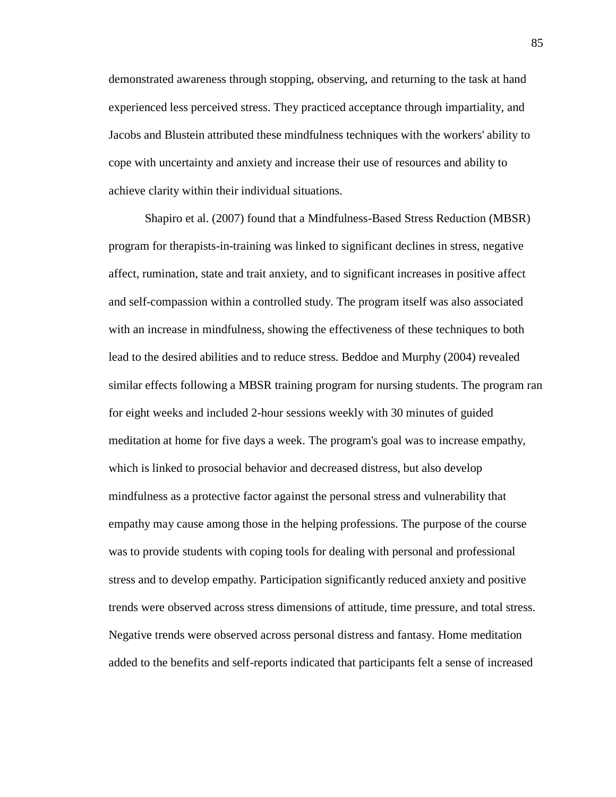demonstrated awareness through stopping, observing, and returning to the task at hand experienced less perceived stress. They practiced acceptance through impartiality, and Jacobs and Blustein attributed these mindfulness techniques with the workers' ability to cope with uncertainty and anxiety and increase their use of resources and ability to achieve clarity within their individual situations.

Shapiro et al. (2007) found that a Mindfulness-Based Stress Reduction (MBSR) program for therapists-in-training was linked to significant declines in stress, negative affect, rumination, state and trait anxiety, and to significant increases in positive affect and self-compassion within a controlled study. The program itself was also associated with an increase in mindfulness, showing the effectiveness of these techniques to both lead to the desired abilities and to reduce stress. Beddoe and Murphy (2004) revealed similar effects following a MBSR training program for nursing students. The program ran for eight weeks and included 2-hour sessions weekly with 30 minutes of guided meditation at home for five days a week. The program's goal was to increase empathy, which is linked to prosocial behavior and decreased distress, but also develop mindfulness as a protective factor against the personal stress and vulnerability that empathy may cause among those in the helping professions. The purpose of the course was to provide students with coping tools for dealing with personal and professional stress and to develop empathy. Participation significantly reduced anxiety and positive trends were observed across stress dimensions of attitude, time pressure, and total stress. Negative trends were observed across personal distress and fantasy. Home meditation added to the benefits and self-reports indicated that participants felt a sense of increased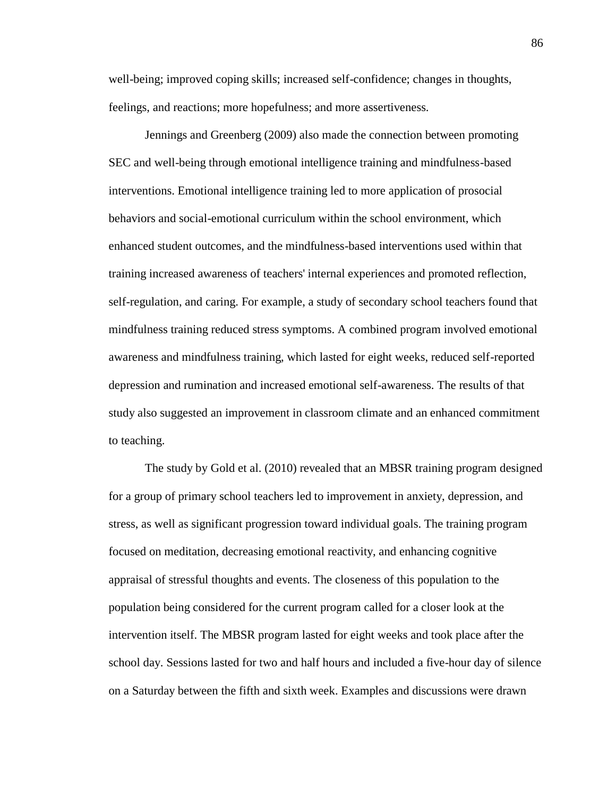well-being; improved coping skills; increased self-confidence; changes in thoughts, feelings, and reactions; more hopefulness; and more assertiveness.

Jennings and Greenberg (2009) also made the connection between promoting SEC and well-being through emotional intelligence training and mindfulness-based interventions. Emotional intelligence training led to more application of prosocial behaviors and social-emotional curriculum within the school environment, which enhanced student outcomes, and the mindfulness-based interventions used within that training increased awareness of teachers' internal experiences and promoted reflection, self-regulation, and caring. For example, a study of secondary school teachers found that mindfulness training reduced stress symptoms. A combined program involved emotional awareness and mindfulness training, which lasted for eight weeks, reduced self-reported depression and rumination and increased emotional self-awareness. The results of that study also suggested an improvement in classroom climate and an enhanced commitment to teaching.

The study by Gold et al. (2010) revealed that an MBSR training program designed for a group of primary school teachers led to improvement in anxiety, depression, and stress, as well as significant progression toward individual goals. The training program focused on meditation, decreasing emotional reactivity, and enhancing cognitive appraisal of stressful thoughts and events. The closeness of this population to the population being considered for the current program called for a closer look at the intervention itself. The MBSR program lasted for eight weeks and took place after the school day. Sessions lasted for two and half hours and included a five-hour day of silence on a Saturday between the fifth and sixth week. Examples and discussions were drawn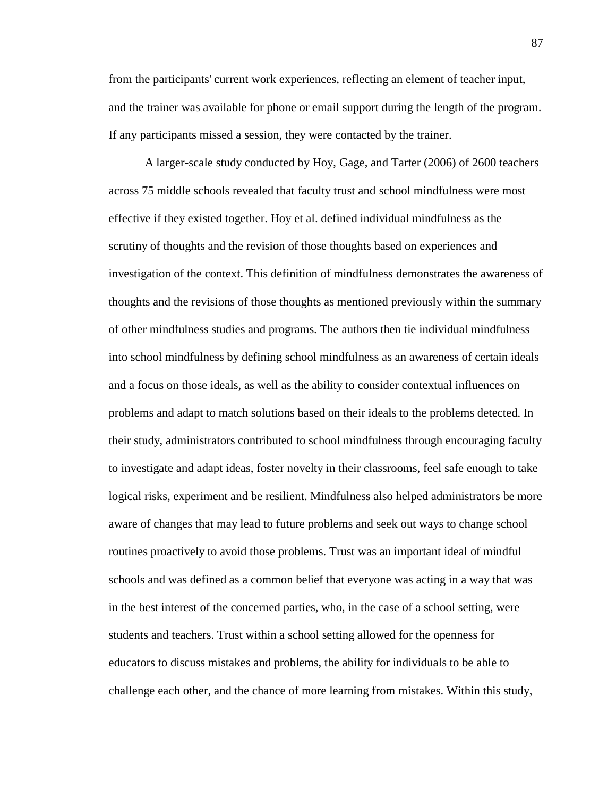from the participants' current work experiences, reflecting an element of teacher input, and the trainer was available for phone or email support during the length of the program. If any participants missed a session, they were contacted by the trainer.

A larger-scale study conducted by Hoy, Gage, and Tarter (2006) of 2600 teachers across 75 middle schools revealed that faculty trust and school mindfulness were most effective if they existed together. Hoy et al. defined individual mindfulness as the scrutiny of thoughts and the revision of those thoughts based on experiences and investigation of the context. This definition of mindfulness demonstrates the awareness of thoughts and the revisions of those thoughts as mentioned previously within the summary of other mindfulness studies and programs. The authors then tie individual mindfulness into school mindfulness by defining school mindfulness as an awareness of certain ideals and a focus on those ideals, as well as the ability to consider contextual influences on problems and adapt to match solutions based on their ideals to the problems detected. In their study, administrators contributed to school mindfulness through encouraging faculty to investigate and adapt ideas, foster novelty in their classrooms, feel safe enough to take logical risks, experiment and be resilient. Mindfulness also helped administrators be more aware of changes that may lead to future problems and seek out ways to change school routines proactively to avoid those problems. Trust was an important ideal of mindful schools and was defined as a common belief that everyone was acting in a way that was in the best interest of the concerned parties, who, in the case of a school setting, were students and teachers. Trust within a school setting allowed for the openness for educators to discuss mistakes and problems, the ability for individuals to be able to challenge each other, and the chance of more learning from mistakes. Within this study,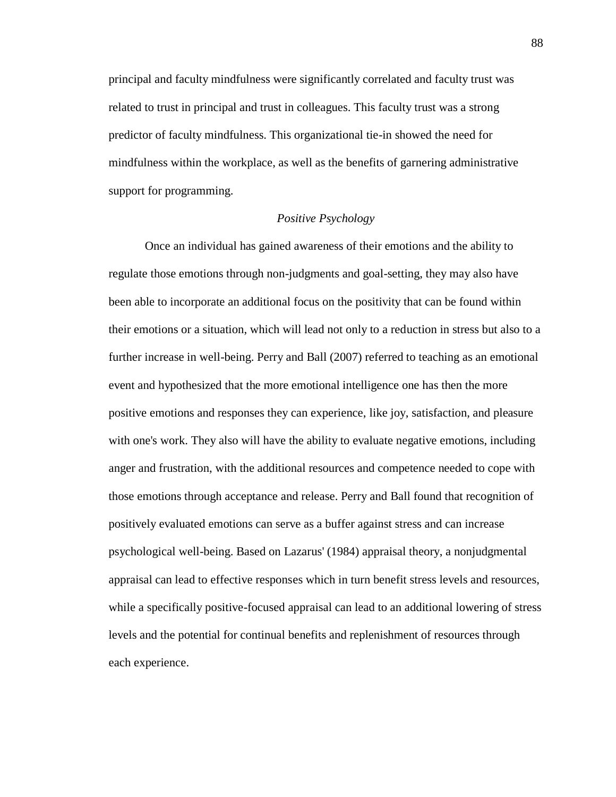principal and faculty mindfulness were significantly correlated and faculty trust was related to trust in principal and trust in colleagues. This faculty trust was a strong predictor of faculty mindfulness. This organizational tie-in showed the need for mindfulness within the workplace, as well as the benefits of garnering administrative support for programming.

# *Positive Psychology*

Once an individual has gained awareness of their emotions and the ability to regulate those emotions through non-judgments and goal-setting, they may also have been able to incorporate an additional focus on the positivity that can be found within their emotions or a situation, which will lead not only to a reduction in stress but also to a further increase in well-being. Perry and Ball (2007) referred to teaching as an emotional event and hypothesized that the more emotional intelligence one has then the more positive emotions and responses they can experience, like joy, satisfaction, and pleasure with one's work. They also will have the ability to evaluate negative emotions, including anger and frustration, with the additional resources and competence needed to cope with those emotions through acceptance and release. Perry and Ball found that recognition of positively evaluated emotions can serve as a buffer against stress and can increase psychological well-being. Based on Lazarus' (1984) appraisal theory, a nonjudgmental appraisal can lead to effective responses which in turn benefit stress levels and resources, while a specifically positive-focused appraisal can lead to an additional lowering of stress levels and the potential for continual benefits and replenishment of resources through each experience.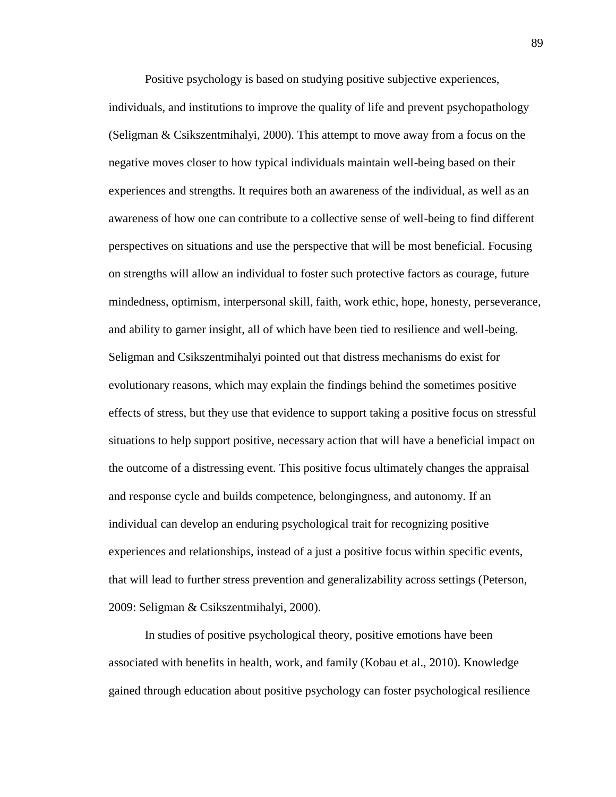Positive psychology is based on studying positive subjective experiences, individuals, and institutions to improve the quality of life and prevent psychopathology (Seligman & Csikszentmihalyi, 2000). This attempt to move away from a focus on the negative moves closer to how typical individuals maintain well-being based on their experiences and strengths. It requires both an awareness of the individual, as well as an awareness of how one can contribute to a collective sense of well-being to find different perspectives on situations and use the perspective that will be most beneficial. Focusing on strengths will allow an individual to foster such protective factors as courage, future mindedness, optimism, interpersonal skill, faith, work ethic, hope, honesty, perseverance, and ability to garner insight, all of which have been tied to resilience and well-being. Seligman and Csikszentmihalyi pointed out that distress mechanisms do exist for evolutionary reasons, which may explain the findings behind the sometimes positive effects of stress, but they use that evidence to support taking a positive focus on stressful situations to help support positive, necessary action that will have a beneficial impact on the outcome of a distressing event. This positive focus ultimately changes the appraisal and response cycle and builds competence, belongingness, and autonomy. If an individual can develop an enduring psychological trait for recognizing positive experiences and relationships, instead of a just a positive focus within specific events, that will lead to further stress prevention and generalizability across settings (Peterson, 2009: Seligman & Csikszentmihalyi, 2000).

In studies of positive psychological theory, positive emotions have been associated with benefits in health, work, and family (Kobau et al., 2010). Knowledge gained through education about positive psychology can foster psychological resilience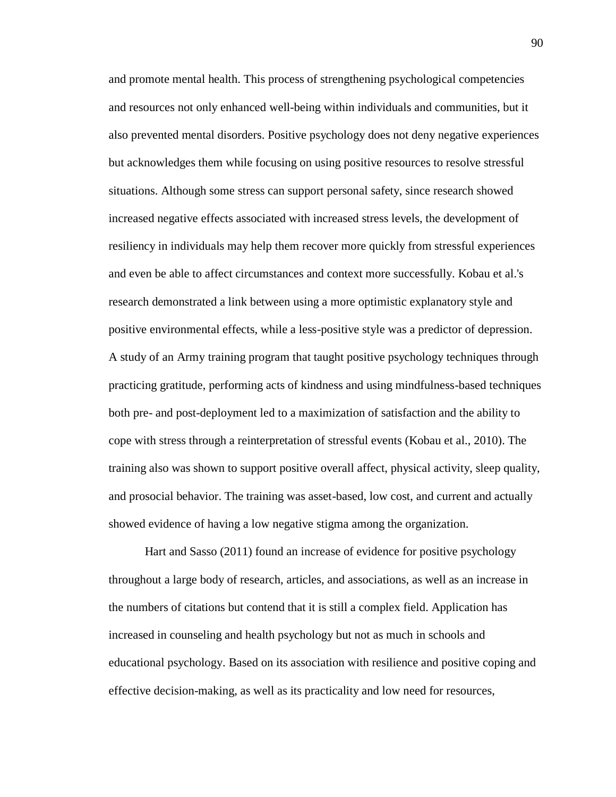and promote mental health. This process of strengthening psychological competencies and resources not only enhanced well-being within individuals and communities, but it also prevented mental disorders. Positive psychology does not deny negative experiences but acknowledges them while focusing on using positive resources to resolve stressful situations. Although some stress can support personal safety, since research showed increased negative effects associated with increased stress levels, the development of resiliency in individuals may help them recover more quickly from stressful experiences and even be able to affect circumstances and context more successfully. Kobau et al.'s research demonstrated a link between using a more optimistic explanatory style and positive environmental effects, while a less-positive style was a predictor of depression. A study of an Army training program that taught positive psychology techniques through practicing gratitude, performing acts of kindness and using mindfulness-based techniques both pre- and post-deployment led to a maximization of satisfaction and the ability to cope with stress through a reinterpretation of stressful events (Kobau et al., 2010). The training also was shown to support positive overall affect, physical activity, sleep quality, and prosocial behavior. The training was asset-based, low cost, and current and actually showed evidence of having a low negative stigma among the organization.

Hart and Sasso (2011) found an increase of evidence for positive psychology throughout a large body of research, articles, and associations, as well as an increase in the numbers of citations but contend that it is still a complex field. Application has increased in counseling and health psychology but not as much in schools and educational psychology. Based on its association with resilience and positive coping and effective decision-making, as well as its practicality and low need for resources,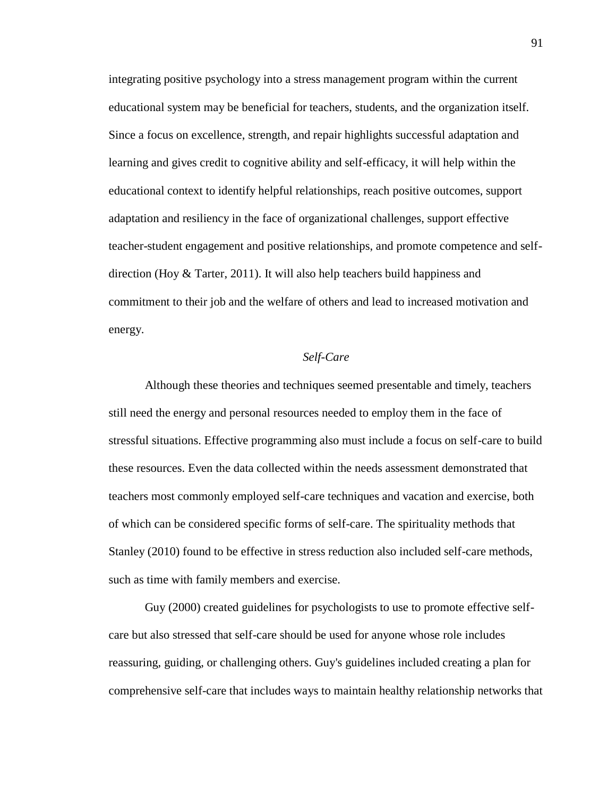integrating positive psychology into a stress management program within the current educational system may be beneficial for teachers, students, and the organization itself. Since a focus on excellence, strength, and repair highlights successful adaptation and learning and gives credit to cognitive ability and self-efficacy, it will help within the educational context to identify helpful relationships, reach positive outcomes, support adaptation and resiliency in the face of organizational challenges, support effective teacher-student engagement and positive relationships, and promote competence and selfdirection (Hoy & Tarter, 2011). It will also help teachers build happiness and commitment to their job and the welfare of others and lead to increased motivation and energy.

## *Self-Care*

Although these theories and techniques seemed presentable and timely, teachers still need the energy and personal resources needed to employ them in the face of stressful situations. Effective programming also must include a focus on self-care to build these resources. Even the data collected within the needs assessment demonstrated that teachers most commonly employed self-care techniques and vacation and exercise, both of which can be considered specific forms of self-care. The spirituality methods that Stanley (2010) found to be effective in stress reduction also included self-care methods, such as time with family members and exercise.

Guy (2000) created guidelines for psychologists to use to promote effective selfcare but also stressed that self-care should be used for anyone whose role includes reassuring, guiding, or challenging others. Guy's guidelines included creating a plan for comprehensive self-care that includes ways to maintain healthy relationship networks that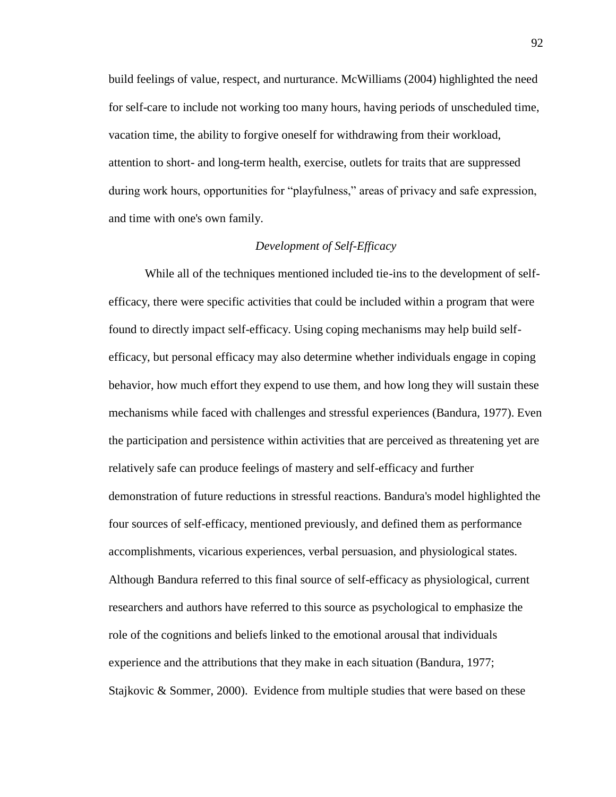build feelings of value, respect, and nurturance. McWilliams (2004) highlighted the need for self-care to include not working too many hours, having periods of unscheduled time, vacation time, the ability to forgive oneself for withdrawing from their workload, attention to short- and long-term health, exercise, outlets for traits that are suppressed during work hours, opportunities for "playfulness," areas of privacy and safe expression, and time with one's own family.

## *Development of Self-Efficacy*

While all of the techniques mentioned included tie-ins to the development of selfefficacy, there were specific activities that could be included within a program that were found to directly impact self-efficacy. Using coping mechanisms may help build selfefficacy, but personal efficacy may also determine whether individuals engage in coping behavior, how much effort they expend to use them, and how long they will sustain these mechanisms while faced with challenges and stressful experiences (Bandura, 1977). Even the participation and persistence within activities that are perceived as threatening yet are relatively safe can produce feelings of mastery and self-efficacy and further demonstration of future reductions in stressful reactions. Bandura's model highlighted the four sources of self-efficacy, mentioned previously, and defined them as performance accomplishments, vicarious experiences, verbal persuasion, and physiological states. Although Bandura referred to this final source of self-efficacy as physiological, current researchers and authors have referred to this source as psychological to emphasize the role of the cognitions and beliefs linked to the emotional arousal that individuals experience and the attributions that they make in each situation (Bandura, 1977; Stajkovic & Sommer, 2000). Evidence from multiple studies that were based on these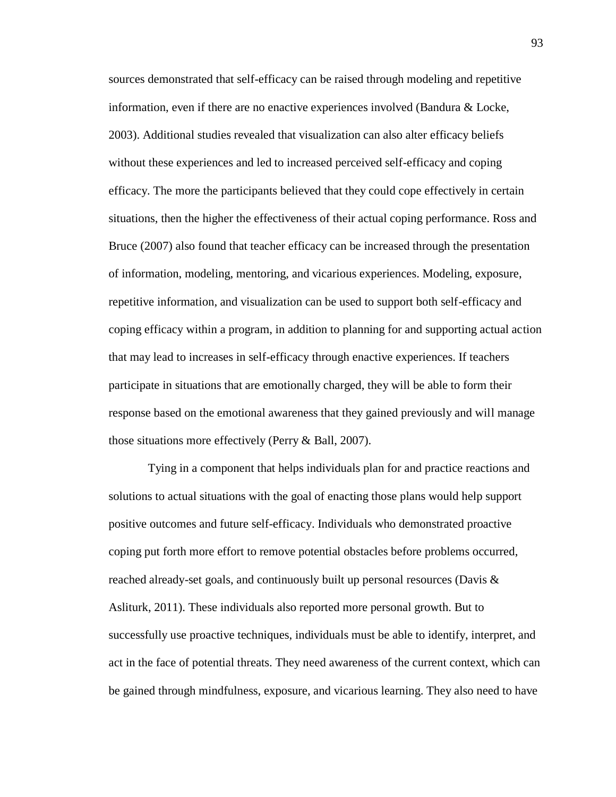sources demonstrated that self-efficacy can be raised through modeling and repetitive information, even if there are no enactive experiences involved (Bandura & Locke, 2003). Additional studies revealed that visualization can also alter efficacy beliefs without these experiences and led to increased perceived self-efficacy and coping efficacy. The more the participants believed that they could cope effectively in certain situations, then the higher the effectiveness of their actual coping performance. Ross and Bruce (2007) also found that teacher efficacy can be increased through the presentation of information, modeling, mentoring, and vicarious experiences. Modeling, exposure, repetitive information, and visualization can be used to support both self-efficacy and coping efficacy within a program, in addition to planning for and supporting actual action that may lead to increases in self-efficacy through enactive experiences. If teachers participate in situations that are emotionally charged, they will be able to form their response based on the emotional awareness that they gained previously and will manage those situations more effectively (Perry & Ball, 2007).

Tying in a component that helps individuals plan for and practice reactions and solutions to actual situations with the goal of enacting those plans would help support positive outcomes and future self-efficacy. Individuals who demonstrated proactive coping put forth more effort to remove potential obstacles before problems occurred, reached already-set goals, and continuously built up personal resources (Davis  $\&$ Asliturk, 2011). These individuals also reported more personal growth. But to successfully use proactive techniques, individuals must be able to identify, interpret, and act in the face of potential threats. They need awareness of the current context, which can be gained through mindfulness, exposure, and vicarious learning. They also need to have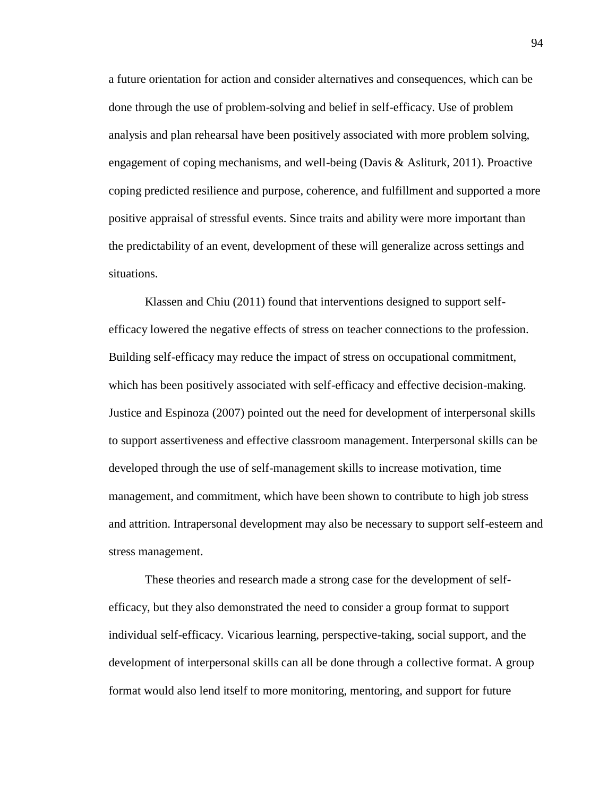a future orientation for action and consider alternatives and consequences, which can be done through the use of problem-solving and belief in self-efficacy. Use of problem analysis and plan rehearsal have been positively associated with more problem solving, engagement of coping mechanisms, and well-being (Davis & Asliturk, 2011). Proactive coping predicted resilience and purpose, coherence, and fulfillment and supported a more positive appraisal of stressful events. Since traits and ability were more important than the predictability of an event, development of these will generalize across settings and situations.

Klassen and Chiu (2011) found that interventions designed to support selfefficacy lowered the negative effects of stress on teacher connections to the profession. Building self-efficacy may reduce the impact of stress on occupational commitment, which has been positively associated with self-efficacy and effective decision-making. Justice and Espinoza (2007) pointed out the need for development of interpersonal skills to support assertiveness and effective classroom management. Interpersonal skills can be developed through the use of self-management skills to increase motivation, time management, and commitment, which have been shown to contribute to high job stress and attrition. Intrapersonal development may also be necessary to support self-esteem and stress management.

These theories and research made a strong case for the development of selfefficacy, but they also demonstrated the need to consider a group format to support individual self-efficacy. Vicarious learning, perspective-taking, social support, and the development of interpersonal skills can all be done through a collective format. A group format would also lend itself to more monitoring, mentoring, and support for future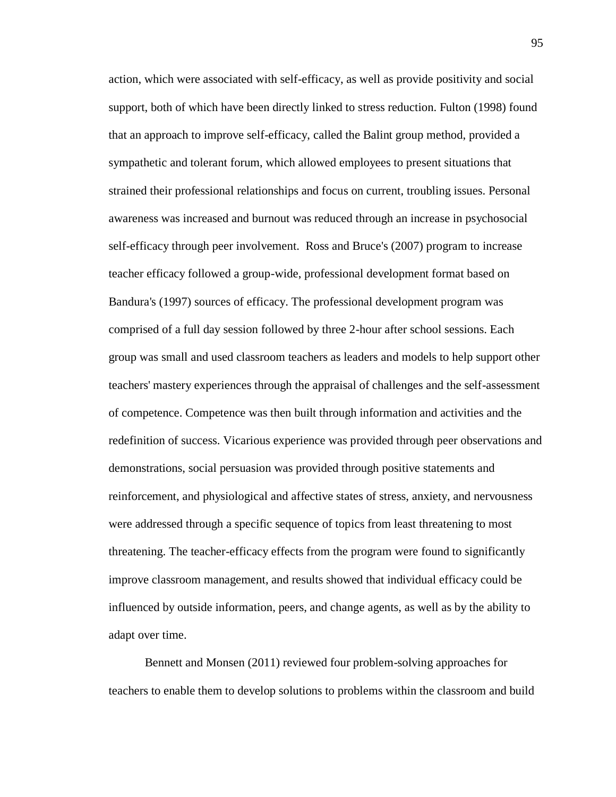action, which were associated with self-efficacy, as well as provide positivity and social support, both of which have been directly linked to stress reduction. Fulton (1998) found that an approach to improve self-efficacy, called the Balint group method, provided a sympathetic and tolerant forum, which allowed employees to present situations that strained their professional relationships and focus on current, troubling issues. Personal awareness was increased and burnout was reduced through an increase in psychosocial self-efficacy through peer involvement. Ross and Bruce's (2007) program to increase teacher efficacy followed a group-wide, professional development format based on Bandura's (1997) sources of efficacy. The professional development program was comprised of a full day session followed by three 2-hour after school sessions. Each group was small and used classroom teachers as leaders and models to help support other teachers' mastery experiences through the appraisal of challenges and the self-assessment of competence. Competence was then built through information and activities and the redefinition of success. Vicarious experience was provided through peer observations and demonstrations, social persuasion was provided through positive statements and reinforcement, and physiological and affective states of stress, anxiety, and nervousness were addressed through a specific sequence of topics from least threatening to most threatening. The teacher-efficacy effects from the program were found to significantly improve classroom management, and results showed that individual efficacy could be influenced by outside information, peers, and change agents, as well as by the ability to adapt over time.

Bennett and Monsen (2011) reviewed four problem-solving approaches for teachers to enable them to develop solutions to problems within the classroom and build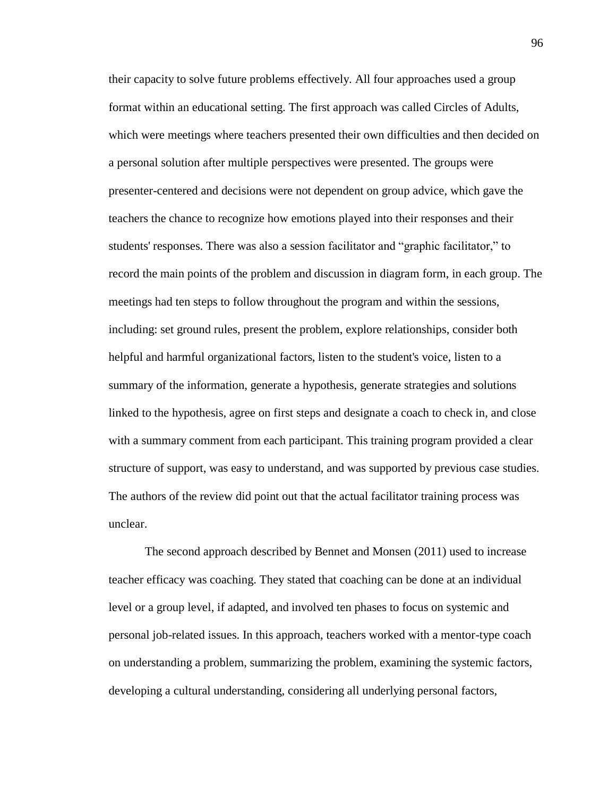their capacity to solve future problems effectively. All four approaches used a group format within an educational setting. The first approach was called Circles of Adults, which were meetings where teachers presented their own difficulties and then decided on a personal solution after multiple perspectives were presented. The groups were presenter-centered and decisions were not dependent on group advice, which gave the teachers the chance to recognize how emotions played into their responses and their students' responses. There was also a session facilitator and "graphic facilitator," to record the main points of the problem and discussion in diagram form, in each group. The meetings had ten steps to follow throughout the program and within the sessions, including: set ground rules, present the problem, explore relationships, consider both helpful and harmful organizational factors, listen to the student's voice, listen to a summary of the information, generate a hypothesis, generate strategies and solutions linked to the hypothesis, agree on first steps and designate a coach to check in, and close with a summary comment from each participant. This training program provided a clear structure of support, was easy to understand, and was supported by previous case studies. The authors of the review did point out that the actual facilitator training process was unclear.

The second approach described by Bennet and Monsen (2011) used to increase teacher efficacy was coaching. They stated that coaching can be done at an individual level or a group level, if adapted, and involved ten phases to focus on systemic and personal job-related issues. In this approach, teachers worked with a mentor-type coach on understanding a problem, summarizing the problem, examining the systemic factors, developing a cultural understanding, considering all underlying personal factors,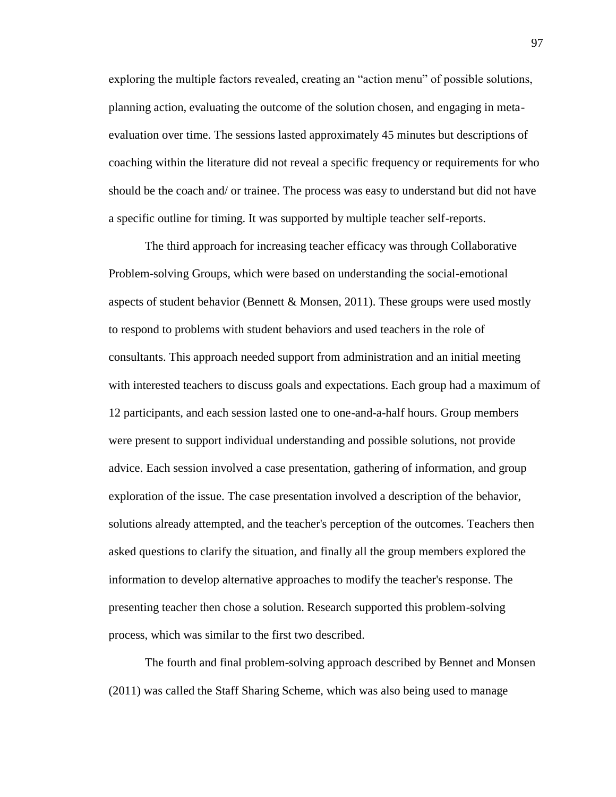exploring the multiple factors revealed, creating an "action menu" of possible solutions, planning action, evaluating the outcome of the solution chosen, and engaging in metaevaluation over time. The sessions lasted approximately 45 minutes but descriptions of coaching within the literature did not reveal a specific frequency or requirements for who should be the coach and/ or trainee. The process was easy to understand but did not have a specific outline for timing. It was supported by multiple teacher self-reports.

The third approach for increasing teacher efficacy was through Collaborative Problem-solving Groups, which were based on understanding the social-emotional aspects of student behavior (Bennett & Monsen, 2011). These groups were used mostly to respond to problems with student behaviors and used teachers in the role of consultants. This approach needed support from administration and an initial meeting with interested teachers to discuss goals and expectations. Each group had a maximum of 12 participants, and each session lasted one to one-and-a-half hours. Group members were present to support individual understanding and possible solutions, not provide advice. Each session involved a case presentation, gathering of information, and group exploration of the issue. The case presentation involved a description of the behavior, solutions already attempted, and the teacher's perception of the outcomes. Teachers then asked questions to clarify the situation, and finally all the group members explored the information to develop alternative approaches to modify the teacher's response. The presenting teacher then chose a solution. Research supported this problem-solving process, which was similar to the first two described.

The fourth and final problem-solving approach described by Bennet and Monsen (2011) was called the Staff Sharing Scheme, which was also being used to manage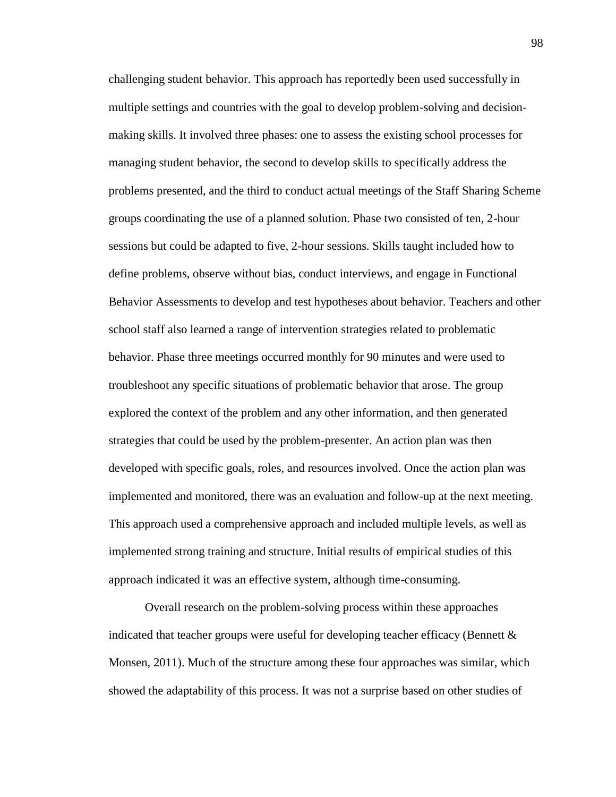challenging student behavior. This approach has reportedly been used successfully in multiple settings and countries with the goal to develop problem-solving and decisionmaking skills. It involved three phases: one to assess the existing school processes for managing student behavior, the second to develop skills to specifically address the problems presented, and the third to conduct actual meetings of the Staff Sharing Scheme groups coordinating the use of a planned solution. Phase two consisted of ten, 2-hour sessions but could be adapted to five, 2-hour sessions. Skills taught included how to define problems, observe without bias, conduct interviews, and engage in Functional Behavior Assessments to develop and test hypotheses about behavior. Teachers and other school staff also learned a range of intervention strategies related to problematic behavior. Phase three meetings occurred monthly for 90 minutes and were used to troubleshoot any specific situations of problematic behavior that arose. The group explored the context of the problem and any other information, and then generated strategies that could be used by the problem-presenter. An action plan was then developed with specific goals, roles, and resources involved. Once the action plan was implemented and monitored, there was an evaluation and follow-up at the next meeting. This approach used a comprehensive approach and included multiple levels, as well as implemented strong training and structure. Initial results of empirical studies of this approach indicated it was an effective system, although time-consuming.

Overall research on the problem-solving process within these approaches indicated that teacher groups were useful for developing teacher efficacy (Bennett & Monsen, 2011). Much of the structure among these four approaches was similar, which showed the adaptability of this process. It was not a surprise based on other studies of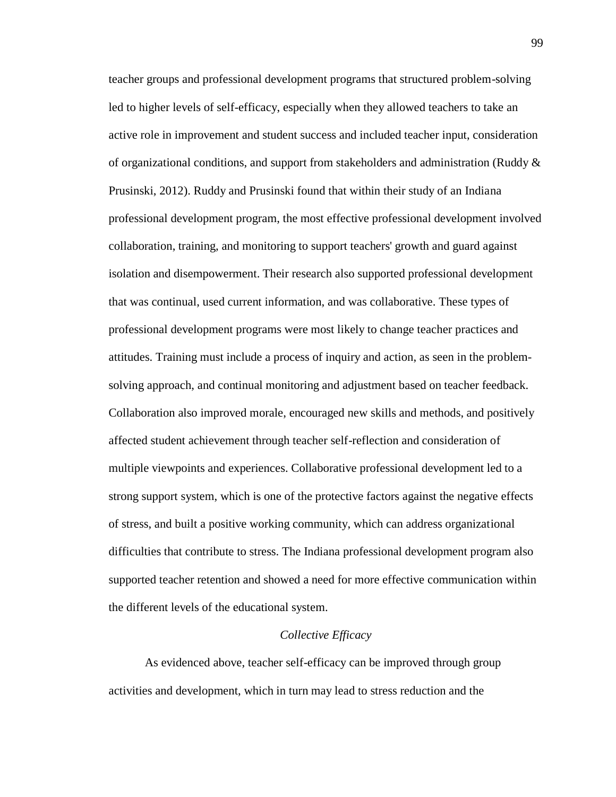teacher groups and professional development programs that structured problem-solving led to higher levels of self-efficacy, especially when they allowed teachers to take an active role in improvement and student success and included teacher input, consideration of organizational conditions, and support from stakeholders and administration (Ruddy  $\&$ Prusinski, 2012). Ruddy and Prusinski found that within their study of an Indiana professional development program, the most effective professional development involved collaboration, training, and monitoring to support teachers' growth and guard against isolation and disempowerment. Their research also supported professional development that was continual, used current information, and was collaborative. These types of professional development programs were most likely to change teacher practices and attitudes. Training must include a process of inquiry and action, as seen in the problemsolving approach, and continual monitoring and adjustment based on teacher feedback. Collaboration also improved morale, encouraged new skills and methods, and positively affected student achievement through teacher self-reflection and consideration of multiple viewpoints and experiences. Collaborative professional development led to a strong support system, which is one of the protective factors against the negative effects of stress, and built a positive working community, which can address organizational difficulties that contribute to stress. The Indiana professional development program also supported teacher retention and showed a need for more effective communication within the different levels of the educational system.

#### *Collective Efficacy*

As evidenced above, teacher self-efficacy can be improved through group activities and development, which in turn may lead to stress reduction and the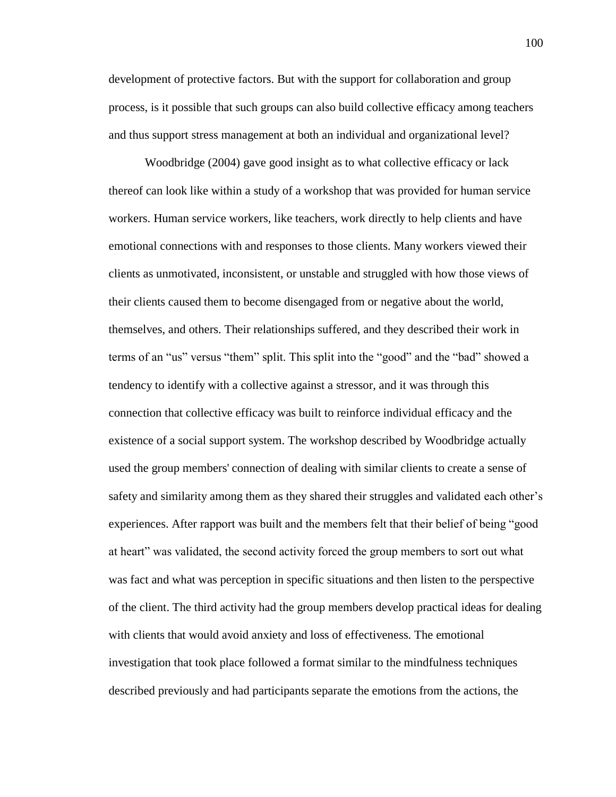development of protective factors. But with the support for collaboration and group process, is it possible that such groups can also build collective efficacy among teachers and thus support stress management at both an individual and organizational level?

Woodbridge (2004) gave good insight as to what collective efficacy or lack thereof can look like within a study of a workshop that was provided for human service workers. Human service workers, like teachers, work directly to help clients and have emotional connections with and responses to those clients. Many workers viewed their clients as unmotivated, inconsistent, or unstable and struggled with how those views of their clients caused them to become disengaged from or negative about the world, themselves, and others. Their relationships suffered, and they described their work in terms of an "us" versus "them" split. This split into the "good" and the "bad" showed a tendency to identify with a collective against a stressor, and it was through this connection that collective efficacy was built to reinforce individual efficacy and the existence of a social support system. The workshop described by Woodbridge actually used the group members' connection of dealing with similar clients to create a sense of safety and similarity among them as they shared their struggles and validated each other's experiences. After rapport was built and the members felt that their belief of being "good at heart" was validated, the second activity forced the group members to sort out what was fact and what was perception in specific situations and then listen to the perspective of the client. The third activity had the group members develop practical ideas for dealing with clients that would avoid anxiety and loss of effectiveness. The emotional investigation that took place followed a format similar to the mindfulness techniques described previously and had participants separate the emotions from the actions, the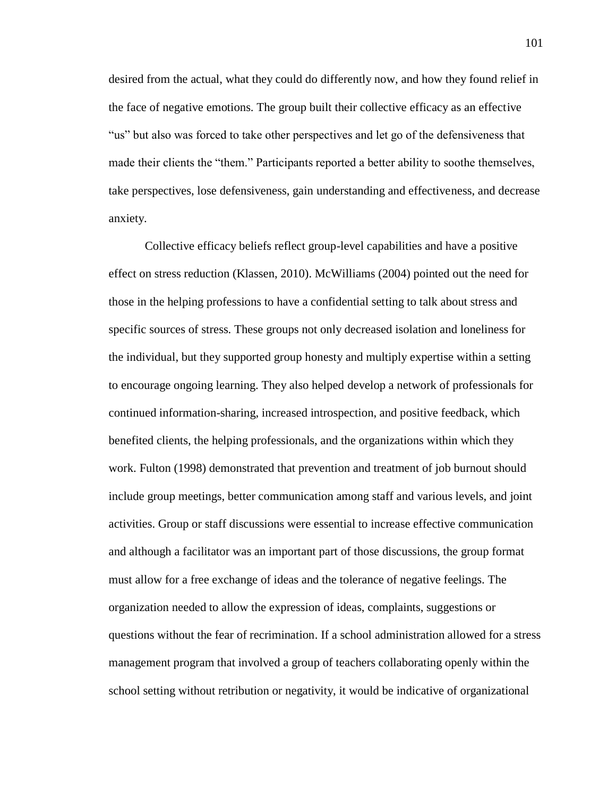desired from the actual, what they could do differently now, and how they found relief in the face of negative emotions. The group built their collective efficacy as an effective "us" but also was forced to take other perspectives and let go of the defensiveness that made their clients the "them." Participants reported a better ability to soothe themselves, take perspectives, lose defensiveness, gain understanding and effectiveness, and decrease anxiety.

Collective efficacy beliefs reflect group-level capabilities and have a positive effect on stress reduction (Klassen, 2010). McWilliams (2004) pointed out the need for those in the helping professions to have a confidential setting to talk about stress and specific sources of stress. These groups not only decreased isolation and loneliness for the individual, but they supported group honesty and multiply expertise within a setting to encourage ongoing learning. They also helped develop a network of professionals for continued information-sharing, increased introspection, and positive feedback, which benefited clients, the helping professionals, and the organizations within which they work. Fulton (1998) demonstrated that prevention and treatment of job burnout should include group meetings, better communication among staff and various levels, and joint activities. Group or staff discussions were essential to increase effective communication and although a facilitator was an important part of those discussions, the group format must allow for a free exchange of ideas and the tolerance of negative feelings. The organization needed to allow the expression of ideas, complaints, suggestions or questions without the fear of recrimination. If a school administration allowed for a stress management program that involved a group of teachers collaborating openly within the school setting without retribution or negativity, it would be indicative of organizational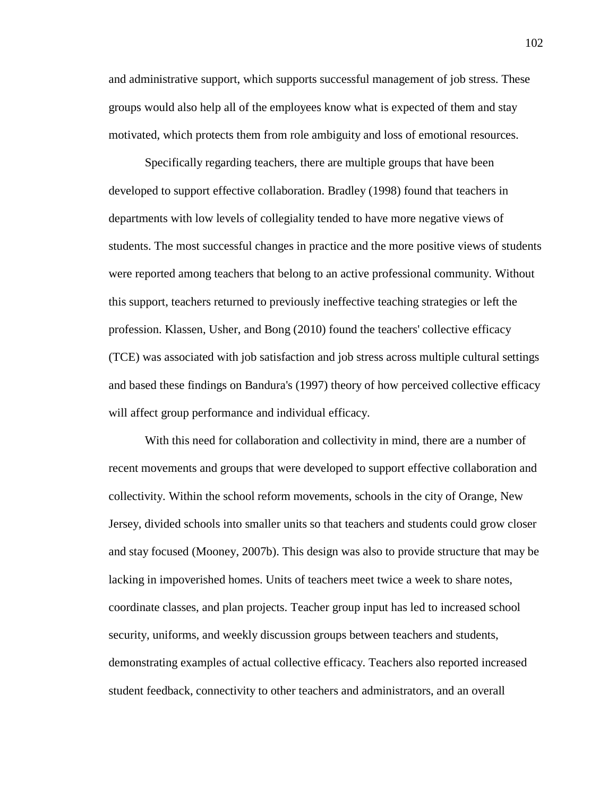and administrative support, which supports successful management of job stress. These groups would also help all of the employees know what is expected of them and stay motivated, which protects them from role ambiguity and loss of emotional resources.

Specifically regarding teachers, there are multiple groups that have been developed to support effective collaboration. Bradley (1998) found that teachers in departments with low levels of collegiality tended to have more negative views of students. The most successful changes in practice and the more positive views of students were reported among teachers that belong to an active professional community. Without this support, teachers returned to previously ineffective teaching strategies or left the profession. Klassen, Usher, and Bong (2010) found the teachers' collective efficacy (TCE) was associated with job satisfaction and job stress across multiple cultural settings and based these findings on Bandura's (1997) theory of how perceived collective efficacy will affect group performance and individual efficacy.

With this need for collaboration and collectivity in mind, there are a number of recent movements and groups that were developed to support effective collaboration and collectivity. Within the school reform movements, schools in the city of Orange, New Jersey, divided schools into smaller units so that teachers and students could grow closer and stay focused (Mooney, 2007b). This design was also to provide structure that may be lacking in impoverished homes. Units of teachers meet twice a week to share notes, coordinate classes, and plan projects. Teacher group input has led to increased school security, uniforms, and weekly discussion groups between teachers and students, demonstrating examples of actual collective efficacy. Teachers also reported increased student feedback, connectivity to other teachers and administrators, and an overall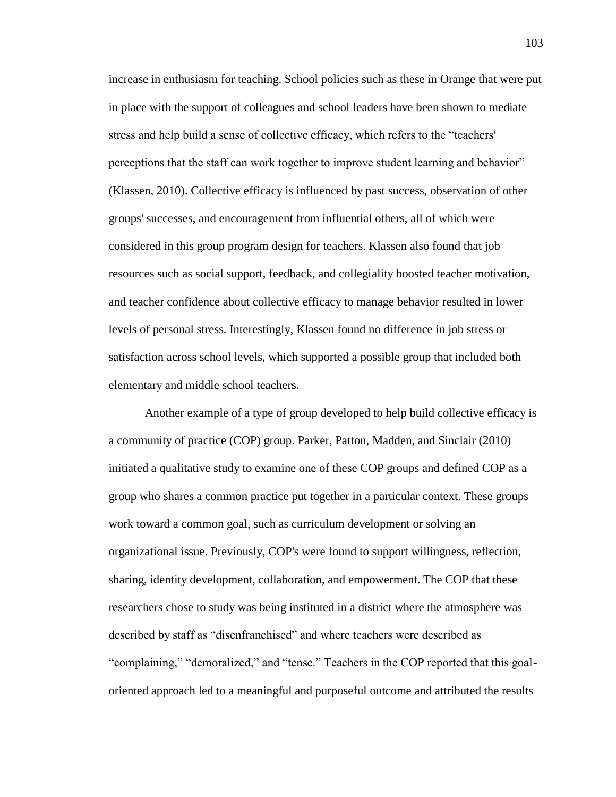increase in enthusiasm for teaching. School policies such as these in Orange that were put in place with the support of colleagues and school leaders have been shown to mediate stress and help build a sense of collective efficacy, which refers to the "teachers' perceptions that the staff can work together to improve student learning and behavior" (Klassen, 2010). Collective efficacy is influenced by past success, observation of other groups' successes, and encouragement from influential others, all of which were considered in this group program design for teachers. Klassen also found that job resources such as social support, feedback, and collegiality boosted teacher motivation, and teacher confidence about collective efficacy to manage behavior resulted in lower levels of personal stress. Interestingly, Klassen found no difference in job stress or satisfaction across school levels, which supported a possible group that included both elementary and middle school teachers.

Another example of a type of group developed to help build collective efficacy is a community of practice (COP) group. Parker, Patton, Madden, and Sinclair (2010) initiated a qualitative study to examine one of these COP groups and defined COP as a group who shares a common practice put together in a particular context. These groups work toward a common goal, such as curriculum development or solving an organizational issue. Previously, COP's were found to support willingness, reflection, sharing, identity development, collaboration, and empowerment. The COP that these researchers chose to study was being instituted in a district where the atmosphere was described by staff as "disenfranchised" and where teachers were described as "complaining," "demoralized," and "tense." Teachers in the COP reported that this goaloriented approach led to a meaningful and purposeful outcome and attributed the results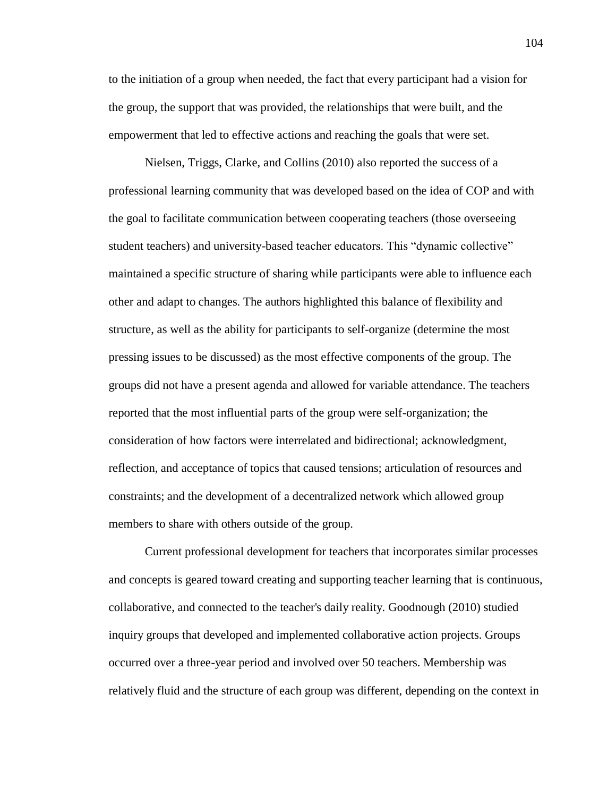to the initiation of a group when needed, the fact that every participant had a vision for the group, the support that was provided, the relationships that were built, and the empowerment that led to effective actions and reaching the goals that were set.

Nielsen, Triggs, Clarke, and Collins (2010) also reported the success of a professional learning community that was developed based on the idea of COP and with the goal to facilitate communication between cooperating teachers (those overseeing student teachers) and university-based teacher educators. This "dynamic collective" maintained a specific structure of sharing while participants were able to influence each other and adapt to changes. The authors highlighted this balance of flexibility and structure, as well as the ability for participants to self-organize (determine the most pressing issues to be discussed) as the most effective components of the group. The groups did not have a present agenda and allowed for variable attendance. The teachers reported that the most influential parts of the group were self-organization; the consideration of how factors were interrelated and bidirectional; acknowledgment, reflection, and acceptance of topics that caused tensions; articulation of resources and constraints; and the development of a decentralized network which allowed group members to share with others outside of the group.

Current professional development for teachers that incorporates similar processes and concepts is geared toward creating and supporting teacher learning that is continuous, collaborative, and connected to the teacher's daily reality. Goodnough (2010) studied inquiry groups that developed and implemented collaborative action projects. Groups occurred over a three-year period and involved over 50 teachers. Membership was relatively fluid and the structure of each group was different, depending on the context in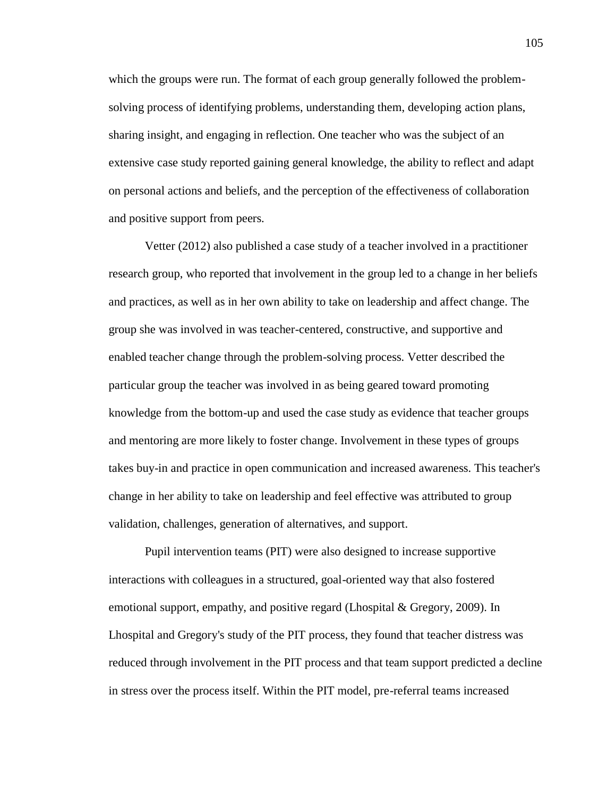which the groups were run. The format of each group generally followed the problemsolving process of identifying problems, understanding them, developing action plans, sharing insight, and engaging in reflection. One teacher who was the subject of an extensive case study reported gaining general knowledge, the ability to reflect and adapt on personal actions and beliefs, and the perception of the effectiveness of collaboration and positive support from peers.

Vetter (2012) also published a case study of a teacher involved in a practitioner research group, who reported that involvement in the group led to a change in her beliefs and practices, as well as in her own ability to take on leadership and affect change. The group she was involved in was teacher-centered, constructive, and supportive and enabled teacher change through the problem-solving process. Vetter described the particular group the teacher was involved in as being geared toward promoting knowledge from the bottom-up and used the case study as evidence that teacher groups and mentoring are more likely to foster change. Involvement in these types of groups takes buy-in and practice in open communication and increased awareness. This teacher's change in her ability to take on leadership and feel effective was attributed to group validation, challenges, generation of alternatives, and support.

Pupil intervention teams (PIT) were also designed to increase supportive interactions with colleagues in a structured, goal-oriented way that also fostered emotional support, empathy, and positive regard (Lhospital & Gregory, 2009). In Lhospital and Gregory's study of the PIT process, they found that teacher distress was reduced through involvement in the PIT process and that team support predicted a decline in stress over the process itself. Within the PIT model, pre-referral teams increased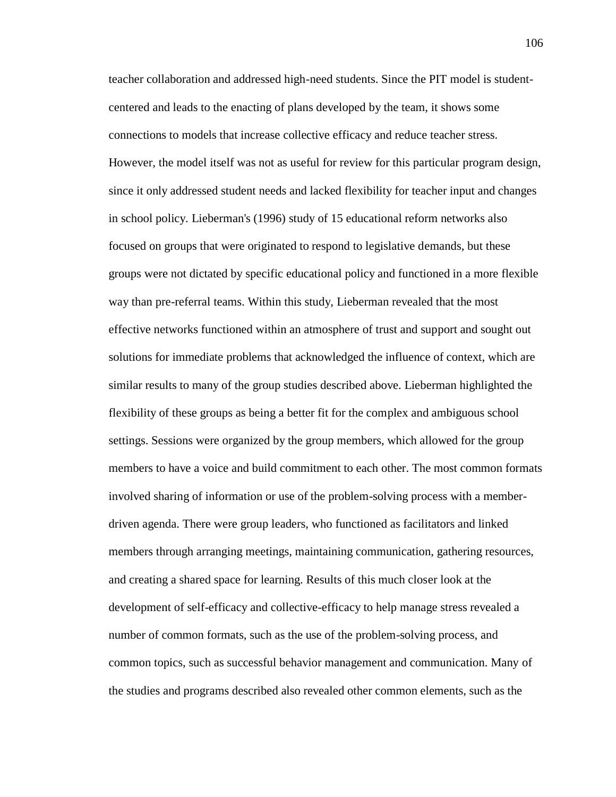teacher collaboration and addressed high-need students. Since the PIT model is studentcentered and leads to the enacting of plans developed by the team, it shows some connections to models that increase collective efficacy and reduce teacher stress. However, the model itself was not as useful for review for this particular program design, since it only addressed student needs and lacked flexibility for teacher input and changes in school policy. Lieberman's (1996) study of 15 educational reform networks also focused on groups that were originated to respond to legislative demands, but these groups were not dictated by specific educational policy and functioned in a more flexible way than pre-referral teams. Within this study, Lieberman revealed that the most effective networks functioned within an atmosphere of trust and support and sought out solutions for immediate problems that acknowledged the influence of context, which are similar results to many of the group studies described above. Lieberman highlighted the flexibility of these groups as being a better fit for the complex and ambiguous school settings. Sessions were organized by the group members, which allowed for the group members to have a voice and build commitment to each other. The most common formats involved sharing of information or use of the problem-solving process with a memberdriven agenda. There were group leaders, who functioned as facilitators and linked members through arranging meetings, maintaining communication, gathering resources, and creating a shared space for learning. Results of this much closer look at the development of self-efficacy and collective-efficacy to help manage stress revealed a number of common formats, such as the use of the problem-solving process, and common topics, such as successful behavior management and communication. Many of the studies and programs described also revealed other common elements, such as the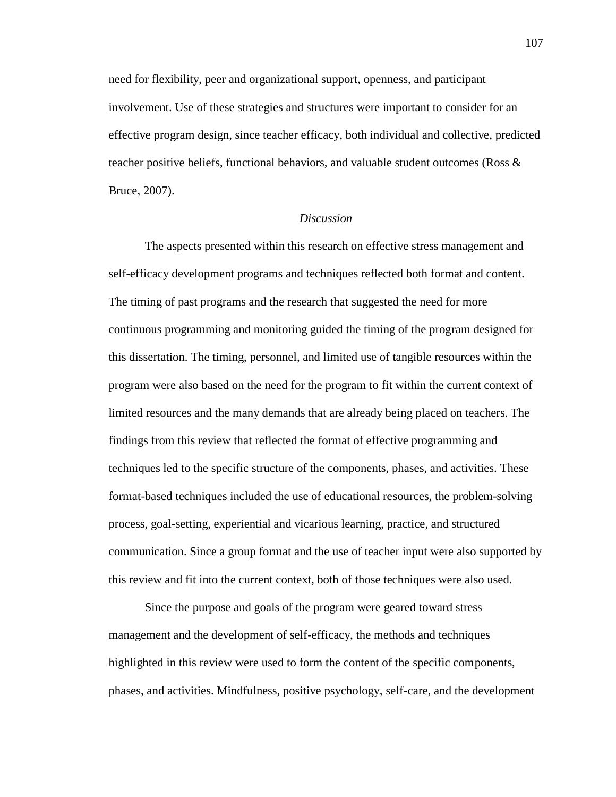need for flexibility, peer and organizational support, openness, and participant involvement. Use of these strategies and structures were important to consider for an effective program design, since teacher efficacy, both individual and collective, predicted teacher positive beliefs, functional behaviors, and valuable student outcomes (Ross & Bruce, 2007).

## *Discussion*

The aspects presented within this research on effective stress management and self-efficacy development programs and techniques reflected both format and content. The timing of past programs and the research that suggested the need for more continuous programming and monitoring guided the timing of the program designed for this dissertation. The timing, personnel, and limited use of tangible resources within the program were also based on the need for the program to fit within the current context of limited resources and the many demands that are already being placed on teachers. The findings from this review that reflected the format of effective programming and techniques led to the specific structure of the components, phases, and activities. These format-based techniques included the use of educational resources, the problem-solving process, goal-setting, experiential and vicarious learning, practice, and structured communication. Since a group format and the use of teacher input were also supported by this review and fit into the current context, both of those techniques were also used.

Since the purpose and goals of the program were geared toward stress management and the development of self-efficacy, the methods and techniques highlighted in this review were used to form the content of the specific components, phases, and activities. Mindfulness, positive psychology, self-care, and the development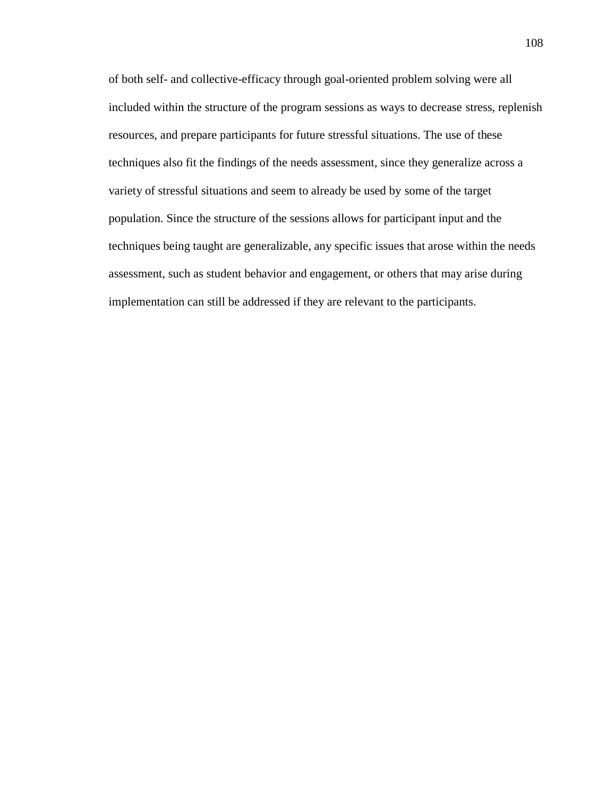of both self- and collective-efficacy through goal-oriented problem solving were all included within the structure of the program sessions as ways to decrease stress, replenish resources, and prepare participants for future stressful situations. The use of these techniques also fit the findings of the needs assessment, since they generalize across a variety of stressful situations and seem to already be used by some of the target population. Since the structure of the sessions allows for participant input and the techniques being taught are generalizable, any specific issues that arose within the needs assessment, such as student behavior and engagement, or others that may arise during implementation can still be addressed if they are relevant to the participants.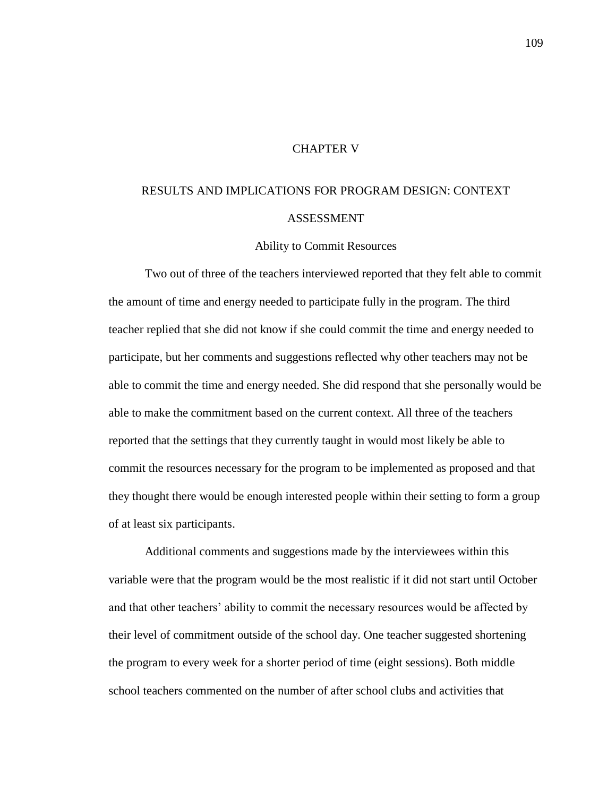## CHAPTER V

# RESULTS AND IMPLICATIONS FOR PROGRAM DESIGN: CONTEXT ASSESSMENT

Ability to Commit Resources

Two out of three of the teachers interviewed reported that they felt able to commit the amount of time and energy needed to participate fully in the program. The third teacher replied that she did not know if she could commit the time and energy needed to participate, but her comments and suggestions reflected why other teachers may not be able to commit the time and energy needed. She did respond that she personally would be able to make the commitment based on the current context. All three of the teachers reported that the settings that they currently taught in would most likely be able to commit the resources necessary for the program to be implemented as proposed and that they thought there would be enough interested people within their setting to form a group of at least six participants.

Additional comments and suggestions made by the interviewees within this variable were that the program would be the most realistic if it did not start until October and that other teachers' ability to commit the necessary resources would be affected by their level of commitment outside of the school day. One teacher suggested shortening the program to every week for a shorter period of time (eight sessions). Both middle school teachers commented on the number of after school clubs and activities that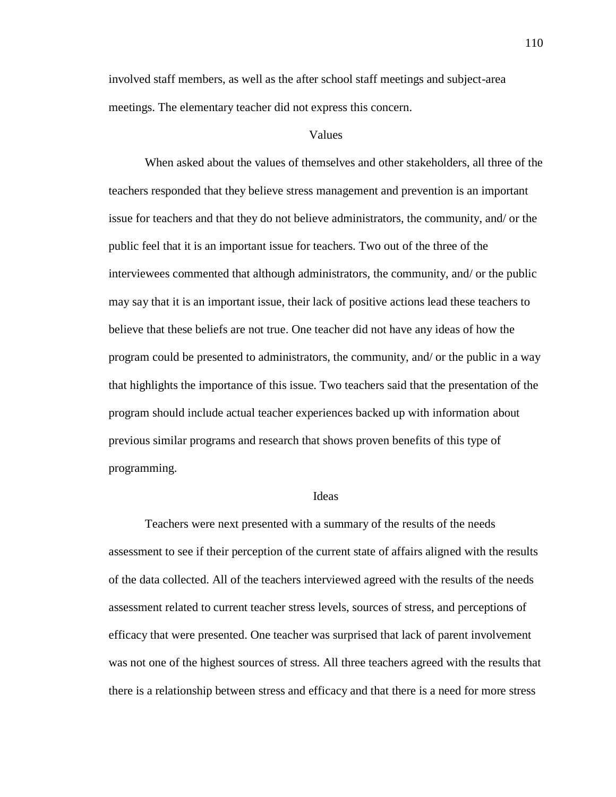involved staff members, as well as the after school staff meetings and subject-area meetings. The elementary teacher did not express this concern.

## Values

When asked about the values of themselves and other stakeholders, all three of the teachers responded that they believe stress management and prevention is an important issue for teachers and that they do not believe administrators, the community, and/ or the public feel that it is an important issue for teachers. Two out of the three of the interviewees commented that although administrators, the community, and/ or the public may say that it is an important issue, their lack of positive actions lead these teachers to believe that these beliefs are not true. One teacher did not have any ideas of how the program could be presented to administrators, the community, and/ or the public in a way that highlights the importance of this issue. Two teachers said that the presentation of the program should include actual teacher experiences backed up with information about previous similar programs and research that shows proven benefits of this type of programming.

#### Ideas

Teachers were next presented with a summary of the results of the needs assessment to see if their perception of the current state of affairs aligned with the results of the data collected. All of the teachers interviewed agreed with the results of the needs assessment related to current teacher stress levels, sources of stress, and perceptions of efficacy that were presented. One teacher was surprised that lack of parent involvement was not one of the highest sources of stress. All three teachers agreed with the results that there is a relationship between stress and efficacy and that there is a need for more stress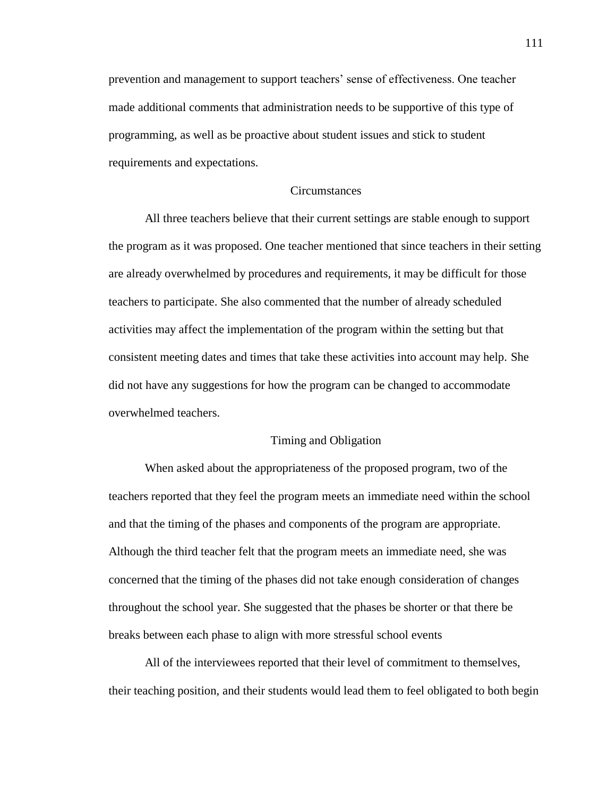prevention and management to support teachers' sense of effectiveness. One teacher made additional comments that administration needs to be supportive of this type of programming, as well as be proactive about student issues and stick to student requirements and expectations.

#### Circumstances

All three teachers believe that their current settings are stable enough to support the program as it was proposed. One teacher mentioned that since teachers in their setting are already overwhelmed by procedures and requirements, it may be difficult for those teachers to participate. She also commented that the number of already scheduled activities may affect the implementation of the program within the setting but that consistent meeting dates and times that take these activities into account may help. She did not have any suggestions for how the program can be changed to accommodate overwhelmed teachers.

#### Timing and Obligation

When asked about the appropriateness of the proposed program, two of the teachers reported that they feel the program meets an immediate need within the school and that the timing of the phases and components of the program are appropriate. Although the third teacher felt that the program meets an immediate need, she was concerned that the timing of the phases did not take enough consideration of changes throughout the school year. She suggested that the phases be shorter or that there be breaks between each phase to align with more stressful school events

All of the interviewees reported that their level of commitment to themselves, their teaching position, and their students would lead them to feel obligated to both begin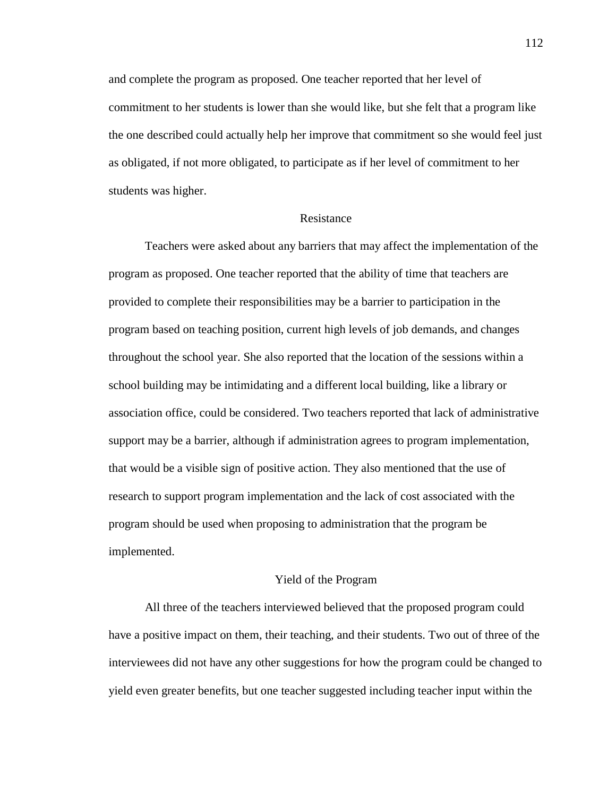and complete the program as proposed. One teacher reported that her level of commitment to her students is lower than she would like, but she felt that a program like the one described could actually help her improve that commitment so she would feel just as obligated, if not more obligated, to participate as if her level of commitment to her students was higher.

## Resistance

Teachers were asked about any barriers that may affect the implementation of the program as proposed. One teacher reported that the ability of time that teachers are provided to complete their responsibilities may be a barrier to participation in the program based on teaching position, current high levels of job demands, and changes throughout the school year. She also reported that the location of the sessions within a school building may be intimidating and a different local building, like a library or association office, could be considered. Two teachers reported that lack of administrative support may be a barrier, although if administration agrees to program implementation, that would be a visible sign of positive action. They also mentioned that the use of research to support program implementation and the lack of cost associated with the program should be used when proposing to administration that the program be implemented.

#### Yield of the Program

All three of the teachers interviewed believed that the proposed program could have a positive impact on them, their teaching, and their students. Two out of three of the interviewees did not have any other suggestions for how the program could be changed to yield even greater benefits, but one teacher suggested including teacher input within the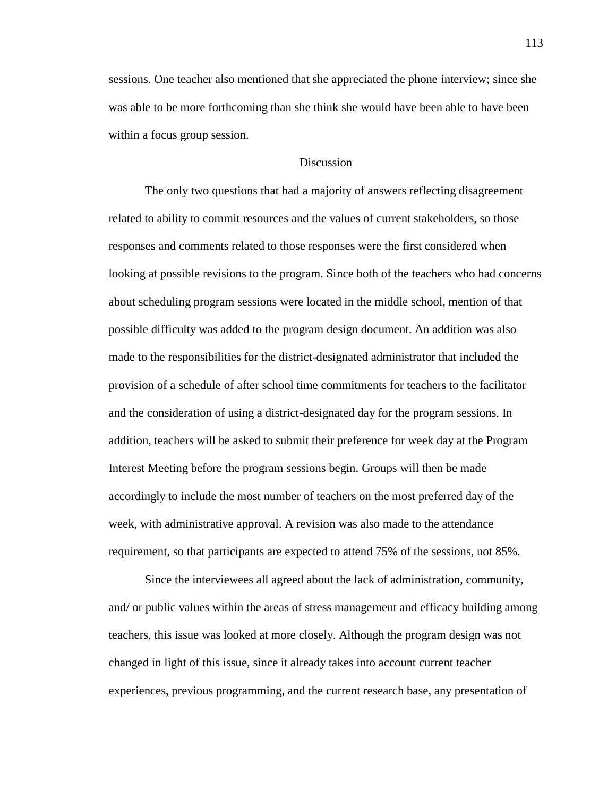sessions. One teacher also mentioned that she appreciated the phone interview; since she was able to be more forthcoming than she think she would have been able to have been within a focus group session.

## **Discussion**

The only two questions that had a majority of answers reflecting disagreement related to ability to commit resources and the values of current stakeholders, so those responses and comments related to those responses were the first considered when looking at possible revisions to the program. Since both of the teachers who had concerns about scheduling program sessions were located in the middle school, mention of that possible difficulty was added to the program design document. An addition was also made to the responsibilities for the district-designated administrator that included the provision of a schedule of after school time commitments for teachers to the facilitator and the consideration of using a district-designated day for the program sessions. In addition, teachers will be asked to submit their preference for week day at the Program Interest Meeting before the program sessions begin. Groups will then be made accordingly to include the most number of teachers on the most preferred day of the week, with administrative approval. A revision was also made to the attendance requirement, so that participants are expected to attend 75% of the sessions, not 85%.

Since the interviewees all agreed about the lack of administration, community, and/ or public values within the areas of stress management and efficacy building among teachers, this issue was looked at more closely. Although the program design was not changed in light of this issue, since it already takes into account current teacher experiences, previous programming, and the current research base, any presentation of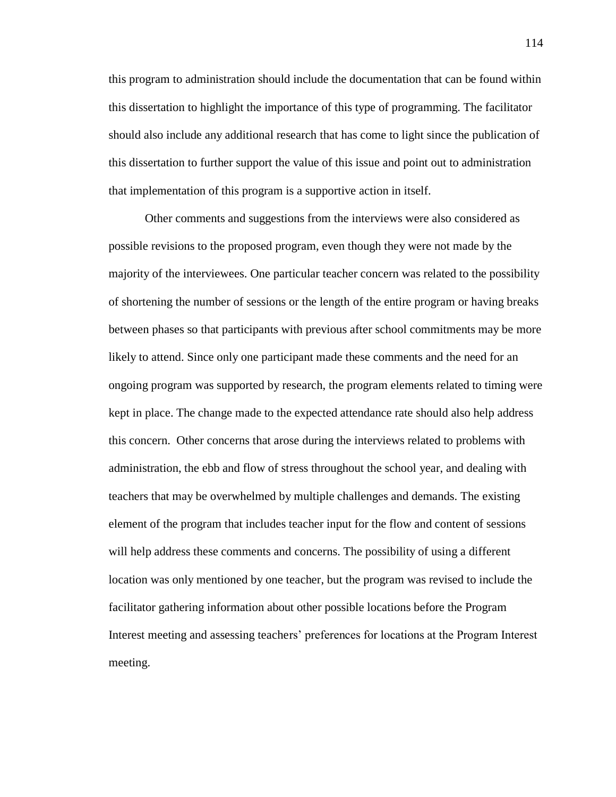this program to administration should include the documentation that can be found within this dissertation to highlight the importance of this type of programming. The facilitator should also include any additional research that has come to light since the publication of this dissertation to further support the value of this issue and point out to administration that implementation of this program is a supportive action in itself.

Other comments and suggestions from the interviews were also considered as possible revisions to the proposed program, even though they were not made by the majority of the interviewees. One particular teacher concern was related to the possibility of shortening the number of sessions or the length of the entire program or having breaks between phases so that participants with previous after school commitments may be more likely to attend. Since only one participant made these comments and the need for an ongoing program was supported by research, the program elements related to timing were kept in place. The change made to the expected attendance rate should also help address this concern. Other concerns that arose during the interviews related to problems with administration, the ebb and flow of stress throughout the school year, and dealing with teachers that may be overwhelmed by multiple challenges and demands. The existing element of the program that includes teacher input for the flow and content of sessions will help address these comments and concerns. The possibility of using a different location was only mentioned by one teacher, but the program was revised to include the facilitator gathering information about other possible locations before the Program Interest meeting and assessing teachers' preferences for locations at the Program Interest meeting.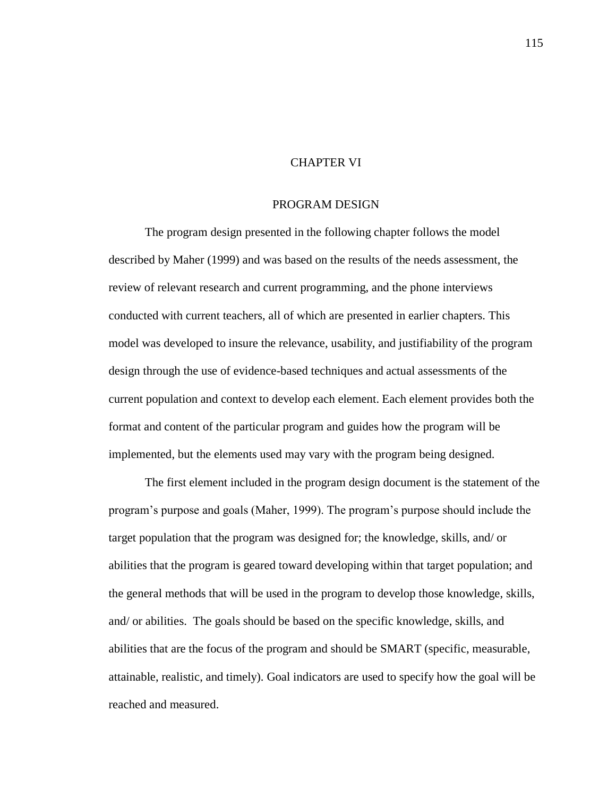## CHAPTER VI

## PROGRAM DESIGN

The program design presented in the following chapter follows the model described by Maher (1999) and was based on the results of the needs assessment, the review of relevant research and current programming, and the phone interviews conducted with current teachers, all of which are presented in earlier chapters. This model was developed to insure the relevance, usability, and justifiability of the program design through the use of evidence-based techniques and actual assessments of the current population and context to develop each element. Each element provides both the format and content of the particular program and guides how the program will be implemented, but the elements used may vary with the program being designed.

The first element included in the program design document is the statement of the program's purpose and goals (Maher, 1999). The program's purpose should include the target population that the program was designed for; the knowledge, skills, and/ or abilities that the program is geared toward developing within that target population; and the general methods that will be used in the program to develop those knowledge, skills, and/ or abilities. The goals should be based on the specific knowledge, skills, and abilities that are the focus of the program and should be SMART (specific, measurable, attainable, realistic, and timely). Goal indicators are used to specify how the goal will be reached and measured.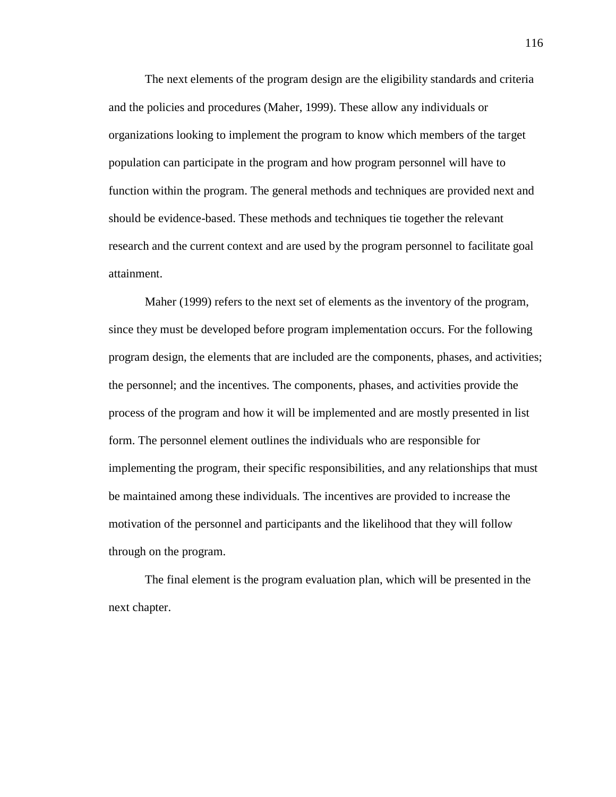The next elements of the program design are the eligibility standards and criteria and the policies and procedures (Maher, 1999). These allow any individuals or organizations looking to implement the program to know which members of the target population can participate in the program and how program personnel will have to function within the program. The general methods and techniques are provided next and should be evidence-based. These methods and techniques tie together the relevant research and the current context and are used by the program personnel to facilitate goal attainment.

Maher (1999) refers to the next set of elements as the inventory of the program, since they must be developed before program implementation occurs. For the following program design, the elements that are included are the components, phases, and activities; the personnel; and the incentives. The components, phases, and activities provide the process of the program and how it will be implemented and are mostly presented in list form. The personnel element outlines the individuals who are responsible for implementing the program, their specific responsibilities, and any relationships that must be maintained among these individuals. The incentives are provided to increase the motivation of the personnel and participants and the likelihood that they will follow through on the program.

The final element is the program evaluation plan, which will be presented in the next chapter.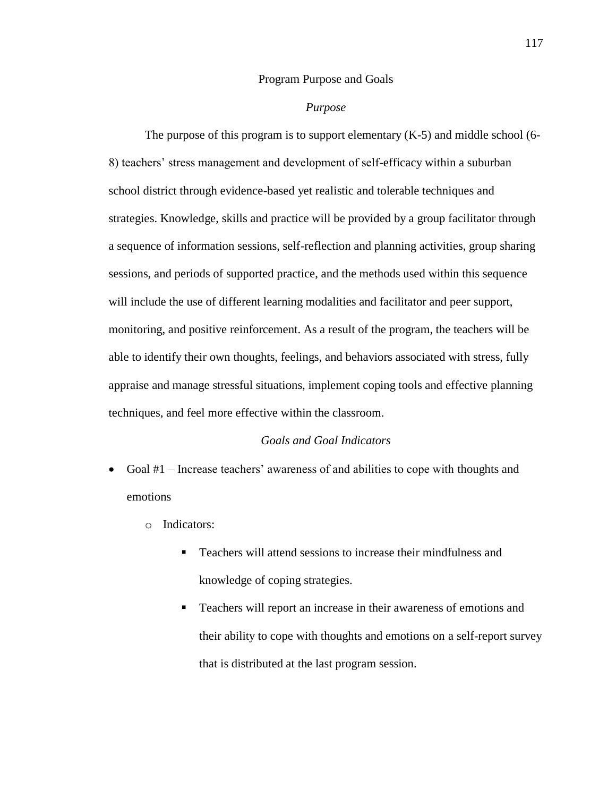## Program Purpose and Goals

## *Purpose*

The purpose of this program is to support elementary  $(K-5)$  and middle school (6-8) teachers' stress management and development of self-efficacy within a suburban school district through evidence-based yet realistic and tolerable techniques and strategies. Knowledge, skills and practice will be provided by a group facilitator through a sequence of information sessions, self-reflection and planning activities, group sharing sessions, and periods of supported practice, and the methods used within this sequence will include the use of different learning modalities and facilitator and peer support, monitoring, and positive reinforcement. As a result of the program, the teachers will be able to identify their own thoughts, feelings, and behaviors associated with stress, fully appraise and manage stressful situations, implement coping tools and effective planning techniques, and feel more effective within the classroom.

## *Goals and Goal Indicators*

- Goal #1 Increase teachers' awareness of and abilities to cope with thoughts and emotions
	- o Indicators:
		- Teachers will attend sessions to increase their mindfulness and knowledge of coping strategies.
		- Teachers will report an increase in their awareness of emotions and their ability to cope with thoughts and emotions on a self-report survey that is distributed at the last program session.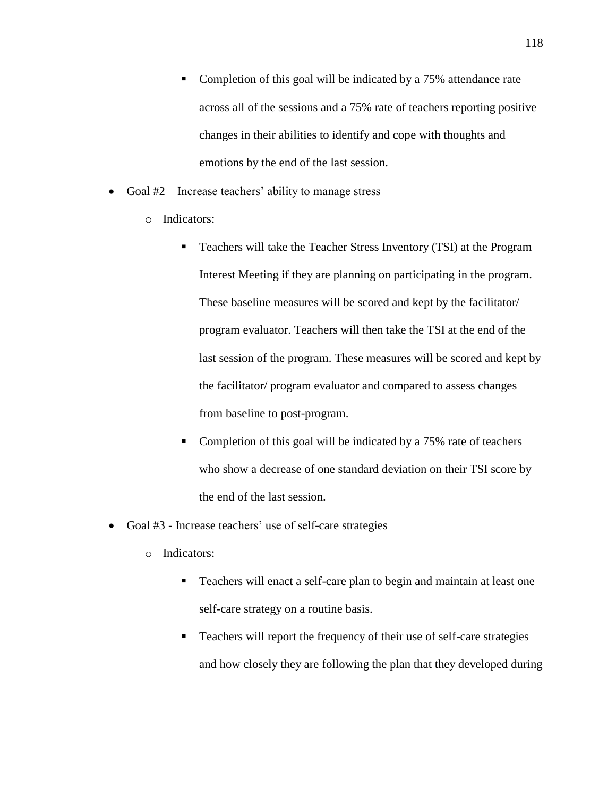- Completion of this goal will be indicated by a 75% attendance rate across all of the sessions and a 75% rate of teachers reporting positive changes in their abilities to identify and cope with thoughts and emotions by the end of the last session.
- Goal  $#2$  Increase teachers' ability to manage stress
	- o Indicators:
		- Teachers will take the Teacher Stress Inventory (TSI) at the Program Interest Meeting if they are planning on participating in the program. These baseline measures will be scored and kept by the facilitator/ program evaluator. Teachers will then take the TSI at the end of the last session of the program. These measures will be scored and kept by the facilitator/ program evaluator and compared to assess changes from baseline to post-program.
		- Completion of this goal will be indicated by a 75% rate of teachers who show a decrease of one standard deviation on their TSI score by the end of the last session.
- Goal #3 Increase teachers' use of self-care strategies
	- o Indicators:
		- Teachers will enact a self-care plan to begin and maintain at least one self-care strategy on a routine basis.
		- Teachers will report the frequency of their use of self-care strategies and how closely they are following the plan that they developed during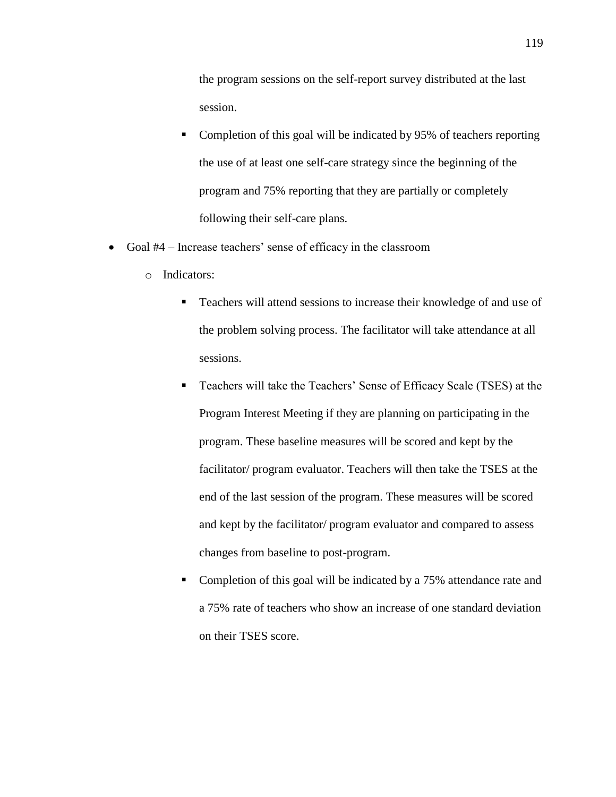the program sessions on the self-report survey distributed at the last session.

- Completion of this goal will be indicated by 95% of teachers reporting the use of at least one self-care strategy since the beginning of the program and 75% reporting that they are partially or completely following their self-care plans.
- Goal #4 Increase teachers' sense of efficacy in the classroom
	- o Indicators:
		- **Teachers will attend sessions to increase their knowledge of and use of** the problem solving process. The facilitator will take attendance at all sessions.
		- Teachers will take the Teachers' Sense of Efficacy Scale (TSES) at the Program Interest Meeting if they are planning on participating in the program. These baseline measures will be scored and kept by the facilitator/ program evaluator. Teachers will then take the TSES at the end of the last session of the program. These measures will be scored and kept by the facilitator/ program evaluator and compared to assess changes from baseline to post-program.
		- Completion of this goal will be indicated by a 75% attendance rate and a 75% rate of teachers who show an increase of one standard deviation on their TSES score.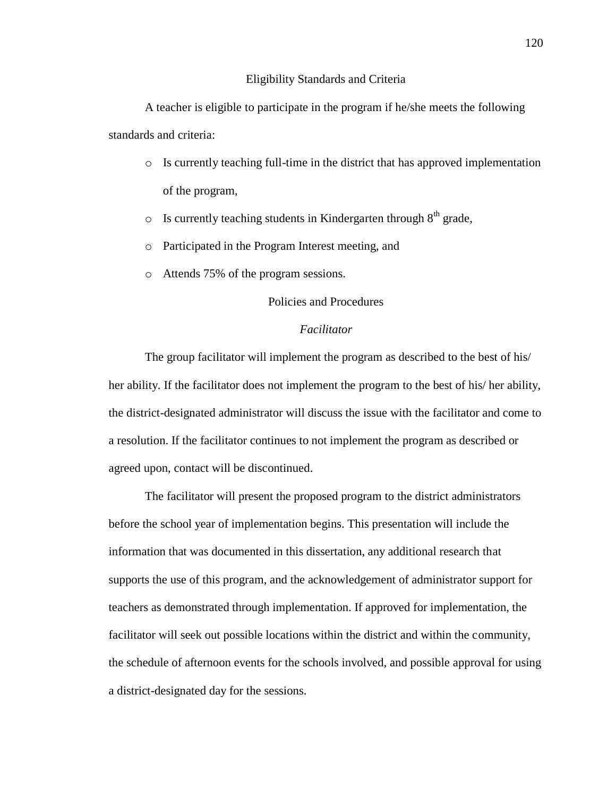## Eligibility Standards and Criteria

A teacher is eligible to participate in the program if he/she meets the following standards and criteria:

- o Is currently teaching full-time in the district that has approved implementation of the program,
- $\circ$  Is currently teaching students in Kindergarten through  $8<sup>th</sup>$  grade,
- o Participated in the Program Interest meeting, and
- o Attends 75% of the program sessions.

## Policies and Procedures

## *Facilitator*

The group facilitator will implement the program as described to the best of his/ her ability. If the facilitator does not implement the program to the best of his/ her ability, the district-designated administrator will discuss the issue with the facilitator and come to a resolution. If the facilitator continues to not implement the program as described or agreed upon, contact will be discontinued.

The facilitator will present the proposed program to the district administrators before the school year of implementation begins. This presentation will include the information that was documented in this dissertation, any additional research that supports the use of this program, and the acknowledgement of administrator support for teachers as demonstrated through implementation. If approved for implementation, the facilitator will seek out possible locations within the district and within the community, the schedule of afternoon events for the schools involved, and possible approval for using a district-designated day for the sessions.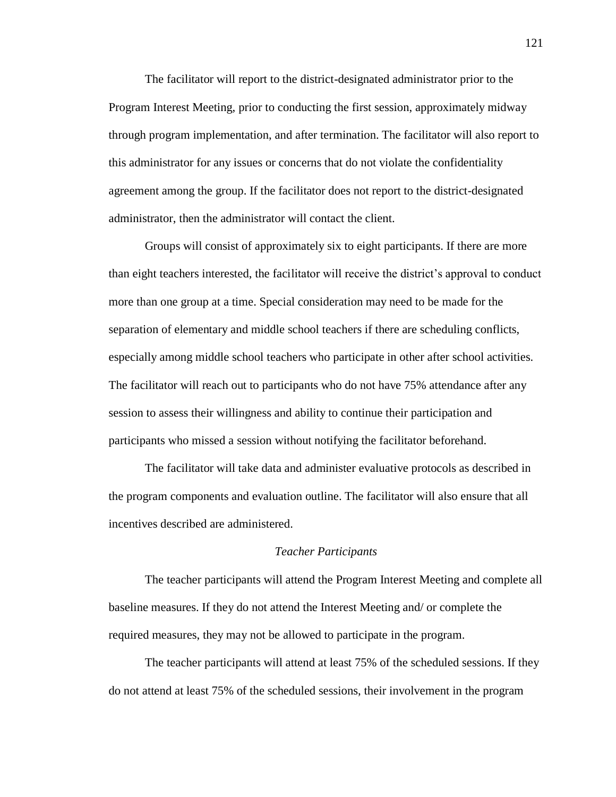The facilitator will report to the district-designated administrator prior to the Program Interest Meeting, prior to conducting the first session, approximately midway through program implementation, and after termination. The facilitator will also report to this administrator for any issues or concerns that do not violate the confidentiality agreement among the group. If the facilitator does not report to the district-designated administrator, then the administrator will contact the client.

Groups will consist of approximately six to eight participants. If there are more than eight teachers interested, the facilitator will receive the district's approval to conduct more than one group at a time. Special consideration may need to be made for the separation of elementary and middle school teachers if there are scheduling conflicts, especially among middle school teachers who participate in other after school activities. The facilitator will reach out to participants who do not have 75% attendance after any session to assess their willingness and ability to continue their participation and participants who missed a session without notifying the facilitator beforehand.

The facilitator will take data and administer evaluative protocols as described in the program components and evaluation outline. The facilitator will also ensure that all incentives described are administered.

## *Teacher Participants*

The teacher participants will attend the Program Interest Meeting and complete all baseline measures. If they do not attend the Interest Meeting and/ or complete the required measures, they may not be allowed to participate in the program.

The teacher participants will attend at least 75% of the scheduled sessions. If they do not attend at least 75% of the scheduled sessions, their involvement in the program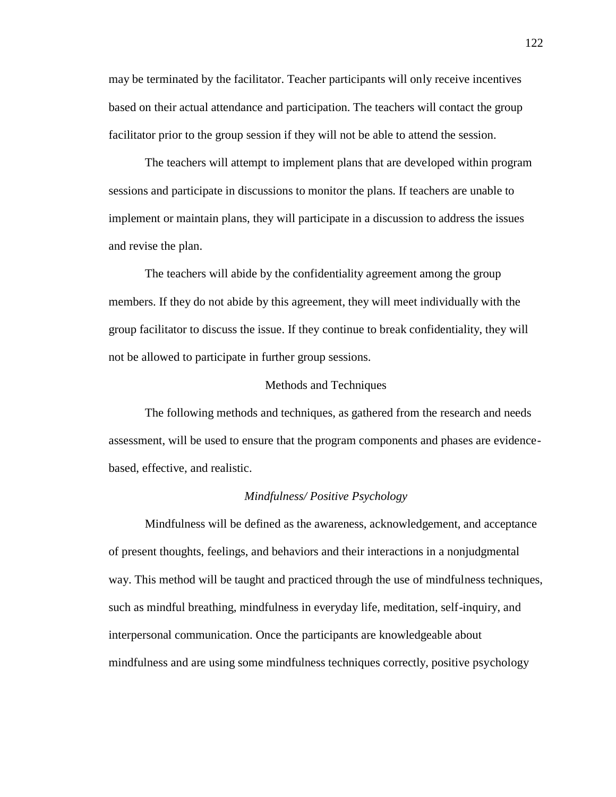may be terminated by the facilitator. Teacher participants will only receive incentives based on their actual attendance and participation. The teachers will contact the group facilitator prior to the group session if they will not be able to attend the session.

The teachers will attempt to implement plans that are developed within program sessions and participate in discussions to monitor the plans. If teachers are unable to implement or maintain plans, they will participate in a discussion to address the issues and revise the plan.

The teachers will abide by the confidentiality agreement among the group members. If they do not abide by this agreement, they will meet individually with the group facilitator to discuss the issue. If they continue to break confidentiality, they will not be allowed to participate in further group sessions.

#### Methods and Techniques

The following methods and techniques, as gathered from the research and needs assessment, will be used to ensure that the program components and phases are evidencebased, effective, and realistic.

## *Mindfulness/ Positive Psychology*

Mindfulness will be defined as the awareness, acknowledgement, and acceptance of present thoughts, feelings, and behaviors and their interactions in a nonjudgmental way. This method will be taught and practiced through the use of mindfulness techniques, such as mindful breathing, mindfulness in everyday life, meditation, self-inquiry, and interpersonal communication. Once the participants are knowledgeable about mindfulness and are using some mindfulness techniques correctly, positive psychology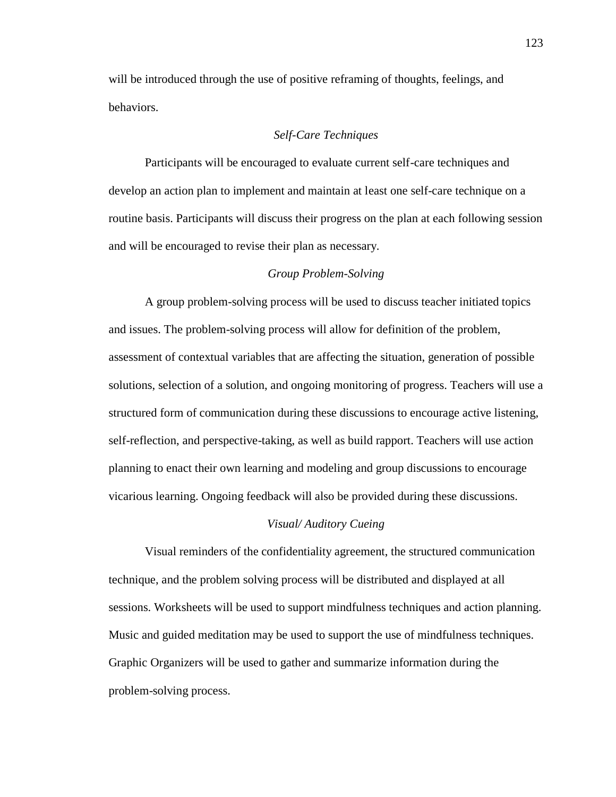will be introduced through the use of positive reframing of thoughts, feelings, and behaviors.

## *Self-Care Techniques*

Participants will be encouraged to evaluate current self-care techniques and develop an action plan to implement and maintain at least one self-care technique on a routine basis. Participants will discuss their progress on the plan at each following session and will be encouraged to revise their plan as necessary.

## *Group Problem-Solving*

A group problem-solving process will be used to discuss teacher initiated topics and issues. The problem-solving process will allow for definition of the problem, assessment of contextual variables that are affecting the situation, generation of possible solutions, selection of a solution, and ongoing monitoring of progress. Teachers will use a structured form of communication during these discussions to encourage active listening, self-reflection, and perspective-taking, as well as build rapport. Teachers will use action planning to enact their own learning and modeling and group discussions to encourage vicarious learning. Ongoing feedback will also be provided during these discussions.

#### *Visual/ Auditory Cueing*

Visual reminders of the confidentiality agreement, the structured communication technique, and the problem solving process will be distributed and displayed at all sessions. Worksheets will be used to support mindfulness techniques and action planning. Music and guided meditation may be used to support the use of mindfulness techniques. Graphic Organizers will be used to gather and summarize information during the problem-solving process.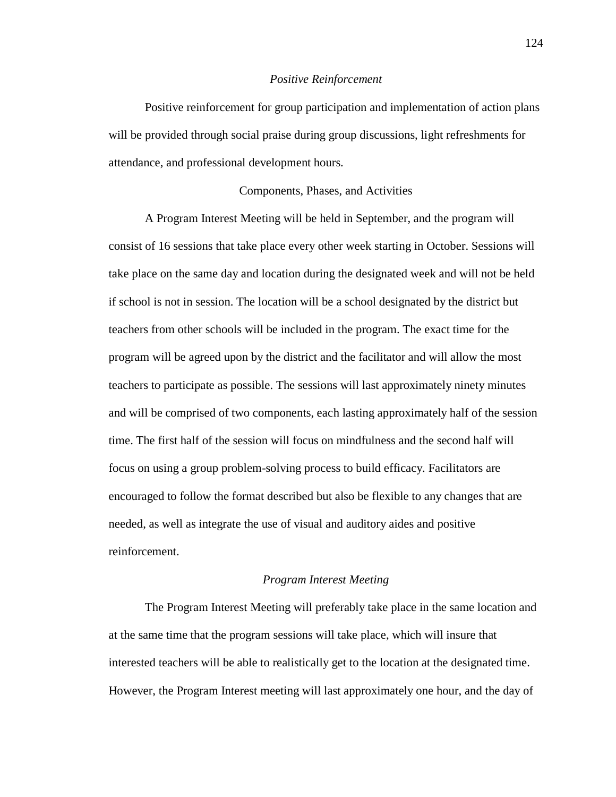#### *Positive Reinforcement*

Positive reinforcement for group participation and implementation of action plans will be provided through social praise during group discussions, light refreshments for attendance, and professional development hours.

## Components, Phases, and Activities

A Program Interest Meeting will be held in September, and the program will consist of 16 sessions that take place every other week starting in October. Sessions will take place on the same day and location during the designated week and will not be held if school is not in session. The location will be a school designated by the district but teachers from other schools will be included in the program. The exact time for the program will be agreed upon by the district and the facilitator and will allow the most teachers to participate as possible. The sessions will last approximately ninety minutes and will be comprised of two components, each lasting approximately half of the session time. The first half of the session will focus on mindfulness and the second half will focus on using a group problem-solving process to build efficacy. Facilitators are encouraged to follow the format described but also be flexible to any changes that are needed, as well as integrate the use of visual and auditory aides and positive reinforcement.

## *Program Interest Meeting*

The Program Interest Meeting will preferably take place in the same location and at the same time that the program sessions will take place, which will insure that interested teachers will be able to realistically get to the location at the designated time. However, the Program Interest meeting will last approximately one hour, and the day of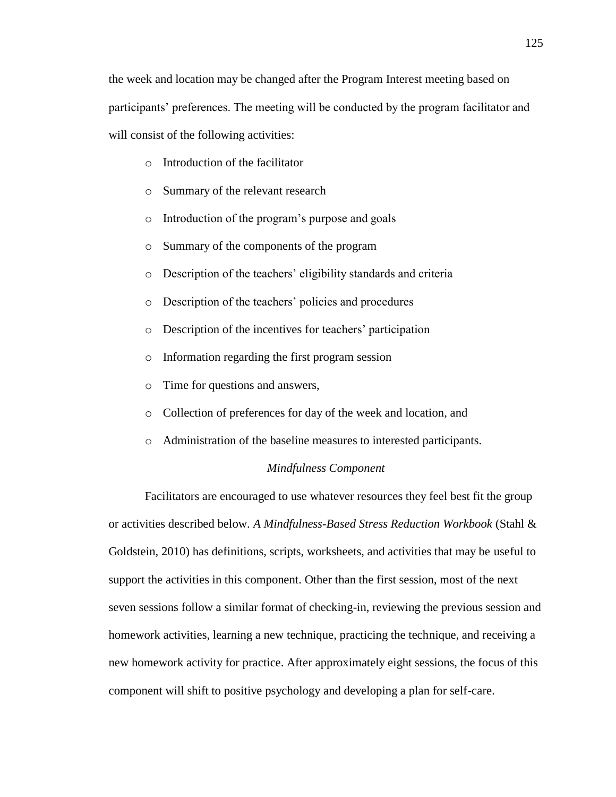the week and location may be changed after the Program Interest meeting based on participants' preferences. The meeting will be conducted by the program facilitator and will consist of the following activities:

- o Introduction of the facilitator
- o Summary of the relevant research
- o Introduction of the program's purpose and goals
- o Summary of the components of the program
- o Description of the teachers' eligibility standards and criteria
- o Description of the teachers' policies and procedures
- o Description of the incentives for teachers' participation
- o Information regarding the first program session
- o Time for questions and answers,
- o Collection of preferences for day of the week and location, and
- o Administration of the baseline measures to interested participants.

#### *Mindfulness Component*

Facilitators are encouraged to use whatever resources they feel best fit the group or activities described below. *A Mindfulness-Based Stress Reduction Workbook* (Stahl & Goldstein, 2010) has definitions, scripts, worksheets, and activities that may be useful to support the activities in this component. Other than the first session, most of the next seven sessions follow a similar format of checking-in, reviewing the previous session and homework activities, learning a new technique, practicing the technique, and receiving a new homework activity for practice. After approximately eight sessions, the focus of this component will shift to positive psychology and developing a plan for self-care.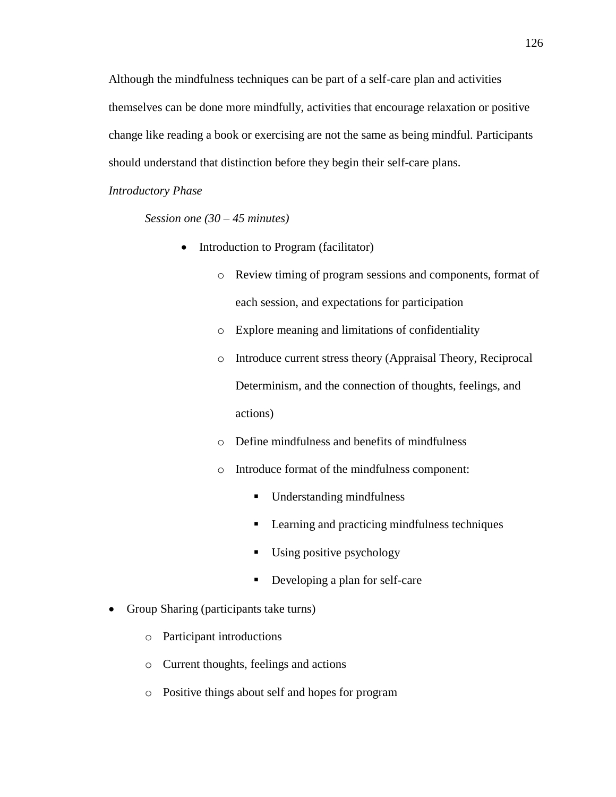Although the mindfulness techniques can be part of a self-care plan and activities themselves can be done more mindfully, activities that encourage relaxation or positive change like reading a book or exercising are not the same as being mindful. Participants should understand that distinction before they begin their self-care plans.

## *Introductory Phase*

*Session one (30 – 45 minutes)*

- Introduction to Program (facilitator)
	- o Review timing of program sessions and components, format of each session, and expectations for participation
	- o Explore meaning and limitations of confidentiality
	- o Introduce current stress theory (Appraisal Theory, Reciprocal Determinism, and the connection of thoughts, feelings, and actions)
	- o Define mindfulness and benefits of mindfulness
	- o Introduce format of the mindfulness component:
		- **Understanding mindfulness**
		- **Learning and practicing mindfulness techniques**
		- Using positive psychology
		- Developing a plan for self-care
- Group Sharing (participants take turns)
	- o Participant introductions
	- o Current thoughts, feelings and actions
	- o Positive things about self and hopes for program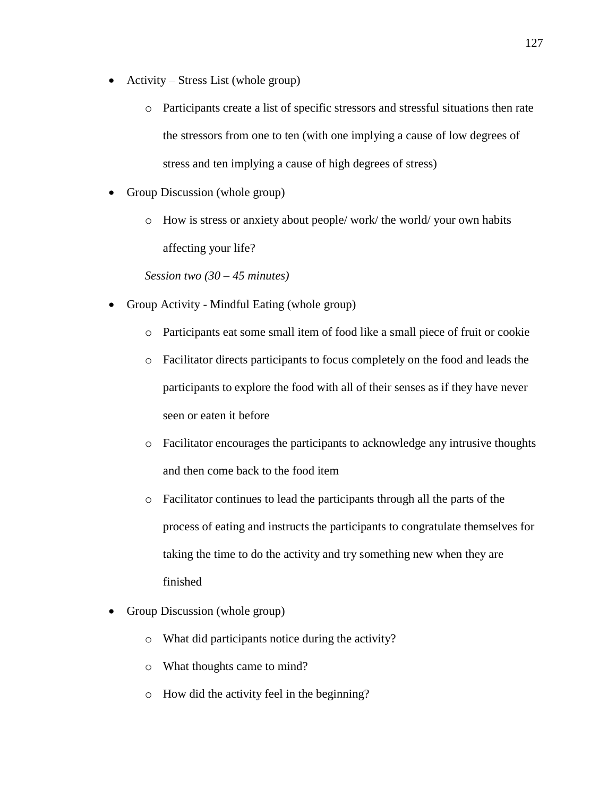- Activity Stress List (whole group)
	- o Participants create a list of specific stressors and stressful situations then rate the stressors from one to ten (with one implying a cause of low degrees of stress and ten implying a cause of high degrees of stress)
- Group Discussion (whole group)
	- o How is stress or anxiety about people/ work/ the world/ your own habits affecting your life?

*Session two (30 – 45 minutes)*

- Group Activity Mindful Eating (whole group)
	- o Participants eat some small item of food like a small piece of fruit or cookie
	- o Facilitator directs participants to focus completely on the food and leads the participants to explore the food with all of their senses as if they have never seen or eaten it before
	- o Facilitator encourages the participants to acknowledge any intrusive thoughts and then come back to the food item
	- o Facilitator continues to lead the participants through all the parts of the process of eating and instructs the participants to congratulate themselves for taking the time to do the activity and try something new when they are finished
- Group Discussion (whole group)
	- o What did participants notice during the activity?
	- o What thoughts came to mind?
	- o How did the activity feel in the beginning?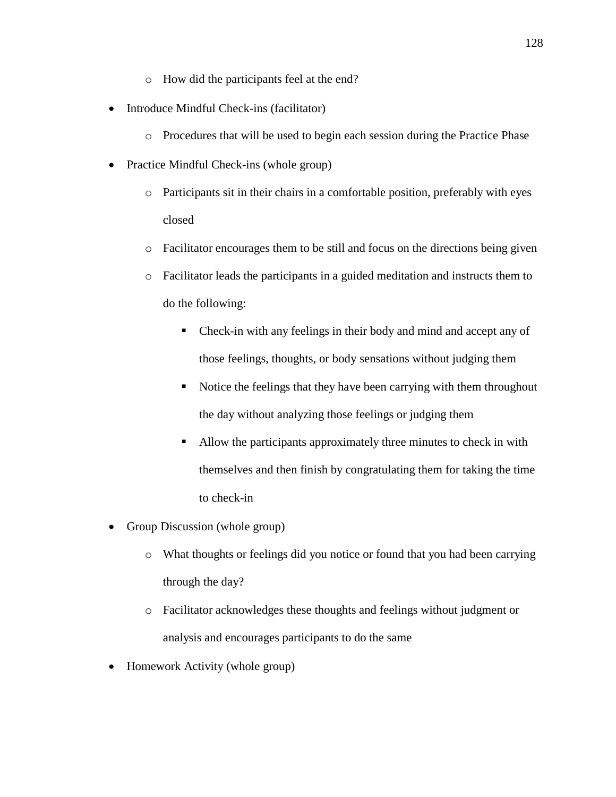- o How did the participants feel at the end?
- Introduce Mindful Check-ins (facilitator)
	- o Procedures that will be used to begin each session during the Practice Phase
- Practice Mindful Check-ins (whole group)
	- o Participants sit in their chairs in a comfortable position, preferably with eyes closed
	- o Facilitator encourages them to be still and focus on the directions being given
	- o Facilitator leads the participants in a guided meditation and instructs them to do the following:
		- Check-in with any feelings in their body and mind and accept any of those feelings, thoughts, or body sensations without judging them
		- Notice the feelings that they have been carrying with them throughout the day without analyzing those feelings or judging them
		- Allow the participants approximately three minutes to check in with themselves and then finish by congratulating them for taking the time to check-in
- Group Discussion (whole group)
	- o What thoughts or feelings did you notice or found that you had been carrying through the day?
	- o Facilitator acknowledges these thoughts and feelings without judgment or analysis and encourages participants to do the same
- Homework Activity (whole group)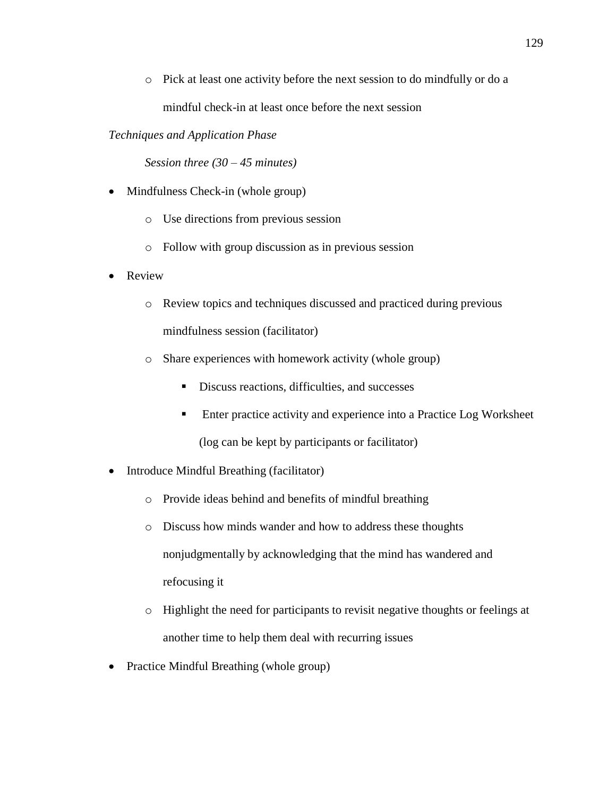o Pick at least one activity before the next session to do mindfully or do a mindful check-in at least once before the next session

## *Techniques and Application Phase*

*Session three (30 – 45 minutes)*

- Mindfulness Check-in (whole group)
	- o Use directions from previous session
	- o Follow with group discussion as in previous session
- Review
	- o Review topics and techniques discussed and practiced during previous mindfulness session (facilitator)
	- o Share experiences with homework activity (whole group)
		- Discuss reactions, difficulties, and successes
		- **Enter practice activity and experience into a Practice Log Worksheet** (log can be kept by participants or facilitator)
- Introduce Mindful Breathing (facilitator)
	- o Provide ideas behind and benefits of mindful breathing
	- o Discuss how minds wander and how to address these thoughts nonjudgmentally by acknowledging that the mind has wandered and refocusing it
	- o Highlight the need for participants to revisit negative thoughts or feelings at another time to help them deal with recurring issues
- Practice Mindful Breathing (whole group)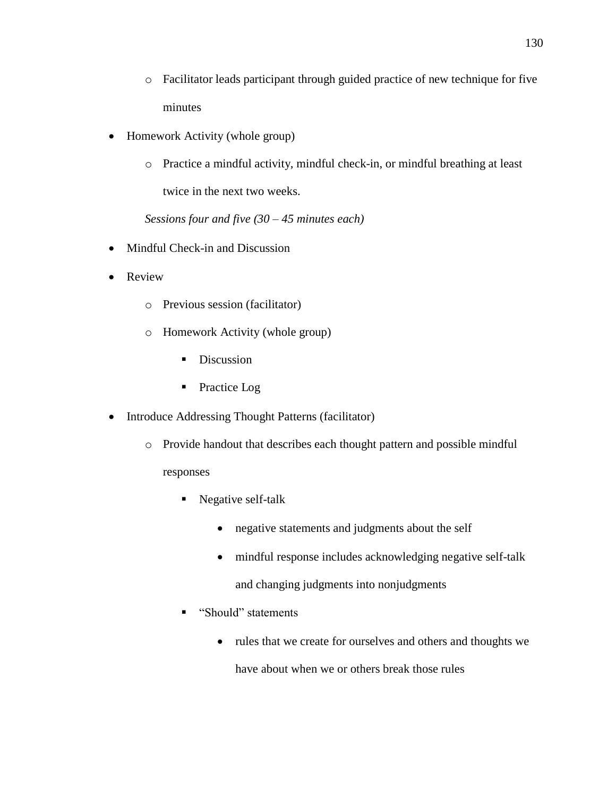- o Facilitator leads participant through guided practice of new technique for five minutes
- Homework Activity (whole group)
	- o Practice a mindful activity, mindful check-in, or mindful breathing at least twice in the next two weeks.

*Sessions four and five (30 – 45 minutes each)*

- Mindful Check-in and Discussion
- Review
	- o Previous session (facilitator)
	- o Homework Activity (whole group)
		- Discussion
		- Practice Log
- Introduce Addressing Thought Patterns (facilitator)
	- o Provide handout that describes each thought pattern and possible mindful

## responses

- Negative self-talk
	- negative statements and judgments about the self
	- mindful response includes acknowledging negative self-talk
		- and changing judgments into nonjudgments
- "Should" statements
	- rules that we create for ourselves and others and thoughts we

have about when we or others break those rules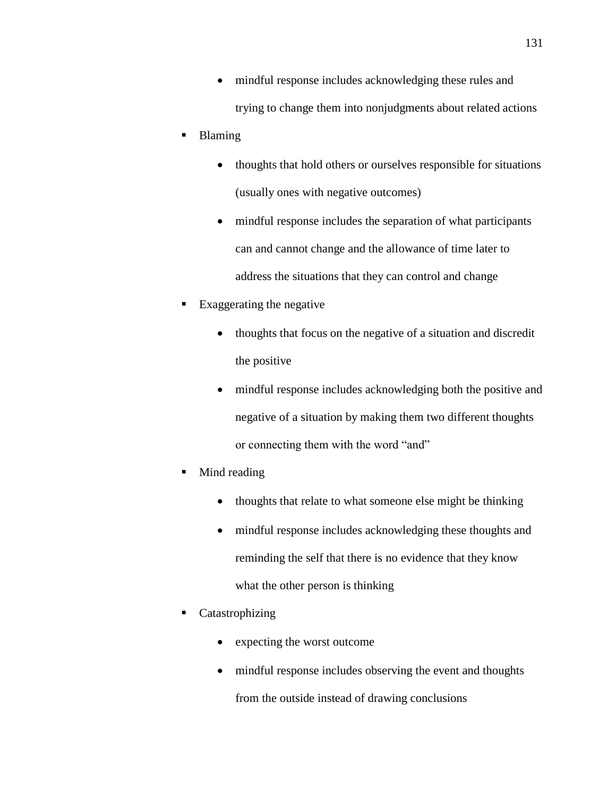- mindful response includes acknowledging these rules and trying to change them into nonjudgments about related actions
- **Blaming** 
	- thoughts that hold others or ourselves responsible for situations (usually ones with negative outcomes)
	- mindful response includes the separation of what participants can and cannot change and the allowance of time later to address the situations that they can control and change
- Exaggerating the negative
	- thoughts that focus on the negative of a situation and discredit the positive
	- mindful response includes acknowledging both the positive and negative of a situation by making them two different thoughts or connecting them with the word "and"
- Mind reading
	- thoughts that relate to what someone else might be thinking
	- mindful response includes acknowledging these thoughts and reminding the self that there is no evidence that they know what the other person is thinking
- Catastrophizing
	- expecting the worst outcome
	- mindful response includes observing the event and thoughts

from the outside instead of drawing conclusions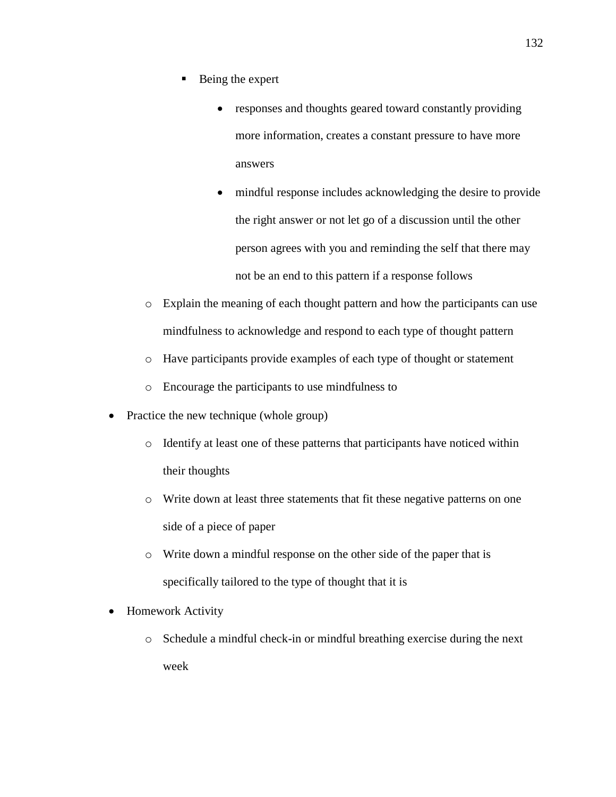- $\blacksquare$  Being the expert
	- responses and thoughts geared toward constantly providing more information, creates a constant pressure to have more answers
	- mindful response includes acknowledging the desire to provide the right answer or not let go of a discussion until the other person agrees with you and reminding the self that there may not be an end to this pattern if a response follows
- o Explain the meaning of each thought pattern and how the participants can use mindfulness to acknowledge and respond to each type of thought pattern
- o Have participants provide examples of each type of thought or statement
- o Encourage the participants to use mindfulness to
- Practice the new technique (whole group)
	- o Identify at least one of these patterns that participants have noticed within their thoughts
	- o Write down at least three statements that fit these negative patterns on one side of a piece of paper
	- o Write down a mindful response on the other side of the paper that is specifically tailored to the type of thought that it is
- Homework Activity
	- o Schedule a mindful check-in or mindful breathing exercise during the next week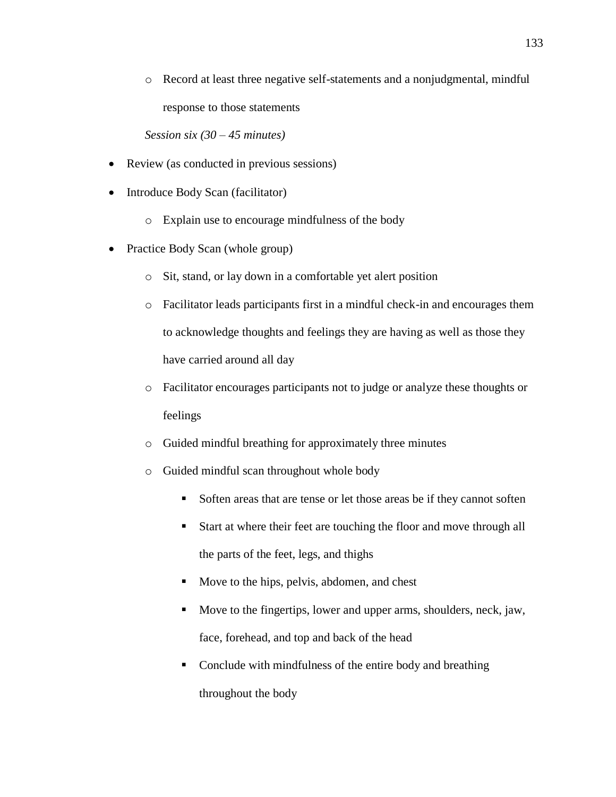o Record at least three negative self-statements and a nonjudgmental, mindful response to those statements

*Session six (30 – 45 minutes)*

- Review (as conducted in previous sessions)
- Introduce Body Scan (facilitator)
	- o Explain use to encourage mindfulness of the body
- Practice Body Scan (whole group)
	- o Sit, stand, or lay down in a comfortable yet alert position
	- o Facilitator leads participants first in a mindful check-in and encourages them to acknowledge thoughts and feelings they are having as well as those they have carried around all day
	- o Facilitator encourages participants not to judge or analyze these thoughts or feelings
	- o Guided mindful breathing for approximately three minutes
	- o Guided mindful scan throughout whole body
		- Soften areas that are tense or let those areas be if they cannot soften
		- Start at where their feet are touching the floor and move through all the parts of the feet, legs, and thighs
		- Move to the hips, pelvis, abdomen, and chest
		- Move to the fingertips, lower and upper arms, shoulders, neck, jaw, face, forehead, and top and back of the head
		- Conclude with mindfulness of the entire body and breathing throughout the body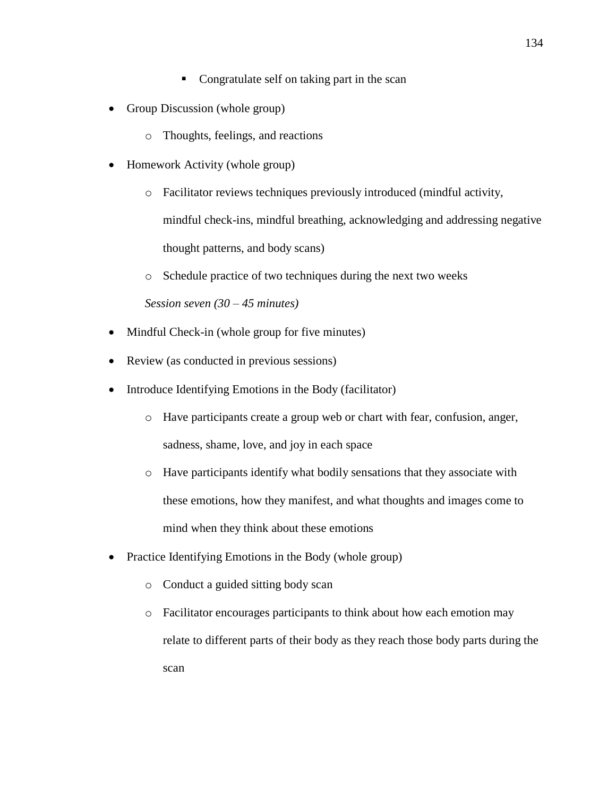- Group Discussion (whole group)
	- o Thoughts, feelings, and reactions
- Homework Activity (whole group)
	- o Facilitator reviews techniques previously introduced (mindful activity, mindful check-ins, mindful breathing, acknowledging and addressing negative thought patterns, and body scans)
	- o Schedule practice of two techniques during the next two weeks

*Session seven (30 – 45 minutes)*

- Mindful Check-in (whole group for five minutes)
- Review (as conducted in previous sessions)
- Introduce Identifying Emotions in the Body (facilitator)
	- o Have participants create a group web or chart with fear, confusion, anger, sadness, shame, love, and joy in each space
	- o Have participants identify what bodily sensations that they associate with these emotions, how they manifest, and what thoughts and images come to mind when they think about these emotions
- Practice Identifying Emotions in the Body (whole group)
	- o Conduct a guided sitting body scan
	- o Facilitator encourages participants to think about how each emotion may relate to different parts of their body as they reach those body parts during the scan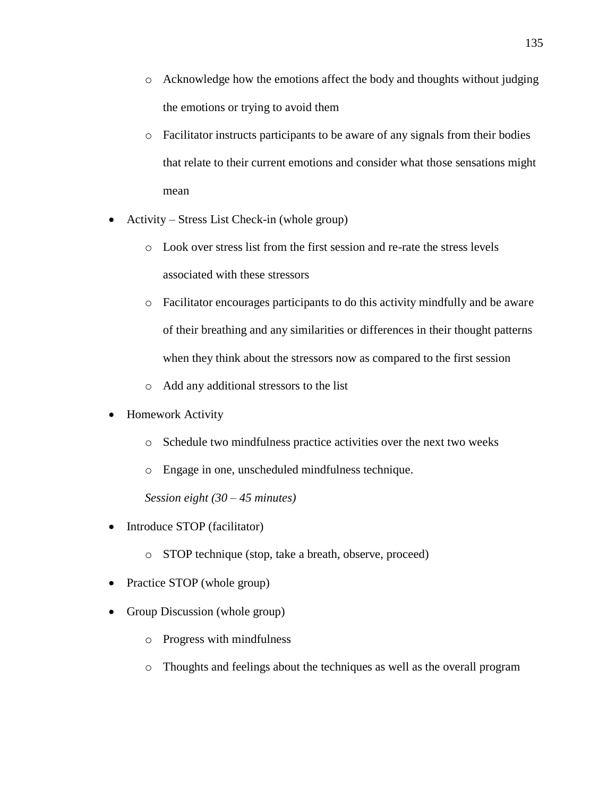- $\circ$  Acknowledge how the emotions affect the body and thoughts without judging the emotions or trying to avoid them
- o Facilitator instructs participants to be aware of any signals from their bodies that relate to their current emotions and consider what those sensations might mean
- Activity Stress List Check-in (whole group)
	- o Look over stress list from the first session and re-rate the stress levels associated with these stressors
	- o Facilitator encourages participants to do this activity mindfully and be aware of their breathing and any similarities or differences in their thought patterns when they think about the stressors now as compared to the first session
	- o Add any additional stressors to the list
- Homework Activity
	- o Schedule two mindfulness practice activities over the next two weeks
	- o Engage in one, unscheduled mindfulness technique.

*Session eight (30 – 45 minutes)*

- Introduce STOP (facilitator)
	- o STOP technique (stop, take a breath, observe, proceed)
- Practice STOP (whole group)
- Group Discussion (whole group)
	- o Progress with mindfulness
	- o Thoughts and feelings about the techniques as well as the overall program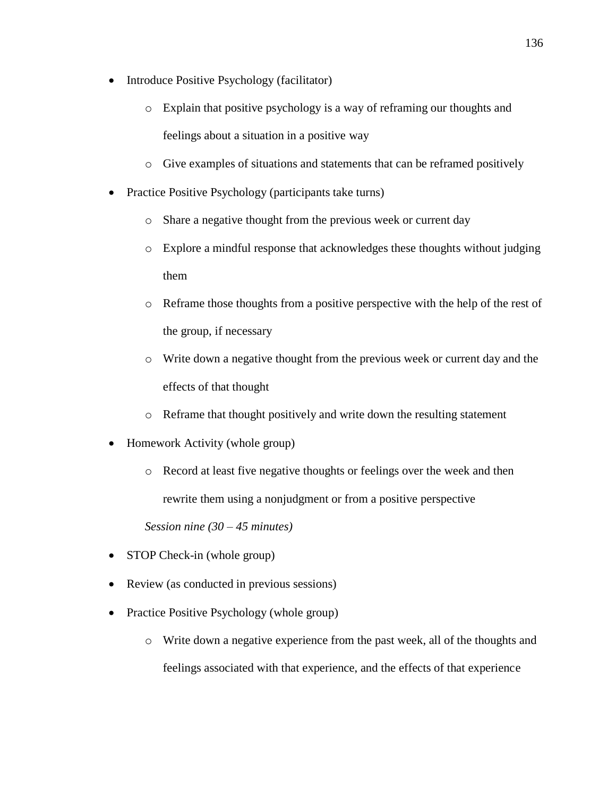- Introduce Positive Psychology (facilitator)
	- o Explain that positive psychology is a way of reframing our thoughts and feelings about a situation in a positive way
	- o Give examples of situations and statements that can be reframed positively
- Practice Positive Psychology (participants take turns)
	- o Share a negative thought from the previous week or current day
	- o Explore a mindful response that acknowledges these thoughts without judging them
	- o Reframe those thoughts from a positive perspective with the help of the rest of the group, if necessary
	- o Write down a negative thought from the previous week or current day and the effects of that thought
	- o Reframe that thought positively and write down the resulting statement
- Homework Activity (whole group)
	- o Record at least five negative thoughts or feelings over the week and then rewrite them using a nonjudgment or from a positive perspective

*Session nine (30 – 45 minutes)*

- STOP Check-in (whole group)
- Review (as conducted in previous sessions)
- Practice Positive Psychology (whole group)
	- o Write down a negative experience from the past week, all of the thoughts and feelings associated with that experience, and the effects of that experience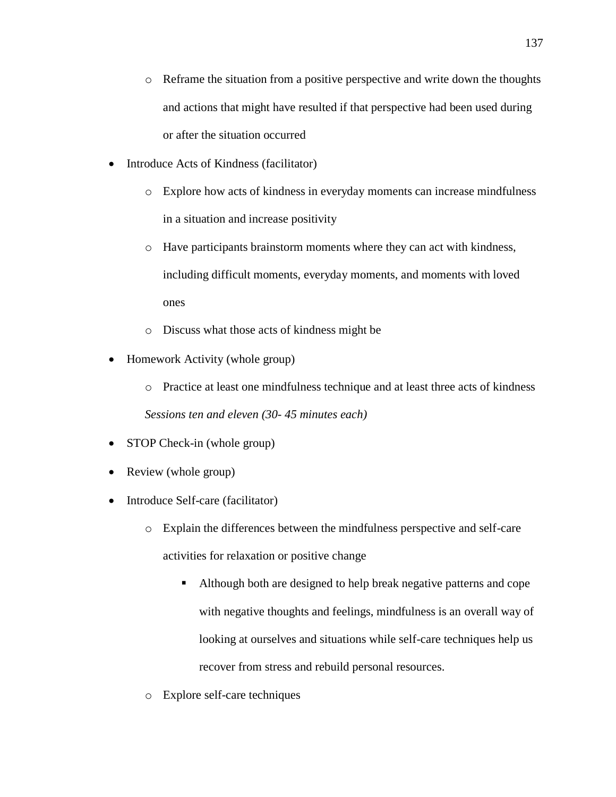- $\circ$  Reframe the situation from a positive perspective and write down the thoughts and actions that might have resulted if that perspective had been used during or after the situation occurred
- Introduce Acts of Kindness (facilitator)
	- o Explore how acts of kindness in everyday moments can increase mindfulness in a situation and increase positivity
	- o Have participants brainstorm moments where they can act with kindness, including difficult moments, everyday moments, and moments with loved ones
	- o Discuss what those acts of kindness might be
- Homework Activity (whole group)
	- o Practice at least one mindfulness technique and at least three acts of kindness *Sessions ten and eleven (30- 45 minutes each)*
- STOP Check-in (whole group)
- Review (whole group)
- Introduce Self-care (facilitator)
	- o Explain the differences between the mindfulness perspective and self-care activities for relaxation or positive change
		- Although both are designed to help break negative patterns and cope with negative thoughts and feelings, mindfulness is an overall way of looking at ourselves and situations while self-care techniques help us recover from stress and rebuild personal resources.
	- o Explore self-care techniques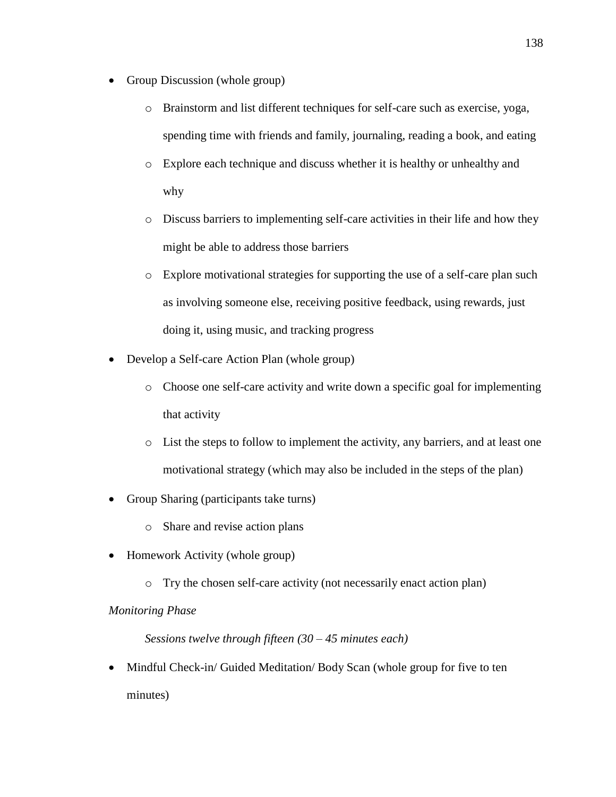- Group Discussion (whole group)
	- o Brainstorm and list different techniques for self-care such as exercise, yoga, spending time with friends and family, journaling, reading a book, and eating
	- o Explore each technique and discuss whether it is healthy or unhealthy and why
	- o Discuss barriers to implementing self-care activities in their life and how they might be able to address those barriers
	- o Explore motivational strategies for supporting the use of a self-care plan such as involving someone else, receiving positive feedback, using rewards, just doing it, using music, and tracking progress
- Develop a Self-care Action Plan (whole group)
	- o Choose one self-care activity and write down a specific goal for implementing that activity
	- o List the steps to follow to implement the activity, any barriers, and at least one motivational strategy (which may also be included in the steps of the plan)
- Group Sharing (participants take turns)
	- o Share and revise action plans
- Homework Activity (whole group)
	- o Try the chosen self-care activity (not necessarily enact action plan)

# *Monitoring Phase*

*Sessions twelve through fifteen (30 – 45 minutes each)*

• Mindful Check-in/ Guided Meditation/ Body Scan (whole group for five to ten minutes)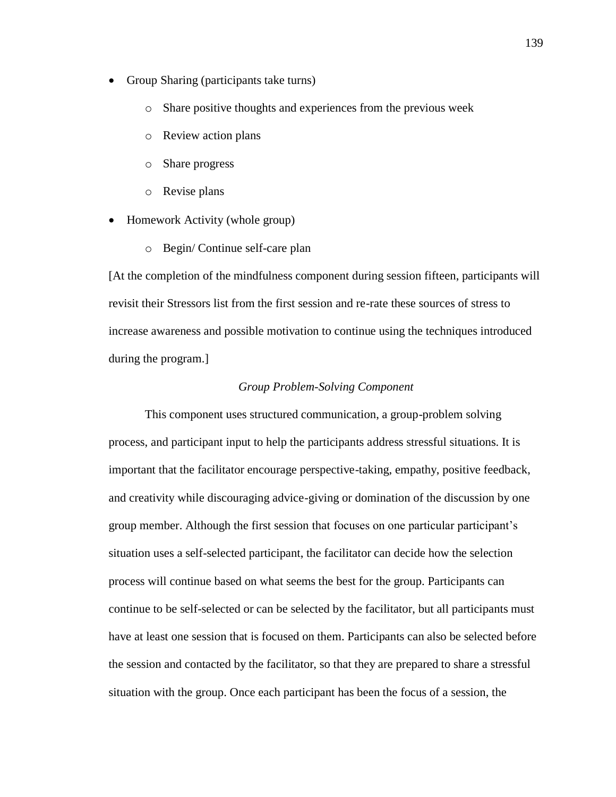- Group Sharing (participants take turns)
	- o Share positive thoughts and experiences from the previous week
	- o Review action plans
	- o Share progress
	- o Revise plans
- Homework Activity (whole group)
	- o Begin/ Continue self-care plan

[At the completion of the mindfulness component during session fifteen, participants will revisit their Stressors list from the first session and re-rate these sources of stress to increase awareness and possible motivation to continue using the techniques introduced during the program.]

#### *Group Problem-Solving Component*

This component uses structured communication, a group-problem solving process, and participant input to help the participants address stressful situations. It is important that the facilitator encourage perspective-taking, empathy, positive feedback, and creativity while discouraging advice-giving or domination of the discussion by one group member. Although the first session that focuses on one particular participant's situation uses a self-selected participant, the facilitator can decide how the selection process will continue based on what seems the best for the group. Participants can continue to be self-selected or can be selected by the facilitator, but all participants must have at least one session that is focused on them. Participants can also be selected before the session and contacted by the facilitator, so that they are prepared to share a stressful situation with the group. Once each participant has been the focus of a session, the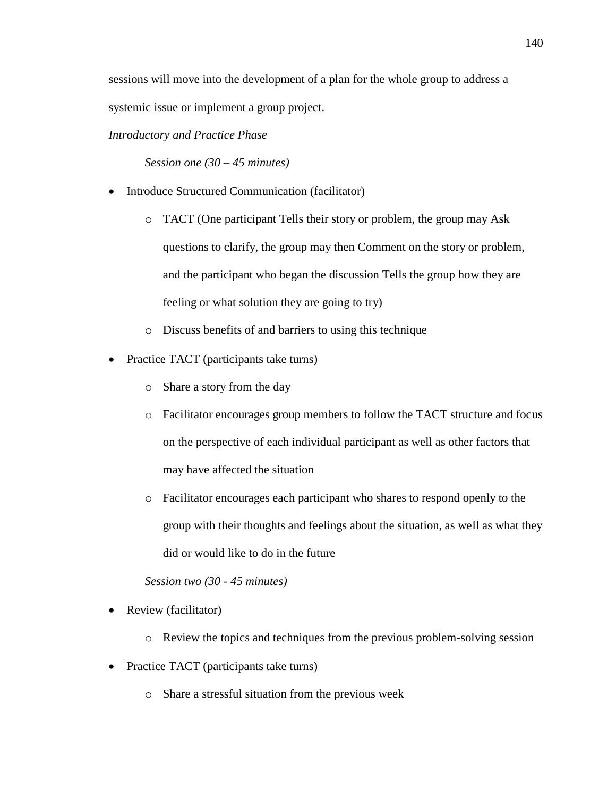sessions will move into the development of a plan for the whole group to address a systemic issue or implement a group project.

*Introductory and Practice Phase*

*Session one (30 – 45 minutes)*

- Introduce Structured Communication (facilitator)
	- o TACT (One participant Tells their story or problem, the group may Ask questions to clarify, the group may then Comment on the story or problem, and the participant who began the discussion Tells the group how they are feeling or what solution they are going to try)
	- o Discuss benefits of and barriers to using this technique
- Practice TACT (participants take turns)
	- o Share a story from the day
	- o Facilitator encourages group members to follow the TACT structure and focus on the perspective of each individual participant as well as other factors that may have affected the situation
	- o Facilitator encourages each participant who shares to respond openly to the group with their thoughts and feelings about the situation, as well as what they did or would like to do in the future

*Session two (30 - 45 minutes)*

- Review (facilitator)
	- o Review the topics and techniques from the previous problem-solving session
- Practice TACT (participants take turns)
	- o Share a stressful situation from the previous week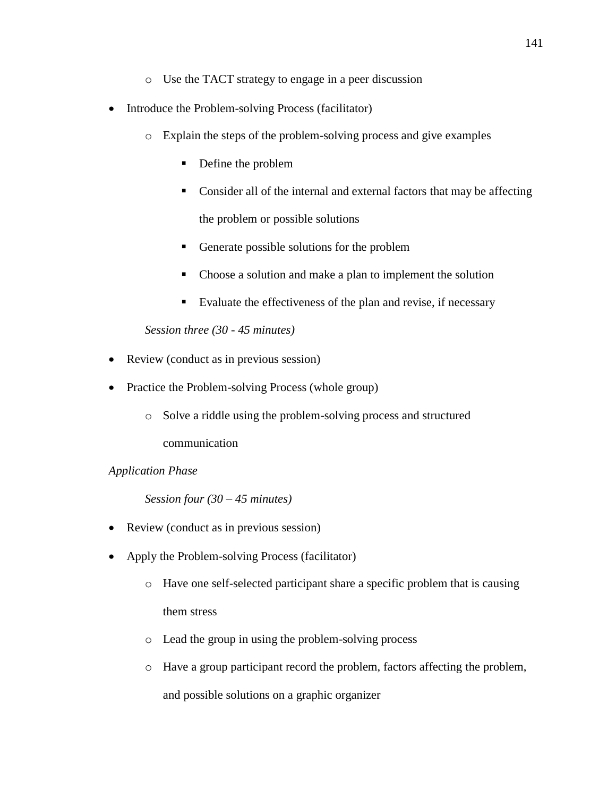- o Use the TACT strategy to engage in a peer discussion
- Introduce the Problem-solving Process (facilitator)
	- o Explain the steps of the problem-solving process and give examples
		- Define the problem
		- Consider all of the internal and external factors that may be affecting the problem or possible solutions
		- Generate possible solutions for the problem
		- Choose a solution and make a plan to implement the solution
		- Evaluate the effectiveness of the plan and revise, if necessary

*Session three (30 - 45 minutes)*

- Review (conduct as in previous session)
- Practice the Problem-solving Process (whole group)
	- o Solve a riddle using the problem-solving process and structured

communication

# *Application Phase*

*Session four (30 – 45 minutes)*

- Review (conduct as in previous session)
- Apply the Problem-solving Process (facilitator)
	- o Have one self-selected participant share a specific problem that is causing them stress
	- o Lead the group in using the problem-solving process
	- o Have a group participant record the problem, factors affecting the problem, and possible solutions on a graphic organizer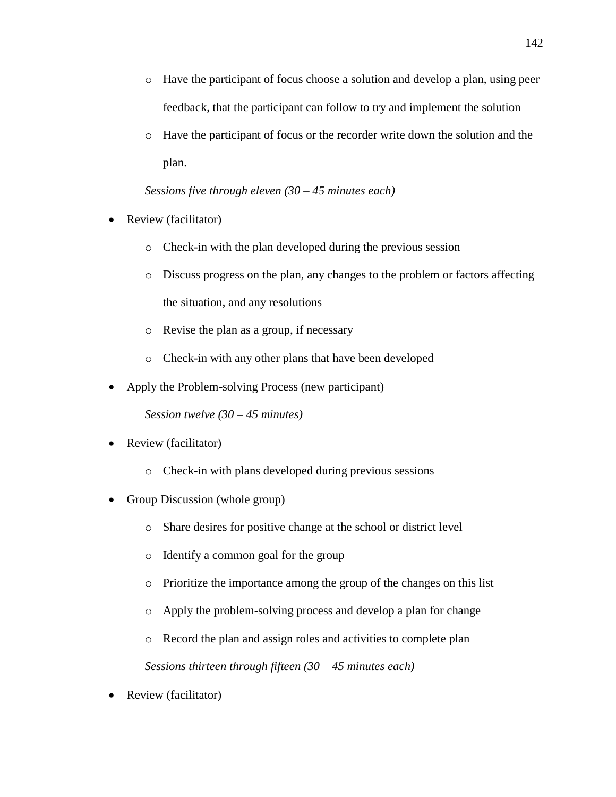- o Have the participant of focus choose a solution and develop a plan, using peer feedback, that the participant can follow to try and implement the solution
- o Have the participant of focus or the recorder write down the solution and the plan.

# *Sessions five through eleven (30 – 45 minutes each)*

- Review (facilitator)
	- o Check-in with the plan developed during the previous session
	- o Discuss progress on the plan, any changes to the problem or factors affecting the situation, and any resolutions
	- o Revise the plan as a group, if necessary
	- o Check-in with any other plans that have been developed
- Apply the Problem-solving Process (new participant)

*Session twelve (30 – 45 minutes)*

- Review (facilitator)
	- o Check-in with plans developed during previous sessions
- Group Discussion (whole group)
	- o Share desires for positive change at the school or district level
	- o Identify a common goal for the group
	- o Prioritize the importance among the group of the changes on this list
	- o Apply the problem-solving process and develop a plan for change
	- o Record the plan and assign roles and activities to complete plan

*Sessions thirteen through fifteen (30 – 45 minutes each)*

• Review (facilitator)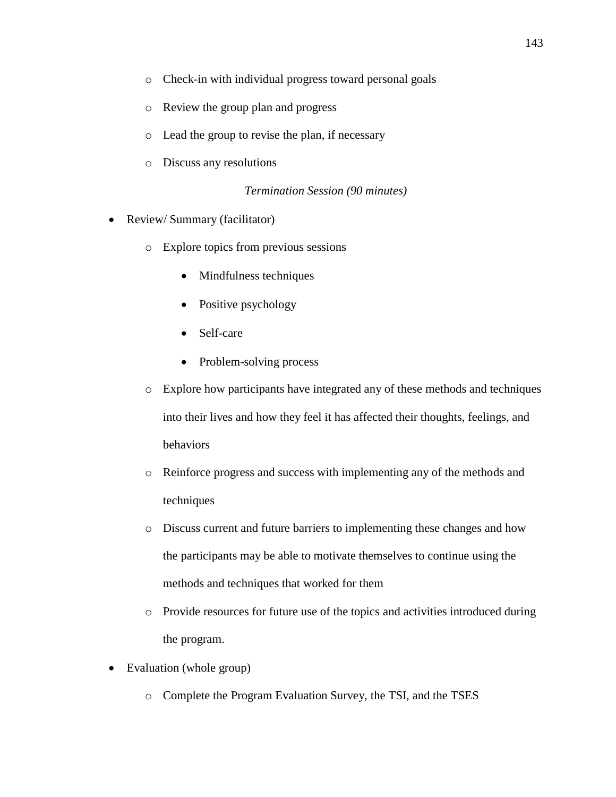- o Check-in with individual progress toward personal goals
- o Review the group plan and progress
- o Lead the group to revise the plan, if necessary
- o Discuss any resolutions

# *Termination Session (90 minutes)*

- Review/ Summary (facilitator)
	- o Explore topics from previous sessions
		- Mindfulness techniques
		- Positive psychology
		- Self-care
		- Problem-solving process
	- o Explore how participants have integrated any of these methods and techniques into their lives and how they feel it has affected their thoughts, feelings, and behaviors
	- o Reinforce progress and success with implementing any of the methods and techniques
	- o Discuss current and future barriers to implementing these changes and how the participants may be able to motivate themselves to continue using the methods and techniques that worked for them
	- o Provide resources for future use of the topics and activities introduced during the program.
- Evaluation (whole group)
	- o Complete the Program Evaluation Survey, the TSI, and the TSES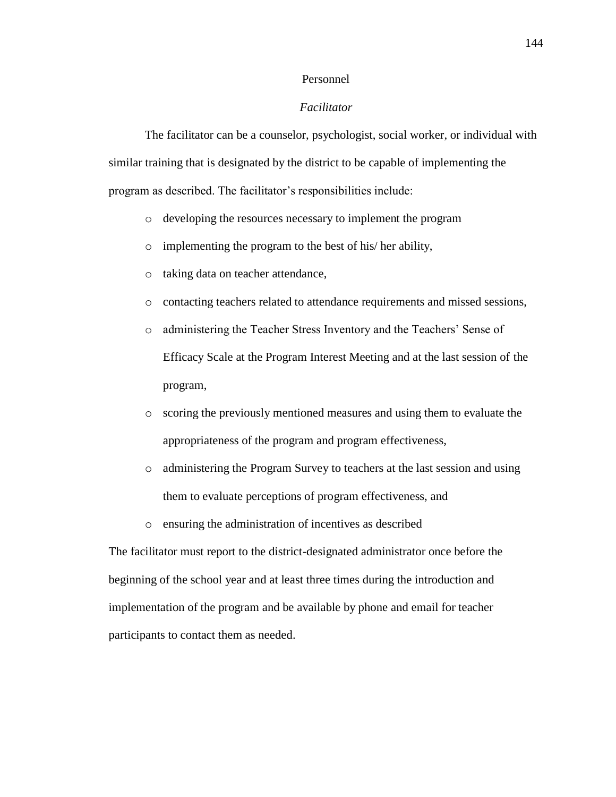### Personnel

## *Facilitator*

The facilitator can be a counselor, psychologist, social worker, or individual with similar training that is designated by the district to be capable of implementing the program as described. The facilitator's responsibilities include:

- o developing the resources necessary to implement the program
- o implementing the program to the best of his/ her ability,
- o taking data on teacher attendance,
- o contacting teachers related to attendance requirements and missed sessions,
- o administering the Teacher Stress Inventory and the Teachers' Sense of Efficacy Scale at the Program Interest Meeting and at the last session of the program,
- o scoring the previously mentioned measures and using them to evaluate the appropriateness of the program and program effectiveness,
- o administering the Program Survey to teachers at the last session and using them to evaluate perceptions of program effectiveness, and
- o ensuring the administration of incentives as described

The facilitator must report to the district-designated administrator once before the beginning of the school year and at least three times during the introduction and implementation of the program and be available by phone and email for teacher participants to contact them as needed.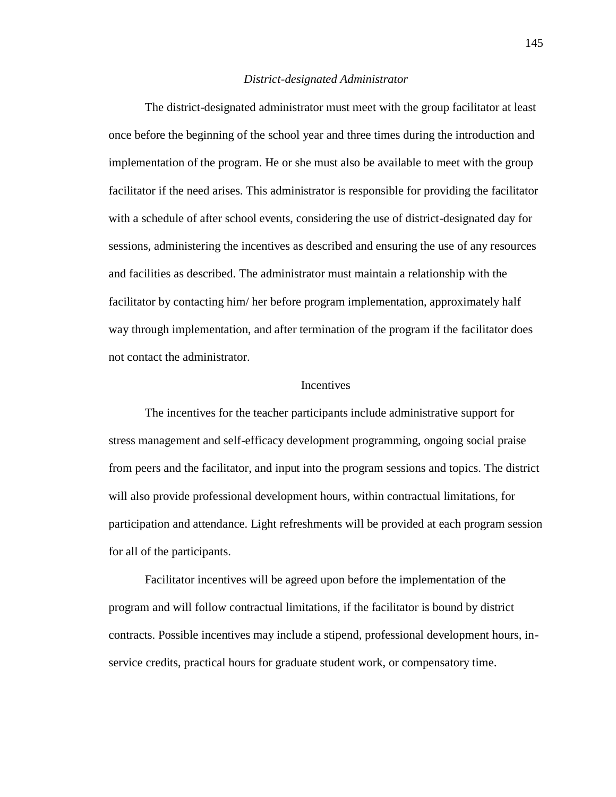#### *District-designated Administrator*

The district-designated administrator must meet with the group facilitator at least once before the beginning of the school year and three times during the introduction and implementation of the program. He or she must also be available to meet with the group facilitator if the need arises. This administrator is responsible for providing the facilitator with a schedule of after school events, considering the use of district-designated day for sessions, administering the incentives as described and ensuring the use of any resources and facilities as described. The administrator must maintain a relationship with the facilitator by contacting him/ her before program implementation, approximately half way through implementation, and after termination of the program if the facilitator does not contact the administrator.

## **Incentives**

The incentives for the teacher participants include administrative support for stress management and self-efficacy development programming, ongoing social praise from peers and the facilitator, and input into the program sessions and topics. The district will also provide professional development hours, within contractual limitations, for participation and attendance. Light refreshments will be provided at each program session for all of the participants.

Facilitator incentives will be agreed upon before the implementation of the program and will follow contractual limitations, if the facilitator is bound by district contracts. Possible incentives may include a stipend, professional development hours, inservice credits, practical hours for graduate student work, or compensatory time.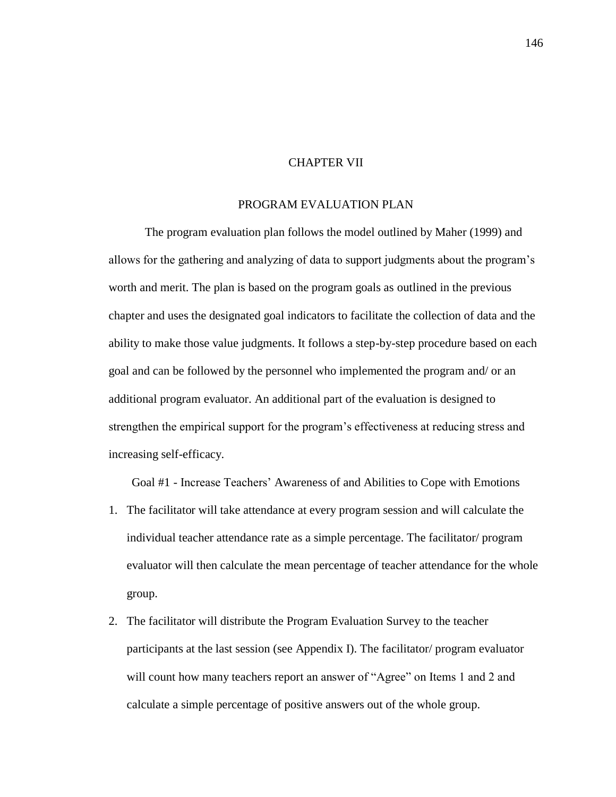## CHAPTER VII

#### PROGRAM EVALUATION PLAN

The program evaluation plan follows the model outlined by Maher (1999) and allows for the gathering and analyzing of data to support judgments about the program's worth and merit. The plan is based on the program goals as outlined in the previous chapter and uses the designated goal indicators to facilitate the collection of data and the ability to make those value judgments. It follows a step-by-step procedure based on each goal and can be followed by the personnel who implemented the program and/ or an additional program evaluator. An additional part of the evaluation is designed to strengthen the empirical support for the program's effectiveness at reducing stress and increasing self-efficacy.

Goal #1 - Increase Teachers' Awareness of and Abilities to Cope with Emotions

- 1. The facilitator will take attendance at every program session and will calculate the individual teacher attendance rate as a simple percentage. The facilitator/ program evaluator will then calculate the mean percentage of teacher attendance for the whole group.
- 2. The facilitator will distribute the Program Evaluation Survey to the teacher participants at the last session (see Appendix I). The facilitator/ program evaluator will count how many teachers report an answer of "Agree" on Items 1 and 2 and calculate a simple percentage of positive answers out of the whole group.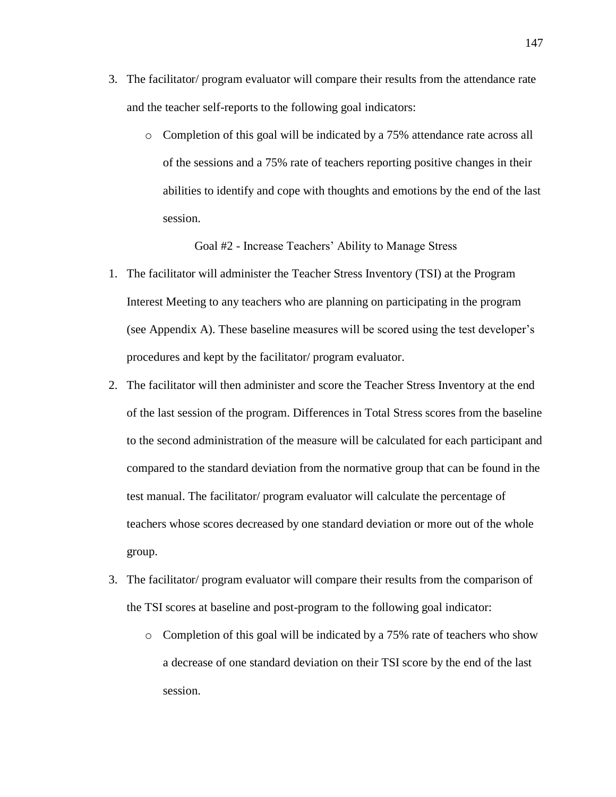- 3. The facilitator/ program evaluator will compare their results from the attendance rate and the teacher self-reports to the following goal indicators:
	- o Completion of this goal will be indicated by a 75% attendance rate across all of the sessions and a 75% rate of teachers reporting positive changes in their abilities to identify and cope with thoughts and emotions by the end of the last session.

Goal #2 - Increase Teachers' Ability to Manage Stress

- 1. The facilitator will administer the Teacher Stress Inventory (TSI) at the Program Interest Meeting to any teachers who are planning on participating in the program (see Appendix A). These baseline measures will be scored using the test developer's procedures and kept by the facilitator/ program evaluator.
- 2. The facilitator will then administer and score the Teacher Stress Inventory at the end of the last session of the program. Differences in Total Stress scores from the baseline to the second administration of the measure will be calculated for each participant and compared to the standard deviation from the normative group that can be found in the test manual. The facilitator/ program evaluator will calculate the percentage of teachers whose scores decreased by one standard deviation or more out of the whole group.
- 3. The facilitator/ program evaluator will compare their results from the comparison of the TSI scores at baseline and post-program to the following goal indicator:
	- o Completion of this goal will be indicated by a 75% rate of teachers who show a decrease of one standard deviation on their TSI score by the end of the last session.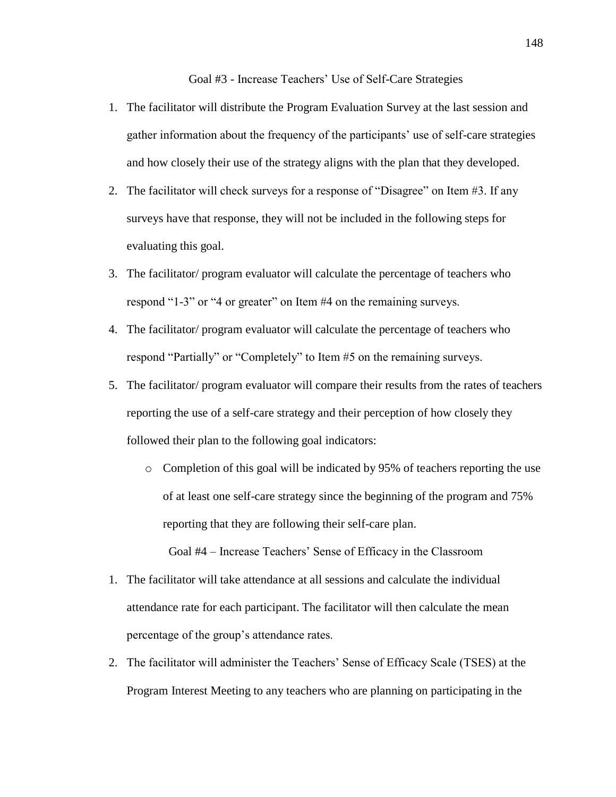Goal #3 - Increase Teachers' Use of Self-Care Strategies

- 1. The facilitator will distribute the Program Evaluation Survey at the last session and gather information about the frequency of the participants' use of self-care strategies and how closely their use of the strategy aligns with the plan that they developed.
- 2. The facilitator will check surveys for a response of "Disagree" on Item #3. If any surveys have that response, they will not be included in the following steps for evaluating this goal.
- 3. The facilitator/ program evaluator will calculate the percentage of teachers who respond "1-3" or "4 or greater" on Item #4 on the remaining surveys.
- 4. The facilitator/ program evaluator will calculate the percentage of teachers who respond "Partially" or "Completely" to Item #5 on the remaining surveys.
- 5. The facilitator/ program evaluator will compare their results from the rates of teachers reporting the use of a self-care strategy and their perception of how closely they followed their plan to the following goal indicators:
	- o Completion of this goal will be indicated by 95% of teachers reporting the use of at least one self-care strategy since the beginning of the program and 75% reporting that they are following their self-care plan.

Goal #4 – Increase Teachers' Sense of Efficacy in the Classroom

- 1. The facilitator will take attendance at all sessions and calculate the individual attendance rate for each participant. The facilitator will then calculate the mean percentage of the group's attendance rates.
- 2. The facilitator will administer the Teachers' Sense of Efficacy Scale (TSES) at the Program Interest Meeting to any teachers who are planning on participating in the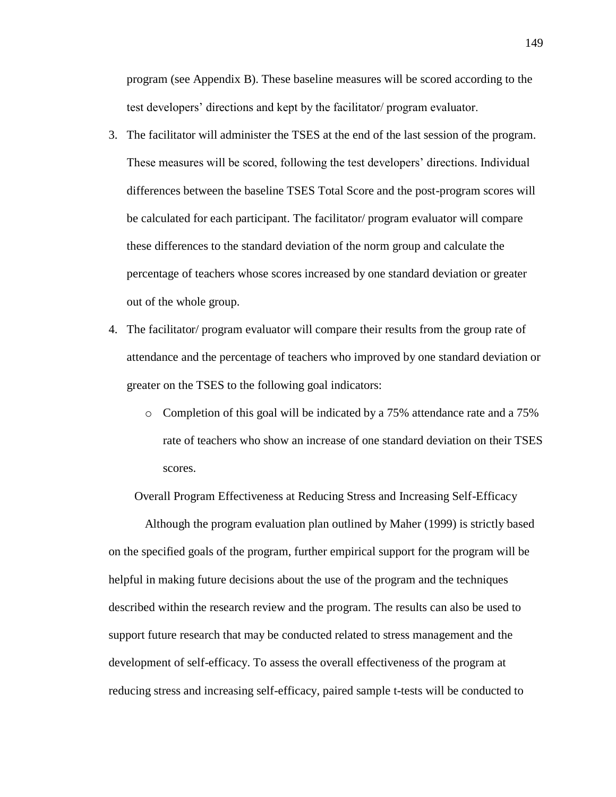program (see Appendix B). These baseline measures will be scored according to the test developers' directions and kept by the facilitator/ program evaluator.

- 3. The facilitator will administer the TSES at the end of the last session of the program. These measures will be scored, following the test developers' directions. Individual differences between the baseline TSES Total Score and the post-program scores will be calculated for each participant. The facilitator/ program evaluator will compare these differences to the standard deviation of the norm group and calculate the percentage of teachers whose scores increased by one standard deviation or greater out of the whole group.
- 4. The facilitator/ program evaluator will compare their results from the group rate of attendance and the percentage of teachers who improved by one standard deviation or greater on the TSES to the following goal indicators:
	- o Completion of this goal will be indicated by a 75% attendance rate and a 75% rate of teachers who show an increase of one standard deviation on their TSES scores.

Overall Program Effectiveness at Reducing Stress and Increasing Self-Efficacy

Although the program evaluation plan outlined by Maher (1999) is strictly based on the specified goals of the program, further empirical support for the program will be helpful in making future decisions about the use of the program and the techniques described within the research review and the program. The results can also be used to support future research that may be conducted related to stress management and the development of self-efficacy. To assess the overall effectiveness of the program at reducing stress and increasing self-efficacy, paired sample t-tests will be conducted to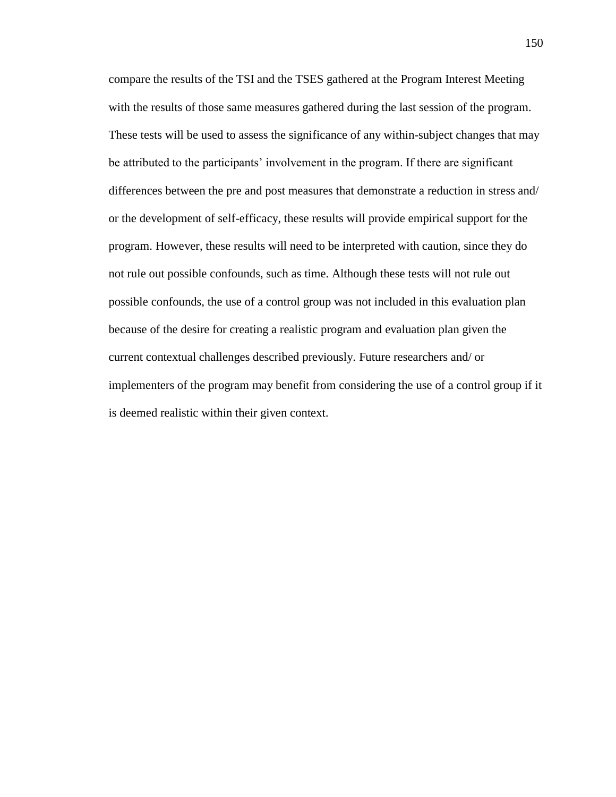compare the results of the TSI and the TSES gathered at the Program Interest Meeting with the results of those same measures gathered during the last session of the program. These tests will be used to assess the significance of any within-subject changes that may be attributed to the participants' involvement in the program. If there are significant differences between the pre and post measures that demonstrate a reduction in stress and/ or the development of self-efficacy, these results will provide empirical support for the program. However, these results will need to be interpreted with caution, since they do not rule out possible confounds, such as time. Although these tests will not rule out possible confounds, the use of a control group was not included in this evaluation plan because of the desire for creating a realistic program and evaluation plan given the current contextual challenges described previously. Future researchers and/ or implementers of the program may benefit from considering the use of a control group if it is deemed realistic within their given context.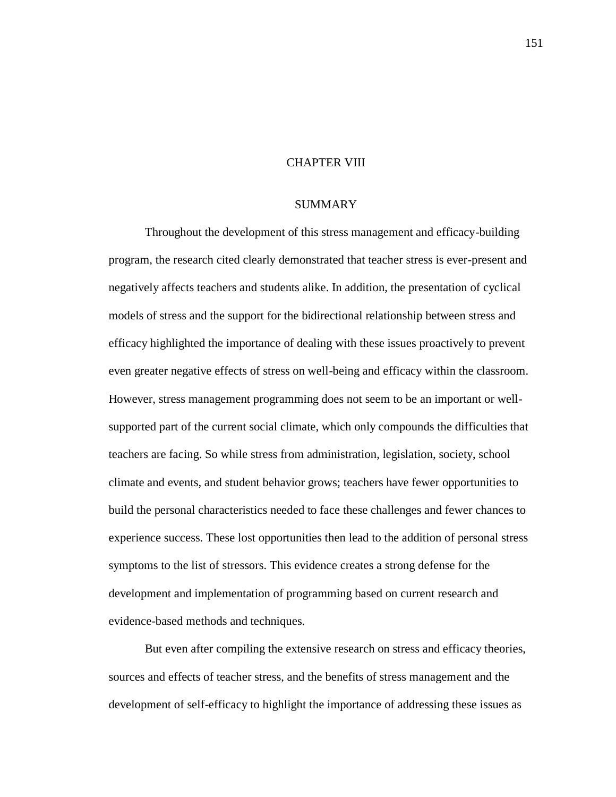## CHAPTER VIII

#### SUMMARY

Throughout the development of this stress management and efficacy-building program, the research cited clearly demonstrated that teacher stress is ever-present and negatively affects teachers and students alike. In addition, the presentation of cyclical models of stress and the support for the bidirectional relationship between stress and efficacy highlighted the importance of dealing with these issues proactively to prevent even greater negative effects of stress on well-being and efficacy within the classroom. However, stress management programming does not seem to be an important or wellsupported part of the current social climate, which only compounds the difficulties that teachers are facing. So while stress from administration, legislation, society, school climate and events, and student behavior grows; teachers have fewer opportunities to build the personal characteristics needed to face these challenges and fewer chances to experience success. These lost opportunities then lead to the addition of personal stress symptoms to the list of stressors. This evidence creates a strong defense for the development and implementation of programming based on current research and evidence-based methods and techniques.

But even after compiling the extensive research on stress and efficacy theories, sources and effects of teacher stress, and the benefits of stress management and the development of self-efficacy to highlight the importance of addressing these issues as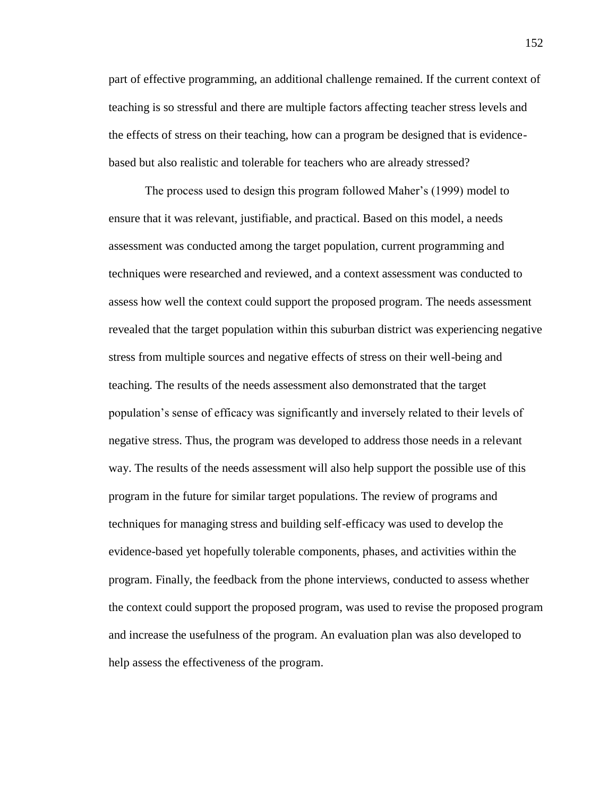part of effective programming, an additional challenge remained. If the current context of teaching is so stressful and there are multiple factors affecting teacher stress levels and the effects of stress on their teaching, how can a program be designed that is evidencebased but also realistic and tolerable for teachers who are already stressed?

The process used to design this program followed Maher's (1999) model to ensure that it was relevant, justifiable, and practical. Based on this model, a needs assessment was conducted among the target population, current programming and techniques were researched and reviewed, and a context assessment was conducted to assess how well the context could support the proposed program. The needs assessment revealed that the target population within this suburban district was experiencing negative stress from multiple sources and negative effects of stress on their well-being and teaching. The results of the needs assessment also demonstrated that the target population's sense of efficacy was significantly and inversely related to their levels of negative stress. Thus, the program was developed to address those needs in a relevant way. The results of the needs assessment will also help support the possible use of this program in the future for similar target populations. The review of programs and techniques for managing stress and building self-efficacy was used to develop the evidence-based yet hopefully tolerable components, phases, and activities within the program. Finally, the feedback from the phone interviews, conducted to assess whether the context could support the proposed program, was used to revise the proposed program and increase the usefulness of the program. An evaluation plan was also developed to help assess the effectiveness of the program.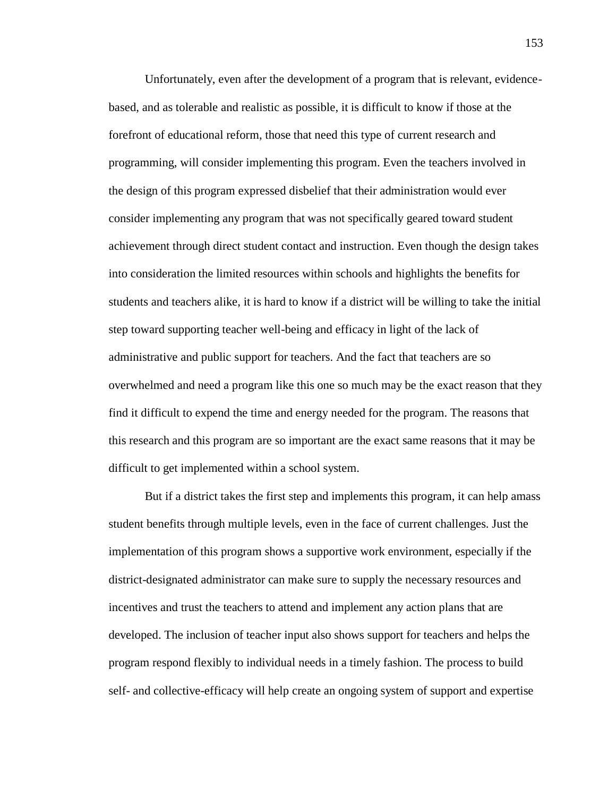Unfortunately, even after the development of a program that is relevant, evidencebased, and as tolerable and realistic as possible, it is difficult to know if those at the forefront of educational reform, those that need this type of current research and programming, will consider implementing this program. Even the teachers involved in the design of this program expressed disbelief that their administration would ever consider implementing any program that was not specifically geared toward student achievement through direct student contact and instruction. Even though the design takes into consideration the limited resources within schools and highlights the benefits for students and teachers alike, it is hard to know if a district will be willing to take the initial step toward supporting teacher well-being and efficacy in light of the lack of administrative and public support for teachers. And the fact that teachers are so overwhelmed and need a program like this one so much may be the exact reason that they find it difficult to expend the time and energy needed for the program. The reasons that this research and this program are so important are the exact same reasons that it may be difficult to get implemented within a school system.

But if a district takes the first step and implements this program, it can help amass student benefits through multiple levels, even in the face of current challenges. Just the implementation of this program shows a supportive work environment, especially if the district-designated administrator can make sure to supply the necessary resources and incentives and trust the teachers to attend and implement any action plans that are developed. The inclusion of teacher input also shows support for teachers and helps the program respond flexibly to individual needs in a timely fashion. The process to build self- and collective-efficacy will help create an ongoing system of support and expertise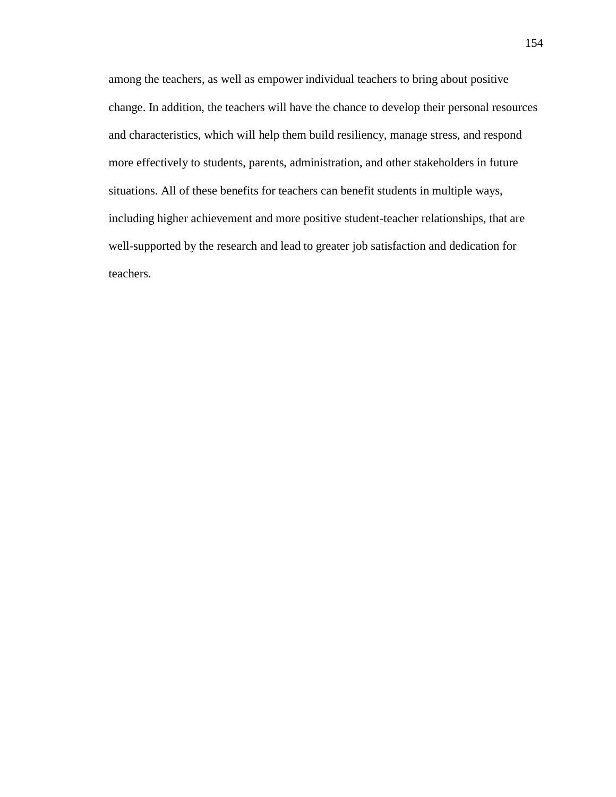among the teachers, as well as empower individual teachers to bring about positive change. In addition, the teachers will have the chance to develop their personal resources and characteristics, which will help them build resiliency, manage stress, and respond more effectively to students, parents, administration, and other stakeholders in future situations. All of these benefits for teachers can benefit students in multiple ways, including higher achievement and more positive student-teacher relationships, that are well-supported by the research and lead to greater job satisfaction and dedication for teachers.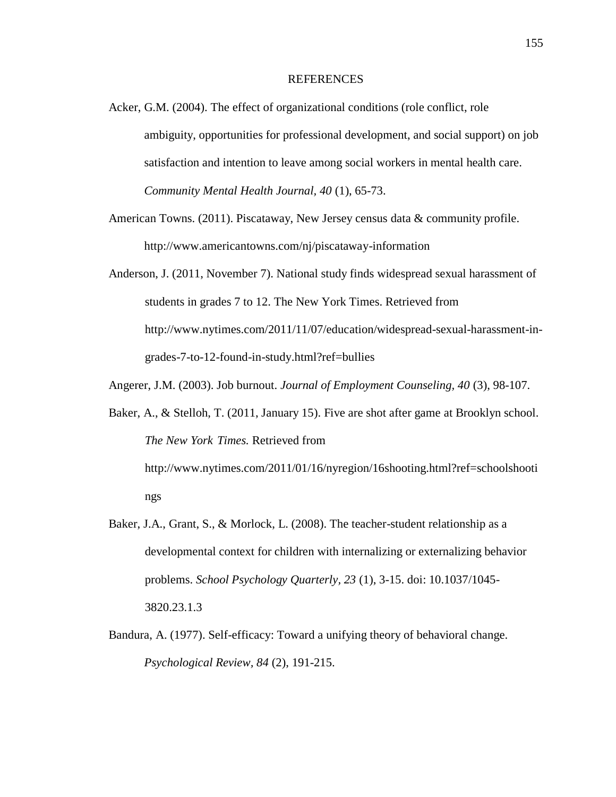#### REFERENCES

- Acker, G.M. (2004). The effect of organizational conditions (role conflict, role ambiguity, opportunities for professional development, and social support) on job satisfaction and intention to leave among social workers in mental health care. *Community Mental Health Journal, 40* (1), 65-73.
- American Towns. (2011). Piscataway, New Jersey census data & community profile. http://www.americantowns.com/nj/piscataway-information
- Anderson, J. (2011, November 7). National study finds widespread sexual harassment of students in grades 7 to 12. The New York Times. Retrieved from http://www.nytimes.com/2011/11/07/education/widespread-sexual-harassment-ingrades-7-to-12-found-in-study.html?ref=bullies

Angerer, J.M. (2003). Job burnout. *Journal of Employment Counseling, 40* (3), 98-107.

- Baker, A., & Stelloh, T. (2011, January 15). Five are shot after game at Brooklyn school. *The New York Times.* Retrieved from http://www.nytimes.com/2011/01/16/nyregion/16shooting.html?ref=schoolshooti ngs
- Baker, J.A., Grant, S., & Morlock, L. (2008). The teacher-student relationship as a developmental context for children with internalizing or externalizing behavior problems. *School Psychology Quarterly, 23* (1), 3-15. doi: 10.1037/1045- 3820.23.1.3
- Bandura, A. (1977). Self-efficacy: Toward a unifying theory of behavioral change. *Psychological Review, 84* (2), 191-215.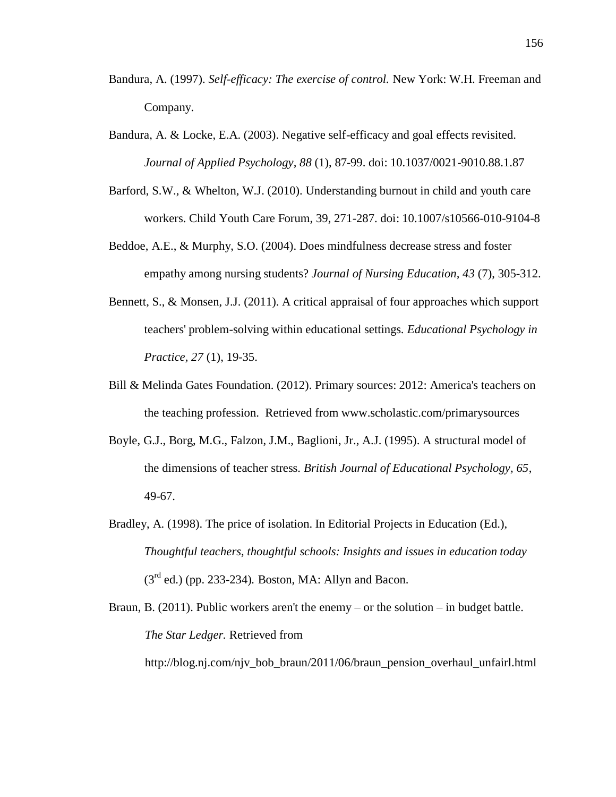- Bandura, A. (1997). *Self-efficacy: The exercise of control.* New York: W.H. Freeman and Company.
- Bandura, A. & Locke, E.A. (2003). Negative self-efficacy and goal effects revisited. *Journal of Applied Psychology, 88* (1), 87-99. doi: 10.1037/0021-9010.88.1.87
- Barford, S.W., & Whelton, W.J. (2010). Understanding burnout in child and youth care workers. Child Youth Care Forum, 39, 271-287. doi: 10.1007/s10566-010-9104-8
- Beddoe, A.E., & Murphy, S.O. (2004). Does mindfulness decrease stress and foster empathy among nursing students? *Journal of Nursing Education, 43* (7), 305-312.
- Bennett, S., & Monsen, J.J. (2011). A critical appraisal of four approaches which support teachers' problem-solving within educational settings. *Educational Psychology in Practice, 27* (1), 19-35.
- Bill & Melinda Gates Foundation. (2012). Primary sources: 2012: America's teachers on the teaching profession. Retrieved from www.scholastic.com/primarysources
- Boyle, G.J., Borg, M.G., Falzon, J.M., Baglioni, Jr., A.J. (1995). A structural model of the dimensions of teacher stress. *British Journal of Educational Psychology, 65*, 49-67.
- Bradley, A. (1998). The price of isolation. In Editorial Projects in Education (Ed.), *Thoughtful teachers, thoughtful schools: Insights and issues in education today* (3rd ed.) (pp. 233-234)*.* Boston, MA: Allyn and Bacon.
- Braun, B. (2011). Public workers aren't the enemy or the solution in budget battle. *The Star Ledger.* Retrieved from http://blog.nj.com/njv\_bob\_braun/2011/06/braun\_pension\_overhaul\_unfairl.html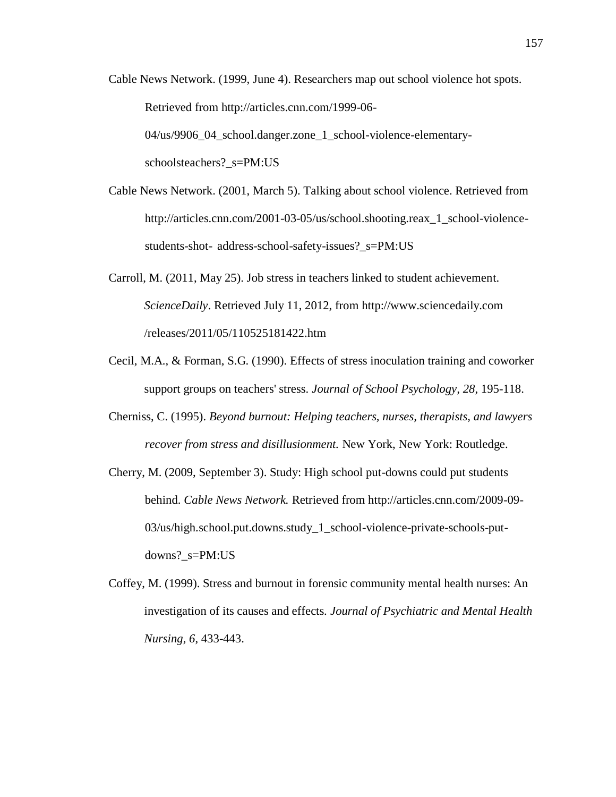Cable News Network. (1999, June 4). Researchers map out school violence hot spots. Retrieved from http://articles.cnn.com/1999-06- 04/us/9906\_04\_school.danger.zone\_1\_school-violence-elementary-

schoolsteachers?\_s=PM:US

- Cable News Network. (2001, March 5). Talking about school violence. Retrieved from http://articles.cnn.com/2001-03-05/us/school.shooting.reax\_1\_school-violencestudents-shot- address-school-safety-issues?\_s=PM:US
- Carroll, M. (2011, May 25). Job stress in teachers linked to student achievement. *ScienceDaily*. Retrieved July 11, 2012, from http://www.sciencedaily.com /releases/2011/05/110525181422.htm
- Cecil, M.A., & Forman, S.G. (1990). Effects of stress inoculation training and coworker support groups on teachers' stress. *Journal of School Psychology, 28*, 195-118.
- Cherniss, C. (1995). *Beyond burnout: Helping teachers, nurses, therapists, and lawyers recover from stress and disillusionment.* New York, New York: Routledge.
- Cherry, M. (2009, September 3). Study: High school put-downs could put students behind. *Cable News Network.* Retrieved from http://articles.cnn.com/2009-09- 03/us/high.school.put.downs.study\_1\_school-violence-private-schools-putdowns?\_s=PM:US
- Coffey, M. (1999). Stress and burnout in forensic community mental health nurses: An investigation of its causes and effects. *Journal of Psychiatric and Mental Health Nursing, 6*, 433-443.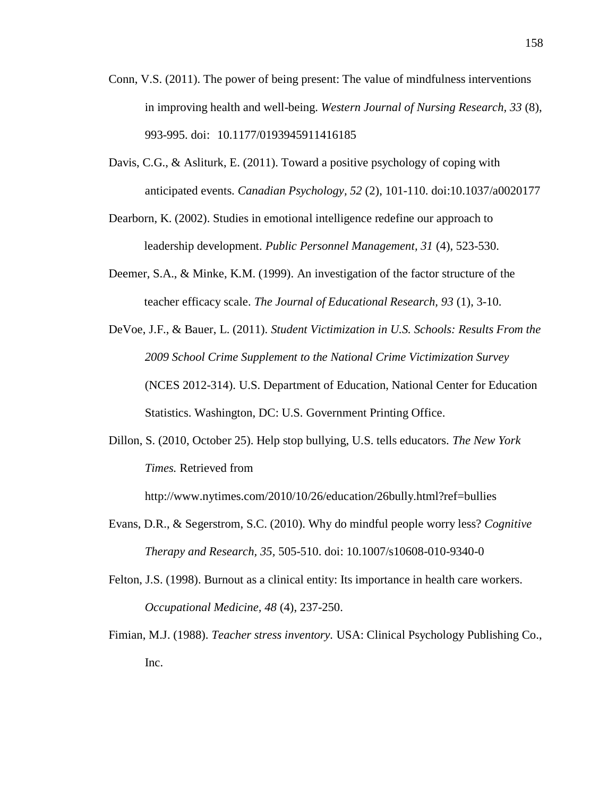- Conn, V.S. (2011). The power of being present: The value of mindfulness interventions in improving health and well-being. *Western Journal of Nursing Research, 33* (8), 993-995. doi: 10.1177/0193945911416185
- Davis, C.G., & Asliturk, E. (2011). Toward a positive psychology of coping with anticipated events. *Canadian Psychology, 52* (2), 101-110. doi:10.1037/a0020177
- Dearborn, K. (2002). Studies in emotional intelligence redefine our approach to leadership development. *Public Personnel Management, 31* (4), 523-530.
- Deemer, S.A., & Minke, K.M. (1999). An investigation of the factor structure of the teacher efficacy scale. *The Journal of Educational Research, 93* (1), 3-10.
- DeVoe, J.F., & Bauer, L. (2011). *Student Victimization in U.S. Schools: Results From the 2009 School Crime Supplement to the National Crime Victimization Survey* (NCES 2012-314). U.S. Department of Education, National Center for Education Statistics. Washington, DC: U.S. Government Printing Office.
- Dillon, S. (2010, October 25). Help stop bullying, U.S. tells educators. *The New York Times.* Retrieved from

http://www.nytimes.com/2010/10/26/education/26bully.html?ref=bullies

- Evans, D.R., & Segerstrom, S.C. (2010). Why do mindful people worry less? *Cognitive Therapy and Research, 35,* 505-510. doi: 10.1007/s10608-010-9340-0
- Felton, J.S. (1998). Burnout as a clinical entity: Its importance in health care workers. *Occupational Medicine, 48* (4), 237-250.
- Fimian, M.J. (1988). *Teacher stress inventory.* USA: Clinical Psychology Publishing Co., Inc.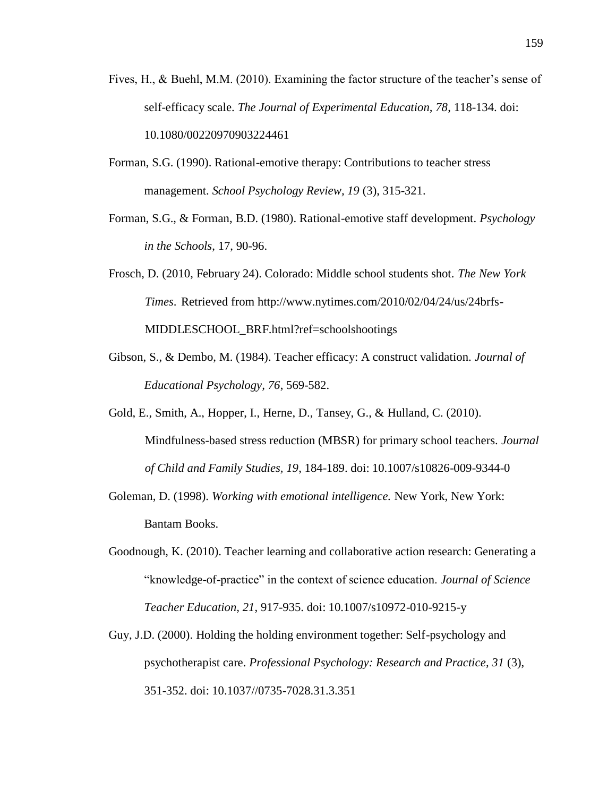- Fives, H., & Buehl, M.M. (2010). Examining the factor structure of the teacher's sense of self-efficacy scale. *The Journal of Experimental Education, 78*, 118-134. doi: 10.1080/00220970903224461
- Forman, S.G. (1990). Rational-emotive therapy: Contributions to teacher stress management. *School Psychology Review, 19* (3), 315-321.
- Forman, S.G., & Forman, B.D. (1980). Rational-emotive staff development. *Psychology in the Schools*, 17, 90-96.
- Frosch, D. (2010, February 24). Colorado: Middle school students shot. *The New York Times*. Retrieved from http://www.nytimes.com/2010/02/04/24/us/24brfs-MIDDLESCHOOL\_BRF.html?ref=schoolshootings
- Gibson, S., & Dembo, M. (1984). Teacher efficacy: A construct validation. *Journal of Educational Psychology, 76*, 569-582.
- Gold, E., Smith, A., Hopper, I., Herne, D., Tansey, G., & Hulland, C. (2010). Mindfulness-based stress reduction (MBSR) for primary school teachers. *Journal of Child and Family Studies, 19*, 184-189. doi: 10.1007/s10826-009-9344-0
- Goleman, D. (1998). *Working with emotional intelligence.* New York, New York: Bantam Books.
- Goodnough, K. (2010). Teacher learning and collaborative action research: Generating a "knowledge-of-practice" in the context of science education. *Journal of Science Teacher Education, 21*, 917-935. doi: 10.1007/s10972-010-9215-y
- Guy, J.D. (2000). Holding the holding environment together: Self-psychology and psychotherapist care. *Professional Psychology: Research and Practice, 31* (3), 351-352. doi: 10.1037//0735-7028.31.3.351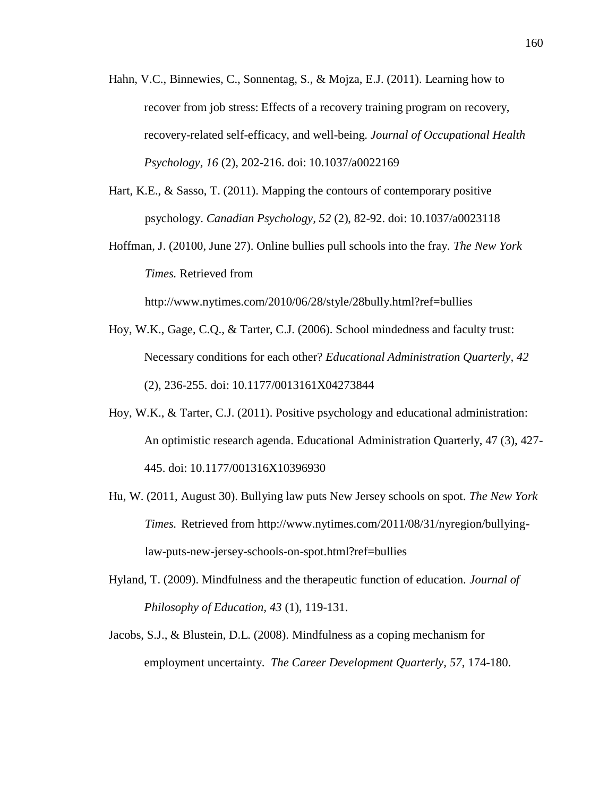- Hahn, V.C., Binnewies, C., Sonnentag, S., & Mojza, E.J. (2011). Learning how to recover from job stress: Effects of a recovery training program on recovery, recovery-related self-efficacy, and well-being. *Journal of Occupational Health Psychology, 16* (2), 202-216. doi: 10.1037/a0022169
- Hart, K.E., & Sasso, T. (2011). Mapping the contours of contemporary positive psychology. *Canadian Psychology, 52* (2), 82-92. doi: 10.1037/a0023118
- Hoffman, J. (20100, June 27). Online bullies pull schools into the fray. *The New York Times.* Retrieved from http://www.nytimes.com/2010/06/28/style/28bully.html?ref=bullies
- Hoy, W.K., Gage, C.Q., & Tarter, C.J. (2006). School mindedness and faculty trust: Necessary conditions for each other? *Educational Administration Quarterly, 42* (2), 236-255. doi: 10.1177/0013161X04273844
- Hoy, W.K., & Tarter, C.J. (2011). Positive psychology and educational administration: An optimistic research agenda. Educational Administration Quarterly, 47 (3), 427- 445. doi: 10.1177/001316X10396930
- Hu, W. (2011, August 30). Bullying law puts New Jersey schools on spot. *The New York Times.* Retrieved from http://www.nytimes.com/2011/08/31/nyregion/bullyinglaw-puts-new-jersey-schools-on-spot.html?ref=bullies
- Hyland, T. (2009). Mindfulness and the therapeutic function of education. *Journal of Philosophy of Education, 43* (1), 119-131.
- Jacobs, S.J., & Blustein, D.L. (2008). Mindfulness as a coping mechanism for employment uncertainty. *The Career Development Quarterly, 57*, 174-180.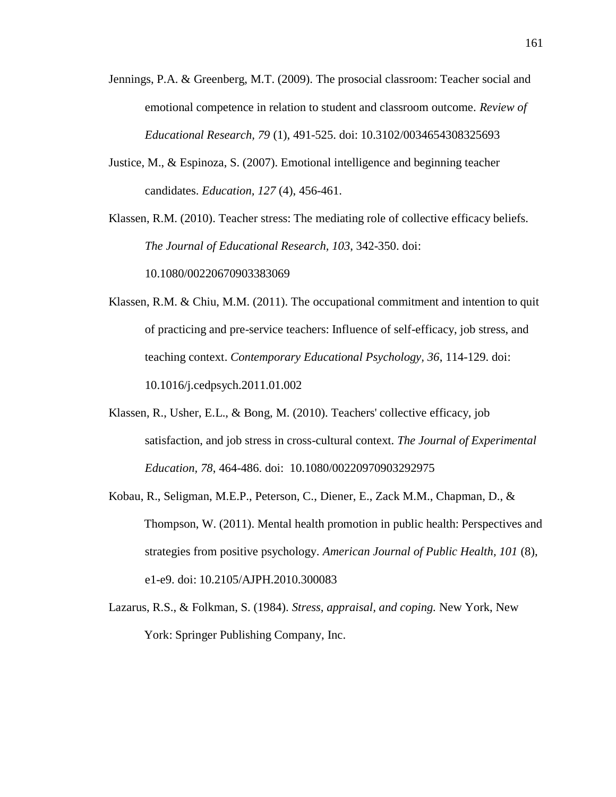- Jennings, P.A. & Greenberg, M.T. (2009). The prosocial classroom: Teacher social and emotional competence in relation to student and classroom outcome. *Review of Educational Research, 79* (1), 491-525. doi: 10.3102/0034654308325693
- Justice, M., & Espinoza, S. (2007). Emotional intelligence and beginning teacher candidates. *Education, 127* (4), 456-461.

Klassen, R.M. (2010). Teacher stress: The mediating role of collective efficacy beliefs. *The Journal of Educational Research, 103*, 342-350. doi:

10.1080/00220670903383069

Klassen, R.M. & Chiu, M.M. (2011). The occupational commitment and intention to quit of practicing and pre-service teachers: Influence of self-efficacy, job stress, and teaching context. *Contemporary Educational Psychology, 36*, 114-129. doi: 10.1016/j.cedpsych.2011.01.002

- Klassen, R., Usher, E.L., & Bong, M. (2010). Teachers' collective efficacy, job satisfaction, and job stress in cross-cultural context. *The Journal of Experimental Education, 78*, 464-486. doi: 10.1080/00220970903292975
- Kobau, R., Seligman, M.E.P., Peterson, C., Diener, E., Zack M.M., Chapman, D., & Thompson, W. (2011). Mental health promotion in public health: Perspectives and strategies from positive psychology. *American Journal of Public Health, 101* (8), e1-e9. doi: 10.2105/AJPH.2010.300083
- Lazarus, R.S., & Folkman, S. (1984). *Stress, appraisal, and coping.* New York, New York: Springer Publishing Company, Inc.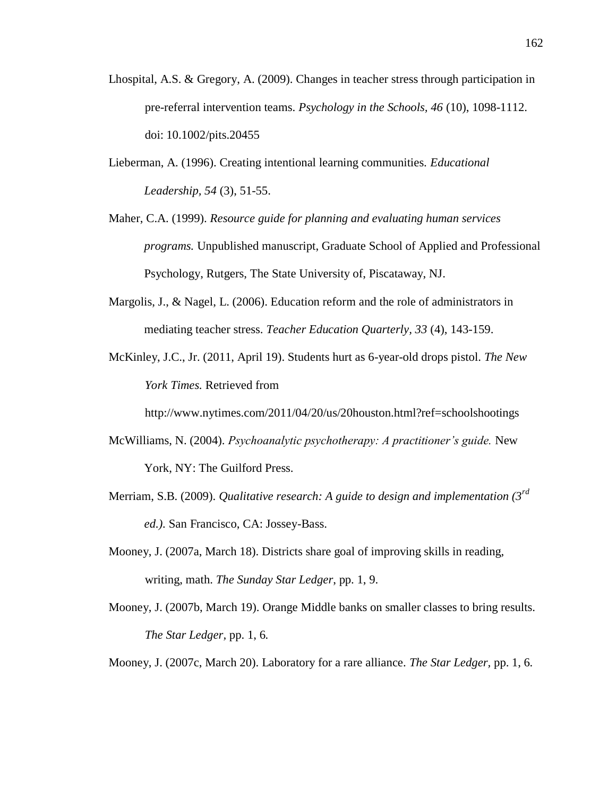- Lhospital, A.S. & Gregory, A. (2009). Changes in teacher stress through participation in pre-referral intervention teams. *Psychology in the Schools, 46* (10), 1098-1112. doi: 10.1002/pits.20455
- Lieberman, A. (1996). Creating intentional learning communities. *Educational Leadership, 54* (3), 51-55.
- Maher, C.A. (1999). *Resource guide for planning and evaluating human services programs.* Unpublished manuscript, Graduate School of Applied and Professional Psychology, Rutgers, The State University of, Piscataway, NJ.
- Margolis, J., & Nagel, L. (2006). Education reform and the role of administrators in mediating teacher stress. *Teacher Education Quarterly, 33* (4), 143-159.
- McKinley, J.C., Jr. (2011, April 19). Students hurt as 6-year-old drops pistol. *The New York Times.* Retrieved from

http://www.nytimes.com/2011/04/20/us/20houston.html?ref=schoolshootings

- McWilliams, N. (2004). *Psychoanalytic psychotherapy: A practitioner's guide.* New York, NY: The Guilford Press.
- Merriam, S.B. (2009). *Qualitative research: A guide to design and implementation (3rd ed.).* San Francisco, CA: Jossey-Bass.
- Mooney, J. (2007a, March 18). Districts share goal of improving skills in reading, writing, math. *The Sunday Star Ledger*, pp. 1, 9.
- Mooney, J. (2007b, March 19). Orange Middle banks on smaller classes to bring results. *The Star Ledger,* pp. 1, 6*.*
- Mooney, J. (2007c, March 20). Laboratory for a rare alliance. *The Star Ledger,* pp. 1, 6*.*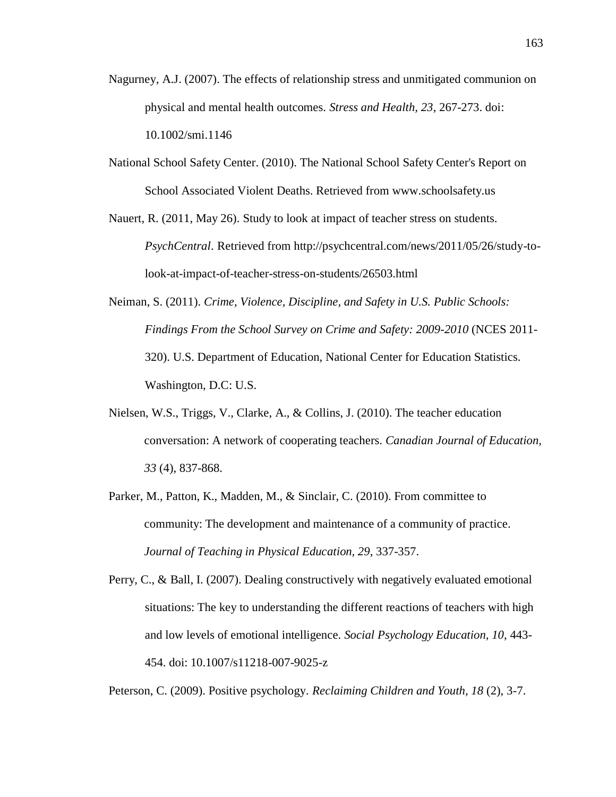- Nagurney, A.J. (2007). The effects of relationship stress and unmitigated communion on physical and mental health outcomes. *Stress and Health, 23*, 267-273. doi: 10.1002/smi.1146
- National School Safety Center. (2010). The National School Safety Center's Report on School Associated Violent Deaths. Retrieved from www.schoolsafety.us

Nauert, R. (2011, May 26). Study to look at impact of teacher stress on students. *PsychCentral*. Retrieved from http://psychcentral.com/news/2011/05/26/study-tolook-at-impact-of-teacher-stress-on-students/26503.html

- Neiman, S. (2011). *Crime, Violence, Discipline, and Safety in U.S. Public Schools: Findings From the School Survey on Crime and Safety: 2009-2010* (NCES 2011- 320). U.S. Department of Education, National Center for Education Statistics. Washington, D.C: U.S.
- Nielsen, W.S., Triggs, V., Clarke, A., & Collins, J. (2010). The teacher education conversation: A network of cooperating teachers. *Canadian Journal of Education, 33* (4), 837-868.
- Parker, M., Patton, K., Madden, M., & Sinclair, C. (2010). From committee to community: The development and maintenance of a community of practice. *Journal of Teaching in Physical Education, 29*, 337-357.

Perry, C., & Ball, I. (2007). Dealing constructively with negatively evaluated emotional situations: The key to understanding the different reactions of teachers with high and low levels of emotional intelligence. *Social Psychology Education, 10*, 443- 454. doi: 10.1007/s11218-007-9025-z

Peterson, C. (2009). Positive psychology. *Reclaiming Children and Youth, 18* (2), 3-7.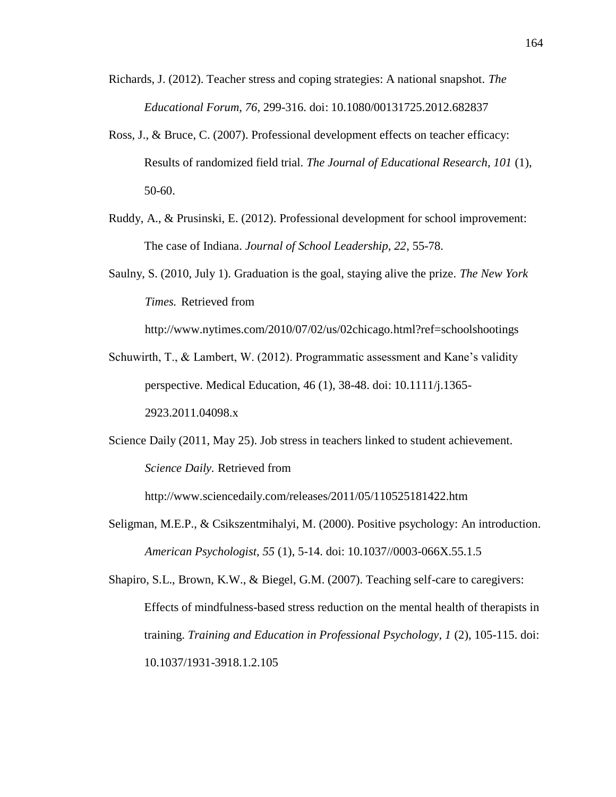- Richards, J. (2012). Teacher stress and coping strategies: A national snapshot. *The Educational Forum, 76*, 299-316. doi: 10.1080/00131725.2012.682837
- Ross, J., & Bruce, C. (2007). Professional development effects on teacher efficacy: Results of randomized field trial. *The Journal of Educational Research, 101* (1), 50-60.
- Ruddy, A., & Prusinski, E. (2012). Professional development for school improvement: The case of Indiana. *Journal of School Leadership, 22*, 55-78.
- Saulny, S. (2010, July 1). Graduation is the goal, staying alive the prize. *The New York Times.* Retrieved from

http://www.nytimes.com/2010/07/02/us/02chicago.html?ref=schoolshootings

- Schuwirth, T., & Lambert, W. (2012). Programmatic assessment and Kane's validity perspective. Medical Education, 46 (1), 38-48. doi: 10.1111/j.1365- 2923.2011.04098.x
- Science Daily (2011, May 25). Job stress in teachers linked to student achievement. *Science Daily.* Retrieved from

http://www.sciencedaily.com/releases/2011/05/110525181422.htm

Seligman, M.E.P., & Csikszentmihalyi, M. (2000). Positive psychology: An introduction. *American Psychologist, 55* (1), 5-14. doi: 10.1037//0003-066X.55.1.5

Shapiro, S.L., Brown, K.W., & Biegel, G.M. (2007). Teaching self-care to caregivers: Effects of mindfulness-based stress reduction on the mental health of therapists in training. *Training and Education in Professional Psychology, 1* (2), 105-115. doi: 10.1037/1931-3918.1.2.105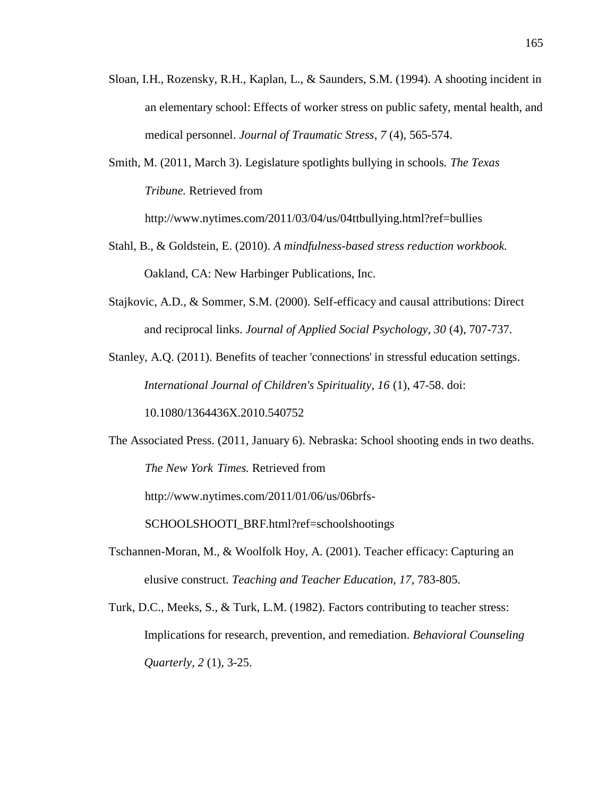- Sloan, I.H., Rozensky, R.H., Kaplan, L., & Saunders, S.M. (1994). A shooting incident in an elementary school: Effects of worker stress on public safety, mental health, and medical personnel. *Journal of Traumatic Stress, 7* (4), 565-574.
- Smith, M. (2011, March 3). Legislature spotlights bullying in schools. *The Texas Tribune.* Retrieved from http://www.nytimes.com/2011/03/04/us/04ttbullying.html?ref=bullies
- Stahl, B., & Goldstein, E. (2010). *A mindfulness-based stress reduction workbook.* Oakland, CA: New Harbinger Publications, Inc.
- Stajkovic, A.D., & Sommer, S.M. (2000). Self-efficacy and causal attributions: Direct and reciprocal links. *Journal of Applied Social Psychology, 30* (4), 707-737.
- Stanley, A.Q. (2011). Benefits of teacher 'connections' in stressful education settings. *International Journal of Children's Spirituality, 16* (1), 47-58. doi:

10.1080/1364436X.2010.540752

The Associated Press. (2011, January 6). Nebraska: School shooting ends in two deaths. *The New York Times.* Retrieved from

http://www.nytimes.com/2011/01/06/us/06brfs-

SCHOOLSHOOTI\_BRF.html?ref=schoolshootings

- Tschannen-Moran, M., & Woolfolk Hoy, A. (2001). Teacher efficacy: Capturing an elusive construct. *Teaching and Teacher Education, 17*, 783-805.
- Turk, D.C., Meeks, S., & Turk, L.M. (1982). Factors contributing to teacher stress: Implications for research, prevention, and remediation. *Behavioral Counseling Quarterly, 2* (1), 3-25.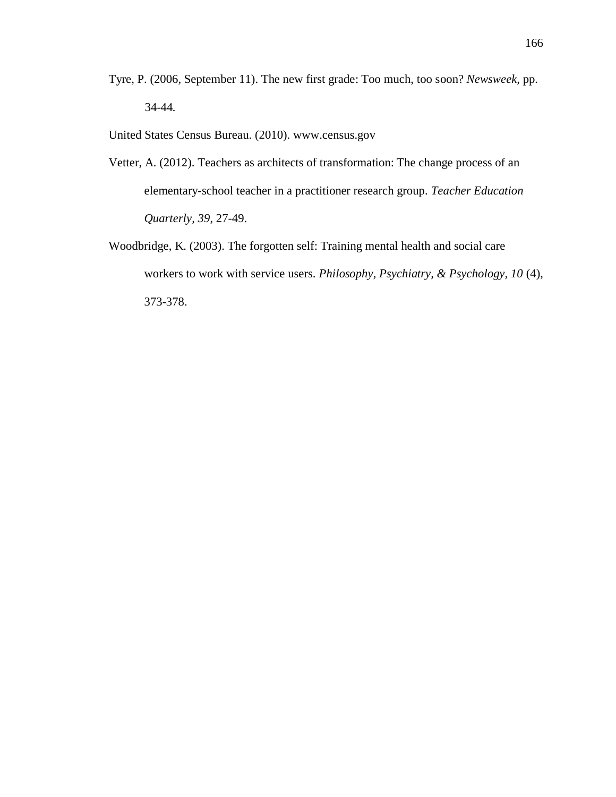- Tyre, P. (2006, September 11). The new first grade: Too much, too soon? *Newsweek,* pp. 34-44*.*
- United States Census Bureau. (2010). www.census.gov
- Vetter, A. (2012). Teachers as architects of transformation: The change process of an elementary-school teacher in a practitioner research group. *Teacher Education Quarterly, 39*, 27-49.
- Woodbridge, K. (2003). The forgotten self: Training mental health and social care workers to work with service users. *Philosophy, Psychiatry, & Psychology, 10* (4), 373-378.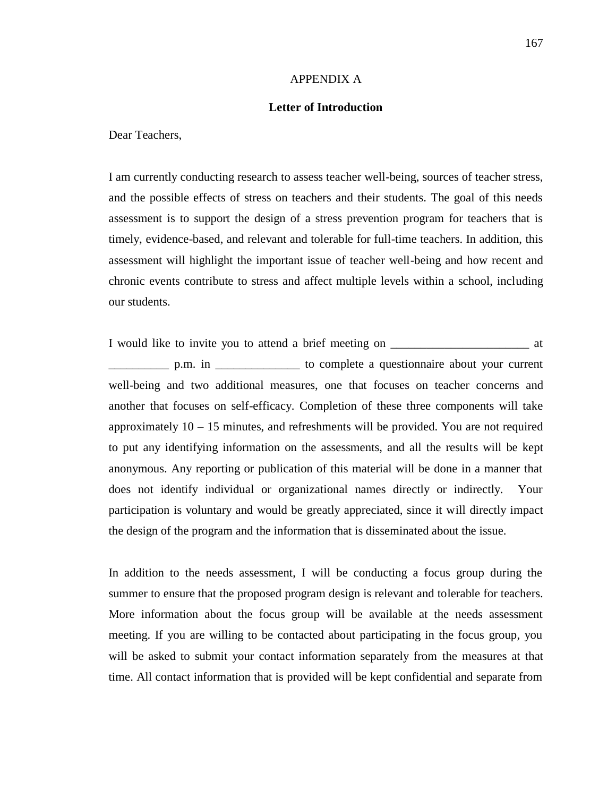#### APPENDIX A

#### **Letter of Introduction**

Dear Teachers,

I am currently conducting research to assess teacher well-being, sources of teacher stress, and the possible effects of stress on teachers and their students. The goal of this needs assessment is to support the design of a stress prevention program for teachers that is timely, evidence-based, and relevant and tolerable for full-time teachers. In addition, this assessment will highlight the important issue of teacher well-being and how recent and chronic events contribute to stress and affect multiple levels within a school, including our students.

I would like to invite you to attend a brief meeting on \_\_\_\_\_\_\_\_\_\_\_\_\_\_\_\_\_\_\_\_\_\_\_\_ at \_\_\_\_\_\_\_\_\_\_ p.m. in \_\_\_\_\_\_\_\_\_\_\_\_\_\_ to complete a questionnaire about your current well-being and two additional measures, one that focuses on teacher concerns and another that focuses on self-efficacy. Completion of these three components will take approximately  $10 - 15$  minutes, and refreshments will be provided. You are not required to put any identifying information on the assessments, and all the results will be kept anonymous. Any reporting or publication of this material will be done in a manner that does not identify individual or organizational names directly or indirectly. Your participation is voluntary and would be greatly appreciated, since it will directly impact the design of the program and the information that is disseminated about the issue.

In addition to the needs assessment, I will be conducting a focus group during the summer to ensure that the proposed program design is relevant and tolerable for teachers. More information about the focus group will be available at the needs assessment meeting. If you are willing to be contacted about participating in the focus group, you will be asked to submit your contact information separately from the measures at that time. All contact information that is provided will be kept confidential and separate from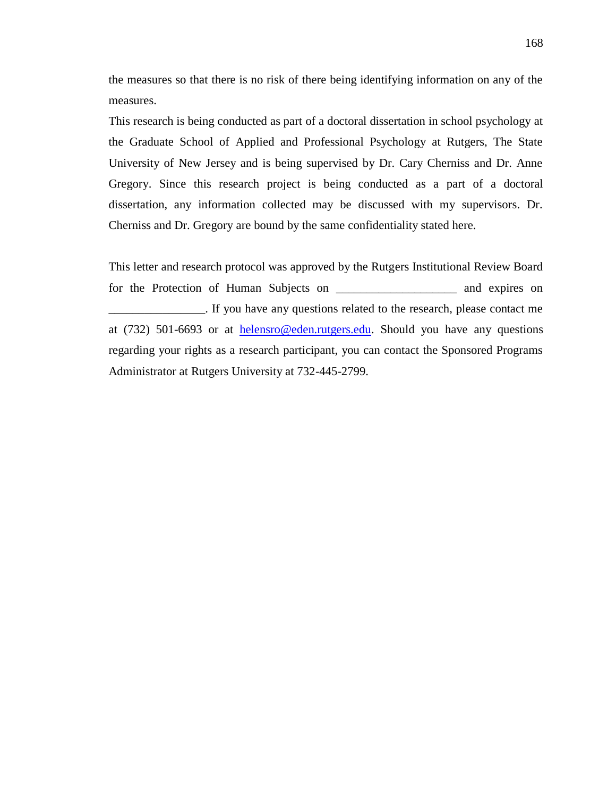the measures so that there is no risk of there being identifying information on any of the measures.

This research is being conducted as part of a doctoral dissertation in school psychology at the Graduate School of Applied and Professional Psychology at Rutgers, The State University of New Jersey and is being supervised by Dr. Cary Cherniss and Dr. Anne Gregory. Since this research project is being conducted as a part of a doctoral dissertation, any information collected may be discussed with my supervisors. Dr. Cherniss and Dr. Gregory are bound by the same confidentiality stated here.

This letter and research protocol was approved by the Rutgers Institutional Review Board for the Protection of Human Subjects on  $\Box$  and expires on \_\_\_\_\_\_\_\_\_\_\_\_\_\_\_\_. If you have any questions related to the research, please contact me at (732) 501-6693 or at [helensro@eden.rutgers.edu.](mailto:helensro@eden.rutgers.edu) Should you have any questions regarding your rights as a research participant, you can contact the Sponsored Programs Administrator at Rutgers University at 732-445-2799.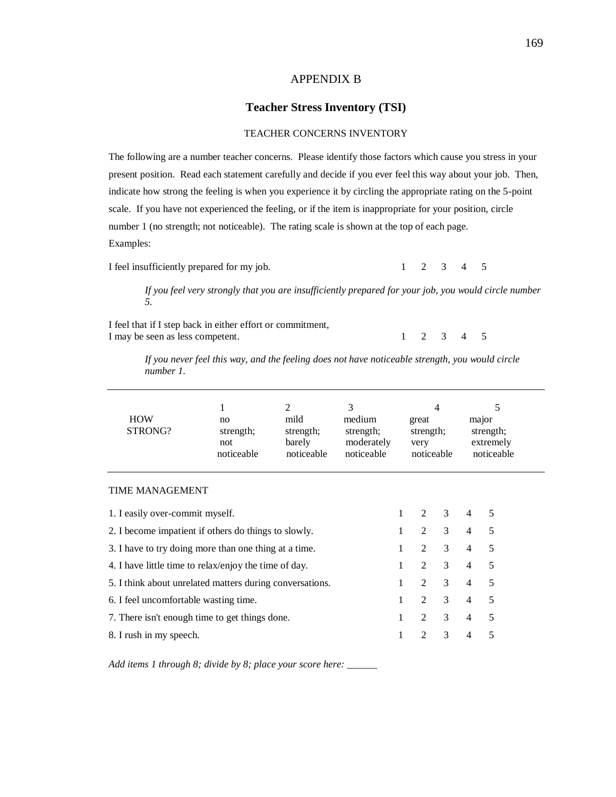## APPENDIX B

#### **Teacher Stress Inventory (TSI)**

#### TEACHER CONCERNS INVENTORY

The following are a number teacher concerns. Please identify those factors which cause you stress in your present position. Read each statement carefully and decide if you ever feel this way about your job. Then, indicate how strong the feeling is when you experience it by circling the appropriate rating on the 5-point scale. If you have not experienced the feeling, or if the item is inappropriate for your position, circle number 1 (no strength; not noticeable). The rating scale is shown at the top of each page. Examples:

I feel insufficiently prepared for my job. 1 2 3 4 5

*If you feel very strongly that you are insufficiently prepared for your job, you would circle number 5.*

I feel that if I step back in either effort or commitment, I may be seen as less competent. 1 2 3 4 5

*If you never feel this way, and the feeling does not have noticeable strength, you would circle number 1.*

| <b>HOW</b><br>STRONG?                                    | 1<br>no<br>strength;<br>not<br>noticeable | $\mathfrak{D}$<br>mild<br>strength;<br>barely<br>noticeable | 3<br>medium<br>strength;<br>moderately<br>noticeable |   | 4<br>great<br>strength;<br>very<br>noticeable |   | 5<br>major<br>strength;<br>extremely<br>noticeable |   |  |
|----------------------------------------------------------|-------------------------------------------|-------------------------------------------------------------|------------------------------------------------------|---|-----------------------------------------------|---|----------------------------------------------------|---|--|
| <b>TIME MANAGEMENT</b>                                   |                                           |                                                             |                                                      |   |                                               |   |                                                    |   |  |
| 1. I easily over-commit myself.                          |                                           |                                                             |                                                      | 1 | 2                                             | 3 | $\overline{4}$                                     | 5 |  |
| 2. I become impatient if others do things to slowly.     |                                           |                                                             |                                                      | 1 | $\mathfrak{D}$                                | 3 | $\overline{4}$                                     | 5 |  |
| 3. I have to try doing more than one thing at a time.    |                                           |                                                             |                                                      | 1 | $\overline{c}$                                | 3 | $\overline{4}$                                     | 5 |  |
| 4. I have little time to relax/enjoy the time of day.    |                                           |                                                             |                                                      | 1 | $\mathfrak{D}$                                | 3 | $\overline{4}$                                     | 5 |  |
| 5. I think about unrelated matters during conversations. |                                           |                                                             |                                                      | 1 | $\mathfrak{D}$                                | 3 | $\overline{4}$                                     | 5 |  |
| 6. I feel uncomfortable wasting time.                    |                                           |                                                             |                                                      | 1 | $\mathfrak{D}$                                | 3 | $\overline{4}$                                     | 5 |  |
| 7. There isn't enough time to get things done.           |                                           |                                                             |                                                      | 1 | $\overline{2}$                                | 3 | $\overline{4}$                                     | 5 |  |
| 8. I rush in my speech.                                  |                                           |                                                             |                                                      | 1 | 2                                             | 3 | $\overline{4}$                                     | 5 |  |

*Add items 1 through 8; divide by 8; place your score here: \_\_\_\_\_\_*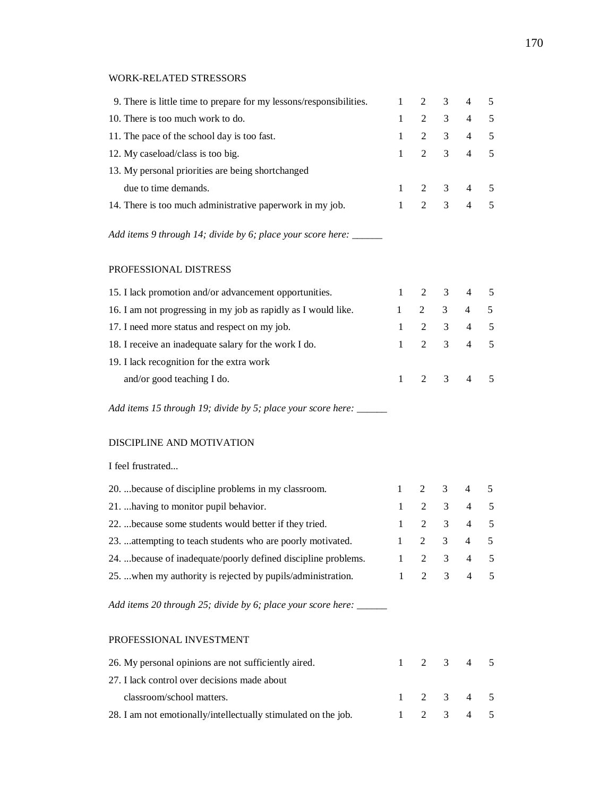### WORK-RELATED STRESSORS

| 9. There is little time to prepare for my lessons/responsibilities. | $\mathbf{1}$ | 2              | 3 | $\overline{4}$ | 5          |  |
|---------------------------------------------------------------------|--------------|----------------|---|----------------|------------|--|
| 10. There is too much work to do.                                   | $\mathbf{1}$ | $\overline{2}$ | 3 | $\overline{4}$ | $\sqrt{5}$ |  |
| 11. The pace of the school day is too fast.                         | $\mathbf{1}$ | 2              | 3 | $\overline{4}$ | 5          |  |
| 12. My caseload/class is too big.                                   | $\mathbf{1}$ | $\overline{2}$ | 3 | $\overline{4}$ | 5          |  |
| 13. My personal priorities are being shortchanged                   |              |                |   |                |            |  |
| due to time demands.                                                | $\mathbf{1}$ | 2              | 3 | $\overline{4}$ | 5          |  |
| 14. There is too much administrative paperwork in my job.           | $\mathbf{1}$ | $\overline{2}$ | 3 | $\overline{4}$ | 5          |  |
| Add items 9 through 14; divide by 6; place your score here: ______  |              |                |   |                |            |  |
| PROFESSIONAL DISTRESS                                               |              |                |   |                |            |  |
| 15. I lack promotion and/or advancement opportunities.              | $\mathbf{1}$ | $\overline{2}$ | 3 | $\overline{4}$ | 5          |  |
| 16. I am not progressing in my job as rapidly as I would like.      | 1            | $\overline{2}$ | 3 | $\overline{4}$ | 5          |  |
| 17. I need more status and respect on my job.                       | $\mathbf{1}$ | $\overline{2}$ | 3 | $\overline{4}$ | 5          |  |
| 18. I receive an inadequate salary for the work I do.               | $\mathbf{1}$ | $\overline{2}$ | 3 | $\overline{4}$ | 5          |  |
| 19. I lack recognition for the extra work                           |              |                |   |                |            |  |
| and/or good teaching I do.                                          | $\mathbf{1}$ | $\overline{2}$ | 3 | $\overline{4}$ | 5          |  |
| Add items 15 through 19; divide by 5; place your score here: _____  |              |                |   |                |            |  |
| DISCIPLINE AND MOTIVATION                                           |              |                |   |                |            |  |
| I feel frustrated                                                   |              |                |   |                |            |  |
| 20.  because of discipline problems in my classroom.                |              | 2              | 3 | 4              | 5          |  |

| 20.  occause of discipline problems in my classroom.           |  |                     |  |
|----------------------------------------------------------------|--|---------------------|--|
| 21.  having to monitor pupil behavior.                         |  | $1 \t2 \t3 \t4 \t5$ |  |
| 22.  because some students would better if they tried.         |  | $1 \t2 \t3 \t4 \t5$ |  |
| 23.  attempting to teach students who are poorly motivated.    |  | $1 \t2 \t3 \t4 \t5$ |  |
| 24.  because of inadequate/poorly defined discipline problems. |  | $1 \t2 \t3 \t4 \t5$ |  |
| 25.  when my authority is rejected by pupils/administration.   |  | 2 3 4 5             |  |

*Add items 20 through 25; divide by 6; place your score here: \_\_\_\_\_\_*

## PROFESSIONAL INVESTMENT

| 26. My personal opinions are not sufficiently aired.           |  |  | $1 \t2 \t3 \t4 \t5$ |  |
|----------------------------------------------------------------|--|--|---------------------|--|
| 27. I lack control over decisions made about                   |  |  |                     |  |
| classroom/school matters.                                      |  |  | $1 \t2 \t3 \t4 \t5$ |  |
| 28. I am not emotionally/intellectually stimulated on the job. |  |  | $1 \t2 \t3 \t4 \t5$ |  |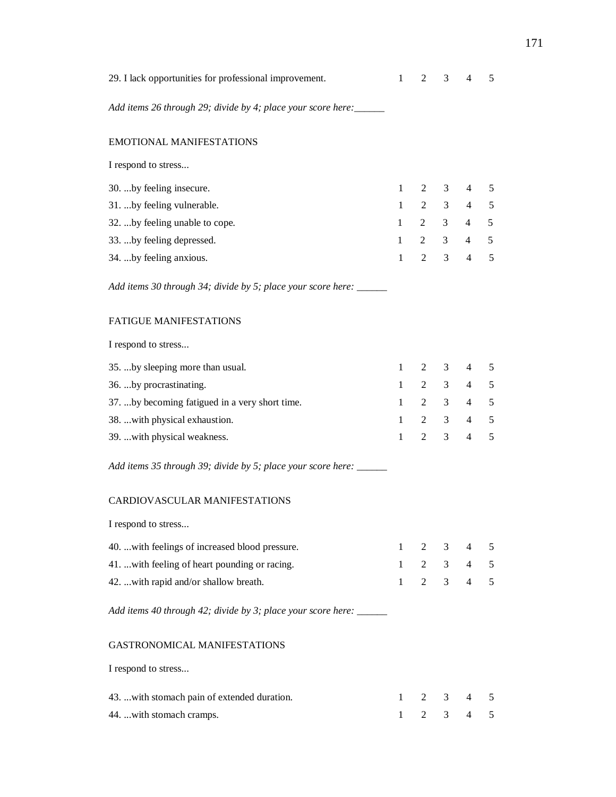| 29. I lack opportunities for professional improvement.              |              |                | 3              | $\overline{4}$           | 5             |  |  |
|---------------------------------------------------------------------|--------------|----------------|----------------|--------------------------|---------------|--|--|
| Add items 26 through 29; divide by 4; place your score here: _____  |              |                |                |                          |               |  |  |
| <b>EMOTIONAL MANIFESTATIONS</b>                                     |              |                |                |                          |               |  |  |
| I respond to stress                                                 |              |                |                |                          |               |  |  |
| 30.  by feeling insecure.                                           | 1            | 2              | 3              | 4                        | 5             |  |  |
| 31.  by feeling vulnerable.                                         | 1            | 2              | 3              | 4                        | 5             |  |  |
| 32. by feeling unable to cope.                                      | 1            | 2              | 3              | $\overline{4}$           | 5             |  |  |
| 33.  by feeling depressed.                                          | 1            | 2              | 3              | 4                        | 5             |  |  |
| 34.  by feeling anxious.                                            | $\mathbf{1}$ | $\overline{2}$ | 3              | $\overline{4}$           | 5             |  |  |
| Add items 30 through 34; divide by 5; place your score here: ______ |              |                |                |                          |               |  |  |
| <b>FATIGUE MANIFESTATIONS</b>                                       |              |                |                |                          |               |  |  |
| I respond to stress                                                 |              |                |                |                          |               |  |  |
| 35.  by sleeping more than usual.                                   | 1            | 2              | 3              | $\overline{4}$           | 5             |  |  |
| 36.  by procrastinating.                                            | $\mathbf{1}$ | 2              | 3              | 4                        | 5             |  |  |
| 37. by becoming fatigued in a very short time.                      | 1            | 2              | 3              | $\overline{4}$           | 5             |  |  |
| 38.  with physical exhaustion.                                      | 1            | 2              | 3              | 4                        | 5             |  |  |
| 39.  with physical weakness.                                        | $\mathbf{1}$ | $\overline{2}$ | 3              | $\overline{\mathcal{L}}$ | 5             |  |  |
| Add items 35 through 39; divide by 5; place your score here: ______ |              |                |                |                          |               |  |  |
| <b>CARDIOVASCULAR MANIFESTATIONS</b>                                |              |                |                |                          |               |  |  |
| I respond to stress                                                 |              |                |                |                          |               |  |  |
| 40.  with feelings of increased blood pressure.                     | $\mathbf{1}$ | 2              | 3              | 4                        | $\mathfrak s$ |  |  |
| 41. with feeling of heart pounding or racing.                       |              | 2              | 3 <sup>7</sup> | 4                        | $\mathfrak s$ |  |  |
| 42.  with rapid and/or shallow breath.                              | $\mathbf{1}$ | $\overline{2}$ | $\mathfrak{Z}$ | $\overline{4}$           | 5             |  |  |
| Add items 40 through 42; divide by 3; place your score here: _____  |              |                |                |                          |               |  |  |
| <b>GASTRONOMICAL MANIFESTATIONS</b>                                 |              |                |                |                          |               |  |  |
| I respond to stress                                                 |              |                |                |                          |               |  |  |
| 43.  with stomach pain of extended duration.                        | 1            | 2              | 3              | 4                        | 5             |  |  |
| 44.  with stomach cramps.                                           |              | $\overline{2}$ | $\mathfrak{Z}$ | $\overline{4}$           | 5             |  |  |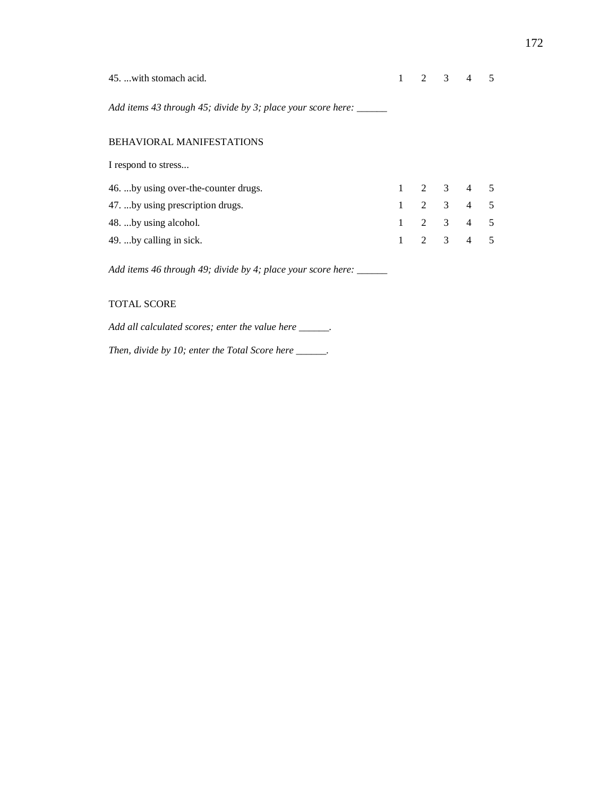| 45.  with stomach acid.                                             |              |  | $2 \t3 \t4 \t5$             |  |
|---------------------------------------------------------------------|--------------|--|-----------------------------|--|
| Add items 43 through 45; divide by 3; place your score here: ______ |              |  |                             |  |
| <b>BEHAVIORAL MANIFESTATIONS</b>                                    |              |  |                             |  |
| I respond to stress                                                 |              |  |                             |  |
| 46.  by using over-the-counter drugs.                               |              |  | $1 \t2 \t3 \t4 \t5$         |  |
| 47.  by using prescription drugs.                                   | $\mathbf{1}$ |  | $2 \quad 3 \quad 4 \quad 5$ |  |
| 48.  by using alcohol.                                              |              |  | 2 3 4 5                     |  |
| 49.  by calling in sick.                                            |              |  | $2 \quad 3 \quad 4 \quad 5$ |  |
|                                                                     |              |  |                             |  |

*Add items 46 through 49; divide by 4; place your score here: \_\_\_\_\_\_*

### TOTAL SCORE

*Add all calculated scores; enter the value here \_\_\_\_\_\_.*

*Then, divide by 10; enter the Total Score here \_\_\_\_\_\_.*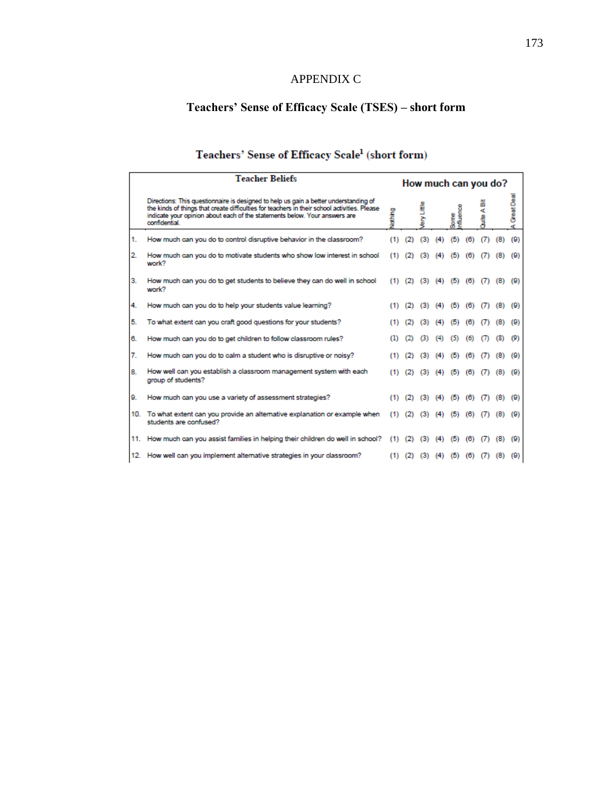# APPENDIX C

# **Teachers' Sense of Efficacy Scale (TSES) – short form**

# Teachers' Sense of Efficacy Scale<sup>1</sup> (short form)

|    | <b>Teacher Beliefs</b><br>How much can you do?                                                                                                                                                                                                                                     |     |     |     |                             |                               |             |                   |     |                 |
|----|------------------------------------------------------------------------------------------------------------------------------------------------------------------------------------------------------------------------------------------------------------------------------------|-----|-----|-----|-----------------------------|-------------------------------|-------------|-------------------|-----|-----------------|
|    | Directions: This questionnaire is designed to help us gain a better understanding of<br>the kinds of things that create difficulties for teachers in their school activities. Please<br>indicate your opinion about each of the statements below. Your answers are<br>confidential | Ŝ   |     |     | m<br>Some<br>Influence<br>ď |                               |             |                   |     | Great Deal<br>ď |
| 1. | How much can you do to control disruptive behavior in the classroom?                                                                                                                                                                                                               | (1) | (2) | (3) | (4)                         | (5)                           | (6)         | (7)               | (8) | (9)             |
| 2. | How much can you do to motivate students who show low interest in school<br>work?                                                                                                                                                                                                  | (1) | (2) | (3) | (4)                         | (5)                           | (6)         |                   | (8) | (9)             |
| з. | How much can you do to get students to believe they can do well in school<br>work?                                                                                                                                                                                                 | (1) | (2) |     |                             | $(3)$ $(4)$ $(5)$ $(6)$ $(7)$ |             |                   | (8) | (9)             |
| 4. | How much can you do to help your students value learning?                                                                                                                                                                                                                          | (1) | (2) | (3) | (4)                         | (5)                           | (6)         | $\alpha$          | (8) | (9)             |
| 5. | To what extent can you craft good questions for your students?                                                                                                                                                                                                                     |     |     | (3) | (4)                         | ы                             | (6)         |                   | (8) | (9)             |
| 6. | How much can you do to get children to follow classroom rules?                                                                                                                                                                                                                     |     |     |     | (4)                         | (5)                           | (6)         |                   | (8) | (9)             |
| 7. | How much can you do to calm a student who is disruptive or noisy?                                                                                                                                                                                                                  |     | (2) | (3) | (4)                         | (5)                           | (6)         | $\omega$          | (8) | (9)             |
| 8. | How well can you establish a classroom management system with each<br>group of students?                                                                                                                                                                                           |     | (2) | (3) | (4)                         |                               | $(5)$ $(6)$ | (7)               | (8) | (9)             |
| 9. | How much can you use a variety of assessment strategies?                                                                                                                                                                                                                           | (1) | (2) | (3) | (4)                         | (5)                           | (6)         | (7)               | (8) | (9)             |
|    | 10. To what extent can you provide an alternative explanation or example when<br>students are confused?                                                                                                                                                                            | (1) | (2) | (3) | (4)                         | (5)                           | (6)         | $\left( 7\right)$ | (8) | (9)             |
|    | 11. How much can you assist families in helping their children do well in school?                                                                                                                                                                                                  | (1) | (2) | (3) | (4)                         | (5)                           | (6)         |                   | (8) | (9)             |
|    | 12. How well can you implement alternative strategies in your classroom?                                                                                                                                                                                                           | (1) | (2) | (3) | (4)                         |                               | 16          |                   | 18  | (9)             |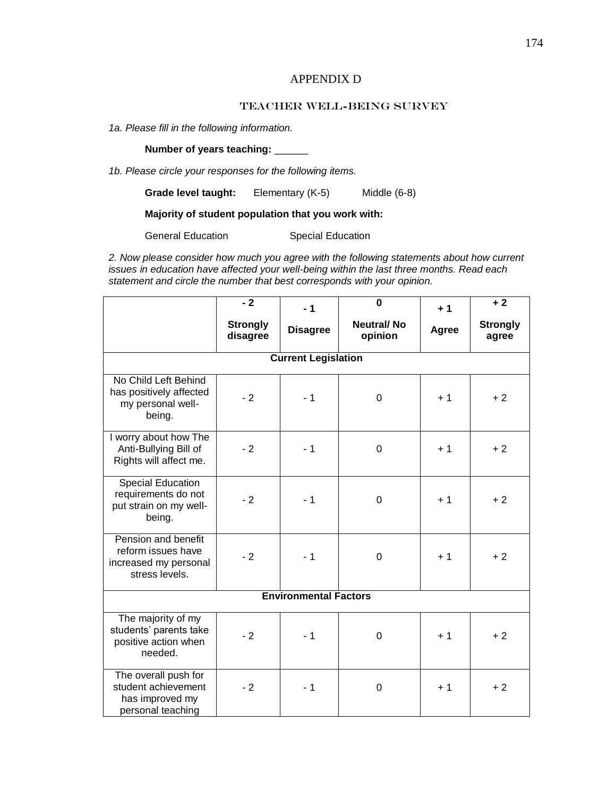# APPENDIX D

### Teacher Well-Being SURVEY

*1a. Please fill in the following information.*

**Number of years teaching:** \_\_\_\_\_\_

*1b. Please circle your responses for the following items.*

**Grade level taught:** Elementary (K-5) Middle (6-8)

### **Majority of student population that you work with:**

General Education Special Education

*2. Now please consider how much you agree with the following statements about how current issues in education have affected your well-being within the last three months. Read each statement and circle the number that best corresponds with your opinion.* 

|                                                                                      | $-2$                        | $-1$                         | $\bf{0}$                     | $+1$  | $+2$                     |  |  |  |  |
|--------------------------------------------------------------------------------------|-----------------------------|------------------------------|------------------------------|-------|--------------------------|--|--|--|--|
|                                                                                      | <b>Strongly</b><br>disagree | <b>Disagree</b>              | <b>Neutral/No</b><br>opinion | Agree | <b>Strongly</b><br>agree |  |  |  |  |
| <b>Current Legislation</b>                                                           |                             |                              |                              |       |                          |  |  |  |  |
| No Child Left Behind<br>has positively affected<br>my personal well-<br>being.       | $-2$                        | $-1$                         | 0                            | $+1$  | $+2$                     |  |  |  |  |
| I worry about how The<br>Anti-Bullying Bill of<br>Rights will affect me.             | $-2$                        | $-1$                         | 0                            | $+1$  | $+2$                     |  |  |  |  |
| <b>Special Education</b><br>requirements do not<br>put strain on my well-<br>being.  | $-2$                        | $-1$                         | 0                            | $+1$  | $+2$                     |  |  |  |  |
| Pension and benefit<br>reform issues have<br>increased my personal<br>stress levels. | $-2$                        | $-1$                         | 0                            | $+1$  | $+2$                     |  |  |  |  |
|                                                                                      |                             | <b>Environmental Factors</b> |                              |       |                          |  |  |  |  |
| The majority of my<br>students' parents take<br>positive action when<br>needed.      | $-2$                        | $-1$                         | 0                            | $+1$  | $+2$                     |  |  |  |  |
| The overall push for<br>student achievement<br>has improved my<br>personal teaching  | $-2$                        | $-1$                         | 0                            | $+1$  | $+2$                     |  |  |  |  |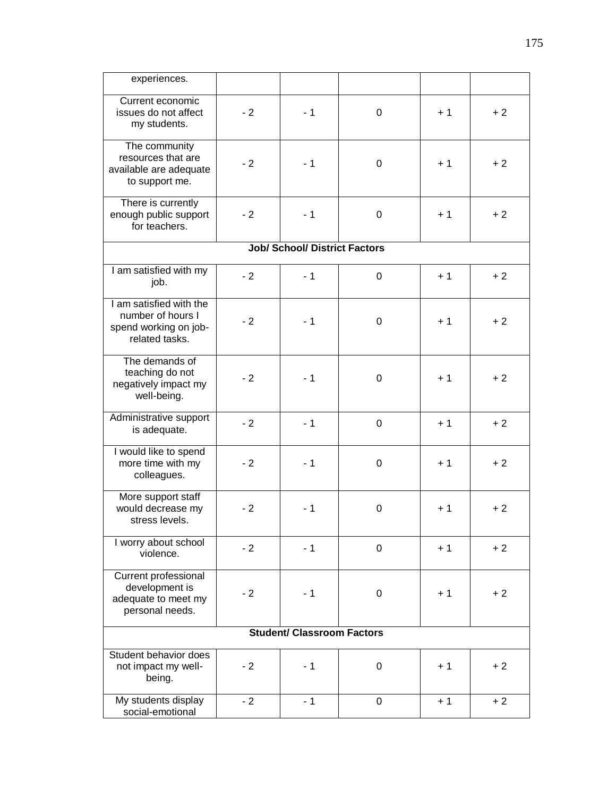| experiences.                                                                            |      |                                      |             |      |      |  |  |
|-----------------------------------------------------------------------------------------|------|--------------------------------------|-------------|------|------|--|--|
| Current economic<br>issues do not affect<br>my students.                                | $-2$ | $-1$                                 | 0           | $+1$ | $+2$ |  |  |
| The community<br>resources that are<br>available are adequate<br>to support me.         | $-2$ | $-1$                                 | 0           | $+1$ | $+2$ |  |  |
| There is currently<br>enough public support<br>for teachers.                            | $-2$ | $-1$                                 | 0           | $+1$ | $+2$ |  |  |
|                                                                                         |      | <b>Job/ School/ District Factors</b> |             |      |      |  |  |
| I am satisfied with my<br>job.                                                          | $-2$ | $-1$                                 | 0           | $+1$ | $+2$ |  |  |
| I am satisfied with the<br>number of hours I<br>spend working on job-<br>related tasks. | $-2$ | $-1$                                 | 0           | $+1$ | $+2$ |  |  |
| The demands of<br>teaching do not<br>negatively impact my<br>well-being.                | $-2$ | $-1$                                 | 0           | $+1$ | $+2$ |  |  |
| Administrative support<br>is adequate.                                                  | $-2$ | $-1$                                 | 0           | $+1$ | $+2$ |  |  |
| I would like to spend<br>more time with my<br>colleagues.                               | $-2$ | $-1$                                 | 0           | $+1$ | $+2$ |  |  |
| More support staff<br>would decrease my<br>stress levels.                               | $-2$ | $-1$                                 | 0           | $+1$ | $+2$ |  |  |
| I worry about school<br>violence.                                                       | $-2$ | $-1$                                 | $\mathbf 0$ | $+1$ | $+2$ |  |  |
| <b>Current professional</b><br>development is<br>adequate to meet my<br>personal needs. | $-2$ | $-1$                                 | 0           | $+1$ | $+2$ |  |  |
| <b>Student/ Classroom Factors</b>                                                       |      |                                      |             |      |      |  |  |
| Student behavior does<br>not impact my well-<br>being.                                  | $-2$ | $-1$                                 | 0           | $+1$ | $+2$ |  |  |
| My students display<br>social-emotional                                                 | $-2$ | $-1$                                 | 0           | $+1$ | $+2$ |  |  |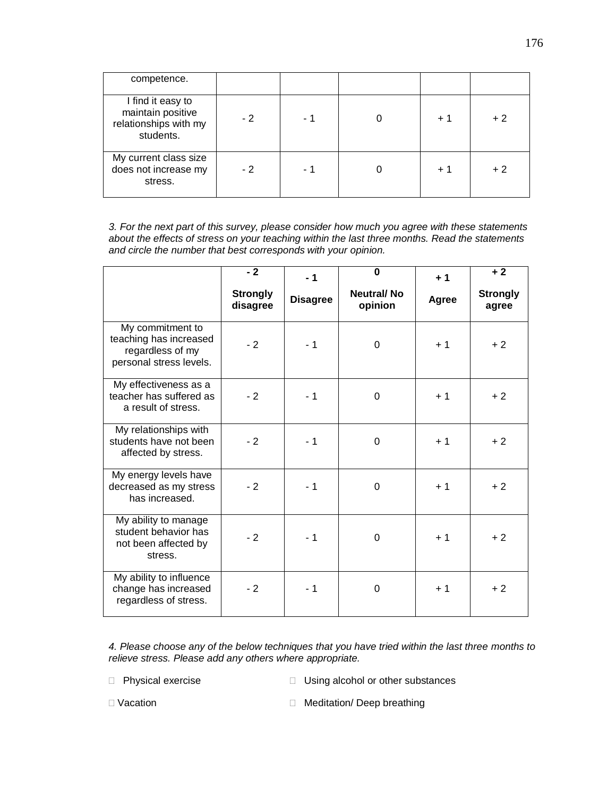| competence.                                                                  |      |     |      |      |
|------------------------------------------------------------------------------|------|-----|------|------|
| I find it easy to<br>maintain positive<br>relationships with my<br>students. | $-2$ | - 1 | $+1$ | $+2$ |
| My current class size<br>does not increase my<br>stress.                     | $-2$ | - 1 | $+1$ | $+2$ |

*3. For the next part of this survey, please consider how much you agree with these statements about the effects of stress on your teaching within the last three months. Read the statements and circle the number that best corresponds with your opinion.* 

|                                                                                           | $-2$                        | $-1$            | $\bf{0}$                     | $+1$  | $+2$                     |
|-------------------------------------------------------------------------------------------|-----------------------------|-----------------|------------------------------|-------|--------------------------|
|                                                                                           | <b>Strongly</b><br>disagree | <b>Disagree</b> | <b>Neutral/No</b><br>opinion | Agree | <b>Strongly</b><br>agree |
| My commitment to<br>teaching has increased<br>regardless of my<br>personal stress levels. | $-2$                        | $-1$            | 0                            | $+1$  | $+2$                     |
| My effectiveness as a<br>teacher has suffered as<br>a result of stress.                   | $-2$                        | $-1$            | 0                            | $+1$  | $+2$                     |
| My relationships with<br>students have not been<br>affected by stress.                    | $-2$                        | $-1$            | 0                            | $+1$  | $+2$                     |
| My energy levels have<br>decreased as my stress<br>has increased.                         | $-2$                        | $-1$            | 0                            | $+1$  | $+2$                     |
| My ability to manage<br>student behavior has<br>not been affected by<br>stress.           | $-2$                        | $-1$            | 0                            | $+1$  | $+2$                     |
| My ability to influence<br>change has increased<br>regardless of stress.                  | $-2$                        | $-1$            | 0                            | $+1$  | $+2$                     |

*4. Please choose any of the below techniques that you have tried within the last three months to relieve stress. Please add any others where appropriate.*

□ Physical exercise Dising alcohol or other substances

□ Vacation **Meditation Deep breathing**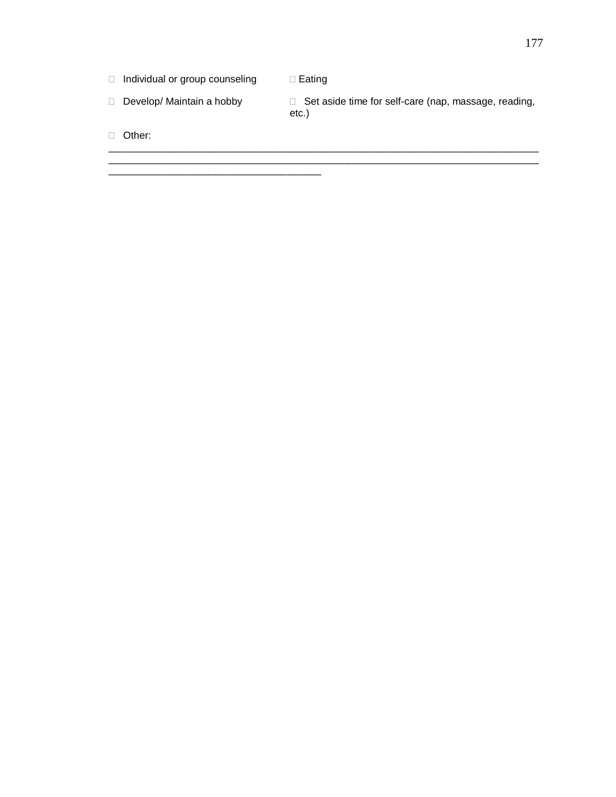$\Box$  Individual or group counseling  $\Box$  Eating

\_\_\_\_\_\_\_\_\_\_\_\_\_\_\_\_\_\_\_\_\_\_\_\_\_\_\_\_\_\_\_\_\_\_\_\_\_\_

□ Develop/ Maintain a hobby □ Set aside time for self-care (nap, massage, reading, etc.)

\_\_\_\_\_\_\_\_\_\_\_\_\_\_\_\_\_\_\_\_\_\_\_\_\_\_\_\_\_\_\_\_\_\_\_\_\_\_\_\_\_\_\_\_\_\_\_\_\_\_\_\_\_\_\_\_\_\_\_\_\_\_\_\_\_\_\_\_\_\_\_\_\_\_\_\_\_ \_\_\_\_\_\_\_\_\_\_\_\_\_\_\_\_\_\_\_\_\_\_\_\_\_\_\_\_\_\_\_\_\_\_\_\_\_\_\_\_\_\_\_\_\_\_\_\_\_\_\_\_\_\_\_\_\_\_\_\_\_\_\_\_\_\_\_\_\_\_\_\_\_\_\_\_\_

Other: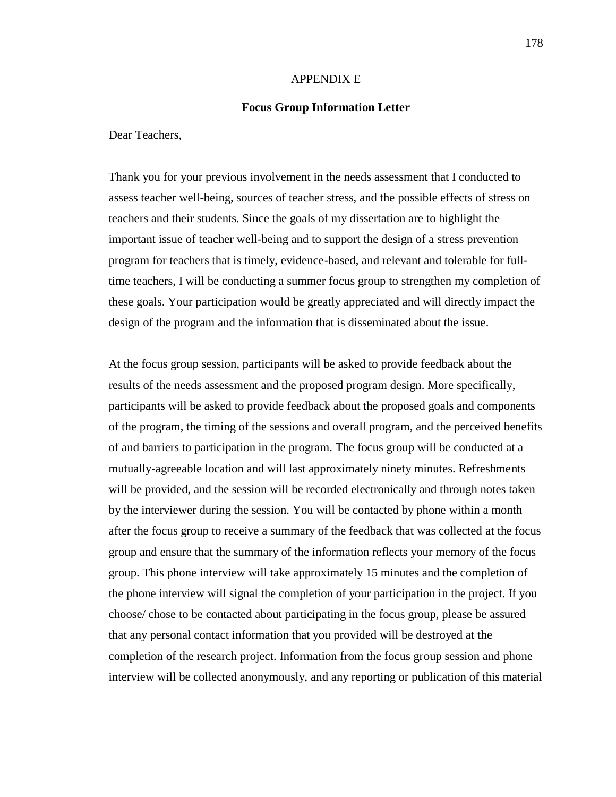#### APPENDIX E

#### **Focus Group Information Letter**

Dear Teachers,

Thank you for your previous involvement in the needs assessment that I conducted to assess teacher well-being, sources of teacher stress, and the possible effects of stress on teachers and their students. Since the goals of my dissertation are to highlight the important issue of teacher well-being and to support the design of a stress prevention program for teachers that is timely, evidence-based, and relevant and tolerable for fulltime teachers, I will be conducting a summer focus group to strengthen my completion of these goals. Your participation would be greatly appreciated and will directly impact the design of the program and the information that is disseminated about the issue.

At the focus group session, participants will be asked to provide feedback about the results of the needs assessment and the proposed program design. More specifically, participants will be asked to provide feedback about the proposed goals and components of the program, the timing of the sessions and overall program, and the perceived benefits of and barriers to participation in the program. The focus group will be conducted at a mutually-agreeable location and will last approximately ninety minutes. Refreshments will be provided, and the session will be recorded electronically and through notes taken by the interviewer during the session. You will be contacted by phone within a month after the focus group to receive a summary of the feedback that was collected at the focus group and ensure that the summary of the information reflects your memory of the focus group. This phone interview will take approximately 15 minutes and the completion of the phone interview will signal the completion of your participation in the project. If you choose/ chose to be contacted about participating in the focus group, please be assured that any personal contact information that you provided will be destroyed at the completion of the research project. Information from the focus group session and phone interview will be collected anonymously, and any reporting or publication of this material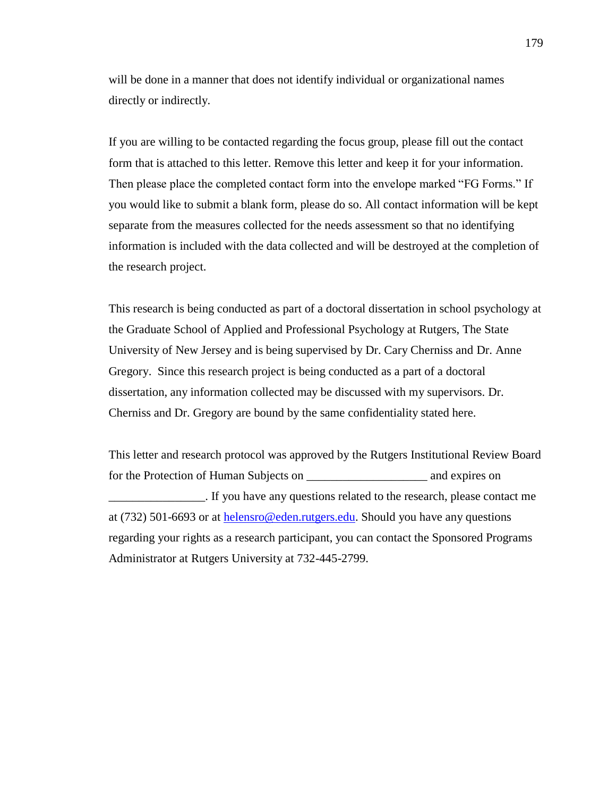will be done in a manner that does not identify individual or organizational names directly or indirectly.

If you are willing to be contacted regarding the focus group, please fill out the contact form that is attached to this letter. Remove this letter and keep it for your information. Then please place the completed contact form into the envelope marked "FG Forms." If you would like to submit a blank form, please do so. All contact information will be kept separate from the measures collected for the needs assessment so that no identifying information is included with the data collected and will be destroyed at the completion of the research project.

This research is being conducted as part of a doctoral dissertation in school psychology at the Graduate School of Applied and Professional Psychology at Rutgers, The State University of New Jersey and is being supervised by Dr. Cary Cherniss and Dr. Anne Gregory. Since this research project is being conducted as a part of a doctoral dissertation, any information collected may be discussed with my supervisors. Dr. Cherniss and Dr. Gregory are bound by the same confidentiality stated here.

This letter and research protocol was approved by the Rutgers Institutional Review Board for the Protection of Human Subjects on \_\_\_\_\_\_\_\_\_\_\_\_\_\_\_\_\_\_\_\_ and expires on \_\_\_\_\_\_\_\_\_\_\_\_\_\_\_\_. If you have any questions related to the research, please contact me at (732) 501-6693 or at [helensro@eden.rutgers.edu.](mailto:helensro@eden.rutgers.edu) Should you have any questions regarding your rights as a research participant, you can contact the Sponsored Programs Administrator at Rutgers University at 732-445-2799.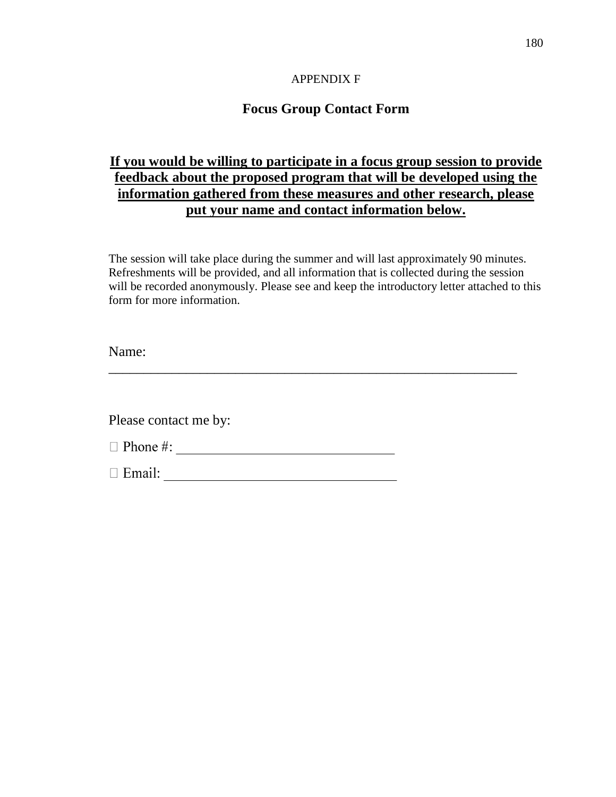### APPENDIX F

# **Focus Group Contact Form**

# **If you would be willing to participate in a focus group session to provide feedback about the proposed program that will be developed using the information gathered from these measures and other research, please put your name and contact information below.**

The session will take place during the summer and will last approximately 90 minutes. Refreshments will be provided, and all information that is collected during the session will be recorded anonymously. Please see and keep the introductory letter attached to this form for more information.

\_\_\_\_\_\_\_\_\_\_\_\_\_\_\_\_\_\_\_\_\_\_\_\_\_\_\_\_\_\_\_\_\_\_\_\_\_\_\_\_\_\_\_\_\_\_\_\_\_\_\_\_\_\_\_\_\_\_

Name:

Please contact me by: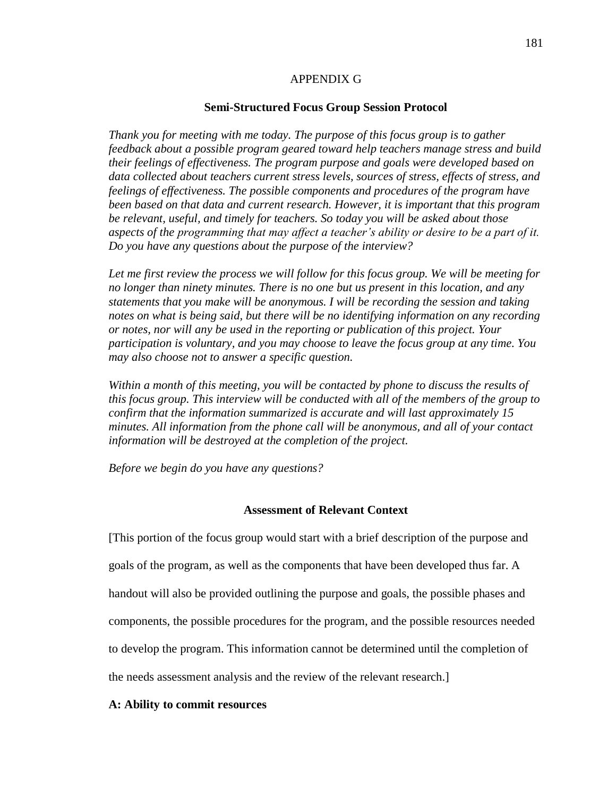### APPENDIX G

#### **Semi-Structured Focus Group Session Protocol**

*Thank you for meeting with me today. The purpose of this focus group is to gather feedback about a possible program geared toward help teachers manage stress and build their feelings of effectiveness. The program purpose and goals were developed based on data collected about teachers current stress levels, sources of stress, effects of stress, and feelings of effectiveness. The possible components and procedures of the program have been based on that data and current research. However, it is important that this program be relevant, useful, and timely for teachers. So today you will be asked about those aspects of the programming that may affect a teacher's ability or desire to be a part of it. Do you have any questions about the purpose of the interview?*

*Let me first review the process we will follow for this focus group. We will be meeting for no longer than ninety minutes. There is no one but us present in this location, and any statements that you make will be anonymous. I will be recording the session and taking notes on what is being said, but there will be no identifying information on any recording or notes, nor will any be used in the reporting or publication of this project. Your participation is voluntary, and you may choose to leave the focus group at any time. You may also choose not to answer a specific question.* 

*Within a month of this meeting, you will be contacted by phone to discuss the results of this focus group. This interview will be conducted with all of the members of the group to confirm that the information summarized is accurate and will last approximately 15 minutes. All information from the phone call will be anonymous, and all of your contact information will be destroyed at the completion of the project.* 

*Before we begin do you have any questions?*

### **Assessment of Relevant Context**

[This portion of the focus group would start with a brief description of the purpose and goals of the program, as well as the components that have been developed thus far. A handout will also be provided outlining the purpose and goals, the possible phases and components, the possible procedures for the program, and the possible resources needed to develop the program. This information cannot be determined until the completion of the needs assessment analysis and the review of the relevant research.]

#### **A: Ability to commit resources**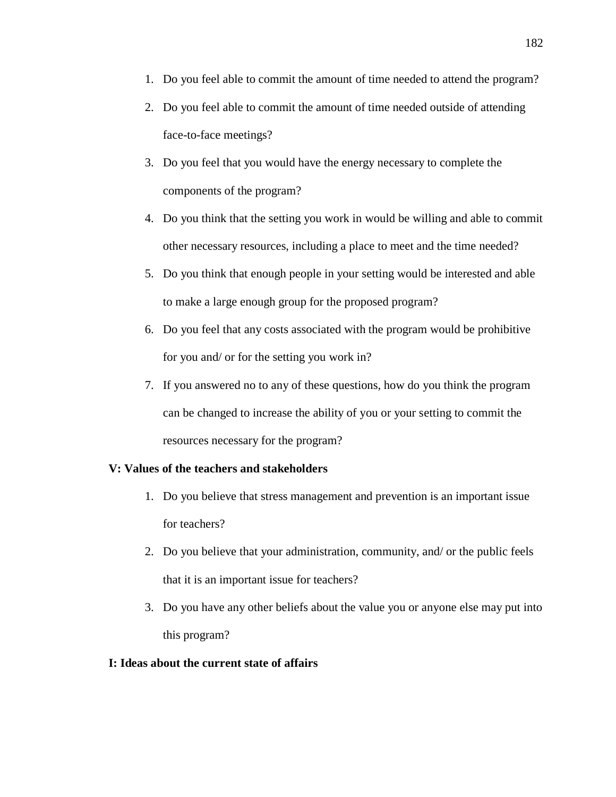- 1. Do you feel able to commit the amount of time needed to attend the program?
- 2. Do you feel able to commit the amount of time needed outside of attending face-to-face meetings?
- 3. Do you feel that you would have the energy necessary to complete the components of the program?
- 4. Do you think that the setting you work in would be willing and able to commit other necessary resources, including a place to meet and the time needed?
- 5. Do you think that enough people in your setting would be interested and able to make a large enough group for the proposed program?
- 6. Do you feel that any costs associated with the program would be prohibitive for you and/ or for the setting you work in?
- 7. If you answered no to any of these questions, how do you think the program can be changed to increase the ability of you or your setting to commit the resources necessary for the program?

# **V: Values of the teachers and stakeholders**

- 1. Do you believe that stress management and prevention is an important issue for teachers?
- 2. Do you believe that your administration, community, and/ or the public feels that it is an important issue for teachers?
- 3. Do you have any other beliefs about the value you or anyone else may put into this program?

# **I: Ideas about the current state of affairs**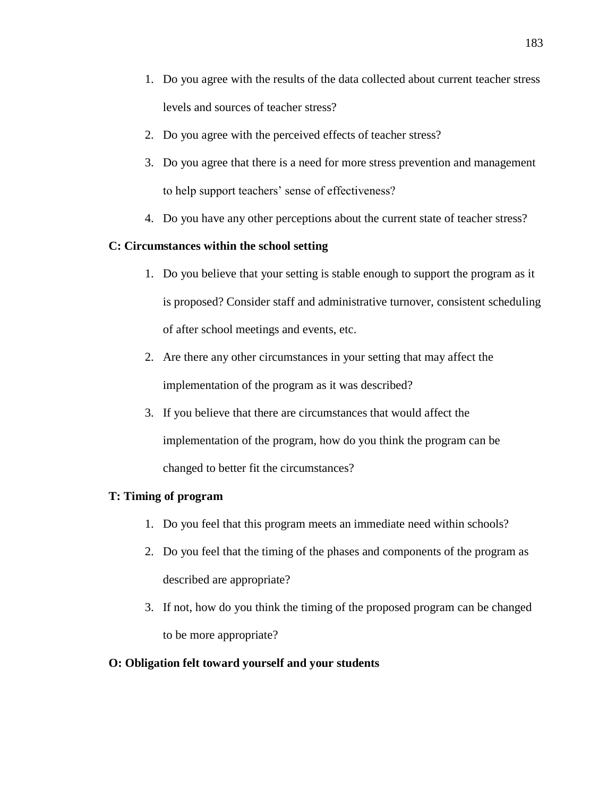- 1. Do you agree with the results of the data collected about current teacher stress levels and sources of teacher stress?
- 2. Do you agree with the perceived effects of teacher stress?
- 3. Do you agree that there is a need for more stress prevention and management to help support teachers' sense of effectiveness?
- 4. Do you have any other perceptions about the current state of teacher stress?

# **C: Circumstances within the school setting**

- 1. Do you believe that your setting is stable enough to support the program as it is proposed? Consider staff and administrative turnover, consistent scheduling of after school meetings and events, etc.
- 2. Are there any other circumstances in your setting that may affect the implementation of the program as it was described?
- 3. If you believe that there are circumstances that would affect the implementation of the program, how do you think the program can be changed to better fit the circumstances?

# **T: Timing of program**

- 1. Do you feel that this program meets an immediate need within schools?
- 2. Do you feel that the timing of the phases and components of the program as described are appropriate?
- 3. If not, how do you think the timing of the proposed program can be changed to be more appropriate?

# **O: Obligation felt toward yourself and your students**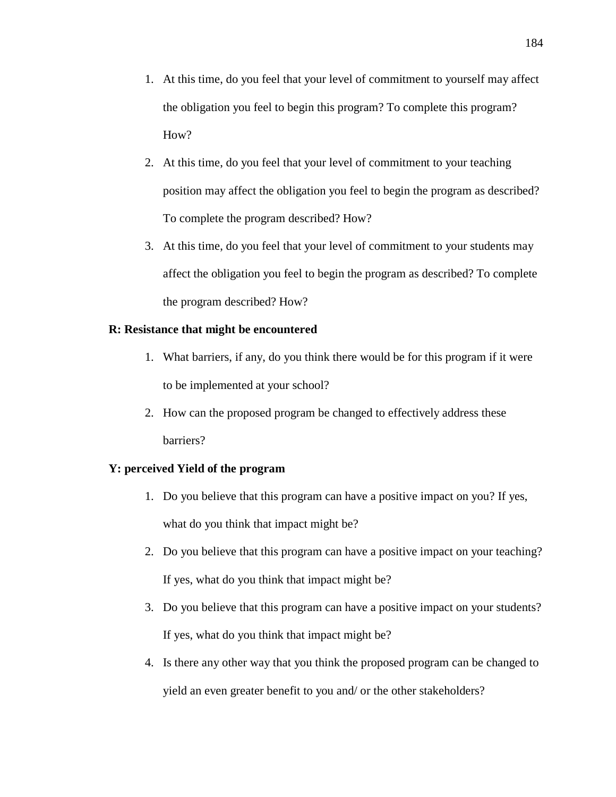- 1. At this time, do you feel that your level of commitment to yourself may affect the obligation you feel to begin this program? To complete this program? How?
- 2. At this time, do you feel that your level of commitment to your teaching position may affect the obligation you feel to begin the program as described? To complete the program described? How?
- 3. At this time, do you feel that your level of commitment to your students may affect the obligation you feel to begin the program as described? To complete the program described? How?

# **R: Resistance that might be encountered**

- 1. What barriers, if any, do you think there would be for this program if it were to be implemented at your school?
- 2. How can the proposed program be changed to effectively address these barriers?

# **Y: perceived Yield of the program**

- 1. Do you believe that this program can have a positive impact on you? If yes, what do you think that impact might be?
- 2. Do you believe that this program can have a positive impact on your teaching? If yes, what do you think that impact might be?
- 3. Do you believe that this program can have a positive impact on your students? If yes, what do you think that impact might be?
- 4. Is there any other way that you think the proposed program can be changed to yield an even greater benefit to you and/ or the other stakeholders?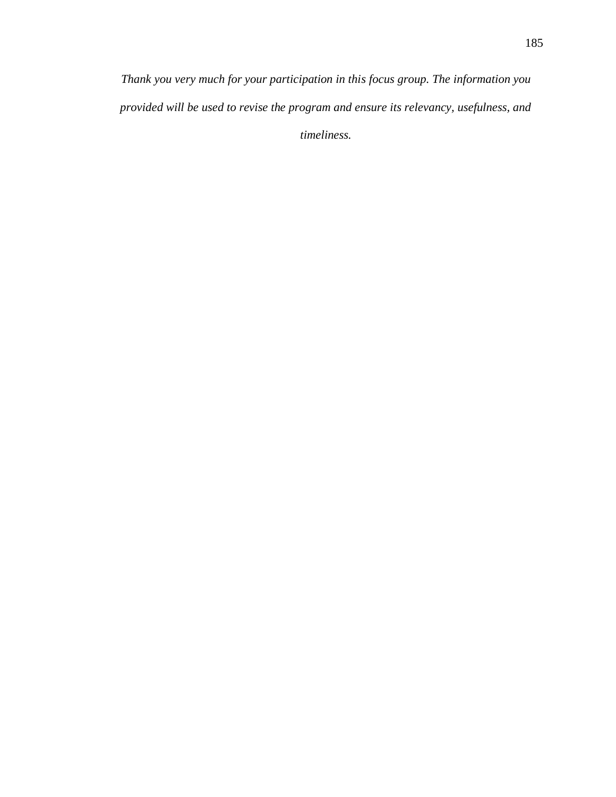*Thank you very much for your participation in this focus group. The information you provided will be used to revise the program and ensure its relevancy, usefulness, and timeliness.*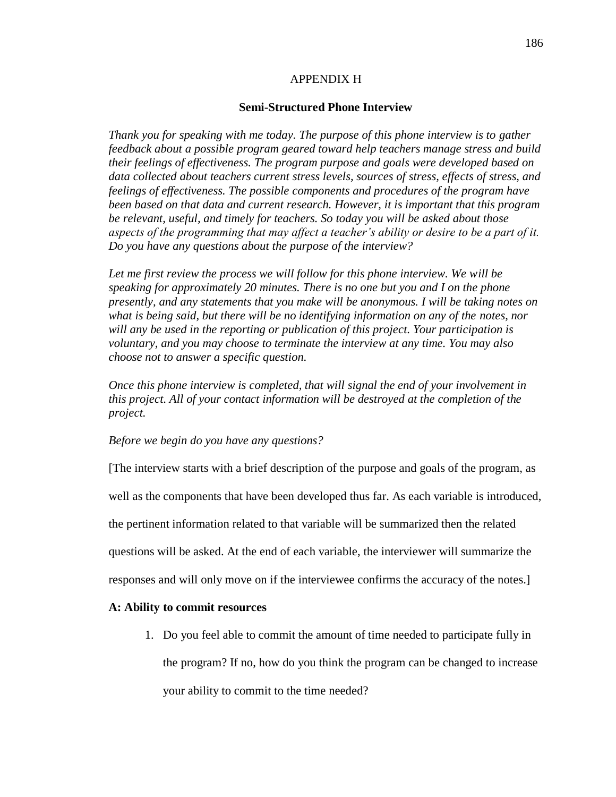### APPENDIX H

#### **Semi-Structured Phone Interview**

*Thank you for speaking with me today. The purpose of this phone interview is to gather feedback about a possible program geared toward help teachers manage stress and build their feelings of effectiveness. The program purpose and goals were developed based on data collected about teachers current stress levels, sources of stress, effects of stress, and feelings of effectiveness. The possible components and procedures of the program have been based on that data and current research. However, it is important that this program be relevant, useful, and timely for teachers. So today you will be asked about those aspects of the programming that may affect a teacher's ability or desire to be a part of it. Do you have any questions about the purpose of the interview?*

Let me first review the process we will follow for this phone interview. We will be *speaking for approximately 20 minutes. There is no one but you and I on the phone presently, and any statements that you make will be anonymous. I will be taking notes on what is being said, but there will be no identifying information on any of the notes, nor will any be used in the reporting or publication of this project. Your participation is voluntary, and you may choose to terminate the interview at any time. You may also choose not to answer a specific question.* 

*Once this phone interview is completed, that will signal the end of your involvement in this project. All of your contact information will be destroyed at the completion of the project.*

#### *Before we begin do you have any questions?*

[The interview starts with a brief description of the purpose and goals of the program, as well as the components that have been developed thus far. As each variable is introduced, the pertinent information related to that variable will be summarized then the related questions will be asked. At the end of each variable, the interviewer will summarize the responses and will only move on if the interviewee confirms the accuracy of the notes.]

#### **A: Ability to commit resources**

1. Do you feel able to commit the amount of time needed to participate fully in the program? If no, how do you think the program can be changed to increase your ability to commit to the time needed?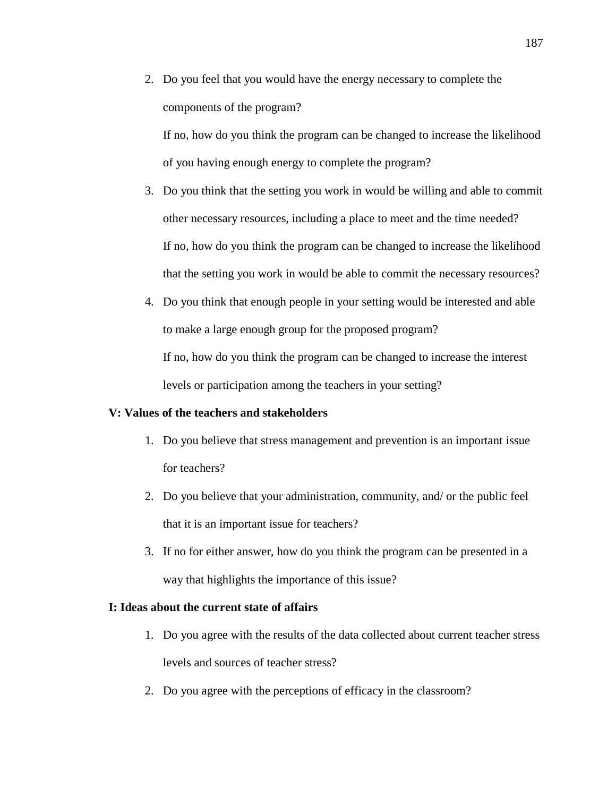2. Do you feel that you would have the energy necessary to complete the components of the program?

If no, how do you think the program can be changed to increase the likelihood of you having enough energy to complete the program?

- 3. Do you think that the setting you work in would be willing and able to commit other necessary resources, including a place to meet and the time needed? If no, how do you think the program can be changed to increase the likelihood that the setting you work in would be able to commit the necessary resources?
- 4. Do you think that enough people in your setting would be interested and able to make a large enough group for the proposed program?

If no, how do you think the program can be changed to increase the interest levels or participation among the teachers in your setting?

### **V: Values of the teachers and stakeholders**

- 1. Do you believe that stress management and prevention is an important issue for teachers?
- 2. Do you believe that your administration, community, and/ or the public feel that it is an important issue for teachers?
- 3. If no for either answer, how do you think the program can be presented in a way that highlights the importance of this issue?

### **I: Ideas about the current state of affairs**

- 1. Do you agree with the results of the data collected about current teacher stress levels and sources of teacher stress?
- 2. Do you agree with the perceptions of efficacy in the classroom?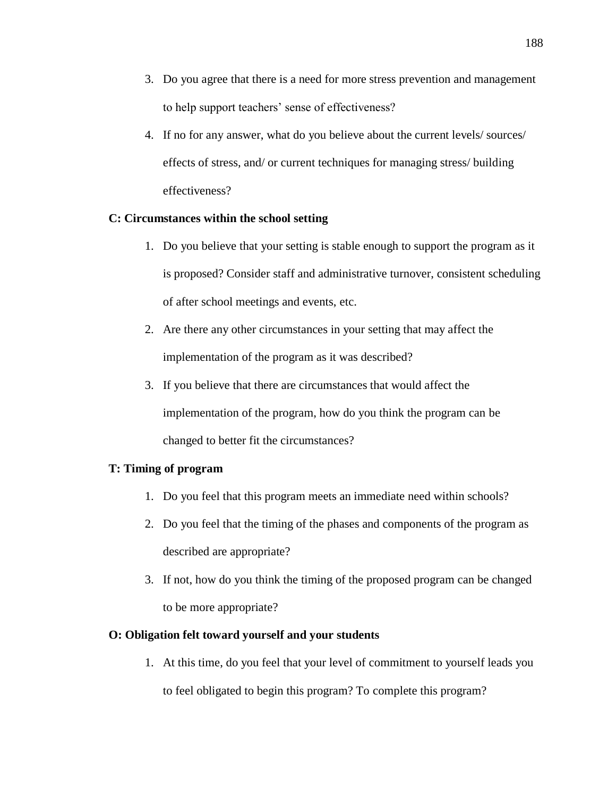- 3. Do you agree that there is a need for more stress prevention and management to help support teachers' sense of effectiveness?
- 4. If no for any answer, what do you believe about the current levels/ sources/ effects of stress, and/ or current techniques for managing stress/ building effectiveness?

# **C: Circumstances within the school setting**

- 1. Do you believe that your setting is stable enough to support the program as it is proposed? Consider staff and administrative turnover, consistent scheduling of after school meetings and events, etc.
- 2. Are there any other circumstances in your setting that may affect the implementation of the program as it was described?
- 3. If you believe that there are circumstances that would affect the implementation of the program, how do you think the program can be changed to better fit the circumstances?

# **T: Timing of program**

- 1. Do you feel that this program meets an immediate need within schools?
- 2. Do you feel that the timing of the phases and components of the program as described are appropriate?
- 3. If not, how do you think the timing of the proposed program can be changed to be more appropriate?

### **O: Obligation felt toward yourself and your students**

1. At this time, do you feel that your level of commitment to yourself leads you to feel obligated to begin this program? To complete this program?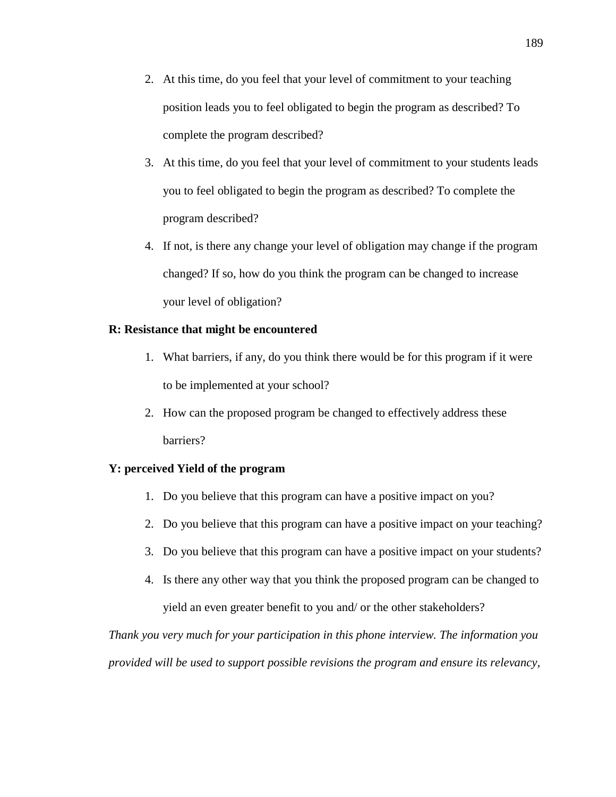- 2. At this time, do you feel that your level of commitment to your teaching position leads you to feel obligated to begin the program as described? To complete the program described?
- 3. At this time, do you feel that your level of commitment to your students leads you to feel obligated to begin the program as described? To complete the program described?
- 4. If not, is there any change your level of obligation may change if the program changed? If so, how do you think the program can be changed to increase your level of obligation?

### **R: Resistance that might be encountered**

- 1. What barriers, if any, do you think there would be for this program if it were to be implemented at your school?
- 2. How can the proposed program be changed to effectively address these barriers?

# **Y: perceived Yield of the program**

- 1. Do you believe that this program can have a positive impact on you?
- 2. Do you believe that this program can have a positive impact on your teaching?
- 3. Do you believe that this program can have a positive impact on your students?
- 4. Is there any other way that you think the proposed program can be changed to yield an even greater benefit to you and/ or the other stakeholders?

*Thank you very much for your participation in this phone interview. The information you provided will be used to support possible revisions the program and ensure its relevancy,*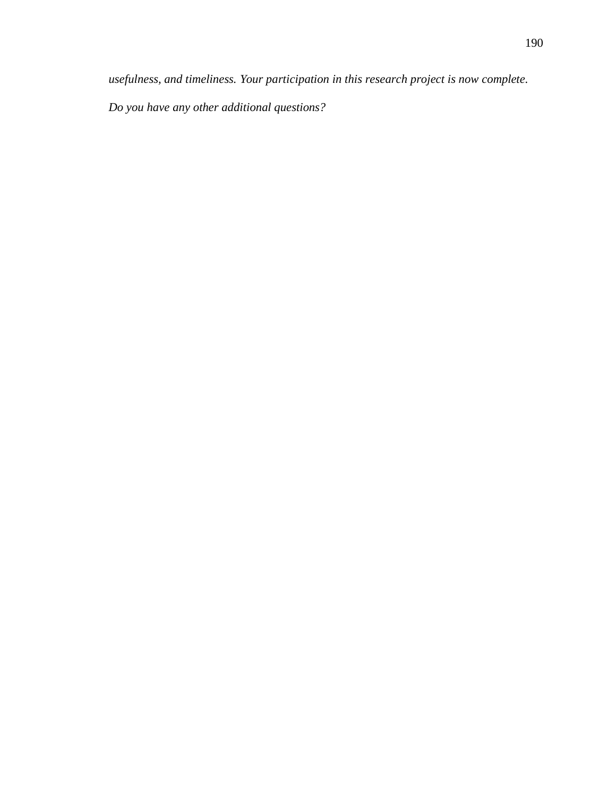*usefulness, and timeliness. Your participation in this research project is now complete.* 

*Do you have any other additional questions?*